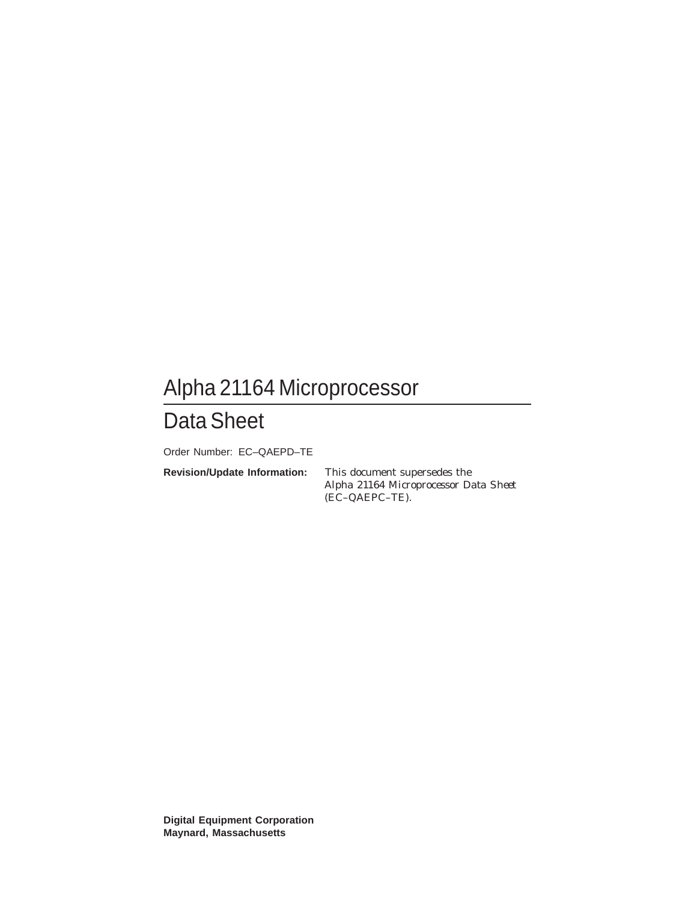# Alpha 21164 Microprocessor

# Data Sheet

Order Number: EC–QAEPD–TE

**Revision/Update Information:** This document supersedes the

*Alpha 21164 Microprocessor Data Sheet* (EC–QAEPC–TE).

**Digital Equipment Corporation Maynard, Massachusetts**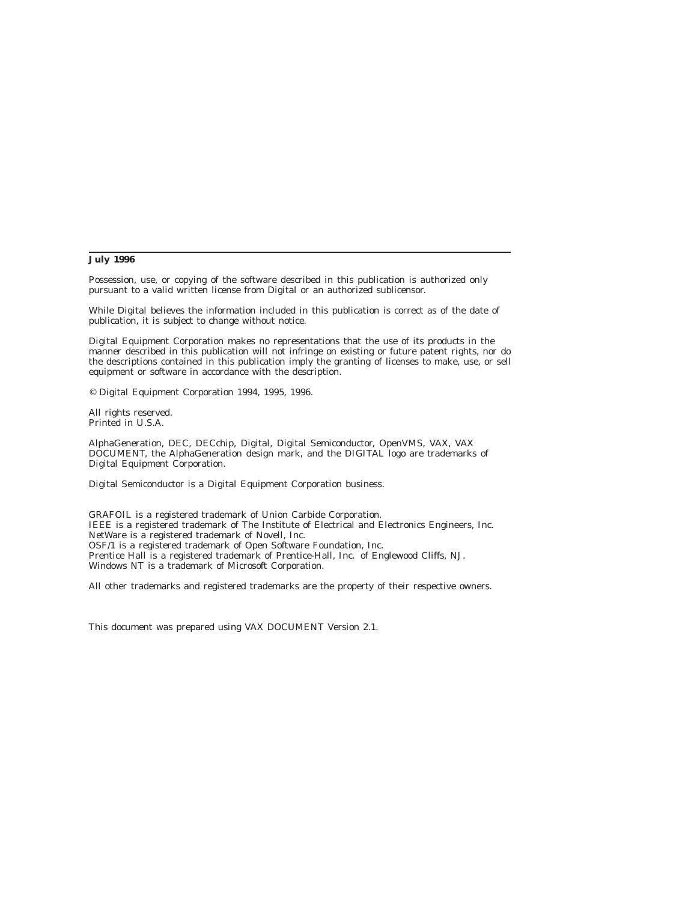#### **July 1996**

Possession, use, or copying of the software described in this publication is authorized only pursuant to a valid written license from Digital or an authorized sublicensor.

While Digital believes the information included in this publication is correct as of the date of publication, it is subject to change without notice.

Digital Equipment Corporation makes no representations that the use of its products in the manner described in this publication will not infringe on existing or future patent rights, nor do the descriptions contained in this publication imply the granting of licenses to make, use, or sell equipment or software in accordance with the description.

© Digital Equipment Corporation 1994, 1995, 1996.

All rights reserved. Printed in U.S.A.

AlphaGeneration, DEC, DECchip, Digital, Digital Semiconductor, OpenVMS, VAX, VAX DOCUMENT, the AlphaGeneration design mark, and the DIGITAL logo are trademarks of Digital Equipment Corporation.

Digital Semiconductor is a Digital Equipment Corporation business.

GRAFOIL is a registered trademark of Union Carbide Corporation. IEEE is a registered trademark of The Institute of Electrical and Electronics Engineers, Inc. NetWare is a registered trademark of Novell, Inc. OSF/1 is a registered trademark of Open Software Foundation, Inc. Prentice Hall is a registered trademark of Prentice-Hall, Inc. of Englewood Cliffs, NJ. Windows NT is a trademark of Microsoft Corporation.

All other trademarks and registered trademarks are the property of their respective owners.

This document was prepared using VAX DOCUMENT Version 2.1.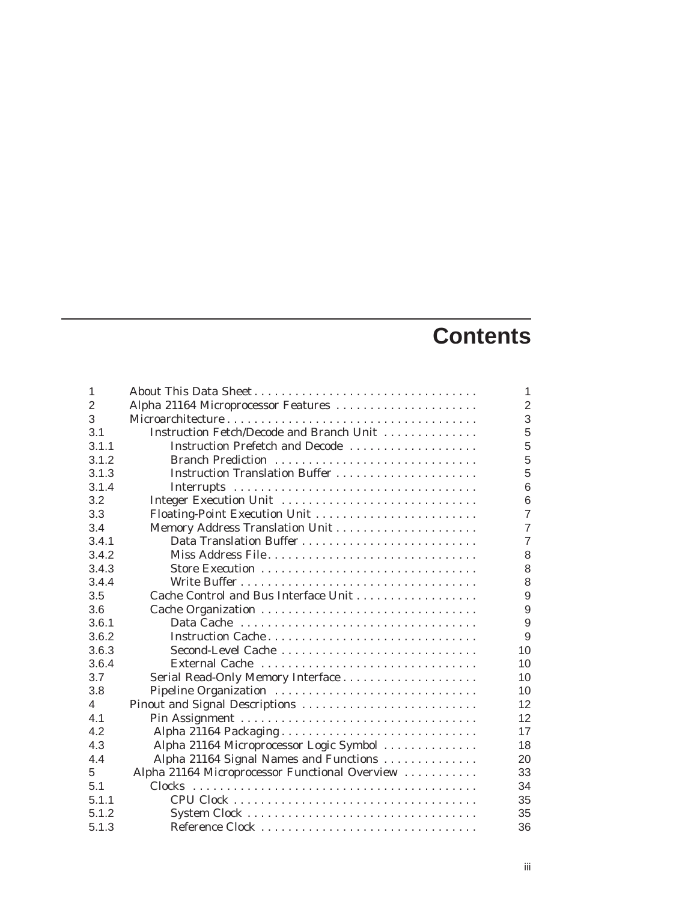# **Contents**

| 1              |                                                | 1              |
|----------------|------------------------------------------------|----------------|
| $\overline{2}$ | Alpha 21164 Microprocessor Features            | $\overline{2}$ |
| 3              |                                                | 3              |
| 3.1            | Instruction Fetch/Decode and Branch Unit       | 5              |
| 3.1.1          | Instruction Prefetch and Decode                | 5              |
| 3.1.2          | Branch Prediction                              | 5              |
| 3.1.3          |                                                | 5              |
| 3.1.4          |                                                | 6              |
| 3.2            | Integer Execution Unit                         | 6              |
| 3.3            |                                                | $\overline{7}$ |
| 3.4            |                                                | $\overline{7}$ |
| 3.4.1          |                                                | $\overline{7}$ |
| 3.4.2          | Miss Address File                              | 8              |
| 3.4.3          | Store Execution                                | 8              |
| 3.4.4          |                                                | 8              |
| 3.5            |                                                | 9              |
| 3.6            |                                                | 9              |
| 3.6.1          |                                                | 9              |
| 3.6.2          | Instruction Cache                              | 9              |
| 3.6.3          |                                                | 10             |
| 3.6.4          | External Cache                                 | 10             |
| 3.7            |                                                | 10             |
| 3.8            | Pipeline Organization                          | 10             |
| 4              | Pinout and Signal Descriptions                 | 12             |
| 4.1            |                                                | 12             |
| 4.2            | Alpha 21164 Packaging                          | 17             |
| 4.3            | Alpha 21164 Microprocessor Logic Symbol        | 18             |
| 4.4            | Alpha 21164 Signal Names and Functions         | 20             |
| 5              | Alpha 21164 Microprocessor Functional Overview | 33             |
| 5.1            |                                                | 34             |
| 5.1.1          |                                                | 35             |
| 5.1.2          |                                                | 35             |
| 5.1.3          | Reference Clock                                | 36             |
|                |                                                |                |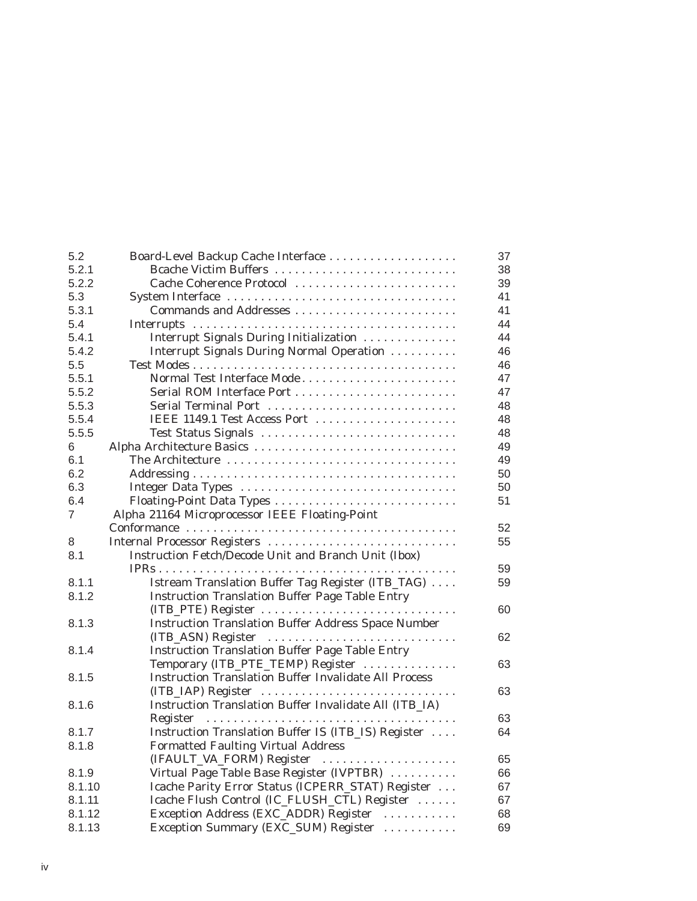| 5.2    | Board-Level Backup Cache Interface                           | 37 |
|--------|--------------------------------------------------------------|----|
| 5.2.1  | Bcache Victim Buffers                                        | 38 |
| 5.2.2  | Cache Coherence Protocol                                     | 39 |
| 5.3    |                                                              | 41 |
| 5.3.1  |                                                              | 41 |
| 5.4    |                                                              | 44 |
| 5.4.1  | Interrupt Signals During Initialization                      | 44 |
| 5.4.2  | Interrupt Signals During Normal Operation                    | 46 |
| 5.5    |                                                              | 46 |
| 5.5.1  | Normal Test Interface Mode                                   | 47 |
| 5.5.2  | Serial ROM Interface Port                                    | 47 |
| 5.5.3  | Serial Terminal Port                                         | 48 |
| 5.5.4  | IEEE 1149.1 Test Access Port                                 | 48 |
| 5.5.5  | Test Status Signals                                          | 48 |
| 6      | Alpha Architecture Basics                                    | 49 |
| 6.1    | The Architecture                                             | 49 |
| 6.2    |                                                              | 50 |
| 6.3    |                                                              | 50 |
| 6.4    | Floating-Point Data Types                                    | 51 |
| 7      | Alpha 21164 Microprocessor IEEE Floating-Point               |    |
|        |                                                              | 52 |
| 8      | Internal Processor Registers                                 | 55 |
| 8.1    | Instruction Fetch/Decode Unit and Branch Unit (Ibox)         |    |
|        | .                                                            | 59 |
| 8.1.1  | Istream Translation Buffer Tag Register (ITB_TAG)            | 59 |
| 8.1.2  | <b>Instruction Translation Buffer Page Table Entry</b>       |    |
|        | (ITB_PTE) Register                                           | 60 |
| 8.1.3  | <b>Instruction Translation Buffer Address Space Number</b>   |    |
|        | (ITB_ASN) Register                                           | 62 |
| 8.1.4  | <b>Instruction Translation Buffer Page Table Entry</b>       |    |
|        | Temporary (ITB_PTE_TEMP) Register                            | 63 |
| 8.1.5  | <b>Instruction Translation Buffer Invalidate All Process</b> |    |
|        | (ITB_IAP) Register                                           | 63 |
| 8.1.6  | Instruction Translation Buffer Invalidate All (ITB_IA)       |    |
|        |                                                              | 63 |
| 8.1.7  | Instruction Translation Buffer IS (ITB_IS) Register          | 64 |
| 8.1.8  | <b>Formatted Faulting Virtual Address</b>                    |    |
|        | (IFAULT_VA_FORM) Register                                    | 65 |
| 8.1.9  | Virtual Page Table Base Register (IVPTBR)                    | 66 |
| 8.1.10 | Icache Parity Error Status (ICPERR_STAT) Register            | 67 |
| 8.1.11 | Icache Flush Control (IC_FLUSH_CTL) Register                 | 67 |
| 8.1.12 | Exception Address (EXC_ADDR) Register                        | 68 |
| 8.1.13 | Exception Summary (EXC_SUM) Register                         | 69 |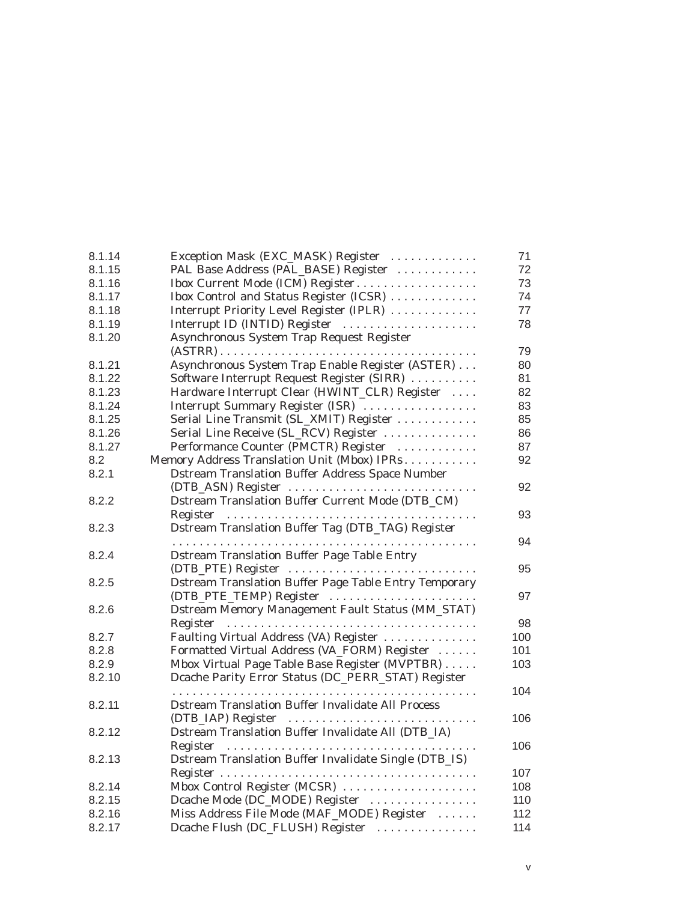| 8.1.14 | Exception Mask (EXC_MASK) Register                           | 71  |
|--------|--------------------------------------------------------------|-----|
| 8.1.15 | PAL Base Address (PAL_BASE) Register                         | 72  |
| 8.1.16 | Ibox Current Mode (ICM) Register                             | 73  |
| 8.1.17 | Ibox Control and Status Register (ICSR)                      | 74  |
| 8.1.18 | Interrupt Priority Level Register (IPLR)                     | 77  |
| 8.1.19 | Interrupt ID (INTID) Register                                | 78  |
| 8.1.20 | Asynchronous System Trap Request Register                    |     |
|        |                                                              | 79  |
| 8.1.21 | Asynchronous System Trap Enable Register (ASTER)             | 80  |
| 8.1.22 | Software Interrupt Request Register (SIRR)                   | 81  |
| 8.1.23 | Hardware Interrupt Clear (HWINT_CLR) Register                | 82  |
| 8.1.24 | Interrupt Summary Register (ISR)                             | 83  |
| 8.1.25 | Serial Line Transmit (SL_XMIT) Register                      | 85  |
| 8.1.26 | Serial Line Receive (SL_RCV) Register                        | 86  |
| 8.1.27 | Performance Counter (PMCTR) Register                         | 87  |
| 8.2    | Memory Address Translation Unit (Mbox) IPRs                  | 92  |
| 8.2.1  | <b>Dstream Translation Buffer Address Space Number</b>       |     |
|        | (DTB_ASN) Register                                           | 92  |
| 8.2.2  | Dstream Translation Buffer Current Mode (DTB_CM)             |     |
|        |                                                              | 93  |
| 8.2.3  | Dstream Translation Buffer Tag (DTB_TAG) Register            |     |
|        |                                                              | 94  |
| 8.2.4  | <b>Dstream Translation Buffer Page Table Entry</b>           |     |
|        | (DTB_PTE) Register                                           | 95  |
| 8.2.5  | <b>Dstream Translation Buffer Page Table Entry Temporary</b> |     |
|        |                                                              | 97  |
| 8.2.6  | <b>Dstream Memory Management Fault Status (MM_STAT)</b>      |     |
|        |                                                              | 98  |
| 8.2.7  | Faulting Virtual Address (VA) Register                       | 100 |
| 8.2.8  | Formatted Virtual Address (VA_FORM) Register                 | 101 |
| 8.2.9  | Mbox Virtual Page Table Base Register (MVPTBR)               | 103 |
| 8.2.10 | Dcache Parity Error Status (DC_PERR_STAT) Register           |     |
|        |                                                              | 104 |
| 8.2.11 | <b>Dstream Translation Buffer Invalidate All Process</b>     |     |
|        | (DTB_IAP) Register                                           | 106 |
| 8.2.12 | Dstream Translation Buffer Invalidate All (DTB_IA)           |     |
|        |                                                              | 106 |
| 8.2.13 | Dstream Translation Buffer Invalidate Single (DTB_IS)        |     |
|        |                                                              | 107 |
| 8.2.14 | Mbox Control Register (MCSR)                                 | 108 |
| 8.2.15 | Dcache Mode (DC_MODE) Register                               | 110 |
| 8.2.16 | Miss Address File Mode (MAF_MODE) Register                   | 112 |
| 8.2.17 | Dcache Flush (DC_FLUSH) Register                             | 114 |
|        |                                                              |     |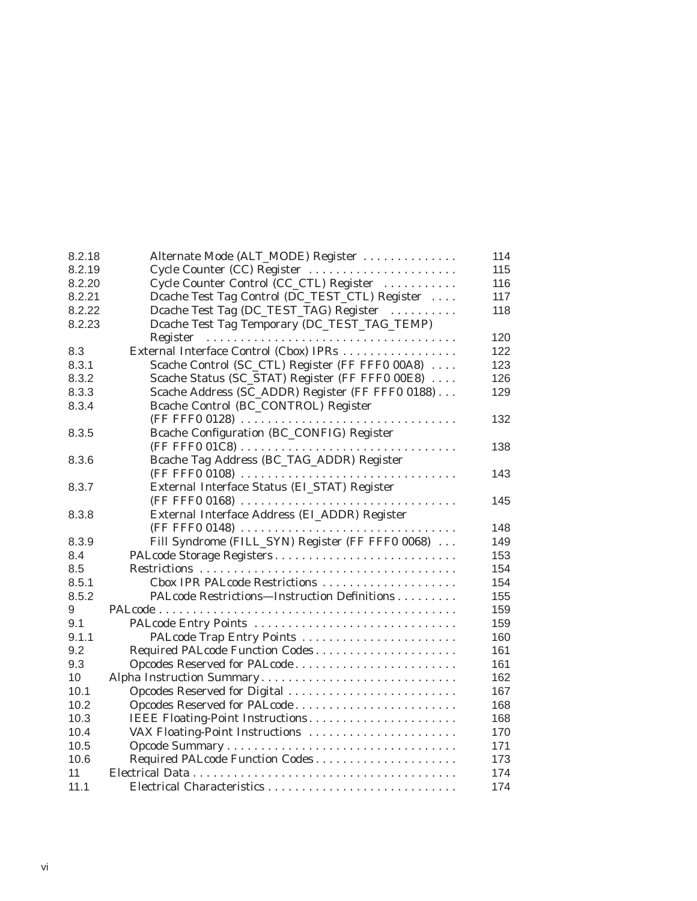| 8.2.18 | Alternate Mode (ALT_MODE) Register               | 114 |
|--------|--------------------------------------------------|-----|
| 8.2.19 | Cycle Counter (CC) Register                      | 115 |
| 8.2.20 | Cycle Counter Control (CC_CTL) Register          | 116 |
| 8.2.21 | Dcache Test Tag Control (DC_TEST_CTL) Register   | 117 |
| 8.2.22 | Dcache Test Tag (DC_TEST_TAG) Register           | 118 |
| 8.2.23 | Dcache Test Tag Temporary (DC_TEST_TAG_TEMP)     |     |
|        | Register                                         | 120 |
| 8.3    | External Interface Control (Cbox) IPRs           | 122 |
| 8.3.1  | Scache Control (SC_CTL) Register (FF FFF0 00A8)  | 123 |
| 8.3.2  | Scache Status (SC_STAT) Register (FF FFF0 00E8)  | 126 |
| 8.3.3  | Scache Address (SC_ADDR) Register (FF FFF0 0188) | 129 |
| 8.3.4  | Bcache Control (BC_CONTROL) Register             |     |
|        |                                                  | 132 |
| 8.3.5  | Bcache Configuration (BC_CONFIG) Register        |     |
|        |                                                  | 138 |
| 8.3.6  | Bcache Tag Address (BC_TAG_ADDR) Register        |     |
|        |                                                  | 143 |
| 8.3.7  | External Interface Status (EL_STAT) Register     |     |
|        |                                                  | 145 |
| 8.3.8  | External Interface Address (EI_ADDR) Register    |     |
|        | (FF FFF0 0148)                                   | 148 |
| 8.3.9  | Fill Syndrome (FILL_SYN) Register (FF FFF0 0068) | 149 |
| 8.4    | PALcode Storage Registers                        | 153 |
| 8.5    |                                                  | 154 |
| 8.5.1  | Cbox IPR PALcode Restrictions                    | 154 |
| 8.5.2  | PALcode Restrictions-Instruction Definitions     | 155 |
| 9      |                                                  | 159 |
| 9.1    | PALcode Entry Points                             | 159 |
| 9.1.1  |                                                  | 160 |
| 9.2    | Required PALcode Function Codes                  | 161 |
| 9.3    | Opcodes Reserved for PALcode                     | 161 |
| 10     | Alpha Instruction Summary                        | 162 |
| 10.1   | Opcodes Reserved for Digital                     | 167 |
| 10.2   | Opcodes Reserved for PALcode                     | 168 |
| 10.3   | IEEE Floating-Point Instructions                 | 168 |
| 10.4   | VAX Floating-Point Instructions                  | 170 |
| 10.5   |                                                  | 171 |
| 10.6   | Required PALcode Function Codes                  | 173 |
| 11     |                                                  | 174 |
| 11.1   |                                                  | 174 |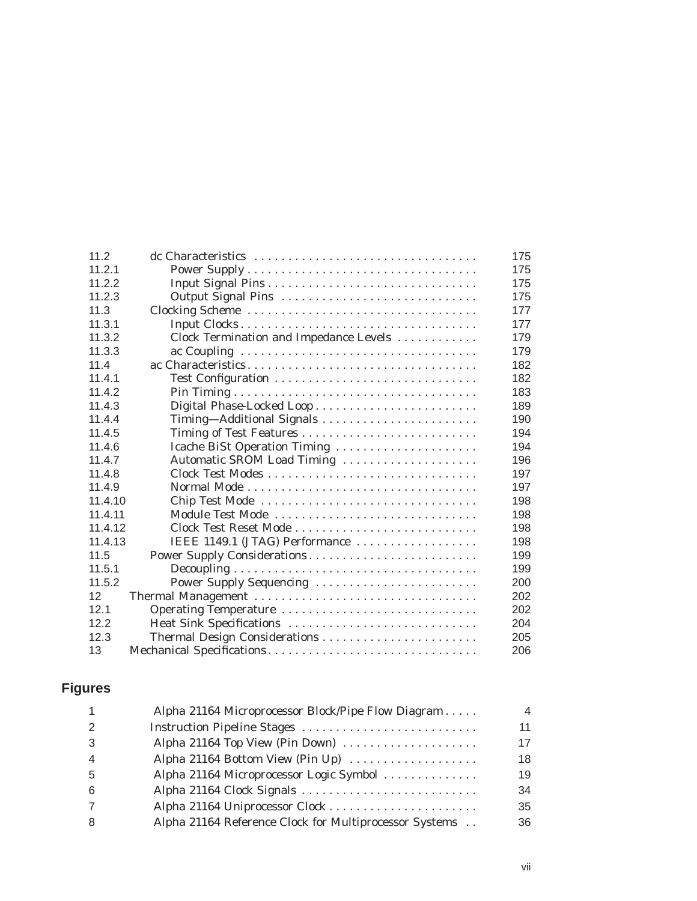| 11.2    |                                        | 175 |
|---------|----------------------------------------|-----|
| 11.2.1  |                                        | 175 |
| 11.2.2  |                                        | 175 |
| 11.2.3  | Output Signal Pins                     | 175 |
| 11.3    |                                        | 177 |
| 11.3.1  |                                        | 177 |
| 11.3.2  | Clock Termination and Impedance Levels | 179 |
| 11.3.3  |                                        | 179 |
| 11.4    |                                        | 182 |
| 11.4.1  |                                        | 182 |
| 11.4.2  |                                        | 183 |
| 11.4.3  |                                        | 189 |
| 11.4.4  | Timing-Additional Signals              | 190 |
| 11.4.5  | Timing of Test Features                | 194 |
| 11.4.6  | Icache BiSt Operation Timing           | 194 |
| 11.4.7  | Automatic SROM Load Timing             | 196 |
| 11.4.8  |                                        | 197 |
| 11.4.9  |                                        | 197 |
| 11.4.10 | Chip Test Mode                         | 198 |
| 11.4.11 | Module Test Mode                       | 198 |
| 11.4.12 | Clock Test Reset Mode                  | 198 |
| 11.4.13 | IEEE 1149.1 (JTAG) Performance         | 198 |
| 11.5    | Power Supply Considerations            | 199 |
| 11.5.1  |                                        | 199 |
| 11.5.2  | Power Supply Sequencing                | 200 |
| 12      | Thermal Management                     | 202 |
| 12.1    | Operating Temperature                  | 202 |
| 12.2    | Heat Sink Specifications               | 204 |
| 12.3    | Thermal Design Considerations          | 205 |
| 13      | Mechanical Specifications              | 206 |

# **Figures**

|   | Alpha 21164 Microprocessor Block/Pipe Flow Diagram     | 4  |
|---|--------------------------------------------------------|----|
|   |                                                        | 11 |
|   | Alpha 21164 Top View (Pin Down)                        | 17 |
|   | Alpha 21164 Bottom View (Pin Up)                       | 18 |
| 5 | Alpha 21164 Microprocessor Logic Symbol                | 19 |
|   | Alpha 21164 Clock Signals                              | 34 |
|   |                                                        | 35 |
|   | Alpha 21164 Reference Clock for Multiprocessor Systems | 36 |
|   |                                                        |    |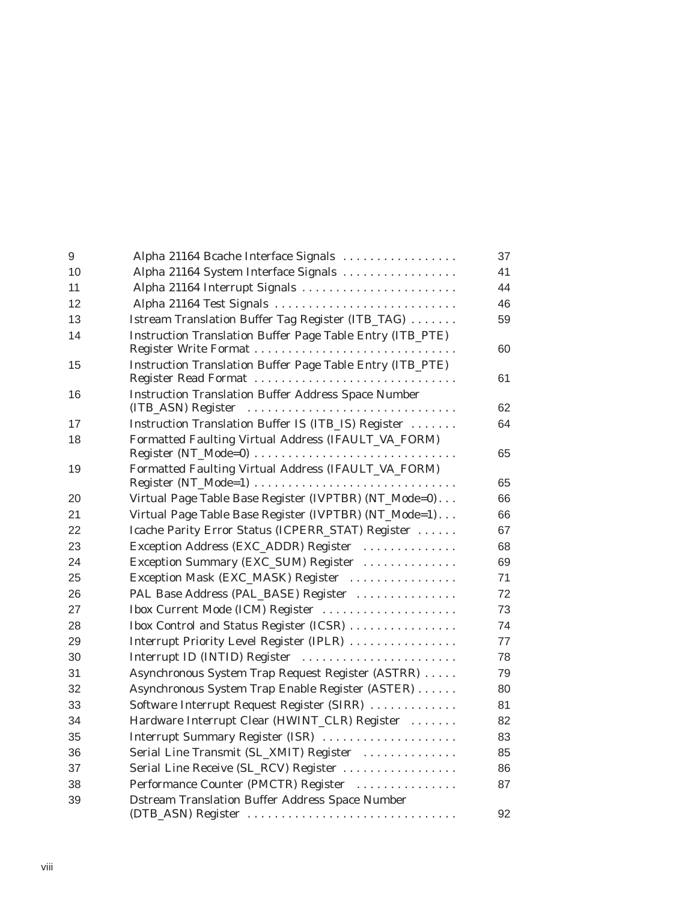| $\boldsymbol{9}$ | Alpha 21164 Bcache Interface Signals                                                                                                  | 37 |
|------------------|---------------------------------------------------------------------------------------------------------------------------------------|----|
| 10               | Alpha 21164 System Interface Signals                                                                                                  | 41 |
| 11               | Alpha 21164 Interrupt Signals                                                                                                         | 44 |
| 12               | Alpha 21164 Test Signals                                                                                                              | 46 |
| 13               | Istream Translation Buffer Tag Register (ITB_TAG)                                                                                     | 59 |
| 14               | Instruction Translation Buffer Page Table Entry (ITB_PTE)                                                                             |    |
|                  |                                                                                                                                       | 60 |
| 15               | Instruction Translation Buffer Page Table Entry (ITB_PTE)                                                                             |    |
|                  | Register Read Format                                                                                                                  | 61 |
| 16               | <b>Instruction Translation Buffer Address Space Number</b>                                                                            |    |
|                  | (ITB_ASN) Register                                                                                                                    | 62 |
| 17               | Instruction Translation Buffer IS (ITB_IS) Register                                                                                   | 64 |
| 18               | Formatted Faulting Virtual Address (IFAULT_VA_FORM)<br>$Register (NT_Mode=0) \ldots \ldots \ldots \ldots \ldots \ldots \ldots \ldots$ | 65 |
| 19               | Formatted Faulting Virtual Address (IFAULT_VA_FORM)                                                                                   |    |
|                  | Register (NT_Mode=1)                                                                                                                  | 65 |
| 20               | Virtual Page Table Base Register (IVPTBR) (NT_Mode=0)                                                                                 | 66 |
| 21               | Virtual Page Table Base Register (IVPTBR) (NT_Mode=1)                                                                                 | 66 |
| 22               | Icache Parity Error Status (ICPERR_STAT) Register                                                                                     | 67 |
| 23               | Exception Address (EXC_ADDR) Register                                                                                                 | 68 |
| 24               | Exception Summary (EXC_SUM) Register                                                                                                  | 69 |
| 25               | Exception Mask (EXC_MASK) Register                                                                                                    | 71 |
| 26               | PAL Base Address (PAL_BASE) Register                                                                                                  | 72 |
| 27               | Ibox Current Mode (ICM) Register                                                                                                      | 73 |
| 28               | Ibox Control and Status Register (ICSR)                                                                                               | 74 |
| 29               | Interrupt Priority Level Register (IPLR)                                                                                              | 77 |
| 30               | Interrupt ID (INTID) Register                                                                                                         | 78 |
| 31               | Asynchronous System Trap Request Register (ASTRR)                                                                                     | 79 |
| 32               | Asynchronous System Trap Enable Register (ASTER)                                                                                      | 80 |
| 33               | Software Interrupt Request Register (SIRR)                                                                                            | 81 |
| 34               | Hardware Interrupt Clear (HWINT_CLR) Register                                                                                         | 82 |
| 35               | Interrupt Summary Register (ISR)                                                                                                      | 83 |
| 36               | Serial Line Transmit (SL_XMIT) Register                                                                                               | 85 |
| 37               | Serial Line Receive (SL_RCV) Register                                                                                                 | 86 |
| 38               | Performance Counter (PMCTR) Register                                                                                                  | 87 |
| 39               | <b>Dstream Translation Buffer Address Space Number</b>                                                                                |    |
|                  | (DTB_ASN) Register                                                                                                                    | 92 |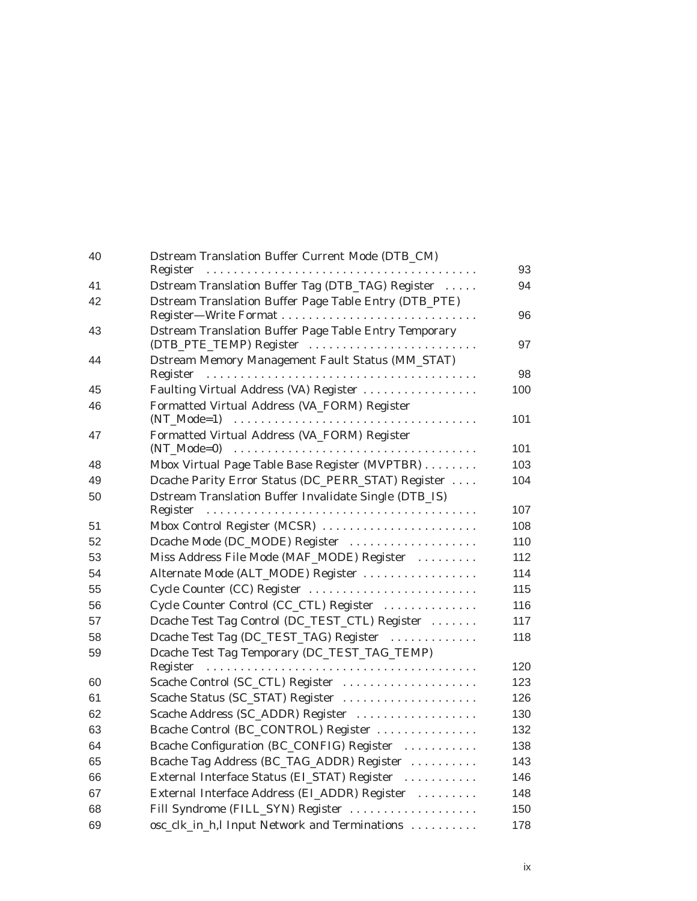| 40 | Dstream Translation Buffer Current Mode (DTB_CM)             |     |
|----|--------------------------------------------------------------|-----|
|    | Register                                                     | 93  |
| 41 | Dstream Translation Buffer Tag (DTB_TAG) Register            | 94  |
| 42 | Dstream Translation Buffer Page Table Entry (DTB_PTE)        |     |
|    |                                                              | 96  |
| 43 | <b>Dstream Translation Buffer Page Table Entry Temporary</b> |     |
|    | (DTB_PTE_TEMP) Register                                      | 97  |
| 44 | Dstream Memory Management Fault Status (MM_STAT)             | 98  |
|    |                                                              |     |
| 45 | Faulting Virtual Address (VA) Register                       | 100 |
| 46 | Formatted Virtual Address (VA_FORM) Register                 | 101 |
| 47 | Formatted Virtual Address (VA_FORM) Register                 |     |
|    |                                                              | 101 |
| 48 | Mbox Virtual Page Table Base Register (MVPTBR)               | 103 |
| 49 | Dcache Parity Error Status (DC_PERR_STAT) Register           | 104 |
| 50 | Dstream Translation Buffer Invalidate Single (DTB_IS)        |     |
|    |                                                              | 107 |
| 51 | Mbox Control Register (MCSR)                                 | 108 |
| 52 | Dcache Mode (DC_MODE) Register                               | 110 |
| 53 | Miss Address File Mode (MAF_MODE) Register                   | 112 |
| 54 | Alternate Mode (ALT_MODE) Register                           | 114 |
| 55 | Cycle Counter (CC) Register                                  | 115 |
| 56 | Cycle Counter Control (CC_CTL) Register                      | 116 |
| 57 | Dcache Test Tag Control (DC_TEST_CTL) Register               | 117 |
| 58 | Dcache Test Tag (DC_TEST_TAG) Register                       | 118 |
| 59 | Dcache Test Tag Temporary (DC_TEST_TAG_TEMP)                 |     |
|    |                                                              | 120 |
| 60 | Scache Control (SC_CTL) Register                             | 123 |
| 61 | Scache Status (SC_STAT) Register                             | 126 |
| 62 | Scache Address (SC_ADDR) Register                            | 130 |
| 63 | Bcache Control (BC_CONTROL) Register                         | 132 |
| 64 | Bcache Configuration (BC_CONFIG) Register                    | 138 |
| 65 | Bcache Tag Address (BC_TAG_ADDR) Register                    | 143 |
| 66 |                                                              | 146 |
| 67 | External Interface Status (EI_STAT) Register                 |     |
|    | External Interface Address (EL_ADDR) Register                | 148 |
| 68 | Fill Syndrome (FILL_SYN) Register                            | 150 |
| 69 | osc_clk_in_h,l Input Network and Terminations                | 178 |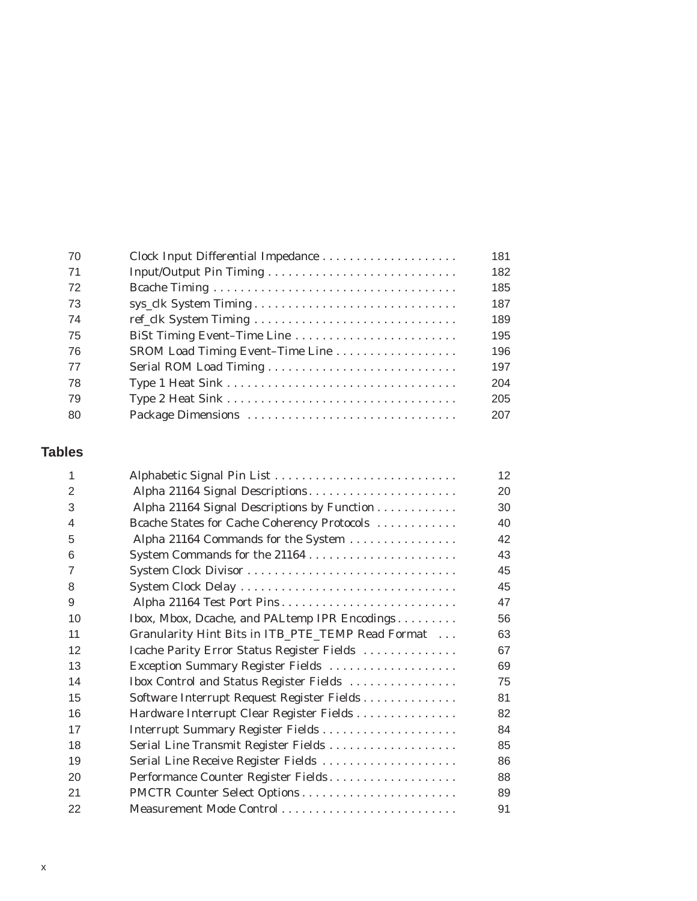| 70  | Clock Input Differential Impedance | 181 |
|-----|------------------------------------|-----|
| -71 |                                    | 182 |
| 72  |                                    | 185 |
| 73  |                                    | 187 |
| 74  |                                    | 189 |
| 75  | BiSt Timing Event-Time Line        | 195 |
| 76  | SROM Load Timing Event-Time Line   | 196 |
| 77  |                                    | 197 |
| 78  |                                    | 204 |
| 79  |                                    | 205 |
| 80  |                                    | 207 |
|     |                                    |     |

# **Tables**

|                |                                                   | 12 |
|----------------|---------------------------------------------------|----|
| 2              | Alpha 21164 Signal Descriptions                   | 20 |
| 3              | Alpha 21164 Signal Descriptions by Function       | 30 |
| 4              | Bcache States for Cache Coherency Protocols       | 40 |
| 5              | Alpha 21164 Commands for the System               | 42 |
| 6              |                                                   | 43 |
| $\overline{7}$ |                                                   | 45 |
| 8              | System Clock Delay                                | 45 |
| 9              | Alpha 21164 Test Port Pins                        | 47 |
| 10             | Ibox, Mbox, Dcache, and PALtemp IPR Encodings     | 56 |
| 11             | Granularity Hint Bits in ITB_PTE_TEMP Read Format | 63 |
| 12             | Icache Parity Error Status Register Fields        | 67 |
| 13             | Exception Summary Register Fields                 | 69 |
| 14             | Ibox Control and Status Register Fields           | 75 |
| 15             | Software Interrupt Request Register Fields        | 81 |
| 16             | Hardware Interrupt Clear Register Fields          | 82 |
| 17             |                                                   | 84 |
| 18             | Serial Line Transmit Register Fields              | 85 |
| 19             | Serial Line Receive Register Fields               | 86 |
| 20             | Performance Counter Register Fields               | 88 |
| 21             |                                                   | 89 |
| 22             |                                                   | 91 |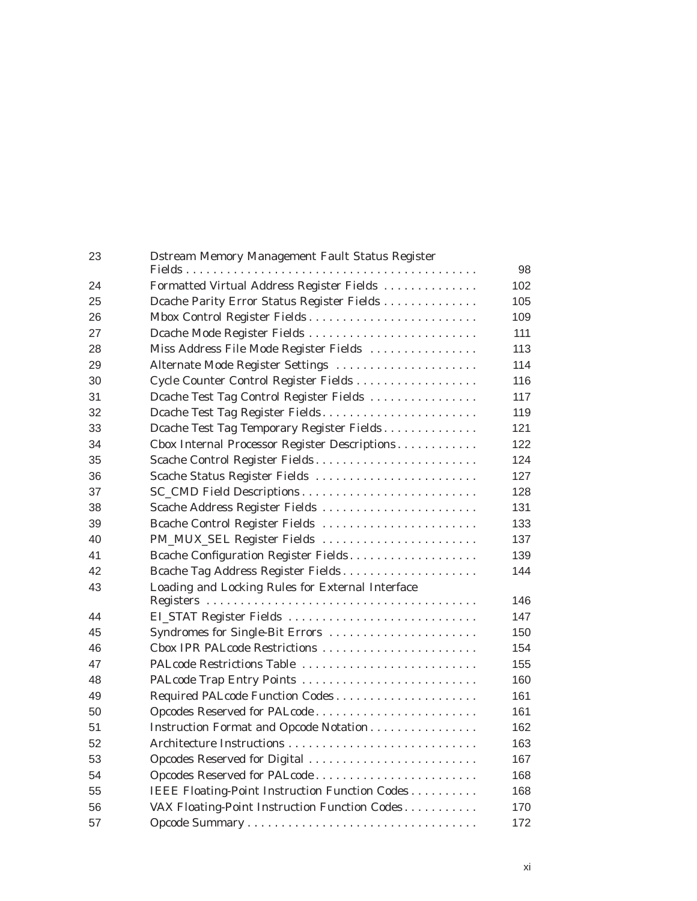| 23 | <b>Dstream Memory Management Fault Status Register</b> | 98  |
|----|--------------------------------------------------------|-----|
| 24 | Formatted Virtual Address Register Fields              | 102 |
| 25 | Dcache Parity Error Status Register Fields             | 105 |
| 26 |                                                        | 109 |
| 27 | Dcache Mode Register Fields                            | 111 |
| 28 | Miss Address File Mode Register Fields                 | 113 |
| 29 | Alternate Mode Register Settings                       | 114 |
| 30 | Cycle Counter Control Register Fields                  | 116 |
| 31 | Dcache Test Tag Control Register Fields                | 117 |
| 32 | Dcache Test Tag Register Fields                        | 119 |
| 33 | Dcache Test Tag Temporary Register Fields              | 121 |
| 34 | Cbox Internal Processor Register Descriptions          | 122 |
| 35 | Scache Control Register Fields                         | 124 |
| 36 | Scache Status Register Fields                          | 127 |
| 37 |                                                        | 128 |
| 38 | Scache Address Register Fields                         | 131 |
| 39 | Bcache Control Register Fields                         | 133 |
| 40 | PM_MUX_SEL Register Fields                             | 137 |
| 41 | Bcache Configuration Register Fields                   | 139 |
| 42 | Bcache Tag Address Register Fields                     | 144 |
| 43 | Loading and Locking Rules for External Interface       |     |
|    |                                                        | 146 |
| 44 | EL_STAT Register Fields                                | 147 |
| 45 | Syndromes for Single-Bit Errors                        | 150 |
| 46 | Cbox IPR PALcode Restrictions                          | 154 |
| 47 | PALcode Restrictions Table                             | 155 |
| 48 |                                                        | 160 |
| 49 | Required PALcode Function Codes                        | 161 |
| 50 | Opcodes Reserved for PALcode                           | 161 |
| 51 | Instruction Format and Opcode Notation                 | 162 |
| 52 |                                                        | 163 |
| 53 | Opcodes Reserved for Digital                           | 167 |
| 54 | Opcodes Reserved for PALcode                           | 168 |
| 55 | IEEE Floating-Point Instruction Function Codes         | 168 |
| 56 | VAX Floating-Point Instruction Function Codes          | 170 |
| 57 |                                                        | 172 |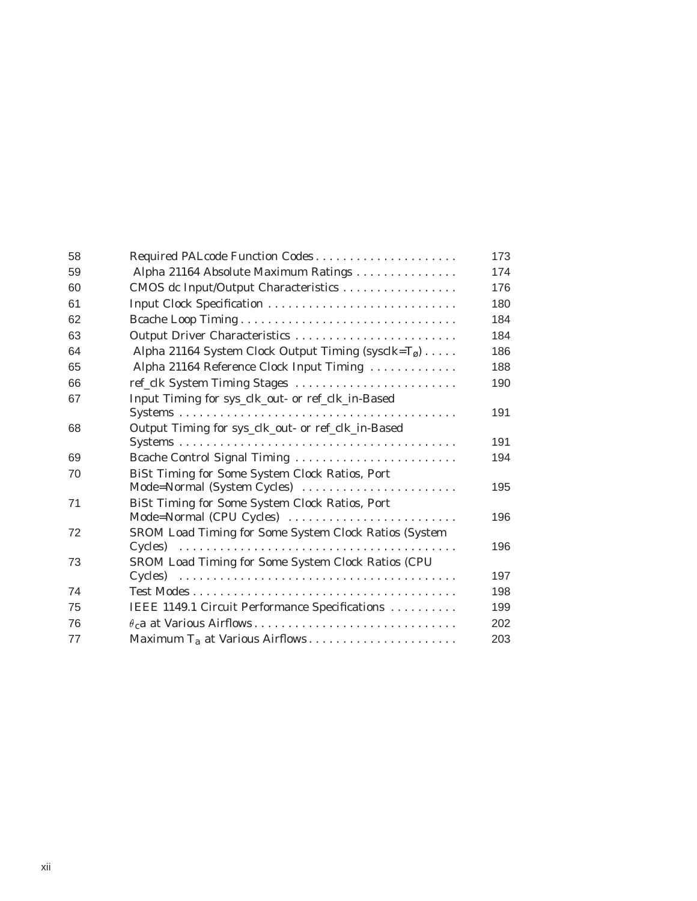| 58 | Required PALcode Function Codes                                                                     | 173 |
|----|-----------------------------------------------------------------------------------------------------|-----|
| 59 | Alpha 21164 Absolute Maximum Ratings                                                                | 174 |
| 60 | CMOS dc Input/Output Characteristics                                                                | 176 |
| 61 |                                                                                                     | 180 |
| 62 | Bcache Loop Timing                                                                                  | 184 |
| 63 | Output Driver Characteristics                                                                       | 184 |
| 64 | Alpha 21164 System Clock Output Timing (sysclk=T <sub>ø</sub> )                                     | 186 |
| 65 | Alpha 21164 Reference Clock Input Timing                                                            | 188 |
| 66 | ref_clk System Timing Stages                                                                        | 190 |
| 67 | Input Timing for sys_clk_out- or ref_clk_in-Based                                                   |     |
|    | $Systems \dots \dots \dots \dots \dots \dots \dots \dots \dots \dots \dots \dots \dots \dots \dots$ | 191 |
| 68 | Output Timing for sys_clk_out- or ref_clk_in-Based                                                  | 191 |
|    |                                                                                                     |     |
| 69 | Bcache Control Signal Timing                                                                        | 194 |
| 70 | BiSt Timing for Some System Clock Ratios, Port                                                      |     |
|    | Mode=Normal (System Cycles)                                                                         | 195 |
| 71 | BiSt Timing for Some System Clock Ratios, Port<br>Mode=Normal (CPU Cycles)                          | 196 |
| 72 | SROM Load Timing for Some System Clock Ratios (System                                               |     |
|    |                                                                                                     | 196 |
| 73 | SROM Load Timing for Some System Clock Ratios (CPU                                                  |     |
|    |                                                                                                     | 197 |
| 74 |                                                                                                     | 198 |
| 75 | IEEE 1149.1 Circuit Performance Specifications                                                      | 199 |
| 76 |                                                                                                     | 202 |
| 77 |                                                                                                     | 203 |
|    |                                                                                                     |     |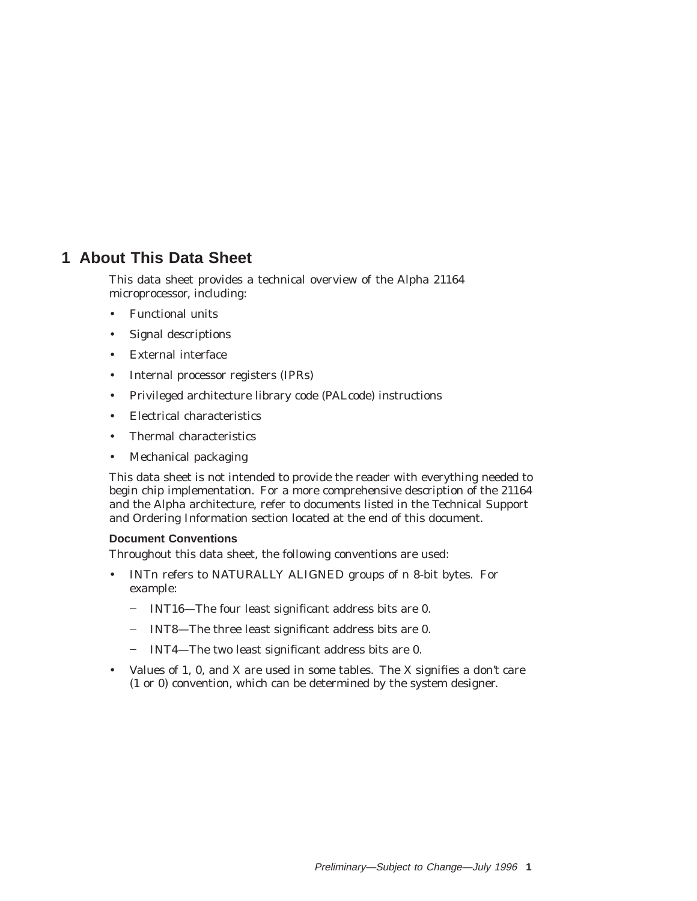# **1 About This Data Sheet**

This data sheet provides a technical overview of the Alpha 21164 microprocessor, including:

- Functional units
- Signal descriptions
- External interface
- Internal processor registers (IPRs)
- Privileged architecture library code (PALcode) instructions
- Electrical characteristics
- Thermal characteristics
- Mechanical packaging

This data sheet is not intended to provide the reader with everything needed to begin chip implementation. For a more comprehensive description of the 21164 and the Alpha architecture, refer to documents listed in the Technical Support and Ordering Information section located at the end of this document.

#### **Document Conventions**

Throughout this data sheet, the following conventions are used:

- INT*n* refers to NATURALLY ALIGNED groups of *n* 8-bit bytes. For example:
	- INT16—The four least significant address bits are 0.
	- INT8—The three least significant address bits are 0.
	- INT4-The two least significant address bits are 0.
- Values of 1, 0, and X are used in some tables. The X signifies a *don't care* (1 or 0) convention, which can be determined by the system designer.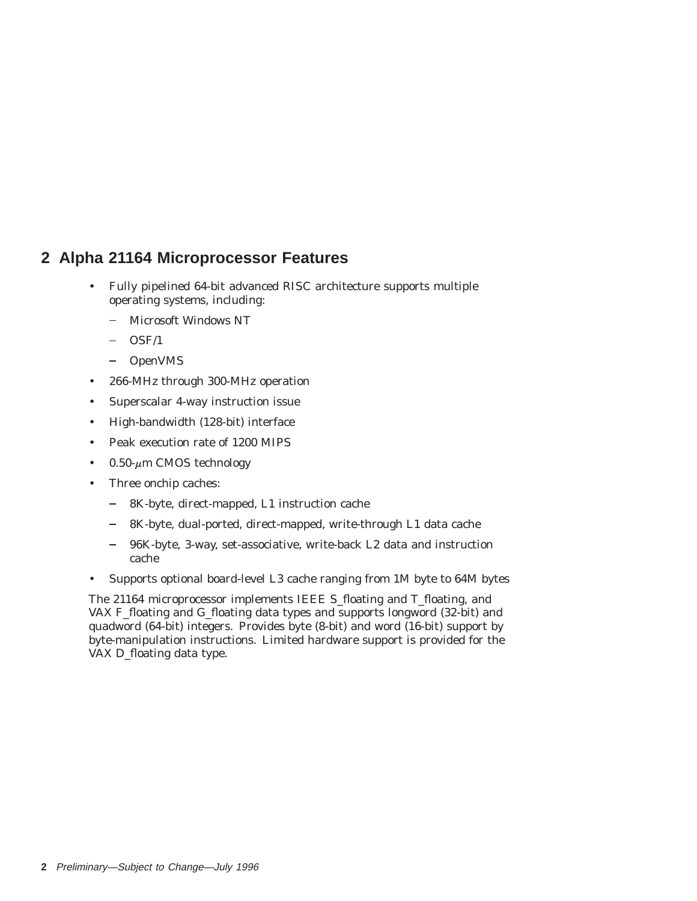# **2 Alpha 21164 Microprocessor Features**

- Fully pipelined 64-bit advanced RISC architecture supports multiple operating systems, including:
	- Microsoft Windows NT  $\frac{1}{2}$
	- OSF/1
	- OpenVMS
- 266-MHz through 300-MHz operation
- Superscalar 4-way instruction issue
- High-bandwidth (128-bit) interface
- Peak execution rate of 1200 MIPS
- 0.50- $\mu$ m CMOS technology
- Three onchip caches:
	- $\frac{1}{2}$ 8K-byte, direct-mapped, L1 instruction cache
	- 8K-byte, dual-ported, direct-mapped, write-through L1 data cache
	- $\equiv$ 96K-byte, 3-way, set-associative, write-back L2 data and instruction cache
- Supports optional board-level L3 cache ranging from 1M byte to 64M bytes

The 21164 microprocessor implements IEEE S\_floating and T\_floating, and VAX F\_floating and G\_floating data types and supports longword (32-bit) and quadword (64-bit) integers. Provides byte (8-bit) and word (16-bit) support by byte-manipulation instructions. Limited hardware support is provided for the VAX D\_floating data type.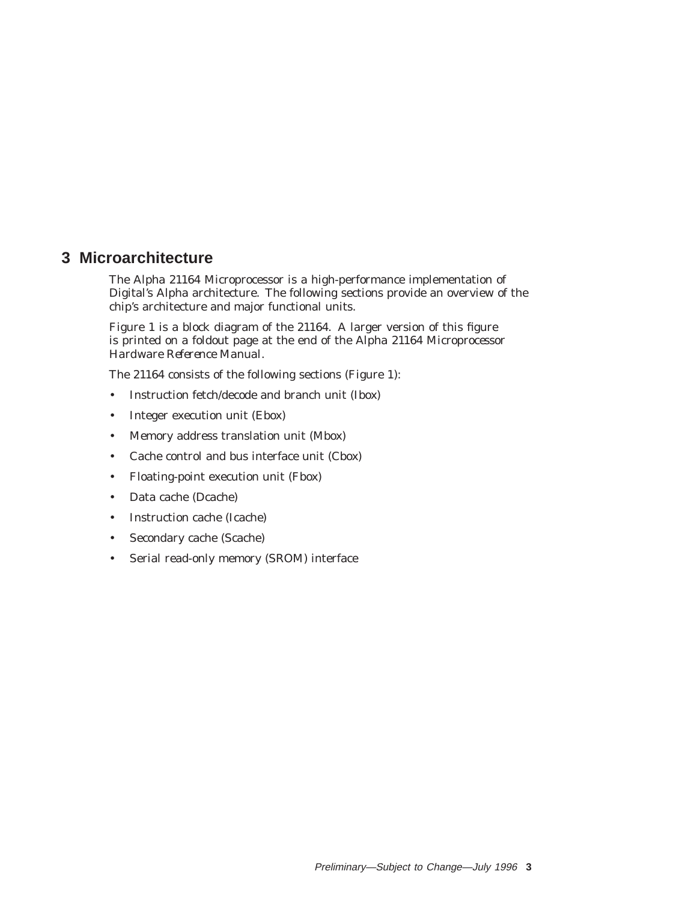# **3 Microarchitecture**

The Alpha 21164 Microprocessor is a high-performance implementation of Digital's Alpha architecture. The following sections provide an overview of the chip's architecture and major functional units.

Figure 1 is a block diagram of the 21164. A larger version of this figure is printed on a foldout page at the end of the *Alpha 21164 Microprocessor Hardware Reference Manual*.

The 21164 consists of the following sections (Figure 1):

- Instruction fetch/decode and branch unit (Ibox)
- Integer execution unit (Ebox)
- Memory address translation unit (Mbox)
- Cache control and bus interface unit (Cbox)
- Floating-point execution unit (Fbox)
- Data cache (Dcache)
- Instruction cache (Icache)
- Secondary cache (Scache)
- Serial read-only memory (SROM) interface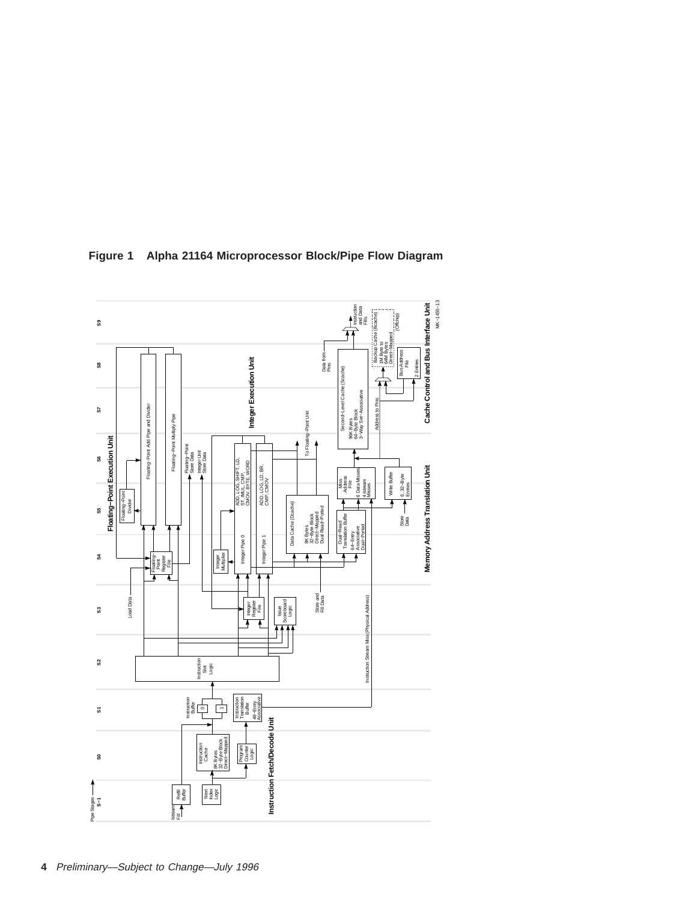

**Figure 1 Alpha 21164 Microprocessor Block/Pipe Flow Diagram**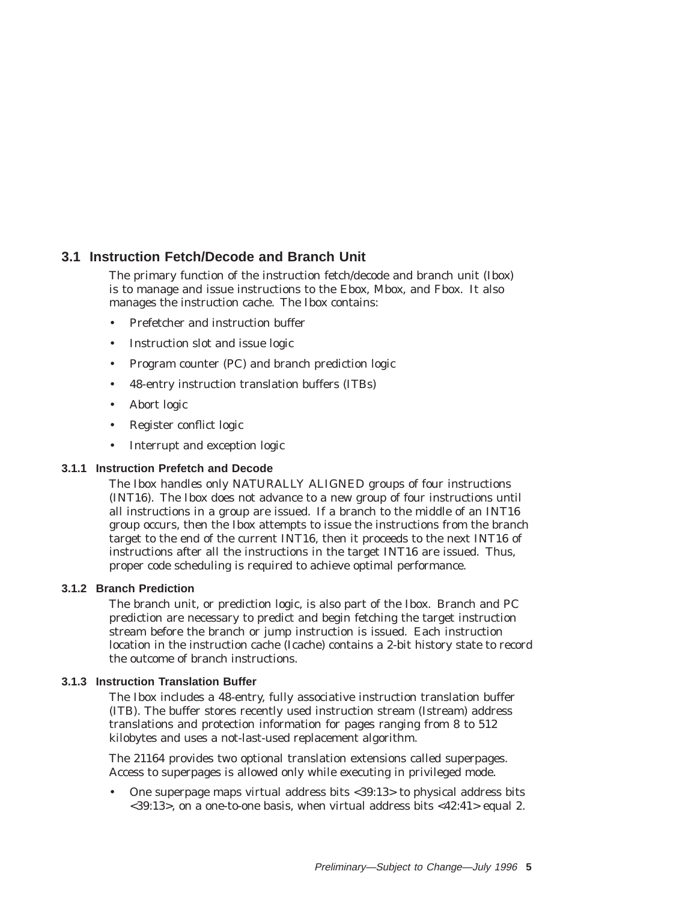## **3.1 Instruction Fetch/Decode and Branch Unit**

The primary function of the instruction fetch/decode and branch unit (Ibox) is to manage and issue instructions to the Ebox, Mbox, and Fbox. It also manages the instruction cache. The Ibox contains:

- Prefetcher and instruction buffer
- Instruction slot and issue logic
- Program counter (PC) and branch prediction logic
- 48-entry instruction translation buffers (ITBs)
- Abort logic
- Register conflict logic
- Interrupt and exception logic

#### **3.1.1 Instruction Prefetch and Decode**

The Ibox handles only NATURALLY ALIGNED groups of four instructions (INT16). The Ibox does not advance to a new group of four instructions until all instructions in a group are issued. If a branch to the middle of an INT16 group occurs, then the Ibox attempts to issue the instructions from the branch target to the end of the current INT16, then it proceeds to the next INT16 of instructions after all the instructions in the target INT16 are issued. Thus, proper code scheduling is required to achieve optimal performance.

#### **3.1.2 Branch Prediction**

The branch unit, or prediction logic, is also part of the Ibox. Branch and PC prediction are necessary to predict and begin fetching the target instruction stream before the branch or jump instruction is issued. Each instruction location in the instruction cache (Icache) contains a 2-bit history state to record the outcome of branch instructions.

#### **3.1.3 Instruction Translation Buffer**

The Ibox includes a 48-entry, fully associative instruction translation buffer (ITB). The buffer stores recently used instruction stream (Istream) address translations and protection information for pages ranging from 8 to 512 kilobytes and uses a not-last-used replacement algorithm.

The 21164 provides two optional translation extensions called superpages. Access to superpages is allowed only while executing in privileged mode.

• One superpage maps virtual address bits <39:13> to physical address bits <39:13>, on a one-to-one basis, when virtual address bits <42:41> equal 2.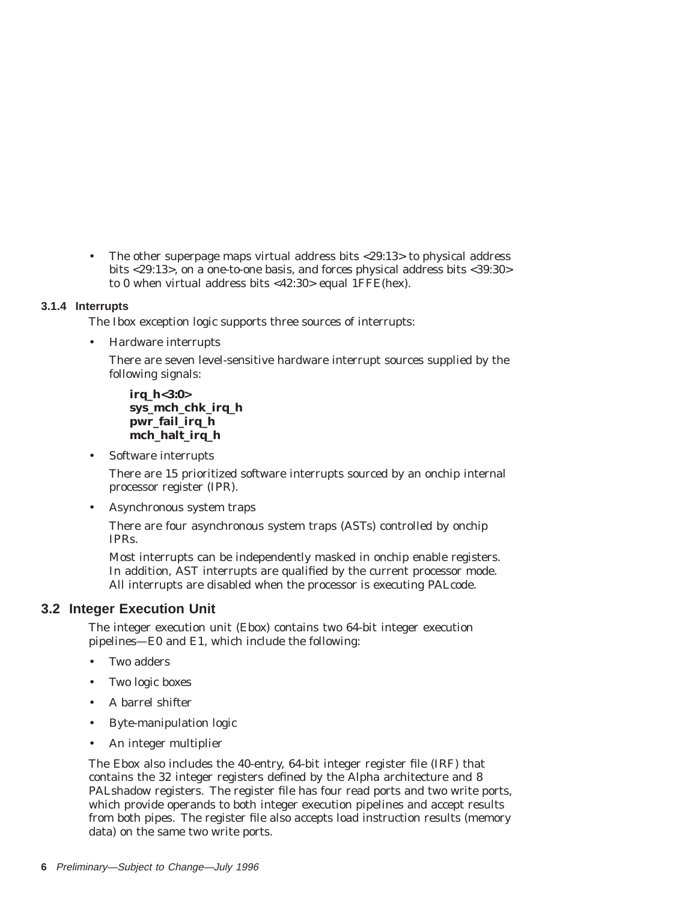• The other superpage maps virtual address bits <29:13> to physical address bits <29:13>, on a one-to-one basis, and forces physical address bits <39:30> to 0 when virtual address bits <42:30> equal 1FFE(hex).

#### **3.1.4 Interrupts**

The Ibox exception logic supports three sources of interrupts:

• Hardware interrupts

There are seven level-sensitive hardware interrupt sources supplied by the following signals:

**irq\_h<3:0> sys\_mch\_chk\_irq\_h pwr\_fail\_irq\_h mch\_halt\_irq\_h**

• Software interrupts

There are 15 prioritized software interrupts sourced by an onchip internal processor register (IPR).

• Asynchronous system traps

There are four asynchronous system traps (ASTs) controlled by onchip IPRs.

Most interrupts can be independently masked in onchip enable registers. In addition, AST interrupts are qualified by the current processor mode. All interrupts are disabled when the processor is executing PALcode.

### **3.2 Integer Execution Unit**

The integer execution unit (Ebox) contains two 64-bit integer execution pipelines—E0 and E1, which include the following:

- Two adders
- Two logic boxes
- A barrel shifter
- Byte-manipulation logic
- An integer multiplier

The Ebox also includes the 40-entry, 64-bit integer register file (IRF) that contains the 32 integer registers defined by the Alpha architecture and 8 PALshadow registers. The register file has four read ports and two write ports, which provide operands to both integer execution pipelines and accept results from both pipes. The register file also accepts load instruction results (memory data) on the same two write ports.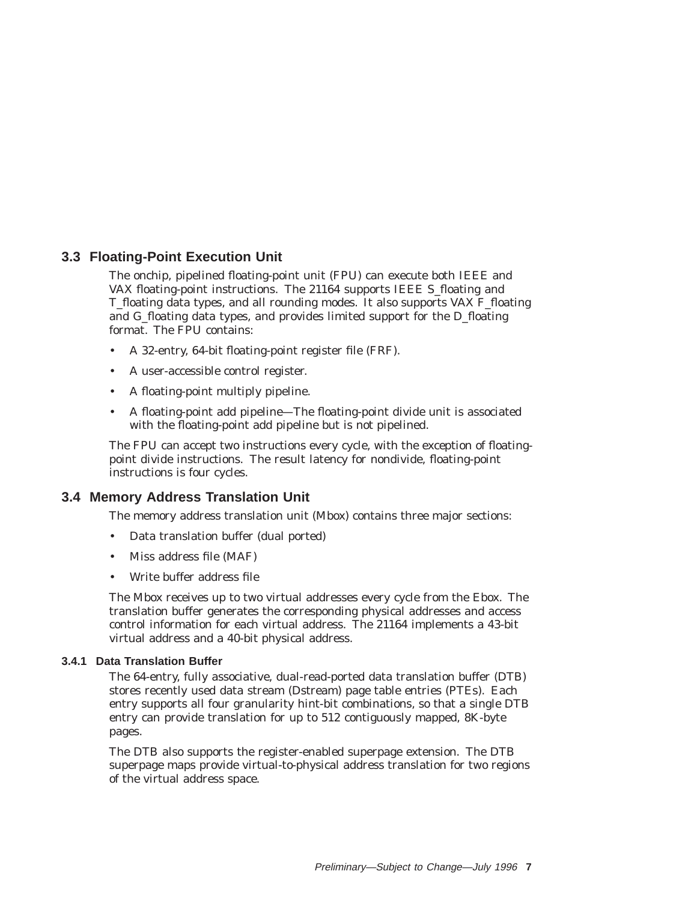## **3.3 Floating-Point Execution Unit**

The onchip, pipelined floating-point unit (FPU) can execute both IEEE and VAX floating-point instructions. The 21164 supports IEEE S\_floating and T\_floating data types, and all rounding modes. It also supports VAX F\_floating and G\_floating data types, and provides limited support for the D\_floating format. The FPU contains:

- A 32-entry, 64-bit floating-point register file (FRF).
- A user-accessible control register.
- A floating-point multiply pipeline.
- A floating-point add pipeline—The floating-point divide unit is associated with the floating-point add pipeline but is not pipelined.

The FPU can accept two instructions every cycle, with the exception of floatingpoint divide instructions. The result latency for nondivide, floating-point instructions is four cycles.

### **3.4 Memory Address Translation Unit**

The memory address translation unit (Mbox) contains three major sections:

- Data translation buffer (dual ported)
- Miss address file (MAF)
- Write buffer address file

The Mbox receives up to two virtual addresses every cycle from the Ebox. The translation buffer generates the corresponding physical addresses and access control information for each virtual address. The 21164 implements a 43-bit virtual address and a 40-bit physical address.

#### **3.4.1 Data Translation Buffer**

The 64-entry, fully associative, dual-read-ported data translation buffer (DTB) stores recently used data stream (Dstream) page table entries (PTEs). Each entry supports all four granularity hint-bit combinations, so that a single DTB entry can provide translation for up to 512 contiguously mapped, 8K-byte pages.

The DTB also supports the register-enabled superpage extension. The DTB superpage maps provide virtual-to-physical address translation for two regions of the virtual address space.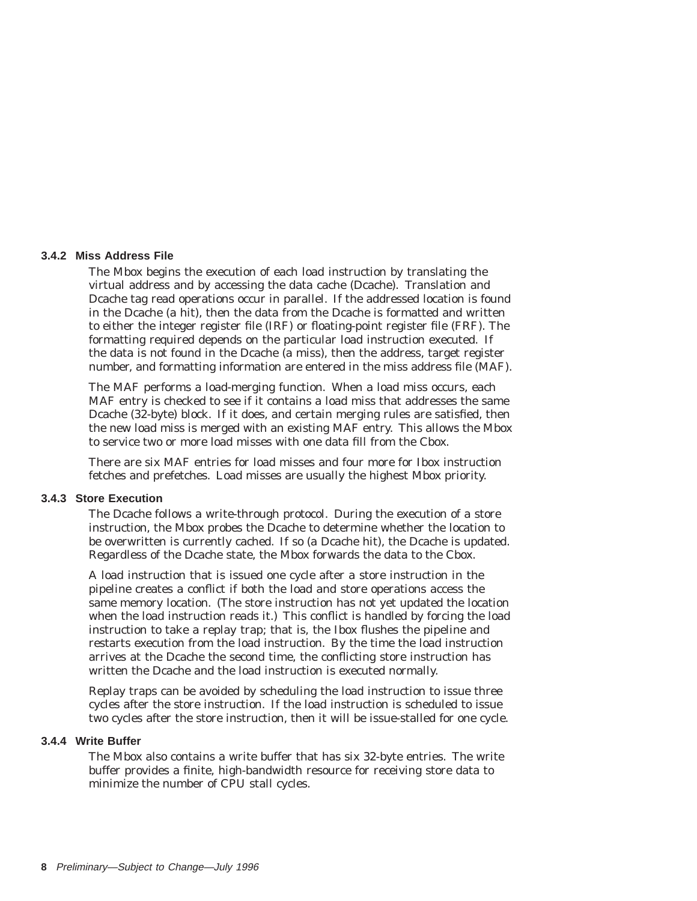#### **3.4.2 Miss Address File**

The Mbox begins the execution of each load instruction by translating the virtual address and by accessing the data cache (Dcache). Translation and Dcache tag read operations occur in parallel. If the addressed location is found in the Dcache (a hit), then the data from the Dcache is formatted and written to either the integer register file (IRF) or floating-point register file (FRF). The formatting required depends on the particular load instruction executed. If the data is not found in the Dcache (a miss), then the address, target register number, and formatting information are entered in the miss address file (MAF).

The MAF performs a load-merging function. When a load miss occurs, each MAF entry is checked to see if it contains a load miss that addresses the same Dcache (32-byte) block. If it does, and certain merging rules are satisfied, then the new load miss is merged with an existing MAF entry. This allows the Mbox to service two or more load misses with one data fill from the Cbox.

There are six MAF entries for load misses and four more for Ibox instruction fetches and prefetches. Load misses are usually the highest Mbox priority.

#### **3.4.3 Store Execution**

The Dcache follows a write-through protocol. During the execution of a store instruction, the Mbox probes the Dcache to determine whether the location to be overwritten is currently cached. If so (a Dcache hit), the Dcache is updated. Regardless of the Dcache state, the Mbox forwards the data to the Cbox.

A load instruction that is issued one cycle after a store instruction in the pipeline creates a conflict if both the load and store operations access the same memory location. (The store instruction has not yet updated the location when the load instruction reads it.) This conflict is handled by forcing the load instruction to take a replay trap; that is, the Ibox flushes the pipeline and restarts execution from the load instruction. By the time the load instruction arrives at the Dcache the second time, the conflicting store instruction has written the Dcache and the load instruction is executed normally.

Replay traps can be avoided by scheduling the load instruction to issue three cycles after the store instruction. If the load instruction is scheduled to issue two cycles after the store instruction, then it will be issue-stalled for one cycle.

#### **3.4.4 Write Buffer**

The Mbox also contains a write buffer that has six 32-byte entries. The write buffer provides a finite, high-bandwidth resource for receiving store data to minimize the number of CPU stall cycles.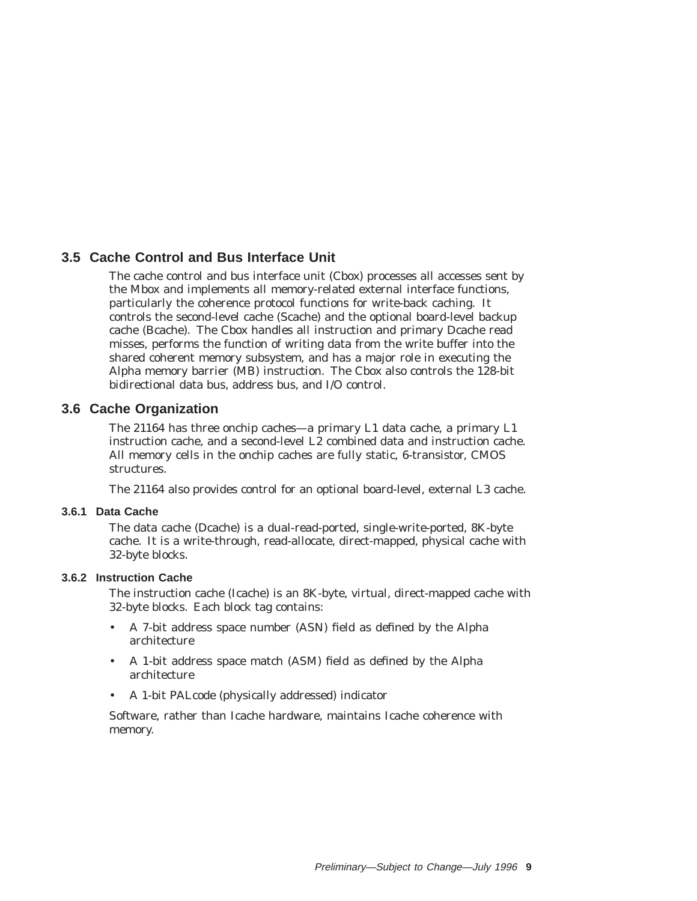## **3.5 Cache Control and Bus Interface Unit**

The cache control and bus interface unit (Cbox) processes all accesses sent by the Mbox and implements all memory-related external interface functions, particularly the coherence protocol functions for write-back caching. It controls the second-level cache (Scache) and the optional board-level backup cache (Bcache). The Cbox handles all instruction and primary Dcache read misses, performs the function of writing data from the write buffer into the shared coherent memory subsystem, and has a major role in executing the Alpha memory barrier (MB) instruction. The Cbox also controls the 128-bit bidirectional data bus, address bus, and I/O control.

### **3.6 Cache Organization**

The 21164 has three onchip caches—a primary L1 data cache, a primary L1 instruction cache, and a second-level L2 combined data and instruction cache. All memory cells in the onchip caches are fully static, 6-transistor, CMOS structures.

The 21164 also provides control for an optional board-level, external L3 cache.

#### **3.6.1 Data Cache**

The data cache (Dcache) is a dual-read-ported, single-write-ported, 8K-byte cache. It is a write-through, read-allocate, direct-mapped, physical cache with 32-byte blocks.

#### **3.6.2 Instruction Cache**

The instruction cache (Icache) is an 8K-byte, virtual, direct-mapped cache with 32-byte blocks. Each block tag contains:

- A 7-bit address space number (ASN) field as defined by the Alpha architecture
- A 1-bit address space match (ASM) field as defined by the Alpha architecture
- A 1-bit PALcode (physically addressed) indicator

Software, rather than Icache hardware, maintains Icache coherence with memory.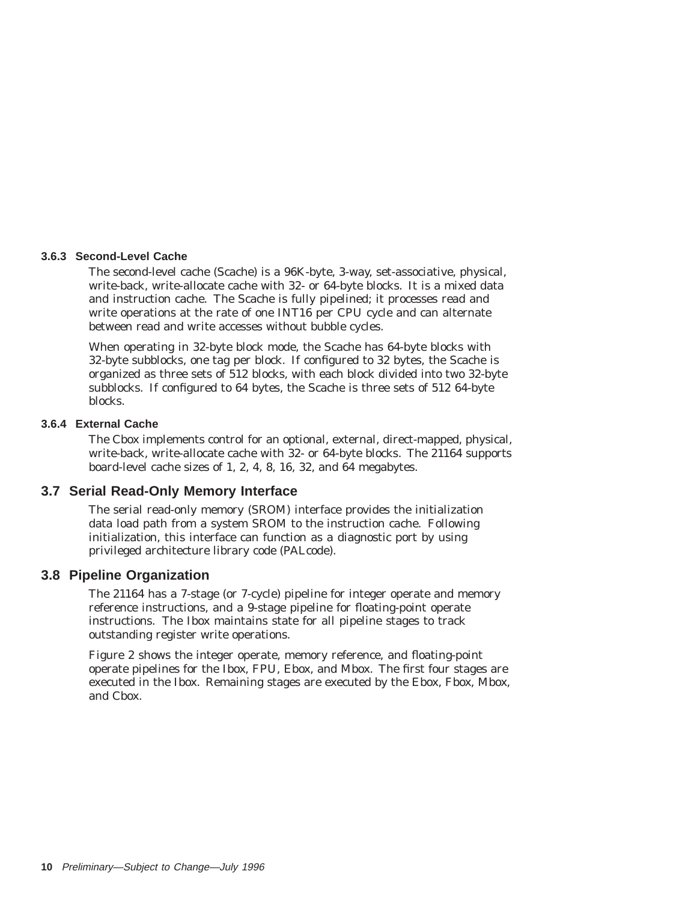#### **3.6.3 Second-Level Cache**

The second-level cache (Scache) is a 96K-byte, 3-way, set-associative, physical, write-back, write-allocate cache with 32- or 64-byte blocks. It is a mixed data and instruction cache. The Scache is fully pipelined; it processes read and write operations at the rate of one INT16 per CPU cycle and can alternate between read and write accesses without bubble cycles.

When operating in 32-byte block mode, the Scache has 64-byte blocks with 32-byte subblocks, one tag per block. If configured to 32 bytes, the Scache is organized as three sets of 512 blocks, with each block divided into two 32-byte subblocks. If configured to 64 bytes, the Scache is three sets of 512 64-byte blocks.

#### **3.6.4 External Cache**

The Cbox implements control for an optional, external, direct-mapped, physical, write-back, write-allocate cache with 32- or 64-byte blocks. The 21164 supports board-level cache sizes of 1, 2, 4, 8, 16, 32, and 64 megabytes.

#### **3.7 Serial Read-Only Memory Interface**

The serial read-only memory (SROM) interface provides the initialization data load path from a system SROM to the instruction cache. Following initialization, this interface can function as a diagnostic port by using privileged architecture library code (PALcode).

#### **3.8 Pipeline Organization**

The 21164 has a 7-stage (or 7-cycle) pipeline for integer operate and memory reference instructions, and a 9-stage pipeline for floating-point operate instructions. The Ibox maintains state for all pipeline stages to track outstanding register write operations.

Figure 2 shows the integer operate, memory reference, and floating-point operate pipelines for the Ibox, FPU, Ebox, and Mbox. The first four stages are executed in the Ibox. Remaining stages are executed by the Ebox, Fbox, Mbox, and Cbox.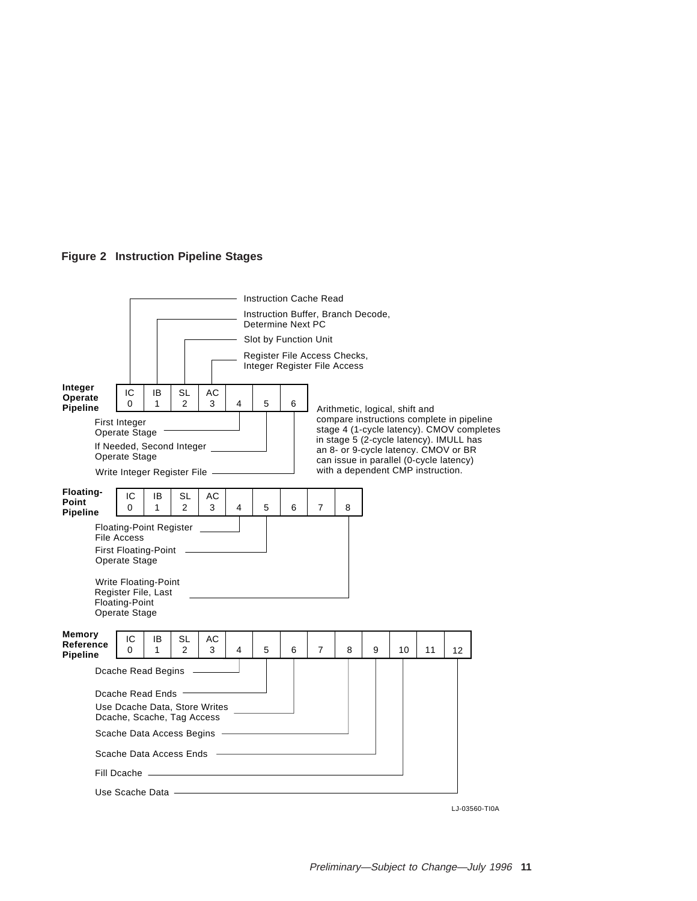

|                                        |                                                                                                                                                                                        |         |                             |         |   |                                                                                                                                                                     | <b>Instruction Cache Read</b>                                |   |                                                                                 |   |    |    |    |  |
|----------------------------------------|----------------------------------------------------------------------------------------------------------------------------------------------------------------------------------------|---------|-----------------------------|---------|---|---------------------------------------------------------------------------------------------------------------------------------------------------------------------|--------------------------------------------------------------|---|---------------------------------------------------------------------------------|---|----|----|----|--|
|                                        | Instruction Buffer, Branch Decode,<br>Determine Next PC                                                                                                                                |         |                             |         |   |                                                                                                                                                                     |                                                              |   |                                                                                 |   |    |    |    |  |
|                                        | Slot by Function Unit                                                                                                                                                                  |         |                             |         |   |                                                                                                                                                                     |                                                              |   |                                                                                 |   |    |    |    |  |
|                                        |                                                                                                                                                                                        |         |                             |         |   |                                                                                                                                                                     | Register File Access Checks,<br>Integer Register File Access |   |                                                                                 |   |    |    |    |  |
| Integer<br>Operate<br><b>Pipeline</b>  | IC<br>$\Omega$                                                                                                                                                                         | IB<br>1 | <b>SL</b><br>$\overline{2}$ | АC<br>3 | 4 | 5                                                                                                                                                                   | 6                                                            |   |                                                                                 |   |    |    |    |  |
|                                        | First Integer<br>Operate Stage<br>If Needed, Second Integer                                                                                                                            |         |                             |         |   | Arithmetic, logical, shift and<br>compare instructions complete in pipeline<br>stage 4 (1-cycle latency). CMOV completes<br>in stage 5 (2-cycle latency). IMULL has |                                                              |   |                                                                                 |   |    |    |    |  |
|                                        | Operate Stage                                                                                                                                                                          |         |                             |         |   |                                                                                                                                                                     |                                                              |   | an 8- or 9-cycle latency. CMOV or BR<br>can issue in parallel (0-cycle latency) |   |    |    |    |  |
|                                        | Write Integer Register File -                                                                                                                                                          |         |                             |         |   |                                                                                                                                                                     |                                                              |   | with a dependent CMP instruction.                                               |   |    |    |    |  |
| Floating-<br>Point<br><b>Pipeline</b>  | IC<br>$\Omega$                                                                                                                                                                         | IB<br>1 | SL<br>2                     | AC<br>3 | 4 | 5                                                                                                                                                                   | 6                                                            | 7 | 8                                                                               |   |    |    |    |  |
|                                        | <b>Floating-Point Register</b><br><b>File Access</b><br><b>First Floating-Point</b><br>Operate Stage<br>Write Floating-Point<br>Register File, Last<br>Floating-Point<br>Operate Stage |         |                             |         |   |                                                                                                                                                                     |                                                              |   |                                                                                 |   |    |    |    |  |
| Memory<br>Reference<br><b>Pipeline</b> | IC<br>0                                                                                                                                                                                | IB<br>1 | SL<br>$\overline{2}$        | АC<br>3 | 4 | 5                                                                                                                                                                   | 6                                                            | 7 | 8                                                                               | 9 | 10 | 11 | 12 |  |
|                                        | Dcache Read Begins                                                                                                                                                                     |         |                             |         |   |                                                                                                                                                                     |                                                              |   |                                                                                 |   |    |    |    |  |
|                                        | Dcache Read Ends<br>Use Dcache Data, Store Writes<br>Dcache, Scache, Tag Access<br>Scache Data Access Begins -<br>Scache Data Access Ends<br>Fill Dcache -                             |         |                             |         |   |                                                                                                                                                                     |                                                              |   |                                                                                 |   |    |    |    |  |
|                                        |                                                                                                                                                                                        |         |                             |         |   |                                                                                                                                                                     |                                                              |   |                                                                                 |   |    |    |    |  |
|                                        | Use Scache Data                                                                                                                                                                        |         |                             |         |   |                                                                                                                                                                     |                                                              |   |                                                                                 |   |    |    |    |  |

LJ-03560-TI0A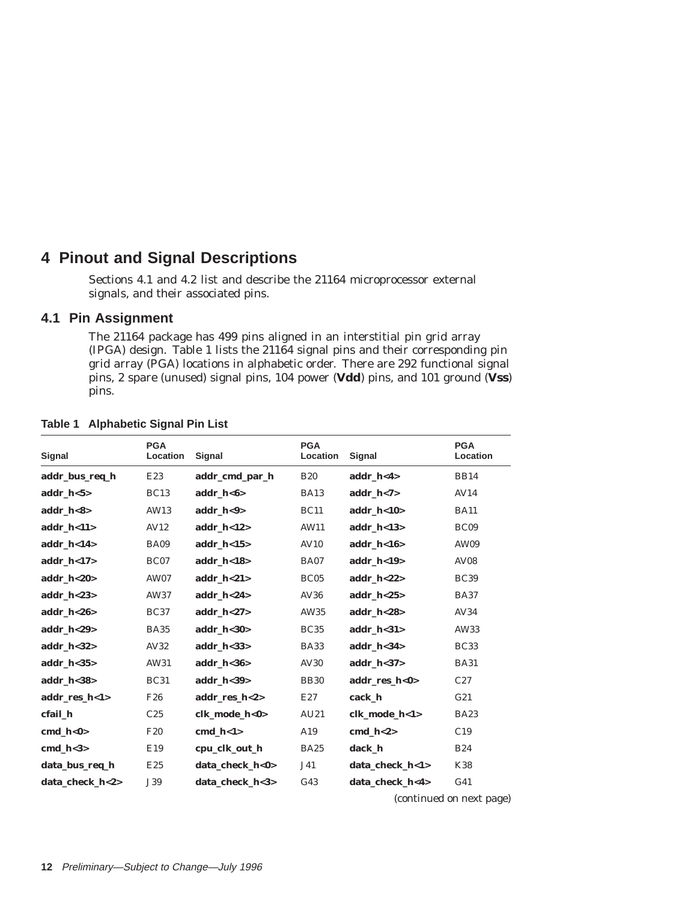# **4 Pinout and Signal Descriptions**

Sections 4.1 and 4.2 list and describe the 21164 microprocessor external signals, and their associated pins.

#### **4.1 Pin Assignment**

The 21164 package has 499 pins aligned in an interstitial pin grid array (IPGA) design. Table 1 lists the 21164 signal pins and their corresponding pin grid array (PGA) locations in alphabetic order. There are 292 functional signal pins, 2 spare (unused) signal pins, 104 power (**Vdd**) pins, and 101 ground (**Vss**) pins.

| Signal          | <b>PGA</b><br>Location | Signal          | <b>PGA</b><br>Location | Signal          | <b>PGA</b><br>Location   |
|-----------------|------------------------|-----------------|------------------------|-----------------|--------------------------|
| addr_bus_req_h  | E23                    | addr_cmd_par_h  | <b>B20</b>             | addr $h < 4$    | <b>BB14</b>              |
| $addr_h < 5>$   | BC <sub>13</sub>       | $addr_h < 6$    | <b>BA13</b>            | addr_h<7>       | AV14                     |
| addr $h < 8$    | AW13                   | addr $h < 9$    | <b>BC11</b>            | addr $h < 10$   | <b>BA11</b>              |
| addr $h < 11$   | AV12                   | addr $h < 12$   | AW11                   | addr $h < 13$   | BC09                     |
| addr $h < 14$   | <b>BA09</b>            | addr $h < 15$   | AV10                   | addr $h < 16$   | AW09                     |
| $addr_h < 17$   | BC07                   | addr_h<18 $>$   | <b>BA07</b>            | addr_h<19>      | <b>AV08</b>              |
| addr $h < 20$   | <b>AW07</b>            | addr $h < 21$   | BC05                   | addr $h < 22$   | <b>BC39</b>              |
| $addr_h <23>$   | AW37                   | addr h<24>      | AV36                   | addr $h < 25$   | <b>BA37</b>              |
| addr $h < 26$   | <b>BC37</b>            | addr $h < 27$   | AW35                   | addr $h < 28$   | AV34                     |
| addr $h < 29$   | <b>BA35</b>            | addr $h < 30$   | <b>BC35</b>            | addr $h < 31$   | AW33                     |
| addr $h < 32$   | AV32                   | addr $h < 33$   | <b>BA33</b>            | addr $h < 34$   | <b>BC33</b>              |
| addr $h < 35$   | AW31                   | addr $h < 36$   | AV30                   | addr $h < 37$   | <b>BA31</b>              |
| $addr_h <38>$   | <b>BC31</b>            | $addr_h <39>$   | <b>BB30</b>            | addr_res_h<0>   | C27                      |
| addr_res_h<1>   | F <sub>26</sub>        | addr res h<2>   | E27                    | cack h          | G21                      |
| cfail h         | C <sub>25</sub>        | clk mode h<0>   | AU21                   | clk mode h<1>   | <b>BA23</b>              |
| cmd $h<0>$      | <b>F20</b>             | $cmd_l<1>$      | A19                    | cmd $h < 2>$    | C19                      |
| cmd $h < 3>$    | E19                    | cpu_clk_out_h   | <b>BA25</b>            | dack h          | <b>B24</b>               |
| data_bus_req_h  | E25                    | data check h<0> | J41                    | data check h<1> | <b>K38</b>               |
| data_check_h<2> | J39                    | data_check_h<3> | G <sub>43</sub>        | data_check_h<4> | G <sub>41</sub>          |
|                 |                        |                 |                        |                 | (continued on next page) |

#### **Table 1 Alphabetic Signal Pin List**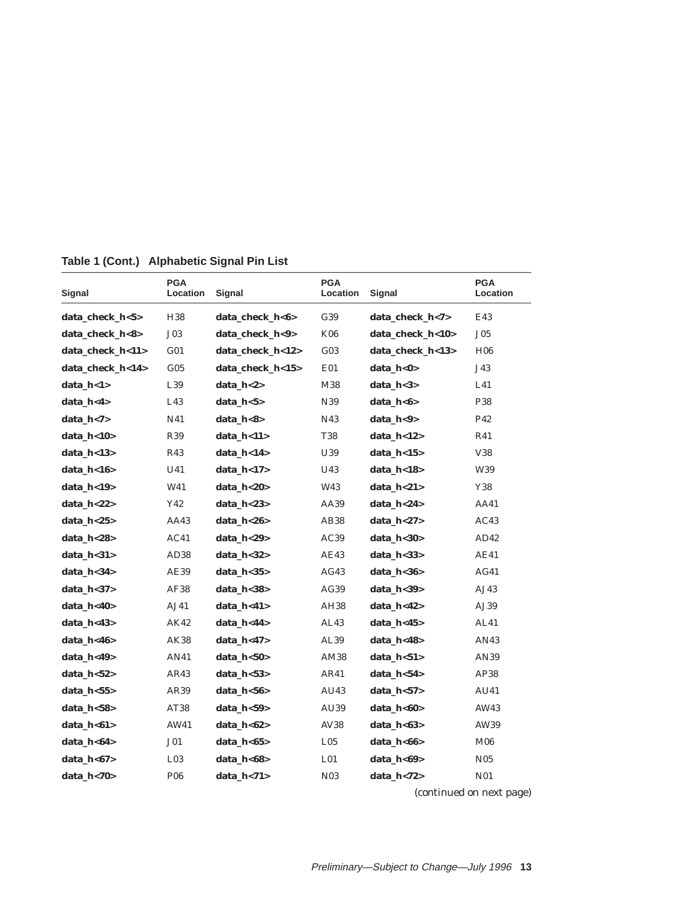| Signal           | <b>PGA</b><br>Location | Signal           | <b>PGA</b><br>Location | Signal           | <b>PGA</b><br>Location |
|------------------|------------------------|------------------|------------------------|------------------|------------------------|
| data_check_h<5>  | H <sub>38</sub>        | data check h<6>  | G39                    | data_check_h<7>  | E43                    |
| data_check_h<8>  | J03                    | data_check_h<9>  | <b>K06</b>             | data_check_h<10> | J <sub>05</sub>        |
| data_check_h<11> | G <sub>01</sub>        | data_check_h<12> | $G_{03}$               | data_check_h<13> | H <sub>06</sub>        |
| data_check_h<14> | $G_{05}$               | data_check_h<15> | E01                    | data_h<0>        | J43                    |
| data_h<1>        | L39                    | data h<2>        | M38                    | data $h < 3$     | L41                    |
| data_h<4>        | L43                    | $data_h < 5>$    | N39                    | data_ $h$ <6>    | P38                    |
| data_h<7>        | N41                    | data_h<8>        | N43                    | data_h<9>        | P42                    |
| data_h<10>       | R <sub>39</sub>        | data h<11>       | <b>T38</b>             | data $h<12$      | R41                    |
| data $h < 13$    | R43                    | data h<14>       | U39                    | data $h<15$      | V38                    |
| data_h<16>       | U41                    | data_h<17>       | U43                    | data_h<18>       | W39                    |
| data_h<19>       | W41                    | data_h<20>       | W43                    | data_h<21>       | Y38                    |
| data_h<22>       | Y42                    | data $h<23$      | AA39                   | data h<24>       | AA41                   |
| data $h<25$      | AA43                   | data $h<26$      | AB38                   | data $h<27$      | AC43                   |
| data_h<28>       | AC41                   | data_h<29>       | AC39                   | data_h<30>       | AD42                   |
| data h<31>       | AD <sub>38</sub>       | data $h<32>$     | AE43                   | data h<33>       | AE41                   |
| data h<34>       | AE39                   | data $h<35$      | AG43                   | data $h < 36$    | AG41                   |
| data_h<37>       | AF38                   | data_h<38>       | AG39                   | data_h<39>       | AJ43                   |
| data_h<40>       | AJ41                   | data_h<41>       | AH38                   | data_h<42>       | AJ39                   |
| data_h<43>       | AK42                   | data_h<44>       | AL43                   | data_h<45>       | AL41                   |
| data_h<46>       | AK38                   | data $h < 47$    | AL39                   | data h<48>       | AN43                   |
| data_h<49>       | AN41                   | data_h<50>       | AM38                   | data_ $h$ < 51 > | AN39                   |
| data_h<52>       | AR43                   | data_h<53>       | AR41                   | data_h<54>       | AP38                   |
| data_h<55>       | AR39                   | data h<56>       | AU43                   | data $h < 57$    | AU41                   |
| data_h<58>       | AT38                   | data_h<59>       | AU39                   | data_h<60>       | AW43                   |
| data_h<61>       | AW41                   | data_ $h$ <62>   | AV38                   | data_ $h$ <63>   | AW39                   |
| data_h<64>       | J01                    | data_h<65>       | L <sub>05</sub>        | data_h<66>       | <b>M06</b>             |
| data_h<67>       | L <sub>03</sub>        | data_h<68>       | L <sub>01</sub>        | data_h<69>       | N <sub>05</sub>        |
| data_h<70>       | <b>P06</b>             | data_h<71>       | N <sub>0</sub> 3       | data_h<72>       | <b>N01</b>             |

**Table 1 (Cont.) Alphabetic Signal Pin List**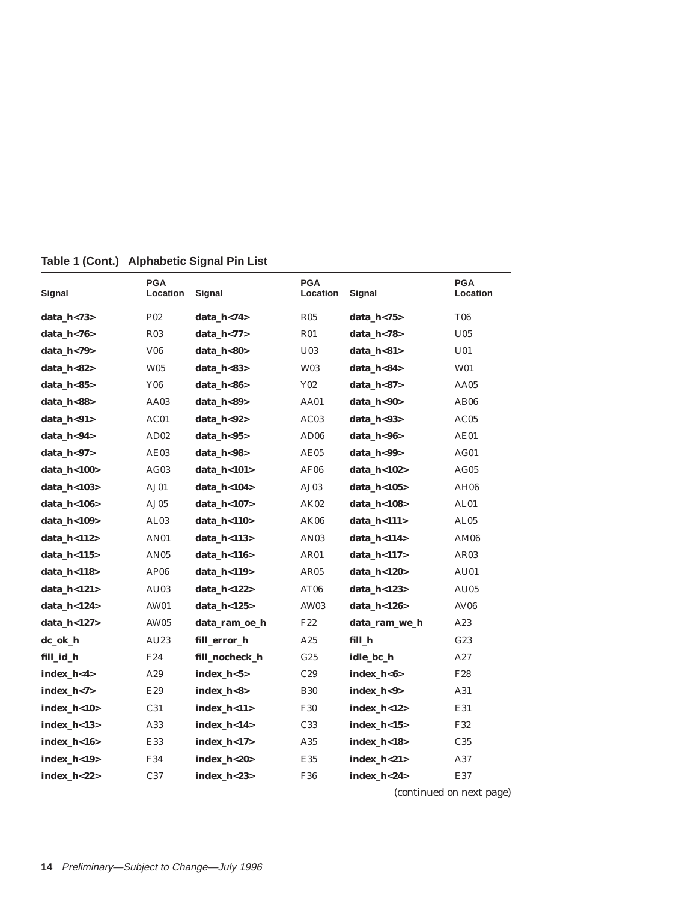| Signal         | <b>PGA</b><br>Location | Signal         | <b>PGA</b><br><b>Location</b> | Signal         | <b>PGA</b><br>Location |
|----------------|------------------------|----------------|-------------------------------|----------------|------------------------|
| data_h<73>     | P <sub>02</sub>        | data h<74>     | R <sub>05</sub>               | data_h<75>     | <b>T06</b>             |
| data h<76>     | <b>R03</b>             | data $h$ <77>  | R01                           | data h<78>     | U <sub>05</sub>        |
| data_h<79>     | V <sub>06</sub>        | data_h<80>     | U <sub>03</sub>               | data_h<81>     | U <sub>01</sub>        |
| data_h<82>     | <b>W05</b>             | data_h<83>     | W03                           | data h<84>     | W01                    |
| data_h<85>     | <b>Y06</b>             | data_h<86>     | Y02                           | data_h<87>     | AA05                   |
| data h<88>     | AA03                   | data_h<89>     | AA01                          | data h<90>     | AB <sub>06</sub>       |
| data h<91>     | AC01                   | data $h<92>$   | AC03                          | data $h < 93$  | AC05                   |
| data h<94>     | AD <sub>02</sub>       | data $h < 95$  | AD06                          | data h<96>     | AE01                   |
| data h<97>     | AE03                   | data h<98>     | AE05                          | data h<99>     | AG01                   |
| data_h<100>    | AG03                   | data_h<101>    | AF06                          | data_h<102>    | AG05                   |
| data_h<103>    | AJ01                   | data_h<104>    | AJ03                          | data_h<105>    | <b>AH06</b>            |
| data_h<106>    | AJ05                   | data_h<107>    | AK02                          | data_h<108>    | AL01                   |
| data h<109>    | AL <sub>03</sub>       | data_h<110>    | AK06                          | data_h<111>    | AL <sub>05</sub>       |
| data $h$ <112> | <b>AN01</b>            | data $h$ <113> | AN03                          | data h<114>    | AM06                   |
| data $h$ <115> | AN <sub>05</sub>       | data $h$ <116> | AR01                          | data h<117>    | AR03                   |
| data h<118>    | AP <sub>06</sub>       | data $h$ <119> | AR05                          | data $h<120$   | AU01                   |
| data_h<121>    | AU03                   | data_h<122>    | AT06                          | data_h<123>    | AU05                   |
| data_h<124>    | <b>AW01</b>            | data_h<125>    | AW03                          | data h<126>    | <b>AV06</b>            |
| data_h<127>    | AW05                   | data_ram_oe_h  | F22                           | data_ram_we_h  | A23                    |
| dc_ok_h        | AU23                   | fill_error_h   | A25                           | fill_h         | G23                    |
| fill_id_h      | F <sub>24</sub>        | fill nocheck h | G <sub>25</sub>               | idle bc h      | A27                    |
| index_h<4>     | A29                    | index_h<5>     | C29                           | index_h<6>     | F28                    |
| index $h < 7$  | E29                    | index h<8>     | <b>B30</b>                    | index $h<9>$   | A31                    |
| index_h<10>    | C31                    | index_h<11>    | <b>F30</b>                    | index_h<12>    | E31                    |
| index_h<13>    | A33                    | index_h<14>    | C33                           | $index_h < 15$ | F32                    |
| index_h<16>    | E33                    | index_h<17>    | A35                           | $index_h < 18$ | C <sub>35</sub>        |
| index_h<19>    | F34                    | index $h<20$   | E35                           | index $h<21$   | A37                    |
| index h<22>    | C <sub>37</sub>        | index $h<23$   | F36                           | index h<24>    | E37                    |

**Table 1 (Cont.) Alphabetic Signal Pin List**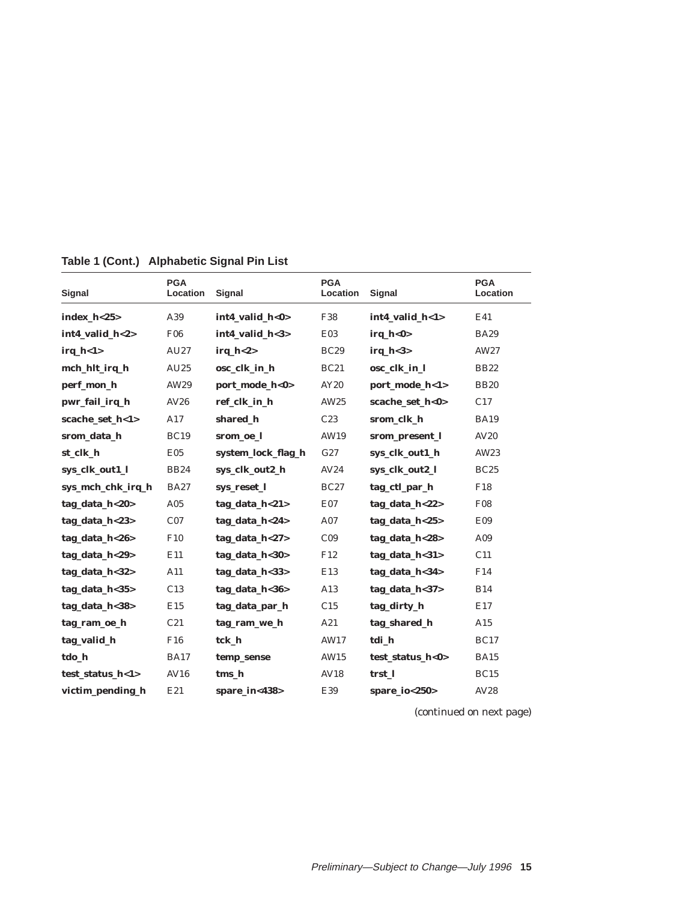| Signal            | <b>PGA</b><br>Location | Signal             | <b>PGA</b><br>Location | Signal                            | <b>PGA</b><br>Location |
|-------------------|------------------------|--------------------|------------------------|-----------------------------------|------------------------|
| $index_h <25$     | A39                    | int4_valid_h<0>    | F38                    | int4_valid_h<1>                   | E41                    |
| int4 valid h<2>   | <b>F06</b>             | int4 valid $h<3>$  | <b>E03</b>             | $\mathbf{irq} \ \mathbf{h} < 0 >$ | <b>BA29</b>            |
| $irq_h < l >$     | AU27                   | $irq_h <2>$        | <b>BC29</b>            | $irq_h <3>$                       | AW27                   |
| mch_hlt_irq_h     | AU25                   | osc_clk_in_h       | <b>BC21</b>            | osc_clk_in_l                      | <b>BB22</b>            |
| perf_mon_h        | AW29                   | port_mode_h<0>     | AY20                   | port_mode_h<1>                    | <b>BB20</b>            |
| pwr_fail_irq_h    | AV26                   | ref clk in h       | AW25                   | scache set h<0>                   | C17                    |
| scache_set_h<1>   | A17                    | shared_h           | C <sub>23</sub>        | srom_clk_h                        | <b>BA19</b>            |
| srom_data_h       | <b>BC19</b>            | srom_oe_l          | AW19                   | srom_present_l                    | <b>AV20</b>            |
| st clk h          | E05                    | system_lock_flag_h | G27                    | sys_clk_out1_h                    | AW23                   |
| sys_clk_out1_l    | <b>BB24</b>            | sys_clk_out2_h     | AV24                   | sys_clk_out2_l                    | <b>BC25</b>            |
| sys_mch_chk_irq_h | <b>BA27</b>            | sys_reset_l        | <b>BC27</b>            | tag_ctl_par_h                     | F18                    |
| tag_data_h<20>    | A05                    | tag_data_h<21>     | E07                    | tag_data_h<22>                    | <b>F08</b>             |
| tag_data_h<23>    | C <sub>07</sub>        | tag_data_h<24>     | A07                    | tag_data_h<25>                    | E09                    |
| tag_data_h<26>    | F10                    | tag data $h < 27$  | C <sub>09</sub>        | tag_data_h<28>                    | A09                    |
| tag data $h < 29$ | E11                    | tag data h<30>     | F12                    | tag data $h < 31$                 | C11                    |
| tag_data_h<32>    | A11                    | tag data h<33>     | E13                    | tag data h<34>                    | F14                    |
| tag_data_h<35>    | C13                    | tag_data_h<36>     | A13                    | tag_data_h<37>                    | <b>B14</b>             |
| tag_data_h<38>    | E15                    | tag_data_par_h     | C15                    | tag_dirty_h                       | E17                    |
| tag_ram_oe_h      | C21                    | tag_ram_we_h       | A21                    | tag_shared_h                      | A15                    |
| tag_valid_h       | F16                    | tck h              | AW17                   | tdi h                             | <b>BC17</b>            |
| tdo_h             | <b>BA17</b>            | temp_sense         | AW15                   | test_status_h<0>                  | <b>BA15</b>            |
| test_status_h<1>  | AV16                   | tms h              | AV18                   | trst 1                            | <b>BC15</b>            |
| victim pending h  | E21                    | spare $in < 438$   | E39                    | spare $io < 250$                  | AV28                   |

**Table 1 (Cont.) Alphabetic Signal Pin List**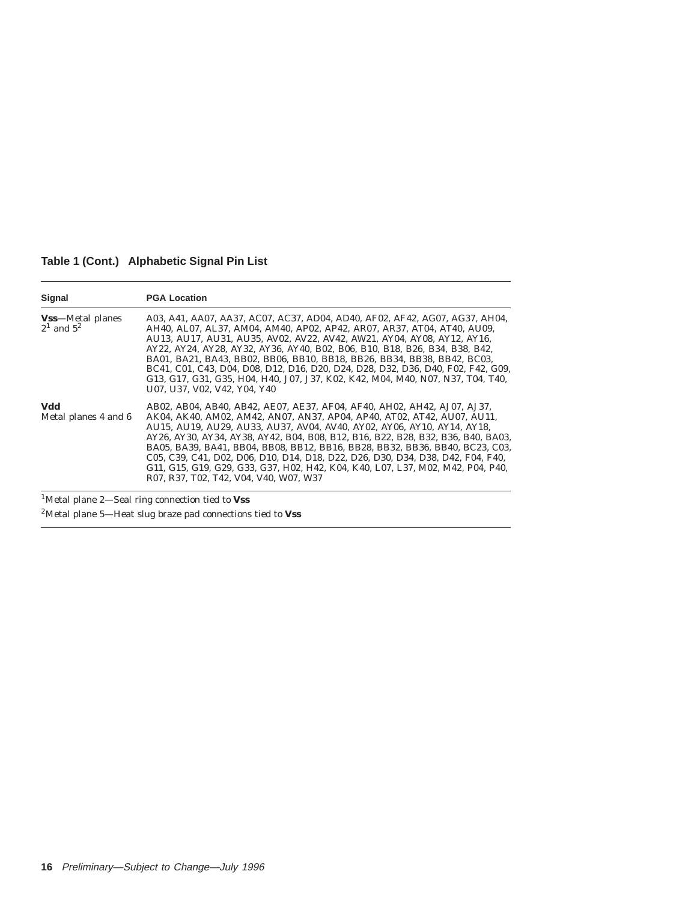**Table 1 (Cont.) Alphabetic Signal Pin List**

| Signal                                      | <b>PGA Location</b>                                                                                                                                                                                                                                                                                                                                                                                                                                                                                                                                                                                               |
|---------------------------------------------|-------------------------------------------------------------------------------------------------------------------------------------------------------------------------------------------------------------------------------------------------------------------------------------------------------------------------------------------------------------------------------------------------------------------------------------------------------------------------------------------------------------------------------------------------------------------------------------------------------------------|
| <b>Vss</b> —Metal planes<br>$2^1$ and $5^2$ | A03, A41, AA07, AA37, AC07, AC37, AD04, AD40, AF02, AF42, AG07, AG37, AH04,<br>AH40, AL07, AL37, AM04, AM40, AP02, AP42, AR07, AR37, AT04, AT40, AU09,<br>AU13, AU17, AU31, AU35, AV02, AV22, AV42, AW21, AY04, AY08, AY12, AY16,<br>AY22, AY24, AY28, AY32, AY36, AY40, B02, B06, B10, B18, B26, B34, B38, B42,<br>BA01, BA21, BA43, BB02, BB06, BB10, BB18, BB26, BB34, BB38, BB42, BC03,<br>BC41, C01, C43, D04, D08, D12, D16, D20, D24, D28, D32, D36, D40, F02, F42, G09,<br>G13, G17, G31, G35, H04, H40, J07, J37, K02, K42, M04, M40, N07, N37, T04, T40,<br>U07, U37, V02, V42, Y04, Y40                |
| Vdd<br>Metal planes 4 and 6                 | AB02, AB04, AB40, AB42, AE07, AE37, AF04, AF40, AH02, AH42, AJ07, AJ37,<br>AK04, AK40, AM02, AM42, AN07, AN37, AP04, AP40, AT02, AT42, AU07, AU11,<br>AU15, AU19, AU29, AU33, AU37, AV04, AV40, AY02, AY06, AY10, AY14, AY18,<br>AY26, AY30, AY34, AY38, AY42, B04, B08, B12, B16, B22, B28, B32, B36, B40, BA03,<br>BA05, BA39, BA41, BB04, BB08, BB12, BB16, BB28, BB32, BB36, BB40, BC23, C03,<br>C05, C39, C41, D02, D06, D10, D14, D18, D22, D26, D30, D34, D38, D42, F04, F40,<br>G11, G15, G19, G29, G33, G37, H02, H42, K04, K40, L07, L37, M02, M42, P04, P40,<br>R07, R37, T02, T42, V04, V40, W07, W37 |

1Metal plane 2—Seal ring connection tied to **Vss**

2Metal plane 5—Heat slug braze pad connections tied to **Vss**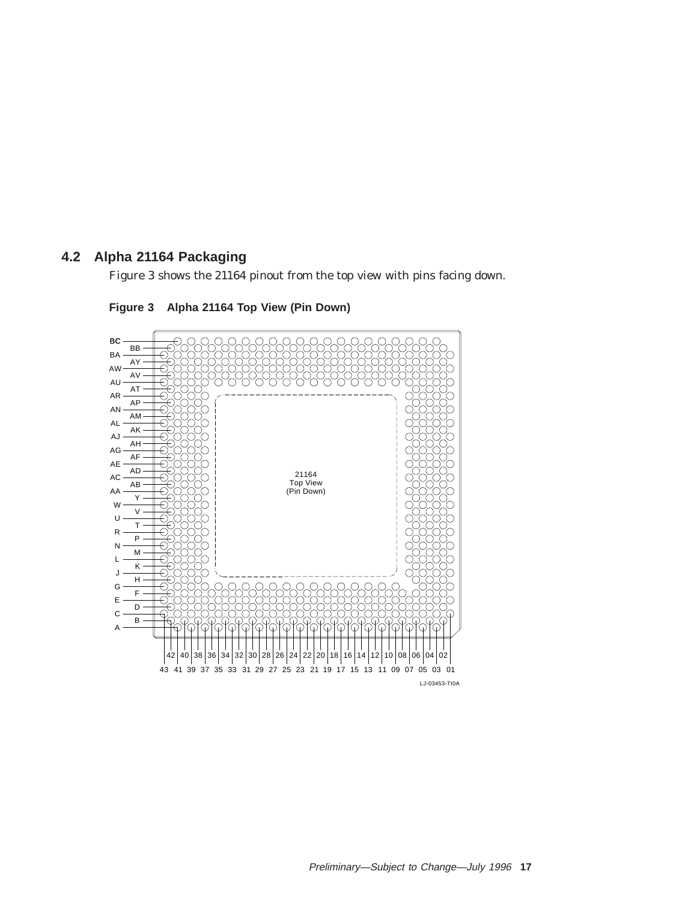## **4.2 Alpha 21164 Packaging**

Figure 3 shows the 21164 pinout from the top view with pins facing down.



**Figure 3 Alpha 21164 Top View (Pin Down)**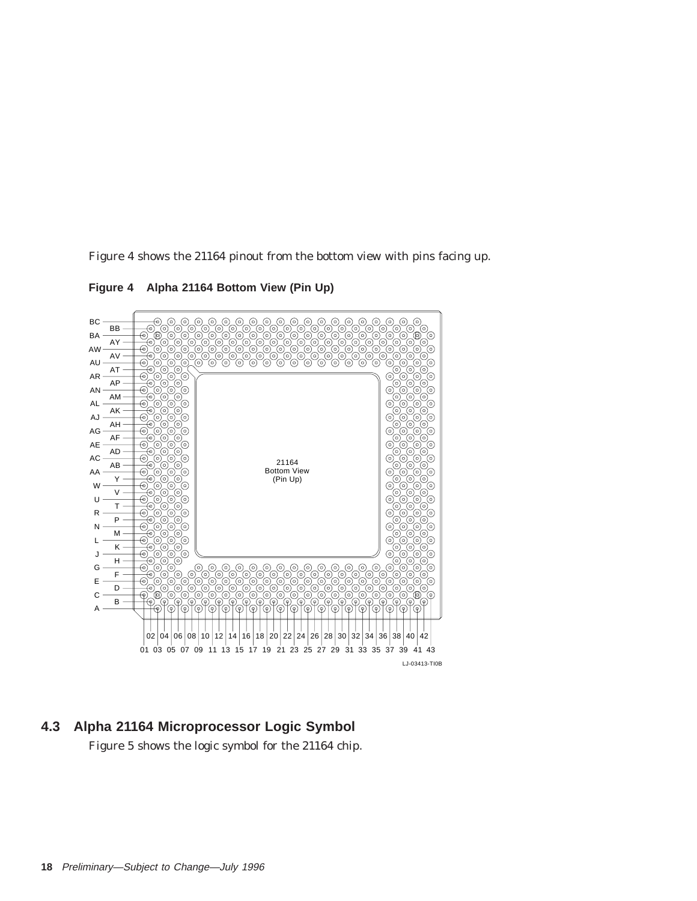Figure 4 shows the 21164 pinout from the bottom view with pins facing up.

**Figure 4 Alpha 21164 Bottom View (Pin Up)**



**4.3 Alpha 21164 Microprocessor Logic Symbol**

Figure 5 shows the logic symbol for the 21164 chip.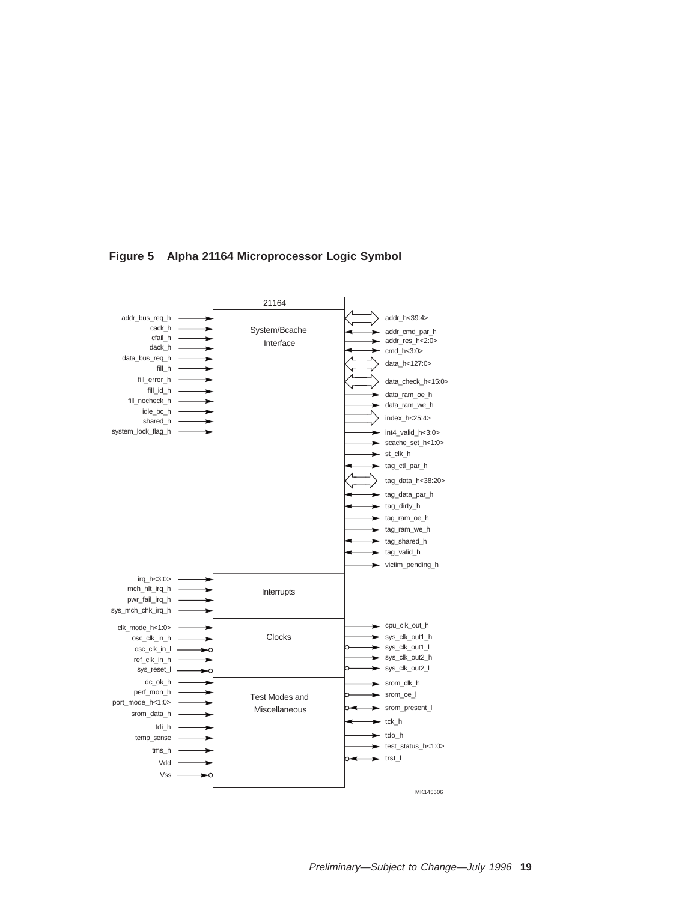

**Figure 5 Alpha 21164 Microprocessor Logic Symbol**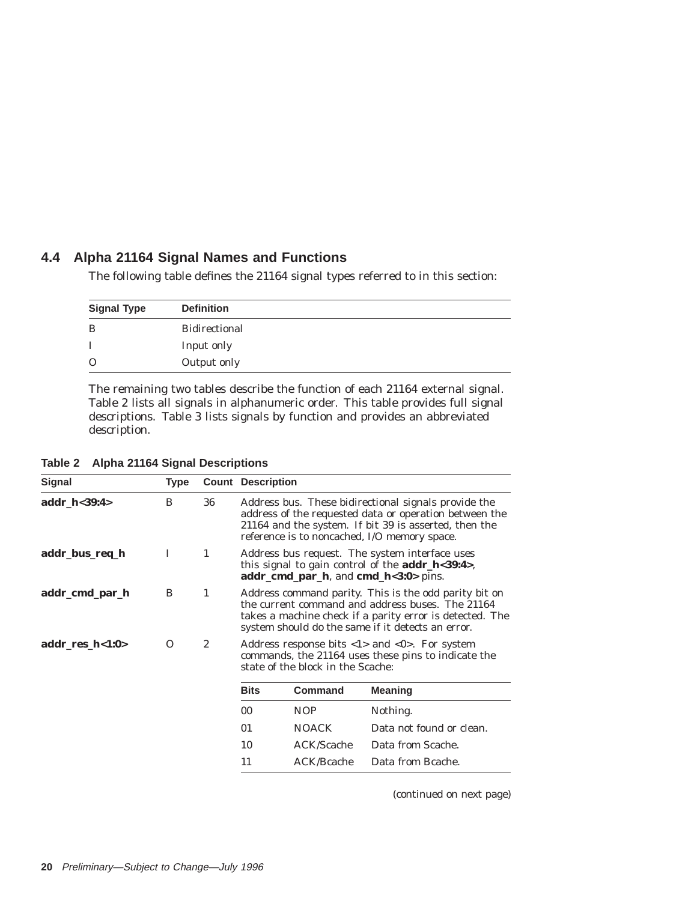## **4.4 Alpha 21164 Signal Names and Functions**

The following table defines the 21164 signal types referred to in this section:

| <b>Signal Type</b> | <b>Definition</b>    |
|--------------------|----------------------|
| B                  | <b>Bidirectional</b> |
|                    | Input only           |
| $\Omega$           | Output only          |

The remaining two tables describe the function of each 21164 external signal. Table 2 lists all signals in alphanumeric order. This table provides full signal descriptions. Table 3 lists signals by function and provides an abbreviated description.

| <b>Signal</b>   | <b>Type</b> |              | <b>Count Description</b>                                                                                                                                                                                                   |                   |                          |  |
|-----------------|-------------|--------------|----------------------------------------------------------------------------------------------------------------------------------------------------------------------------------------------------------------------------|-------------------|--------------------------|--|
| addr_h<39:4>    | B           | 36           | Address bus. These bidirectional signals provide the<br>address of the requested data or operation between the<br>21164 and the system. If bit 39 is asserted, then the<br>reference is to noncached, I/O memory space.    |                   |                          |  |
| addr_bus_req_h  | I           | 1            | Address bus request. The system interface uses<br>this signal to gain control of the $addr_h < 39:4$ ,<br>$addr\_cmd\_par\_h$ , and $cmd\_h<3:0>$ pins.                                                                    |                   |                          |  |
| addr_cmd_par_h  | B           | 1            | Address command parity. This is the odd parity bit on<br>the current command and address buses. The 21164<br>takes a machine check if a parity error is detected. The<br>system should do the same if it detects an error. |                   |                          |  |
| addr_res_h<1:0> | $\Omega$    | $\mathbf{2}$ | Address response bits $\langle 1 \rangle$ and $\langle 0 \rangle$ . For system<br>commands, the 21164 uses these pins to indicate the<br>state of the block in the Scache:                                                 |                   |                          |  |
|                 |             |              | <b>Bits</b>                                                                                                                                                                                                                | <b>Command</b>    | <b>Meaning</b>           |  |
|                 |             |              | 00                                                                                                                                                                                                                         | NOP               | Nothing.                 |  |
|                 |             |              | 01                                                                                                                                                                                                                         | <b>NOACK</b>      | Data not found or clean. |  |
|                 |             |              | 10                                                                                                                                                                                                                         | ACK/Scache        | Data from Scache.        |  |
|                 |             |              | 11                                                                                                                                                                                                                         | <b>ACK/Bcache</b> | Data from Bcache.        |  |

**Table 2 Alpha 21164 Signal Descriptions**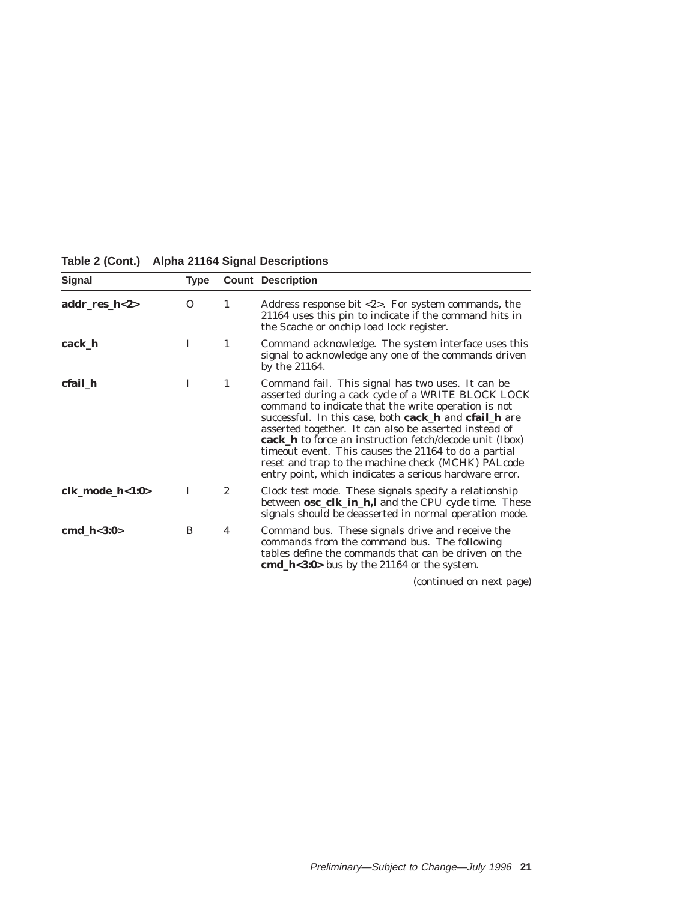| <b>Signal</b>    | Type     |                  | <b>Count Description</b>                                                                                                                                                                                                                                                                                                                                                                                                                                                                                                                  |
|------------------|----------|------------------|-------------------------------------------------------------------------------------------------------------------------------------------------------------------------------------------------------------------------------------------------------------------------------------------------------------------------------------------------------------------------------------------------------------------------------------------------------------------------------------------------------------------------------------------|
| addr_res_ $h<2>$ | $\Omega$ | 1                | Address response bit $\langle 2 \rangle$ . For system commands, the<br>21164 uses this pin to indicate if the command hits in<br>the Scache or onchip load lock register.                                                                                                                                                                                                                                                                                                                                                                 |
| cack_h           | I        | 1                | Command acknowledge. The system interface uses this<br>signal to acknowledge any one of the commands driven<br>by the 21164.                                                                                                                                                                                                                                                                                                                                                                                                              |
| cfail_h          | I        | 1                | Command fail. This signal has two uses. It can be<br>asserted during a cack cycle of a WRITE BLOCK LOCK<br>command to indicate that the write operation is not<br>successful. In this case, both <b>cack</b> h and <b>cfail</b> h are<br>asserted together. It can also be asserted instead of<br><b>cack_h</b> to force an instruction fetch/decode unit (Ibox)<br>time out event. This causes the 21164 to do a partial<br>reset and trap to the machine check (MCHK) PALcode<br>entry point, which indicates a serious hardware error. |
| clk_mode_h<1:0>  | I        | $\boldsymbol{2}$ | Clock test mode. These signals specify a relationship<br>between <b>osc_clk_in_h,l</b> and the CPU cycle time. These<br>signals should be deasserted in normal operation mode.                                                                                                                                                                                                                                                                                                                                                            |
| cmd $h<3:0>$     | B        | 4                | Command bus. These signals drive and receive the<br>commands from the command bus. The following<br>tables define the commands that can be driven on the<br>cmd_h<3:0> bus by the $21164$ or the system.                                                                                                                                                                                                                                                                                                                                  |

# **Table 2 (Cont.) Alpha 21164 Signal Descriptions**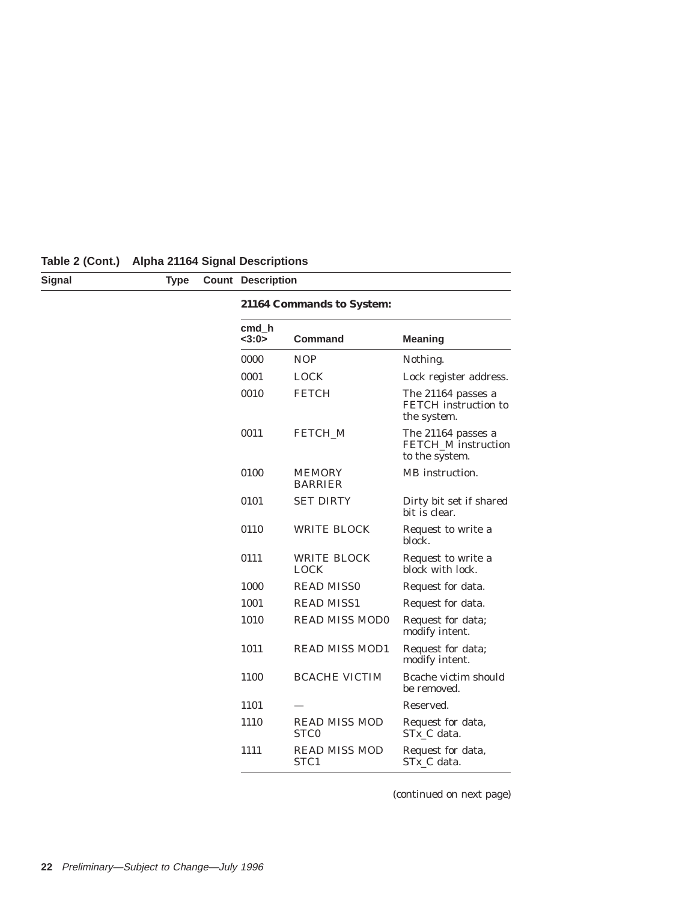| Table 2 (Cont.) Alpha 21164 Signal Descriptions |  |  |  |
|-------------------------------------------------|--|--|--|
|-------------------------------------------------|--|--|--|

| <b>Signal</b> | <b>Type</b> | <b>Count Description</b> |                                          |                                                             |
|---------------|-------------|--------------------------|------------------------------------------|-------------------------------------------------------------|
|               |             |                          | 21164 Commands to System:                |                                                             |
|               |             | cmd h<br><3:0>           | <b>Command</b>                           | <b>Meaning</b>                                              |
|               |             | 0000                     | <b>NOP</b>                               | Nothing.                                                    |
|               |             | 0001                     | <b>LOCK</b>                              | Lock register address.                                      |
|               |             | 0010                     | <b>FETCH</b>                             | The 21164 passes a<br>FETCH instruction to<br>the system.   |
|               |             | 0011                     | FETCH_M                                  | The 21164 passes a<br>FETCH_M instruction<br>to the system. |
|               |             | 0100                     | <b>MEMORY</b><br><b>BARRIER</b>          | MB instruction.                                             |
|               |             | 0101                     | <b>SET DIRTY</b>                         | Dirty bit set if shared<br>bit is clear.                    |
|               |             | 0110                     | <b>WRITE BLOCK</b>                       | Request to write a<br>block.                                |
|               |             | 0111                     | <b>WRITE BLOCK</b><br><b>LOCK</b>        | Request to write a<br>block with lock.                      |
|               |             | 1000                     | <b>READ MISS0</b>                        | Request for data.                                           |
|               |             | 1001                     | <b>READ MISS1</b>                        | Request for data.                                           |
|               |             | 1010                     | <b>READ MISS MOD0</b>                    | Request for data;<br>modify intent.                         |
|               |             | 1011                     | <b>READ MISS MOD1</b>                    | Request for data;<br>modify intent.                         |
|               |             | 1100                     | <b>BCACHE VICTIM</b>                     | Bcache victim should<br>be removed.                         |
|               |             | 1101                     |                                          | Reserved.                                                   |
|               |             | 1110                     | <b>READ MISS MOD</b><br>STC <sub>0</sub> | Request for data,<br>$STx_C$ data.                          |
|               |             | 1111                     | <b>READ MISS MOD</b><br>STC1             | Request for data,<br>STx_C data.                            |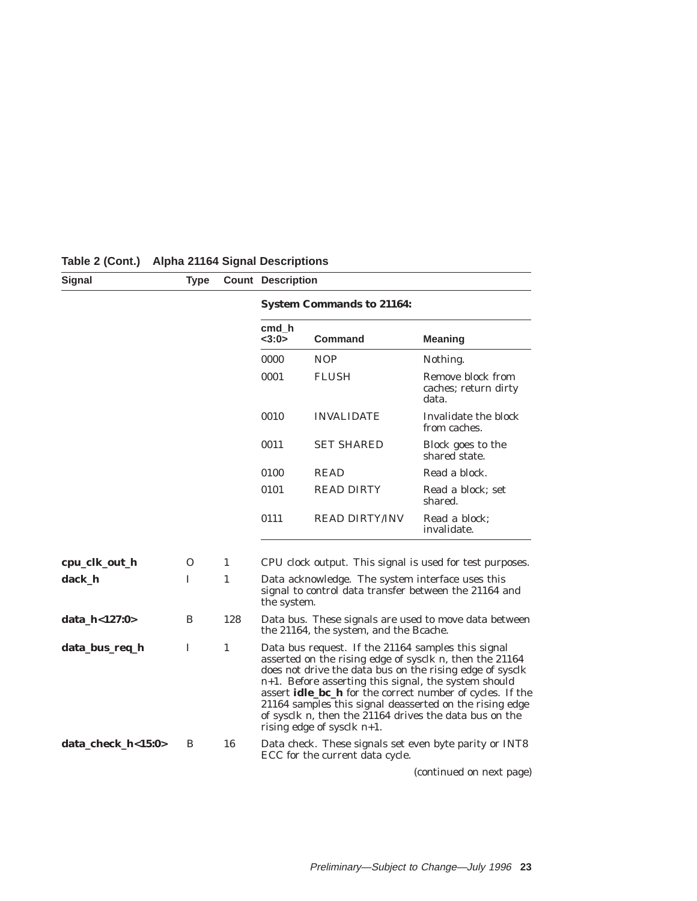| Signal             | <b>Type</b> |     | <b>Count Description</b>                                                                                                                                                                                                                                                                                                                                                                                                                                           |                                                                                                           |                                                          |  |  |
|--------------------|-------------|-----|--------------------------------------------------------------------------------------------------------------------------------------------------------------------------------------------------------------------------------------------------------------------------------------------------------------------------------------------------------------------------------------------------------------------------------------------------------------------|-----------------------------------------------------------------------------------------------------------|----------------------------------------------------------|--|--|
|                    |             |     |                                                                                                                                                                                                                                                                                                                                                                                                                                                                    | <b>System Commands to 21164:</b>                                                                          |                                                          |  |  |
|                    |             |     | cmd h<br>$<$ 3:0>                                                                                                                                                                                                                                                                                                                                                                                                                                                  | Command                                                                                                   | <b>Meaning</b>                                           |  |  |
|                    |             |     | 0000                                                                                                                                                                                                                                                                                                                                                                                                                                                               | <b>NOP</b>                                                                                                | Nothing.                                                 |  |  |
|                    |             |     | 0001                                                                                                                                                                                                                                                                                                                                                                                                                                                               | <b>FLUSH</b>                                                                                              | Remove block from<br>caches; return dirty<br>data.       |  |  |
|                    |             |     | 0010                                                                                                                                                                                                                                                                                                                                                                                                                                                               | <b>INVALIDATE</b>                                                                                         | Invalidate the block<br>from caches.                     |  |  |
|                    |             |     | 0011                                                                                                                                                                                                                                                                                                                                                                                                                                                               | <b>SET SHARED</b>                                                                                         | Block goes to the<br>shared state.                       |  |  |
|                    |             |     | 0100                                                                                                                                                                                                                                                                                                                                                                                                                                                               | <b>READ</b>                                                                                               | Read a block.                                            |  |  |
|                    |             |     | 0101                                                                                                                                                                                                                                                                                                                                                                                                                                                               | <b>READ DIRTY</b>                                                                                         | Read a block; set<br>shared.                             |  |  |
|                    |             |     | 0111                                                                                                                                                                                                                                                                                                                                                                                                                                                               | <b>READ DIRTY/INV</b>                                                                                     | Read a block;<br>invalidate.                             |  |  |
| cpu_clk_out_h      | O           | 1   |                                                                                                                                                                                                                                                                                                                                                                                                                                                                    |                                                                                                           | CPU clock output. This signal is used for test purposes. |  |  |
| dack_h             | I           | 1   | the system.                                                                                                                                                                                                                                                                                                                                                                                                                                                        | Data acknowledge. The system interface uses this<br>signal to control data transfer between the 21164 and |                                                          |  |  |
| data_h<127:0>      | B           | 128 |                                                                                                                                                                                                                                                                                                                                                                                                                                                                    | the 21164, the system, and the Bcache.                                                                    | Data bus. These signals are used to move data between    |  |  |
| data_bus_req_h     | I           | 1   | Data bus request. If the 21164 samples this signal<br>asserted on the rising edge of sysclk $n$ , then the 21164<br>does not drive the data bus on the rising edge of sysclk<br>$n+1$ . Before asserting this signal, the system should<br>assert idle_bc_h for the correct number of cycles. If the<br>21164 samples this signal deasserted on the rising edge<br>of sysclk <i>n</i> , then the 21164 drives the data bus on the<br>rising edge of sysclk $n+1$ . |                                                                                                           |                                                          |  |  |
| data_check_h<15:0> | B           | 16  |                                                                                                                                                                                                                                                                                                                                                                                                                                                                    | ECC for the current data cycle.                                                                           | Data check. These signals set even byte parity or INT8   |  |  |
|                    |             |     |                                                                                                                                                                                                                                                                                                                                                                                                                                                                    |                                                                                                           | (continued on next page)                                 |  |  |

# **Table 2 (Cont.) Alpha 21164 Signal Descriptions**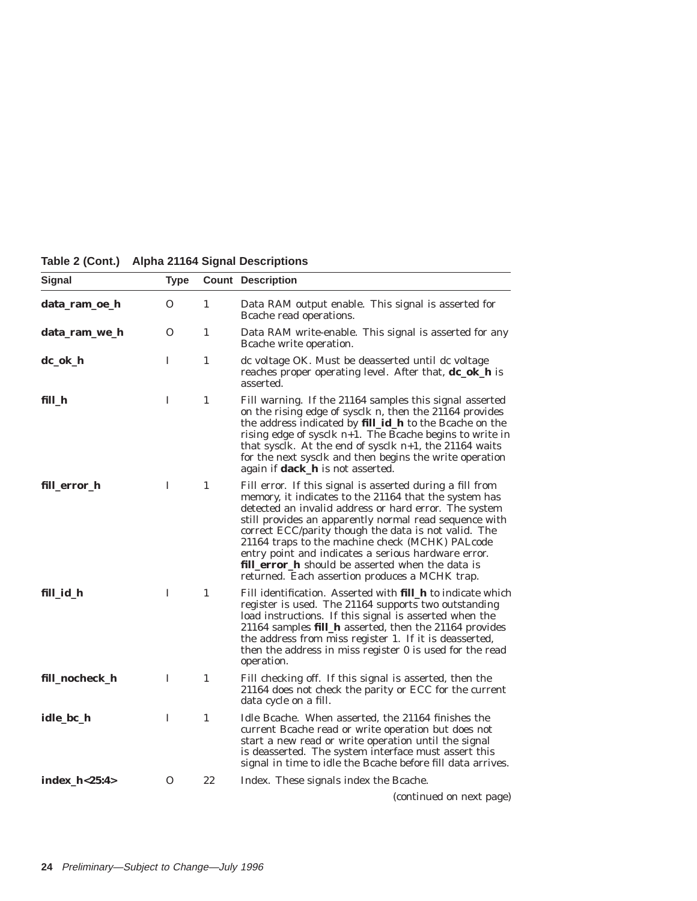| <b>Signal</b>  | <b>Type</b> |              | <b>Count Description</b>                                                                                                                                                                                                                                                                                                                                                                                                                                                                                             |
|----------------|-------------|--------------|----------------------------------------------------------------------------------------------------------------------------------------------------------------------------------------------------------------------------------------------------------------------------------------------------------------------------------------------------------------------------------------------------------------------------------------------------------------------------------------------------------------------|
| data_ram_oe_h  | $\Omega$    | $\mathbf{1}$ | Data RAM output enable. This signal is asserted for<br>Bcache read operations.                                                                                                                                                                                                                                                                                                                                                                                                                                       |
| data_ram_we_h  | $\Omega$    | $\mathbf{1}$ | Data RAM write-enable. This signal is asserted for any<br>Brache write operation.                                                                                                                                                                                                                                                                                                                                                                                                                                    |
| dc_ok_h        | I           | $\mathbf{1}$ | dc voltage OK. Must be deasserted until dc voltage<br>reaches proper operating level. After that, <b>dc_ok_h</b> is<br>asserted.                                                                                                                                                                                                                                                                                                                                                                                     |
| fill_h         | I           | $\mathbf{1}$ | Fill warning. If the 21164 samples this signal asserted<br>on the rising edge of sysclk $n$ , then the 21164 provides<br>the address indicated by fill_id_h to the Bcache on the<br>rising edge of sysclk $n+1$ . The Bcache begins to write in<br>that sysclk. At the end of sysclk $n+1$ , the 21164 waits<br>for the next sysclk and then begins the write operation<br>again if <b>dack_h</b> is not asserted.                                                                                                   |
| fill_error_h   | I           | $\mathbf{1}$ | Fill error. If this signal is asserted during a fill from<br>memory, it indicates to the 21164 that the system has<br>detected an invalid address or hard error. The system<br>still provides an apparently normal read sequence with<br>correct ECC/parity though the data is not valid. The<br>21164 traps to the machine check (MCHK) PALcode<br>entry point and indicates a serious hardware error.<br><b>fill_error_h</b> should be asserted when the data is<br>returned. Each assertion produces a MCHK trap. |
| fill_id_h      | T           | $\mathbf{1}$ | Fill identification. Asserted with <b>fill_h</b> to indicate which<br>register is used. The 21164 supports two outstanding<br>load instructions. If this signal is asserted when the<br>21164 samples fill_h asserted, then the 21164 provides<br>the address from miss register 1. If it is deasserted,<br>then the address in miss register 0 is used for the read<br>operation.                                                                                                                                   |
| fill_nocheck_h | I           | $\mathbf{1}$ | Fill checking off. If this signal is asserted, then the<br>21164 does not check the parity or ECC for the current<br>data cycle on a fill.                                                                                                                                                                                                                                                                                                                                                                           |
| idle_bc_h      | I           | $\mathbf{1}$ | Idle Bcache. When asserted, the 21164 finishes the<br>current Bcache read or write operation but does not<br>start a new read or write operation until the signal<br>is deasserted. The system interface must assert this<br>signal in time to idle the Bcache before fill data arrives.                                                                                                                                                                                                                             |
| index_h<25:4>  | 0           | 22           | Index. These signals index the Bcache.                                                                                                                                                                                                                                                                                                                                                                                                                                                                               |
|                |             |              | (continued on next page)                                                                                                                                                                                                                                                                                                                                                                                                                                                                                             |

**Table 2 (Cont.) Alpha 21164 Signal Descriptions**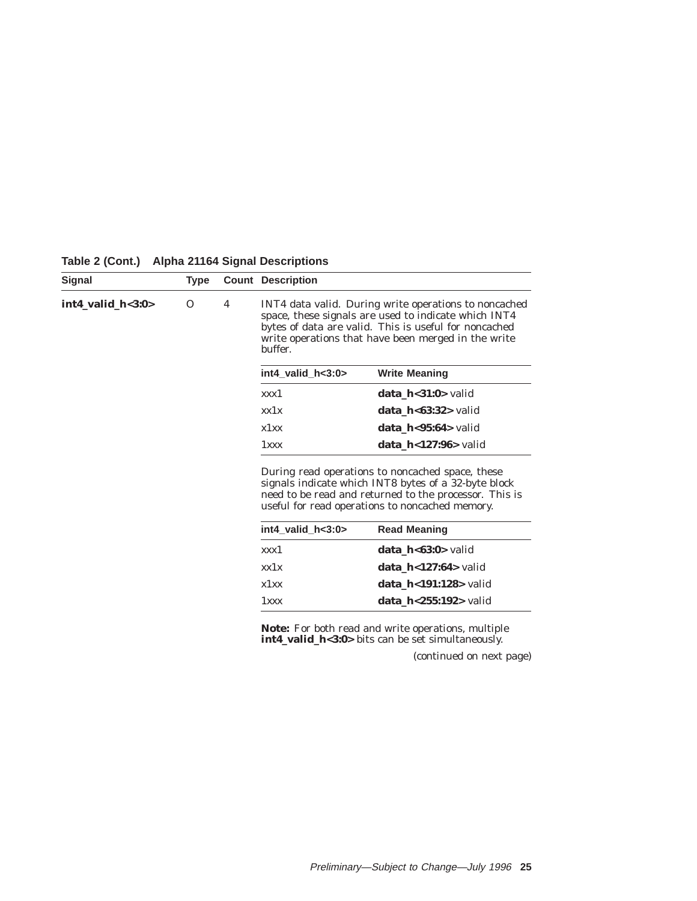| <b>Signal</b>         | <b>Type</b> |   | <b>Count Description</b> |                                                                                                                                                                                                                               |
|-----------------------|-------------|---|--------------------------|-------------------------------------------------------------------------------------------------------------------------------------------------------------------------------------------------------------------------------|
| $int4$ valid $h<3:0>$ | $\Omega$    | 4 | buffer.                  | INT4 data valid. During write operations to noncached<br>space, these signals are used to indicate which INT4<br>bytes of data are valid. This is useful for noncached<br>write operations that have been merged in the write |
|                       |             |   | $int4$ valid $h<3:0>$    | <b>Write Meaning</b>                                                                                                                                                                                                          |
|                       |             |   | xxx1                     | data $h < 31:0$ valid                                                                                                                                                                                                         |
|                       |             |   | xx1x                     | data $h < 63:32$ valid                                                                                                                                                                                                        |
|                       |             |   | x1xx                     | data $h < 95:64$ valid                                                                                                                                                                                                        |
|                       |             |   | $1$ <i>xxx</i>           | data $h<127:96$ valid                                                                                                                                                                                                         |
|                       |             |   |                          | During read operations to noncached space, these<br>signals indicate which INT8 bytes of a 32-byte block<br>need to be read and returned to the processor. This is<br>useful for read operations to noncached memory.         |
|                       |             |   | $int4$ valid $h<3:0>$    | <b>Read Meaning</b>                                                                                                                                                                                                           |
|                       |             |   | <i>xxx</i> 1             | <b>data h&lt;63:0&gt;</b> valid                                                                                                                                                                                               |
|                       |             |   | xx1x                     | data $h < 127:64$ valid                                                                                                                                                                                                       |
|                       |             |   | x1xx                     | <b>data h&lt;191:128&gt;</b> valid                                                                                                                                                                                            |
|                       |             |   | $1$ <i>xxx</i>           | data $h < 255:192>$ valid                                                                                                                                                                                                     |
|                       |             |   |                          | <b>Note:</b> For both read and write operations, multiple<br><b>int4 valid h&lt;3:0&gt;</b> bits can be set simultaneously.                                                                                                   |

**Table 2 (Cont.) Alpha 21164 Signal Descriptions**

**int4\_valid\_h<3:0>** bits can be set simultaneously.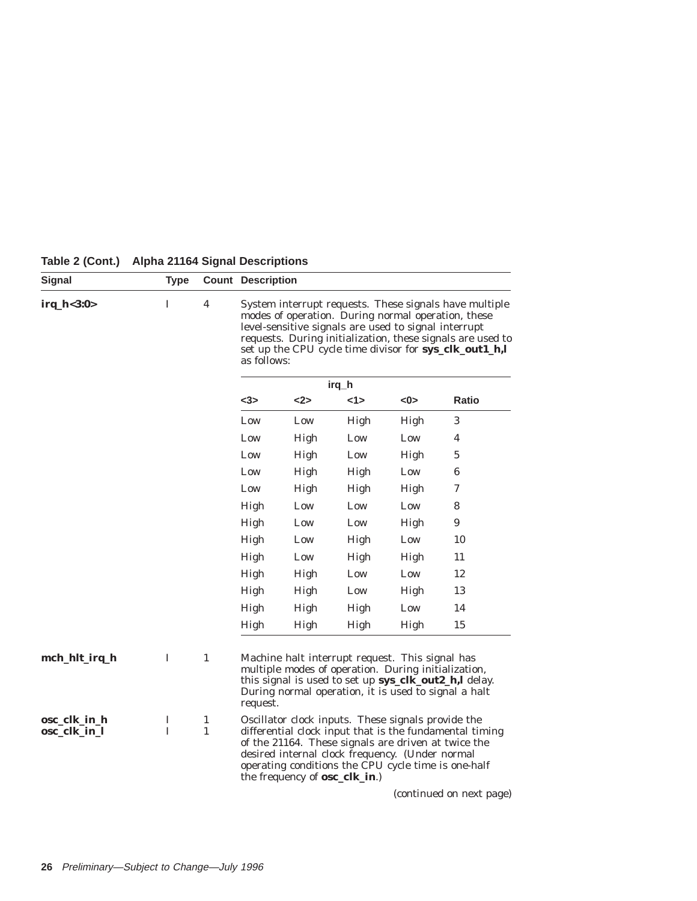| Signal                       | <b>Type</b> |                                                                                                                                                                                                                                                                                                                                        | <b>Count Description</b> |                                       |                                                                                                                                                                                                                     |      |                                                         |
|------------------------------|-------------|----------------------------------------------------------------------------------------------------------------------------------------------------------------------------------------------------------------------------------------------------------------------------------------------------------------------------------------|--------------------------|---------------------------------------|---------------------------------------------------------------------------------------------------------------------------------------------------------------------------------------------------------------------|------|---------------------------------------------------------|
| irq_h<3:0>                   | Ι           | $\overline{\mathbf{4}}$<br>System interrupt requests. These signals have multiple<br>modes of operation. During normal operation, these<br>level-sensitive signals are used to signal interrupt<br>requests. During initialization, these signals are used to<br>set up the CPU cycle time divisor for sys_clk_out1_h,l<br>as follows: |                          |                                       |                                                                                                                                                                                                                     |      |                                                         |
|                              |             |                                                                                                                                                                                                                                                                                                                                        |                          |                                       | irq_h                                                                                                                                                                                                               |      |                                                         |
|                              |             |                                                                                                                                                                                                                                                                                                                                        | $3$                      | $<$ 2>                                | 1>                                                                                                                                                                                                                  | <0>  | Ratio                                                   |
|                              |             |                                                                                                                                                                                                                                                                                                                                        | Low                      | Low                                   | High                                                                                                                                                                                                                | High | 3                                                       |
|                              |             |                                                                                                                                                                                                                                                                                                                                        | Low                      | High                                  | Low                                                                                                                                                                                                                 | Low  | 4                                                       |
|                              |             |                                                                                                                                                                                                                                                                                                                                        | Low                      | High                                  | Low                                                                                                                                                                                                                 | High | 5                                                       |
|                              |             |                                                                                                                                                                                                                                                                                                                                        | Low                      | High                                  | High                                                                                                                                                                                                                | Low  | 6                                                       |
|                              |             |                                                                                                                                                                                                                                                                                                                                        | Low                      | High                                  | High                                                                                                                                                                                                                | High | 7                                                       |
|                              |             |                                                                                                                                                                                                                                                                                                                                        | High                     | Low                                   | Low                                                                                                                                                                                                                 | Low  | 8                                                       |
|                              |             |                                                                                                                                                                                                                                                                                                                                        | High                     | Low                                   | Low                                                                                                                                                                                                                 | High | $\boldsymbol{9}$                                        |
|                              |             |                                                                                                                                                                                                                                                                                                                                        | High                     | Low                                   | High                                                                                                                                                                                                                | Low  | 10                                                      |
|                              |             |                                                                                                                                                                                                                                                                                                                                        | High                     | Low                                   | High                                                                                                                                                                                                                | High | 11                                                      |
|                              |             |                                                                                                                                                                                                                                                                                                                                        | High                     | High                                  | Low                                                                                                                                                                                                                 | Low  | 12                                                      |
|                              |             |                                                                                                                                                                                                                                                                                                                                        | High                     | High                                  | Low                                                                                                                                                                                                                 | High | 13                                                      |
|                              |             |                                                                                                                                                                                                                                                                                                                                        | High                     | High                                  | High                                                                                                                                                                                                                | Low  | 14                                                      |
|                              |             |                                                                                                                                                                                                                                                                                                                                        | High                     | High                                  | High                                                                                                                                                                                                                | High | 15                                                      |
| mch_hlt_irq_h                | I           | $\mathbf{1}$                                                                                                                                                                                                                                                                                                                           | request.                 |                                       | Machine halt interrupt request. This signal has<br>multiple modes of operation. During initialization,<br>During normal operation, it is used to signal a halt                                                      |      | this signal is used to set up sys_clk_out2_h,l delay.   |
| osc_clk_in_h<br>osc_clk_in_l | I<br>I      | 1<br>$\mathbf{1}$                                                                                                                                                                                                                                                                                                                      |                          | the frequency of <b>osc_clk_in</b> .) | Oscillator clock inputs. These signals provide the<br>of the 21164. These signals are driven at twice the<br>desired internal clock frequency. (Under normal<br>operating conditions the CPU cycle time is one-half |      | differential clock input that is the fundamental timing |
|                              |             |                                                                                                                                                                                                                                                                                                                                        |                          |                                       |                                                                                                                                                                                                                     |      | (continued on next page)                                |

**Table 2 (Cont.) Alpha 21164 Signal Descriptions**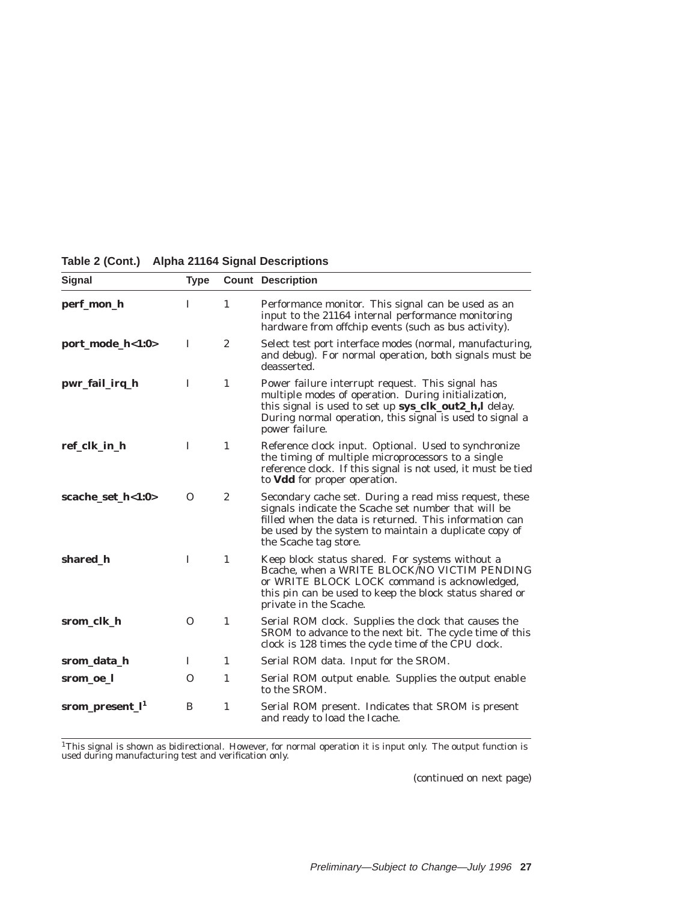| Signal                      | <b>Type</b> |                  | <b>Count Description</b>                                                                                                                                                                                                                                  |
|-----------------------------|-------------|------------------|-----------------------------------------------------------------------------------------------------------------------------------------------------------------------------------------------------------------------------------------------------------|
| perf_mon_h                  | T           | 1                | Performance monitor. This signal can be used as an<br>input to the 21164 internal performance monitoring<br>hardware from offchip events (such as bus activity).                                                                                          |
| port_mode_h<1:0>            | I           | $\overline{2}$   | Select test port interface modes (normal, manufacturing,<br>and debug). For normal operation, both signals must be<br>deasserted.                                                                                                                         |
| pwr_fail_irq_h              | I           | $\mathbf{1}$     | Power failure interrupt request. This signal has<br>multiple modes of operation. During initialization,<br>this signal is used to set up sys_clk_out2_h,l delay.<br>During normal operation, this signal is used to signal a<br>power failure.            |
| ref_clk_in_h                | I           | $\mathbf{1}$     | Reference clock input. Optional. Used to synchronize<br>the timing of multiple microprocessors to a single<br>reference clock. If this signal is not used, it must be tied<br>to <b>Vdd</b> for proper operation.                                         |
| scache_set_h<1:0>           | $\Omega$    | $\boldsymbol{2}$ | Secondary cache set. During a read miss request, these<br>signals indicate the Scache set number that will be<br>filled when the data is returned. This information can<br>be used by the system to maintain a duplicate copy of<br>the Scache tag store. |
| shared_h                    | L           | $\mathbf{1}$     | Keep block status shared. For systems without a<br>Bcache, when a WRITE BLOCK/NO VICTIM PENDING<br>or WRITE BLOCK LOCK command is acknowledged,<br>this pin can be used to keep the block status shared or<br>private in the Scache.                      |
| srom_clk_h                  | $\Omega$    | $\mathbf{1}$     | Serial ROM clock. Supplies the clock that causes the<br>SROM to advance to the next bit. The cycle time of this<br>clock is 128 times the cycle time of the CPU clock.                                                                                    |
| srom_data_h                 | 1           | 1                | Serial ROM data. Input for the SROM.                                                                                                                                                                                                                      |
| srom_oe_l                   | $\Omega$    | 1                | Serial ROM output enable. Supplies the output enable<br>to the SROM.                                                                                                                                                                                      |
| srom_present_l <sup>1</sup> | B           | $\mathbf{1}$     | Serial ROM present. Indicates that SROM is present<br>and ready to load the Icache.                                                                                                                                                                       |

# **Table 2 (Cont.) Alpha 21164 Signal Descriptions**

 $^{1}$ This signal is shown as bidirectional. However, for normal operation it is input only. The output function is used during manufacturing test and verification only.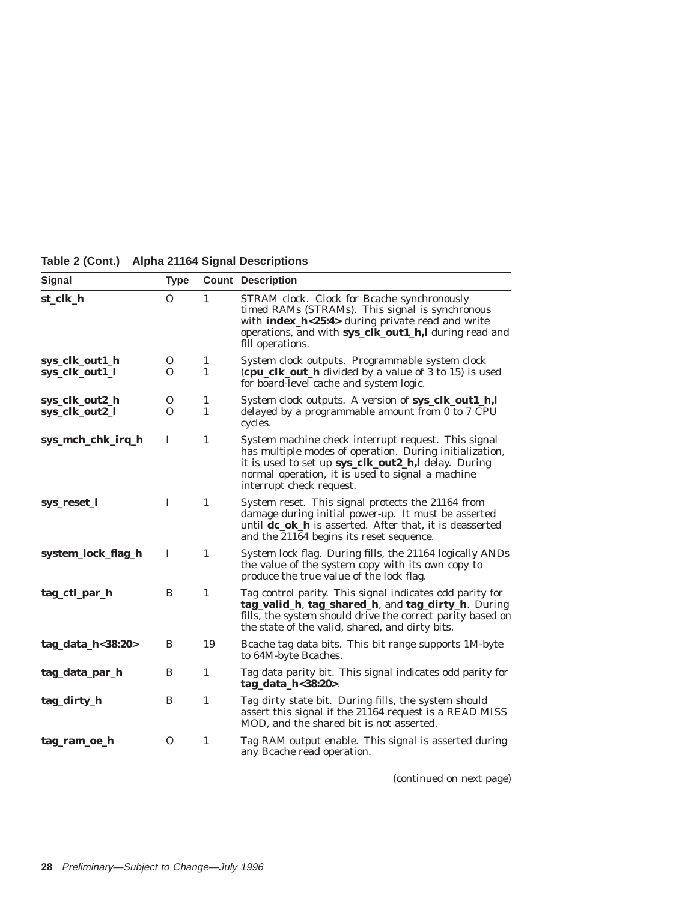| <b>Signal</b>                    | Type     |                              | <b>Count Description</b>                                                                                                                                                                                                                              |
|----------------------------------|----------|------------------------------|-------------------------------------------------------------------------------------------------------------------------------------------------------------------------------------------------------------------------------------------------------|
| st_clk_h                         | $\Omega$ | 1                            | STRAM clock. Clock for Bcache synchronously<br>timed RAMs (STRAMs). This signal is synchronous<br>with <b>index_h&lt;25:4&gt;</b> during private read and write<br>operations, and with sys_clk_out1_h,l during read and<br>fill operations.          |
| sys_clk_out1_h<br>sys_clk_out1_l | 0<br>0   | $\mathbf{1}$<br>$\mathbf{1}$ | System clock outputs. Programmable system clock<br>(cpu_clk_out_h divided by a value of 3 to 15) is used<br>for board-level cache and system logic.                                                                                                   |
| sys_clk_out2_h<br>sys_clk_out2_l | 0<br>O   | 1<br>$\mathbf{1}$            | System clock outputs. A version of <b>sys_clk_out1_h,l</b><br>delayed by a programmable amount from 0 to 7 CPU<br>cycles.                                                                                                                             |
| sys_mch_chk_irq_h                | I        | $\mathbf{1}$                 | System machine check interrupt request. This signal<br>has multiple modes of operation. During initialization,<br>it is used to set up sys_clk_out2_h,l delay. During<br>normal operation, it is used to signal a machine<br>interrupt check request. |
| sys_reset_l                      | $\bf{I}$ | $\mathbf{1}$                 | System reset. This signal protects the 21164 from<br>damage during initial power-up. It must be asserted<br>until dc_ok_h is asserted. After that, it is deasserted<br>and the 21164 begins its reset sequence.                                       |
| system_lock_flag_h               | I        | $\mathbf{1}$                 | System lock flag. During fills, the 21164 logically ANDs<br>the value of the system copy with its own copy to<br>produce the true value of the lock flag.                                                                                             |
| tag_ctl_par_h                    | B        | $\mathbf{1}$                 | Tag control parity. This signal indicates odd parity for<br>tag_valid_h, tag_shared_h, and tag_dirty_h. During<br>fills, the system should drive the correct parity based on<br>the state of the valid, shared, and dirty bits.                       |
| tag_data_h< $38:20>$             | B        | 19                           | Beache tag data bits. This bit range supports 1M-byte<br>to 64M-byte Bcaches.                                                                                                                                                                         |
| tag_data_par_h                   | B        | 1                            | Tag data parity bit. This signal indicates odd parity for<br>tag_data_h<38:20>.                                                                                                                                                                       |
| tag_dirty_h                      | B        | $\mathbf{1}$                 | Tag dirty state bit. During fills, the system should<br>assert this signal if the 21164 request is a READ MISS<br>MOD, and the shared bit is not asserted.                                                                                            |
| tag_ram_oe_h                     | 0        | 1                            | Tag RAM output enable. This signal is asserted during<br>any Bcache read operation.                                                                                                                                                                   |

**Table 2 (Cont.) Alpha 21164 Signal Descriptions**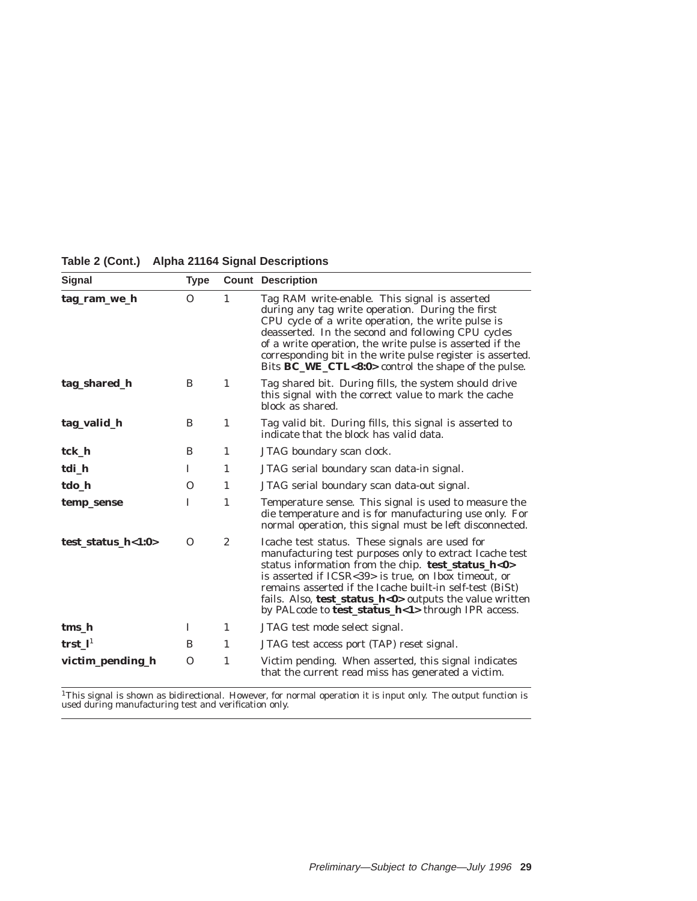| <b>Signal</b>         | <b>Type</b> |                  | <b>Count Description</b>                                                                                                                                                                                                                                                                                                                                                                                        |
|-----------------------|-------------|------------------|-----------------------------------------------------------------------------------------------------------------------------------------------------------------------------------------------------------------------------------------------------------------------------------------------------------------------------------------------------------------------------------------------------------------|
| tag_ram_we_h          | $\Omega$    | 1                | Tag RAM write-enable. This signal is asserted<br>during any tag write operation. During the first<br>CPU cycle of a write operation, the write pulse is<br>deasserted. In the second and following CPU cycles<br>of a write operation, the write pulse is asserted if the<br>corresponding bit in the write pulse register is asserted.<br>Bits BC_WE_CTL<8:0> control the shape of the pulse.                  |
| tag_shared_h          | B           | $\mathbf{1}$     | Tag shared bit. During fills, the system should drive<br>this signal with the correct value to mark the cache<br>block as shared.                                                                                                                                                                                                                                                                               |
| tag_valid_h           | B           | 1                | Tag valid bit. During fills, this signal is asserted to<br>indicate that the block has valid data.                                                                                                                                                                                                                                                                                                              |
| tck_h                 | B           | 1                | JTAG boundary scan clock.                                                                                                                                                                                                                                                                                                                                                                                       |
| tdi_h                 | I           | 1                | JTAG serial boundary scan data-in signal.                                                                                                                                                                                                                                                                                                                                                                       |
| tdo_h                 | O           | 1                | JTAG serial boundary scan data-out signal.                                                                                                                                                                                                                                                                                                                                                                      |
| temp_sense            | I           | 1                | Temperature sense. This signal is used to measure the<br>die temperature and is for manufacturing use only. For<br>normal operation, this signal must be left disconnected.                                                                                                                                                                                                                                     |
| test status $h<1:0>$  | $\Omega$    | $\boldsymbol{2}$ | Icache test status. These signals are used for<br>manufacturing test purposes only to extract Icache test<br>status information from the chip. test_status_h<0><br>is asserted if ICSR<39> is true, on Ibox timeout, or<br>remains asserted if the Icache built-in self-test (BiSt)<br>fails. Also, <b>test_status_h&lt;0</b> > outputs the value written<br>by PALcode to test_status_h<1> through IPR access. |
| tms_h                 | I           | $\mathbf{1}$     | JTAG test mode select signal.                                                                                                                                                                                                                                                                                                                                                                                   |
| $trst_l$ <sup>1</sup> | B           | 1                | JTAG test access port (TAP) reset signal.                                                                                                                                                                                                                                                                                                                                                                       |
| victim_pending_h      | $\Omega$    | $\mathbf{1}$     | Victim pending. When asserted, this signal indicates<br>that the current read miss has generated a victim.                                                                                                                                                                                                                                                                                                      |

#### **Table 2 (Cont.) Alpha 21164 Signal Descriptions**

 $^{1}$ This signal is shown as bidirectional. However, for normal operation it is input only. The output function is used during manufacturing test and verification only.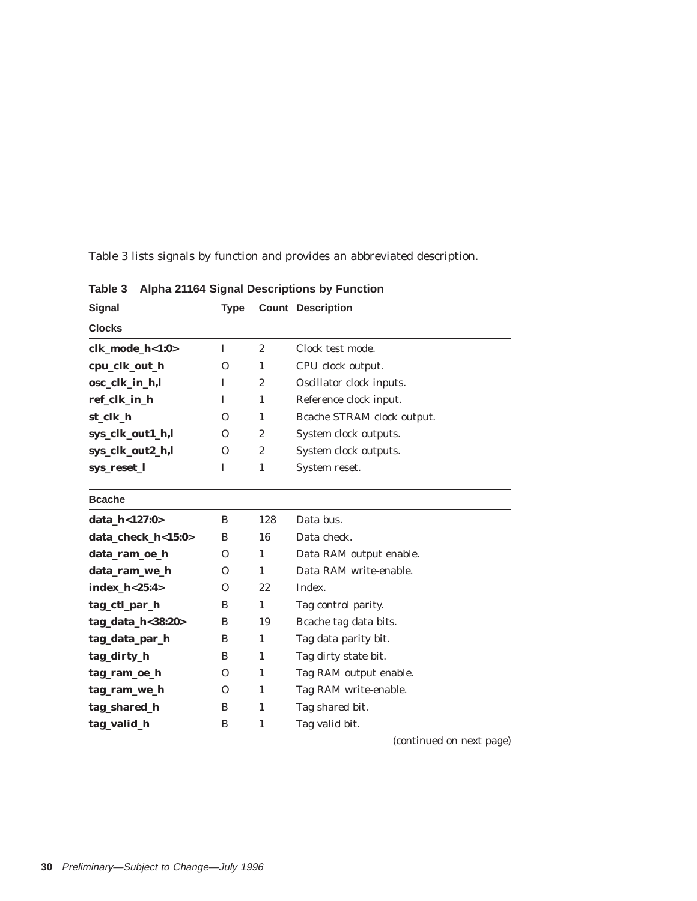Table 3 lists signals by function and provides an abbreviated description.

| Signal             | <b>Type</b> |                  | <b>Count Description</b>   |
|--------------------|-------------|------------------|----------------------------|
| <b>Clocks</b>      |             |                  |                            |
| clk_mode_h<1:0>    | I           | $\boldsymbol{2}$ | Clock test mode.           |
| cpu_clk_out_h      | $\Omega$    | $\mathbf{1}$     | CPU clock output.          |
| osc_clk_in_h,l     | I           | $\boldsymbol{2}$ | Oscillator clock inputs.   |
| ref_clk_in_h       | T           | $\mathbf{1}$     | Reference clock input.     |
| st_clk_h           | $\Omega$    | $\mathbf{1}$     | Bcache STRAM clock output. |
| sys_clk_out1_h,l   | $\Omega$    | $\overline{2}$   | System clock outputs.      |
| sys_clk_out2_h,l   | $\Omega$    | $\overline{2}$   | System clock outputs.      |
| sys_reset_l        | I           | $\mathbf{1}$     | System reset.              |
| <b>Bcache</b>      |             |                  |                            |
| data_h<127:0>      | B           | 128              | Data bus.                  |
| data_check_h<15:0> | B           | 16               | Data check.                |
| data_ram_oe_h      | $\Omega$    | $\mathbf{1}$     | Data RAM output enable.    |
| data_ram_we_h      | $\Omega$    | $\mathbf{1}$     | Data RAM write-enable.     |
| index_h<25:4>      | $\Omega$    | 22               | Index.                     |
| tag_ctl_par_h      | B           | $\mathbf{1}$     | Tag control parity.        |
| tag_data_h<38:20>  | B           | 19               | Bcache tag data bits.      |
| tag_data_par_h     | B           | $\mathbf{1}$     | Tag data parity bit.       |
| tag_dirty_h        | B           | 1                | Tag dirty state bit.       |
| tag_ram_oe_h       | $\Omega$    | $\mathbf{1}$     | Tag RAM output enable.     |
| tag_ram_we_h       | $\Omega$    | $\mathbf{1}$     | Tag RAM write-enable.      |
| tag_shared_h       | B           | $\mathbf{1}$     | Tag shared bit.            |
| tag_valid_h        | B           | 1                | Tag valid bit.             |

**Table 3 Alpha 21164 Signal Descriptions by Function**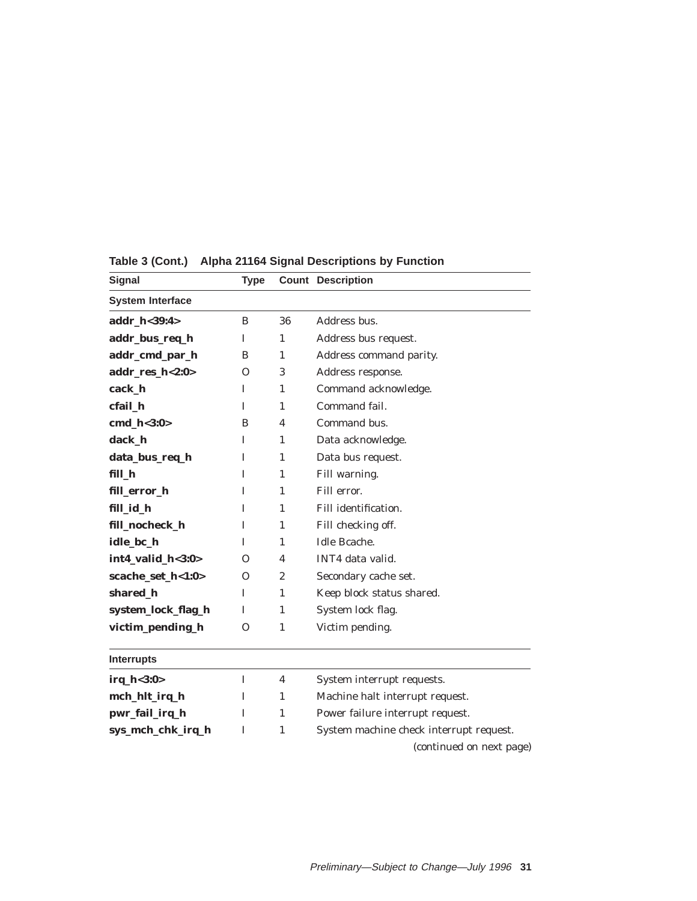| Signal                  | <b>Type</b>  |              | <b>Count Description</b>                |
|-------------------------|--------------|--------------|-----------------------------------------|
| <b>System Interface</b> |              |              |                                         |
| addr_h<39:4>            | B            | 36           | Address bus.                            |
| addr_bus_req_h          | L            | 1            | Address bus request.                    |
| addr_cmd_par_h          | B            | 1            | Address command parity.                 |
| addr_res_h<2:0>         | 0            | 3            | Address response.                       |
| cack_h                  | I            | 1            | Command acknowledge.                    |
| cfail h                 | Ι            | 1            | Command fail.                           |
| cmd_h<3:0>              | B            | 4            | Command bus.                            |
| dack_h                  | I            | 1            | Data acknowledge.                       |
| data_bus_req_h          | I            | $\mathbf{1}$ | Data bus request.                       |
| fill_h                  | I            | 1            | Fill warning.                           |
| fill_error_h            | I            | $\mathbf{1}$ | Fill error.                             |
| fill_id_h               | I            | 1            | Fill identification.                    |
| fill_nocheck_h          | Ι            | 1            | Fill checking off.                      |
| idle_bc_h               | L            | $\mathbf{1}$ | Idle Bcache.                            |
| int4_valid_h<3:0>       | 0            | 4            | INT4 data valid.                        |
| scache_set_h<1:0>       | 0            | 2            | Secondary cache set.                    |
| shared_h                | L            | 1            | Keep block status shared.               |
| system_lock_flag_h      | Ι            | $\mathbf{1}$ | System lock flag.                       |
| victim_pending_h        | $\mathbf{O}$ | $\mathbf{1}$ | Victim pending.                         |
| <b>Interrupts</b>       |              |              |                                         |
| irq_h<3:0>              | I            | 4            | System interrupt requests.              |
| mch_hlt_irq_h           | Ι            | 1            | Machine halt interrupt request.         |
| pwr_fail_irq_h          | I            | $\mathbf{1}$ | Power failure interrupt request.        |
| sys_mch_chk_irq_h       | I            | $\mathbf{1}$ | System machine check interrupt request. |
|                         |              |              | (continued on next page)                |

**Table 3 (Cont.) Alpha 21164 Signal Descriptions by Function**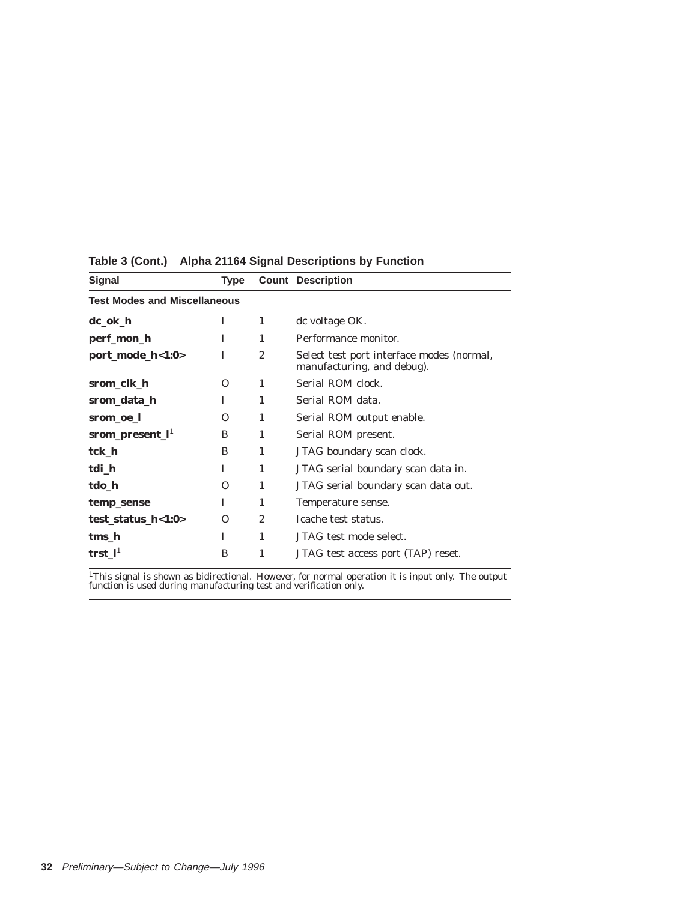| <b>Signal</b>               | Type                                |                | <b>Count Description</b>                                                |  |  |  |
|-----------------------------|-------------------------------------|----------------|-------------------------------------------------------------------------|--|--|--|
|                             | <b>Test Modes and Miscellaneous</b> |                |                                                                         |  |  |  |
| dc_ok_h                     | T                                   | $\mathbf{1}$   | dc voltage OK.                                                          |  |  |  |
| perf_mon_h                  | T                                   | $\mathbf{1}$   | Performance monitor.                                                    |  |  |  |
| port_mode_h<1:0>            | T                                   | $\overline{c}$ | Select test port interface modes (normal,<br>manufacturing, and debug). |  |  |  |
| srom_clk_h                  | O                                   | 1              | Serial ROM clock.                                                       |  |  |  |
| srom_data_h                 | I                                   | 1              | Serial ROM data.                                                        |  |  |  |
| srom_oe_l                   | $\Omega$                            | 1              | Serial ROM output enable.                                               |  |  |  |
| srom_present_l <sup>1</sup> | B                                   | 1              | Serial ROM present.                                                     |  |  |  |
| tck h                       | B                                   | 1              | JTAG boundary scan clock.                                               |  |  |  |
| tdi_h                       | I                                   | 1              | JTAG serial boundary scan data in.                                      |  |  |  |
| tdo h                       | O                                   | 1              | JTAG serial boundary scan data out.                                     |  |  |  |
| temp_sense                  | T                                   | 1              | Temperature sense.                                                      |  |  |  |
| test_status_h<1:0>          | $\Omega$                            | $\overline{2}$ | Icache test status.                                                     |  |  |  |
| tms h                       | I                                   | 1              | JTAG test mode select.                                                  |  |  |  |
| trst $\mathbf{l}^1$         | B                                   | 1              | JTAG test access port (TAP) reset.                                      |  |  |  |
|                             |                                     |                |                                                                         |  |  |  |

**Table 3 (Cont.) Alpha 21164 Signal Descriptions by Function**

<sup>1</sup>This signal is shown as bidirectional. However, for normal operation it is input only. The output function is used during manufacturing test and verification only.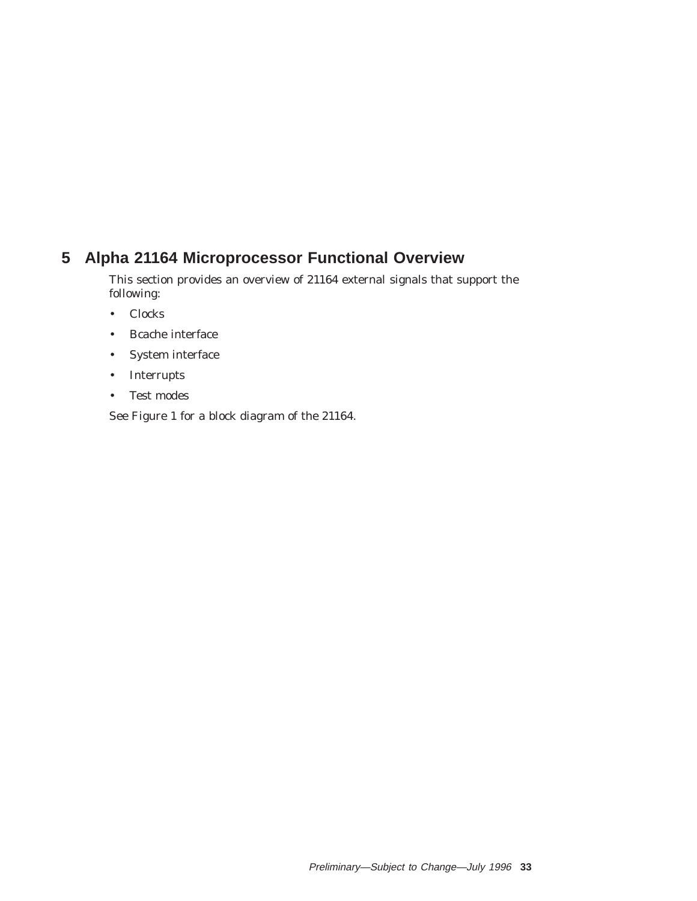# **5 Alpha 21164 Microprocessor Functional Overview**

This section provides an overview of 21164 external signals that support the following:

- Clocks
- Bcache interface
- System interface
- Interrupts
- Test modes

See Figure 1 for a block diagram of the 21164.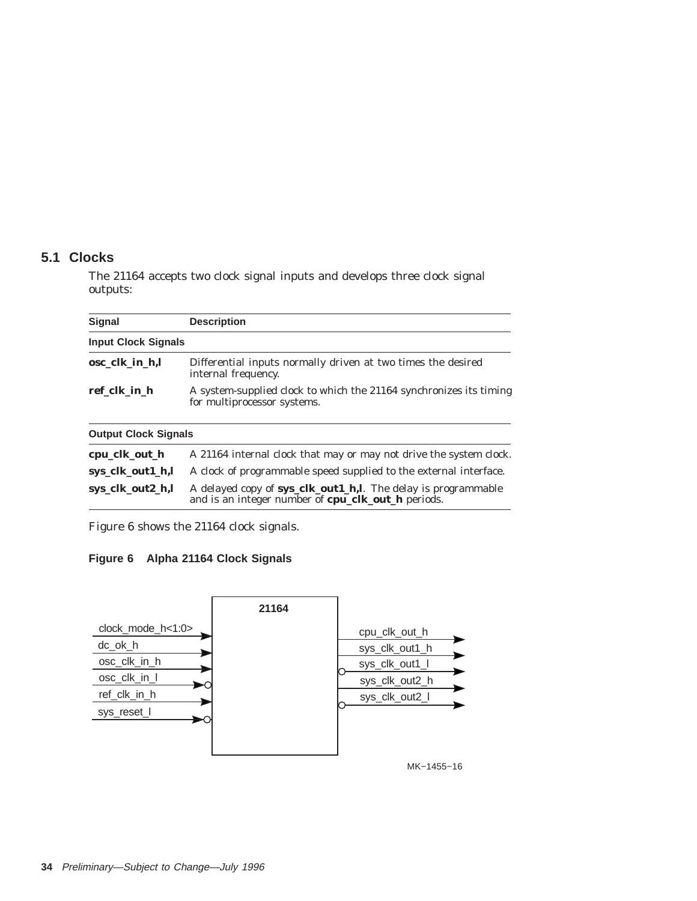## **5.1 Clocks**

The 21164 accepts two clock signal inputs and develops three clock signal outputs:

| <b>Signal</b>               | <b>Description</b>                                                                                                  |  |  |  |  |
|-----------------------------|---------------------------------------------------------------------------------------------------------------------|--|--|--|--|
| <b>Input Clock Signals</b>  |                                                                                                                     |  |  |  |  |
| osc_clk_in_h,l              | Differential inputs normally driven at two times the desired<br>internal frequency.                                 |  |  |  |  |
| ref clk in h                | A system-supplied clock to which the 21164 synchronizes its timing<br>for multiprocessor systems.                   |  |  |  |  |
| <b>Output Clock Signals</b> |                                                                                                                     |  |  |  |  |
| cpu_clk_out_h               | A 21164 internal clock that may or may not drive the system clock.                                                  |  |  |  |  |
| sys_clk_out1_h,l            | A clock of programmable speed supplied to the external interface.                                                   |  |  |  |  |
| sys_clk_out2_h,l            | A delayed copy of sys_clk_out1_h,l. The delay is programmable<br>and is an integer number of cpu_clk_out_h periods. |  |  |  |  |

Figure 6 shows the 21164 clock signals.

# **Figure 6 Alpha 21164 Clock Signals**

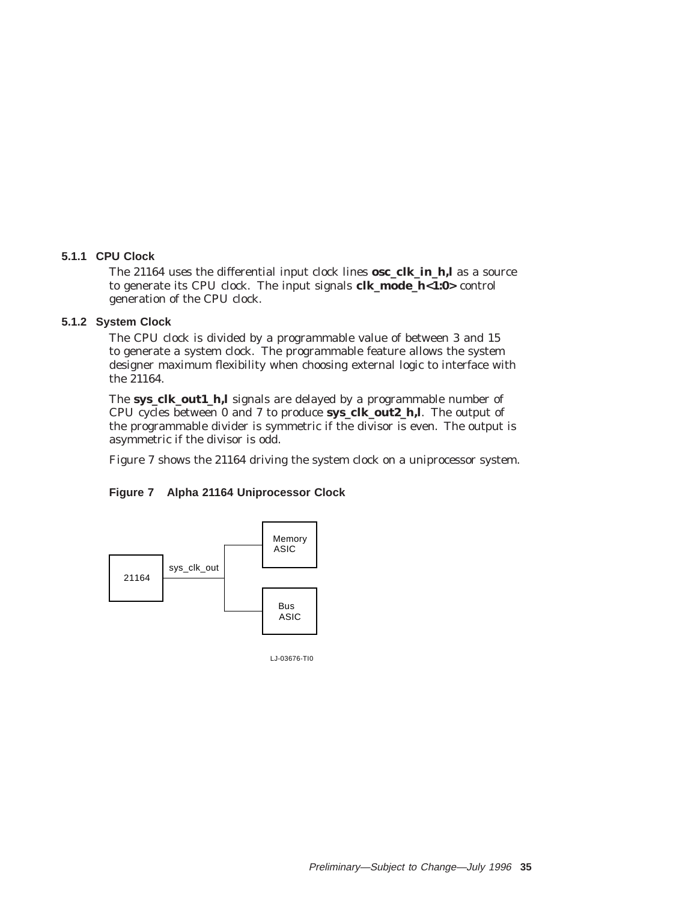### **5.1.1 CPU Clock**

The 21164 uses the differential input clock lines **osc\_clk\_in\_h,l** as a source to generate its CPU clock. The input signals **clk\_mode\_h<1:0>** control generation of the CPU clock.

### **5.1.2 System Clock**

The CPU clock is divided by a programmable value of between 3 and 15 to generate a system clock. The programmable feature allows the system designer maximum flexibility when choosing external logic to interface with the 21164.

The **sys\_clk\_out1\_h,l** signals are delayed by a programmable number of CPU cycles between 0 and 7 to produce **sys\_clk\_out2\_h,l**. The output of the programmable divider is symmetric if the divisor is even. The output is asymmetric if the divisor is odd.

Figure 7 shows the 21164 driving the system clock on a uniprocessor system.

#### **Figure 7 Alpha 21164 Uniprocessor Clock**



LJ-03676-TI0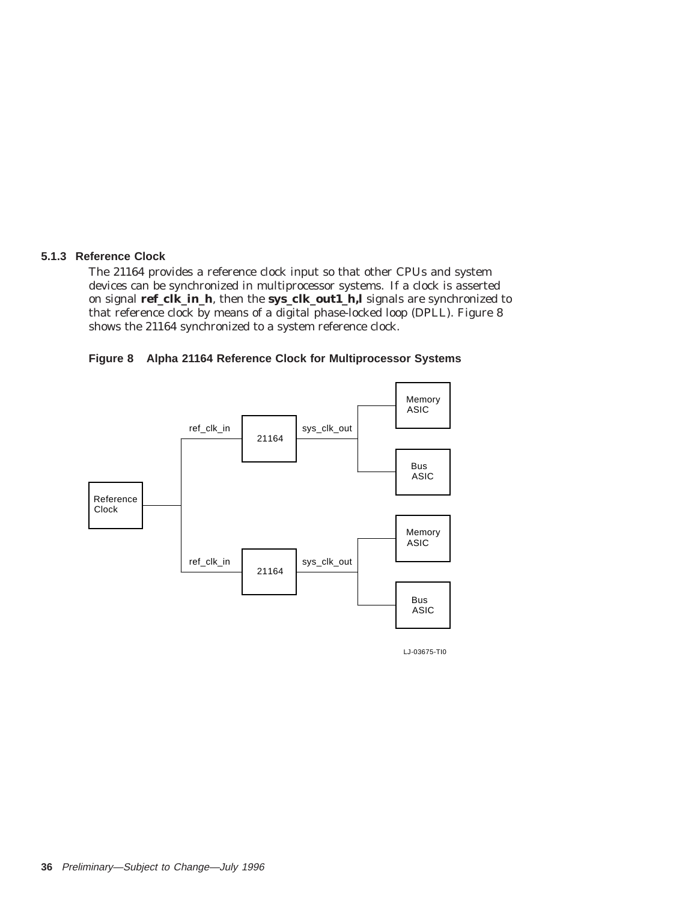### **5.1.3 Reference Clock**

The 21164 provides a reference clock input so that other CPUs and system devices can be synchronized in multiprocessor systems. If a clock is asserted on signal **ref\_clk\_in\_h**, then the **sys\_clk\_out1\_h,l** signals are synchronized to that reference clock by means of a digital phase-locked loop (DPLL). Figure 8 shows the 21164 synchronized to a system reference clock.





LJ-03675-TI0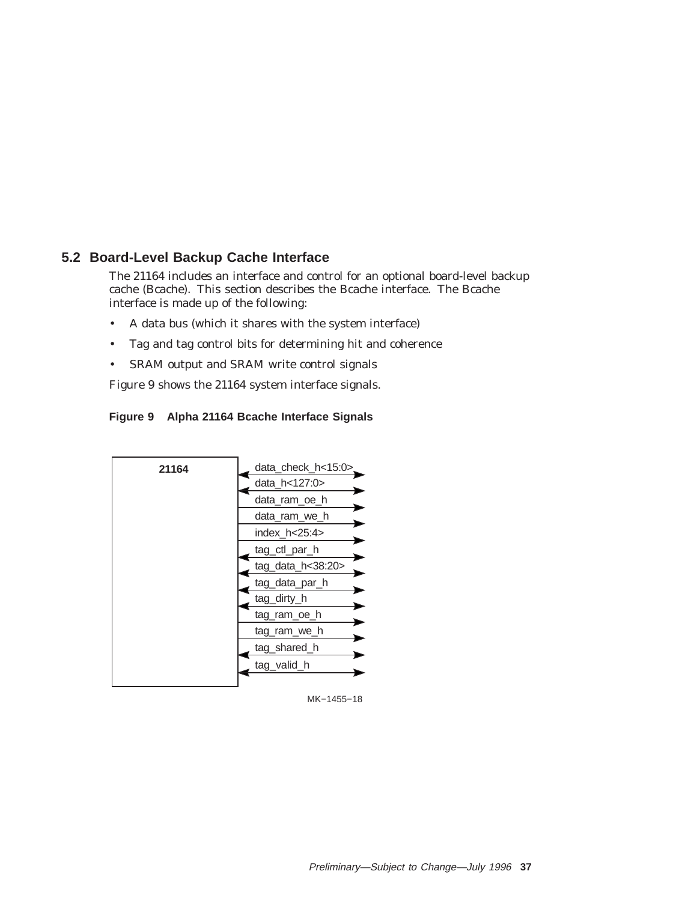# **5.2 Board-Level Backup Cache Interface**

The 21164 includes an interface and control for an optional board-level backup cache (Bcache). This section describes the Bcache interface. The Bcache interface is made up of the following:

- A data bus (which it shares with the system interface)
- Tag and tag control bits for determining hit and coherence
- SRAM output and SRAM write control signals

Figure 9 shows the 21164 system interface signals.

## **Figure 9 Alpha 21164 Bcache Interface Signals**



MK−1455−18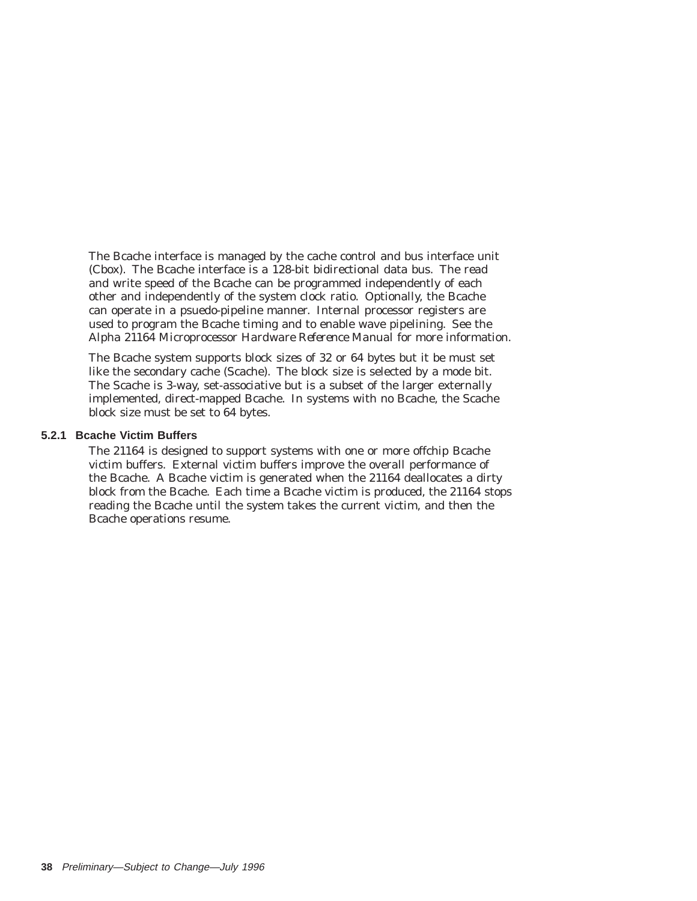The Bcache interface is managed by the cache control and bus interface unit (Cbox). The Bcache interface is a 128-bit bidirectional data bus. The read and write speed of the Bcache can be programmed independently of each other and independently of the system clock ratio. Optionally, the Bcache can operate in a psuedo-pipeline manner. Internal processor registers are used to program the Bcache timing and to enable wave pipelining. See the *Alpha 21164 Microprocessor Hardware Reference Manual* for more information.

The Bcache system supports block sizes of 32 or 64 bytes but it be must set like the secondary cache (Scache). The block size is selected by a mode bit. The Scache is 3-way, set-associative but is a subset of the larger externally implemented, direct-mapped Bcache. In systems with no Bcache, the Scache block size must be set to 64 bytes.

#### **5.2.1 Bcache Victim Buffers**

The 21164 is designed to support systems with one or more offchip Bcache victim buffers. External victim buffers improve the overall performance of the Bcache. A Bcache victim is generated when the 21164 deallocates a dirty block from the Bcache. Each time a Bcache victim is produced, the 21164 stops reading the Bcache until the system takes the current victim, and then the Bcache operations resume.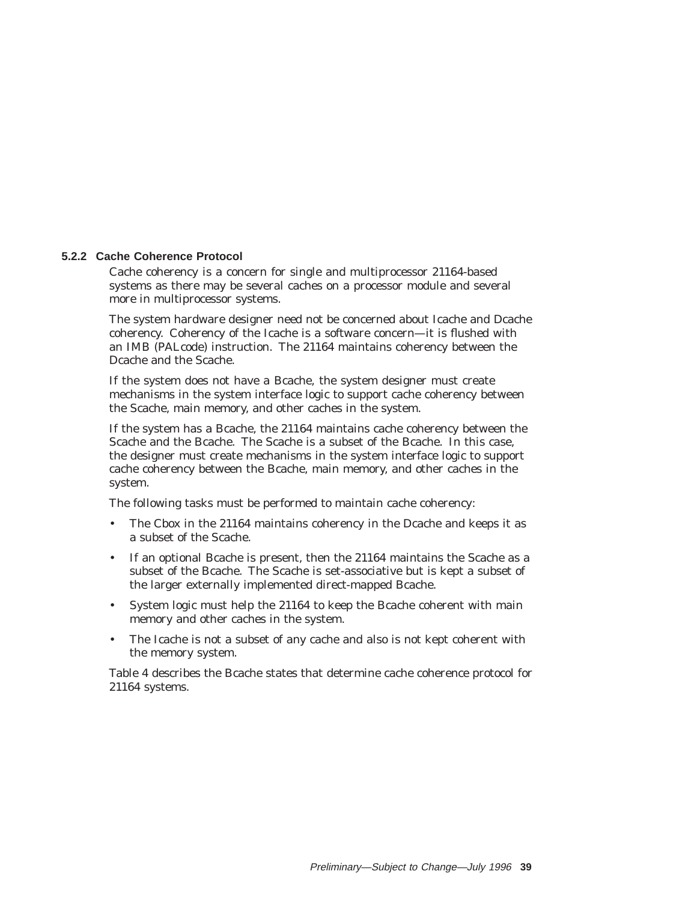### **5.2.2 Cache Coherence Protocol**

Cache coherency is a concern for single and multiprocessor 21164-based systems as there may be several caches on a processor module and several more in multiprocessor systems.

The system hardware designer need not be concerned about Icache and Dcache coherency. Coherency of the Icache is a software concern—it is flushed with an IMB (PALcode) instruction. The 21164 maintains coherency between the Dcache and the Scache.

If the system does not have a Bcache, the system designer must create mechanisms in the system interface logic to support cache coherency between the Scache, main memory, and other caches in the system.

If the system has a Bcache, the 21164 maintains cache coherency between the Scache and the Bcache. The Scache is a subset of the Bcache. In this case, the designer must create mechanisms in the system interface logic to support cache coherency between the Bcache, main memory, and other caches in the system.

The following tasks must be performed to maintain cache coherency:

- The Cbox in the 21164 maintains coherency in the Dcache and keeps it as a subset of the Scache.
- If an optional Bcache is present, then the 21164 maintains the Scache as a subset of the Bcache. The Scache is set-associative but is kept a subset of the larger externally implemented direct-mapped Bcache.
- System logic must help the 21164 to keep the Bcache coherent with main memory and other caches in the system.
- The Icache is not a subset of any cache and also is not kept coherent with the memory system.

Table 4 describes the Bcache states that determine cache coherence protocol for 21164 systems.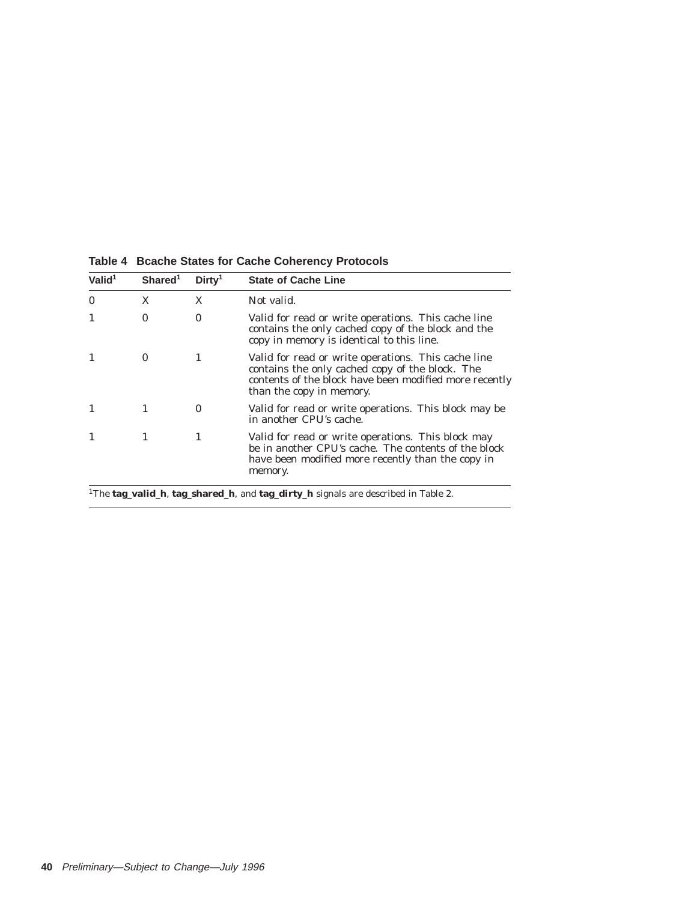| Valid $1$    | Shared <sup>1</sup> | Dirtv <sup>1</sup> | <b>State of Cache Line</b>                                                                                                                                                                   |
|--------------|---------------------|--------------------|----------------------------------------------------------------------------------------------------------------------------------------------------------------------------------------------|
| $\mathbf{0}$ | X                   | X                  | Not valid.                                                                                                                                                                                   |
|              | 0                   | 0                  | Valid for read or write operations. This cache line<br>contains the only cached copy of the block and the<br>copy in memory is identical to this line.                                       |
|              | $\bf{0}$            | 1                  | Valid for read or write operations. This cache line<br>contains the only cached copy of the block. The<br>contents of the block have been modified more recently<br>than the copy in memory. |
|              | 1                   | $\bf{0}$           | Valid for read or write operations. This block may be<br>in another CPU's cache.                                                                                                             |
|              |                     | 1                  | Valid for read or write operations. This block may<br>be in another CPU's cache. The contents of the block<br>have been modified more recently than the copy in<br>memory.                   |

**Table 4 Bcache States for Cache Coherency Protocols**

1The **tag\_valid\_h**, **tag\_shared\_h**, and **tag\_dirty\_h** signals are described in Table 2.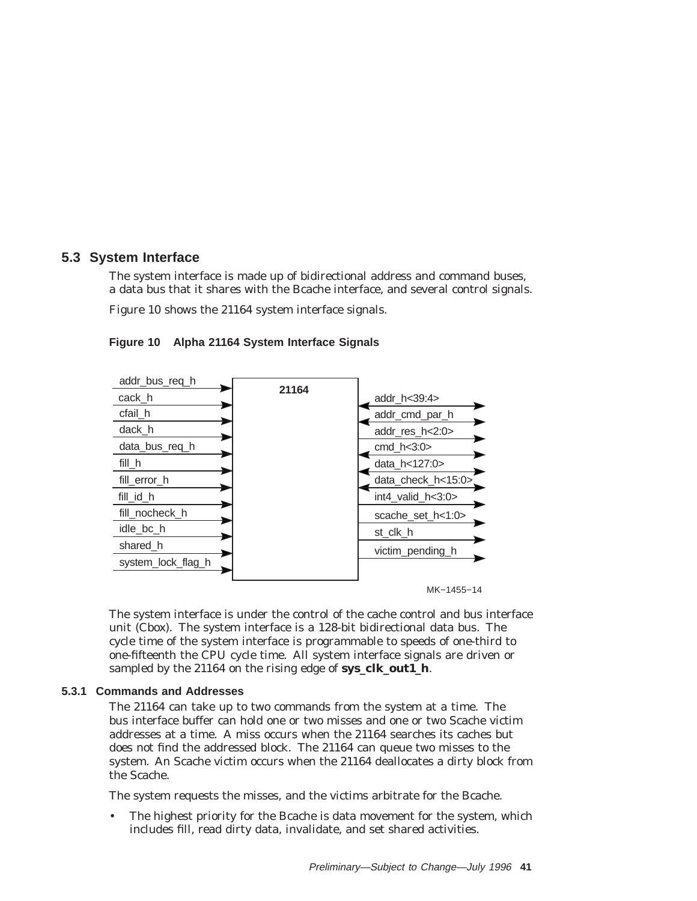## **5.3 System Interface**

The system interface is made up of bidirectional address and command buses, a data bus that it shares with the Bcache interface, and several control signals.

Figure 10 shows the 21164 system interface signals.



**Figure 10 Alpha 21164 System Interface Signals**

The system interface is under the control of the cache control and bus interface unit (Cbox). The system interface is a 128-bit bidirectional data bus. The cycle time of the system interface is programmable to speeds of one-third to one-fifteenth the CPU cycle time. All system interface signals are driven or sampled by the 21164 on the rising edge of **sys\_clk\_out1\_h**.

## **5.3.1 Commands and Addresses**

The 21164 can take up to two commands from the system at a time. The bus interface buffer can hold one or two misses and one or two Scache victim addresses at a time. A miss occurs when the 21164 searches its caches but does not find the addressed block. The 21164 can queue two misses to the system. An Scache victim occurs when the 21164 deallocates a dirty block from the Scache.

The system requests the misses, and the victims arbitrate for the Bcache.

The highest priority for the Bcache is data movement for the system, which includes fill, read dirty data, invalidate, and set shared activities.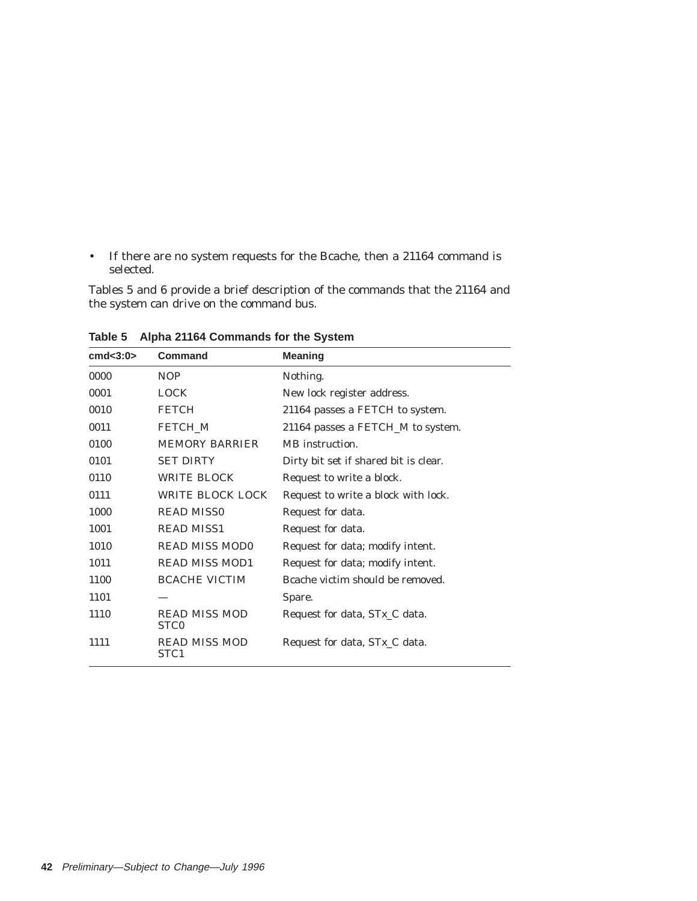• If there are no system requests for the Bcache, then a 21164 command is selected.

Tables 5 and 6 provide a brief description of the commands that the 21164 and the system can drive on the command bus.

| cmd < 3:0> | Command                                  | <b>Meaning</b>                        |
|------------|------------------------------------------|---------------------------------------|
| 0000       | NOP                                      | Nothing.                              |
| 0001       | <b>LOCK</b>                              | New lock register address.            |
| 0010       | <b>FETCH</b>                             | 21164 passes a FETCH to system.       |
| 0011       | FETCH M                                  | 21164 passes a FETCH_M to system.     |
| 0100       | <b>MEMORY BARRIER</b>                    | MB instruction.                       |
| 0101       | <b>SET DIRTY</b>                         | Dirty bit set if shared bit is clear. |
| 0110       | <b>WRITE BLOCK</b>                       | Request to write a block.             |
| 0111       | <b>WRITE BLOCK LOCK</b>                  | Request to write a block with lock.   |
| 1000       | <b>READ MISS0</b>                        | Request for data.                     |
| 1001       | <b>READ MISS1</b>                        | Request for data.                     |
| 1010       | <b>READ MISS MODO</b>                    | Request for data; modify intent.      |
| 1011       | <b>READ MISS MOD1</b>                    | Request for data; modify intent.      |
| 1100       | <b>BCACHE VICTIM</b>                     | Bcache victim should be removed.      |
| 1101       |                                          | Spare.                                |
| 1110       | <b>READ MISS MOD</b><br>STC <sub>0</sub> | Request for data, STx_C data.         |
| 1111       | <b>READ MISS MOD</b><br>STC1             | Request for data, STx_C data.         |
|            |                                          |                                       |

**Table 5 Alpha 21164 Commands for the System**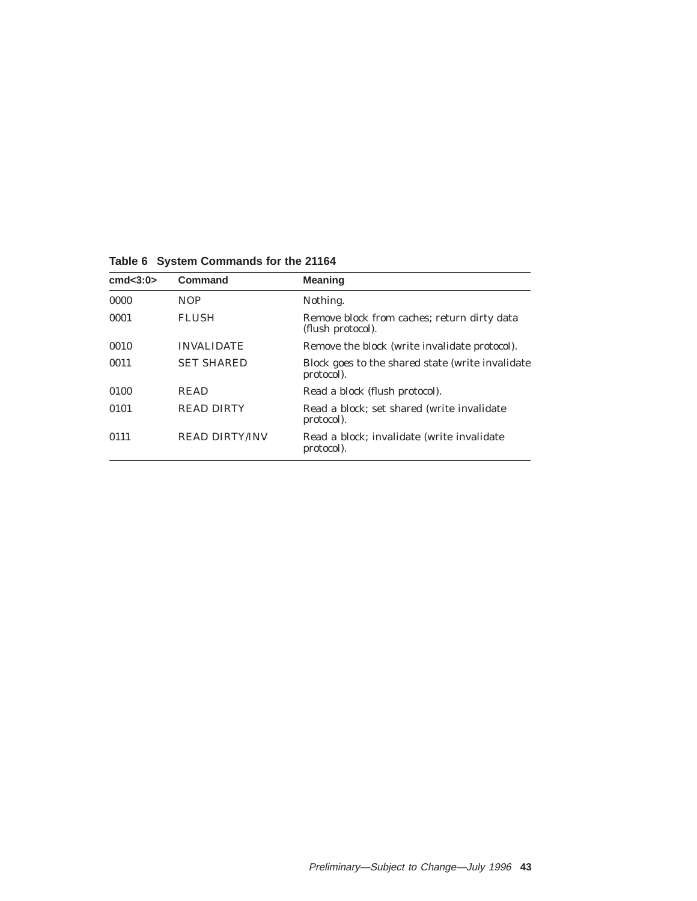**Table 6 System Commands for the 21164**

| cmd<3:0> | Command               | <b>Meaning</b>                                                   |
|----------|-----------------------|------------------------------------------------------------------|
| 0000     | <b>NOP</b>            | Nothing.                                                         |
| 0001     | <b>FLUSH</b>          | Remove block from caches; return dirty data<br>(flush protocol). |
| 0010     | <b>INVALIDATE</b>     | Remove the block (write invalidate protocol).                    |
| 0011     | <b>SET SHARED</b>     | Block goes to the shared state (write invalidate<br>protocol).   |
| 0100     | <b>READ</b>           | Read a block (flush protocol).                                   |
| 0101     | <b>READ DIRTY</b>     | Read a block; set shared (write invalidate)<br>protocol).        |
| 0111     | <b>READ DIRTY/INV</b> | Read a block; invalidate (write invalidate)<br>protocol).        |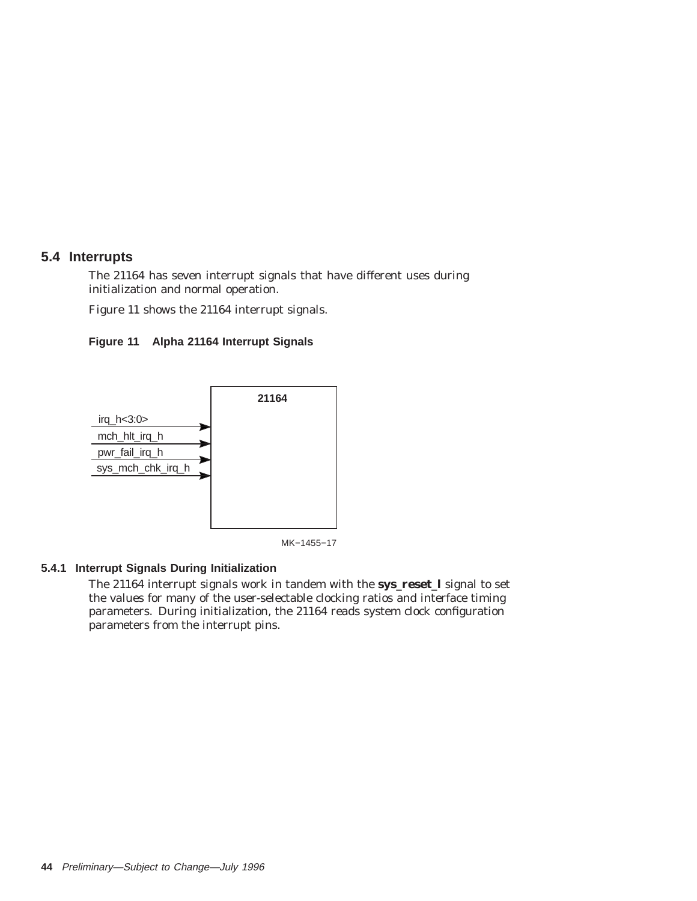## **5.4 Interrupts**

The 21164 has seven interrupt signals that have different uses during initialization and normal operation.

Figure 11 shows the 21164 interrupt signals.





MK−1455−17

## **5.4.1 Interrupt Signals During Initialization**

The 21164 interrupt signals work in tandem with the **sys\_reset\_l** signal to set the values for many of the user-selectable clocking ratios and interface timing parameters. During initialization, the 21164 reads system clock configuration parameters from the interrupt pins.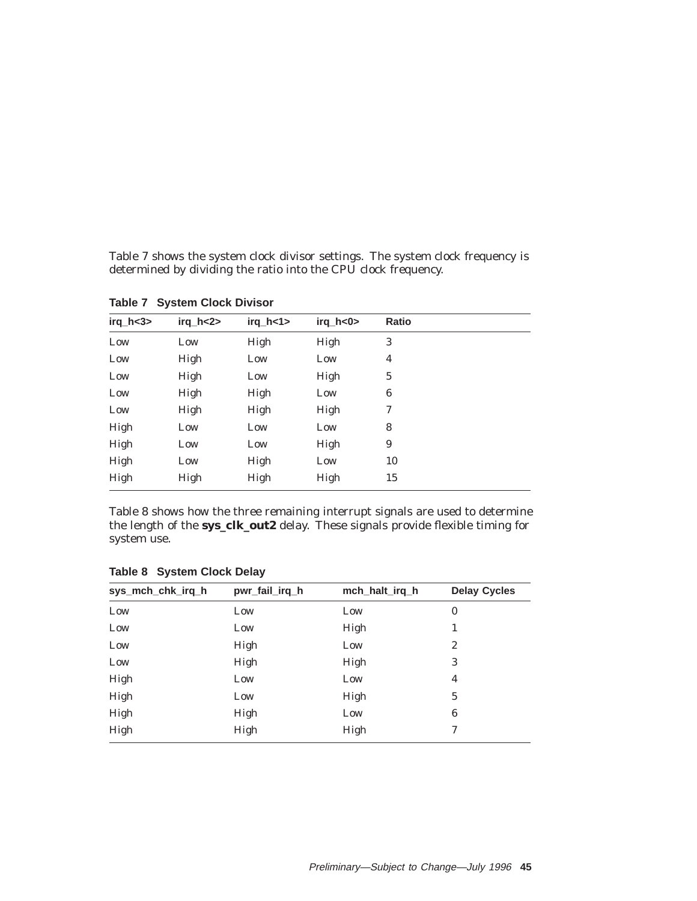Table 7 shows the system clock divisor settings. The system clock frequency is determined by dividing the ratio into the CPU clock frequency.

| $irq_h <3>$ | irq_h<2> | $irq_h < 1$ | $irq_h < 0$ | Ratio                   |
|-------------|----------|-------------|-------------|-------------------------|
| Low         | Low      | High        | High        | 3                       |
| Low         | High     | Low         | Low         | $\overline{\mathbf{4}}$ |
| Low         | High     | Low         | High        | $\mathbf 5$             |
| Low         | High     | High        | Low         | 6                       |
| Low         | High     | High        | High        | 7                       |
| High        | Low      | Low         | Low         | 8                       |
| High        | Low      | Low         | High        | $\boldsymbol{9}$        |
| High        | Low      | High        | Low         | 10                      |
| High        | High     | High        | High        | 15                      |

**Table 7 System Clock Divisor**

Table 8 shows how the three remaining interrupt signals are used to determine the length of the **sys\_clk\_out2** delay. These signals provide flexible timing for system use.

| sys_mch_chk_irq_h | pwr_fail_irq_h | mch_halt_irq_h | <b>Delay Cycles</b> |
|-------------------|----------------|----------------|---------------------|
| Low               | Low            | Low            | $\bf{0}$            |
| Low               | Low            | High           |                     |
| Low               | High           | Low            | 2                   |
| Low               | High           | High           | 3                   |
| High              | Low            | Low            | 4                   |
| High              | Low            | High           | 5                   |
| High              | High           | Low            | 6                   |
| High              | High           | High           | 7                   |

**Table 8 System Clock Delay**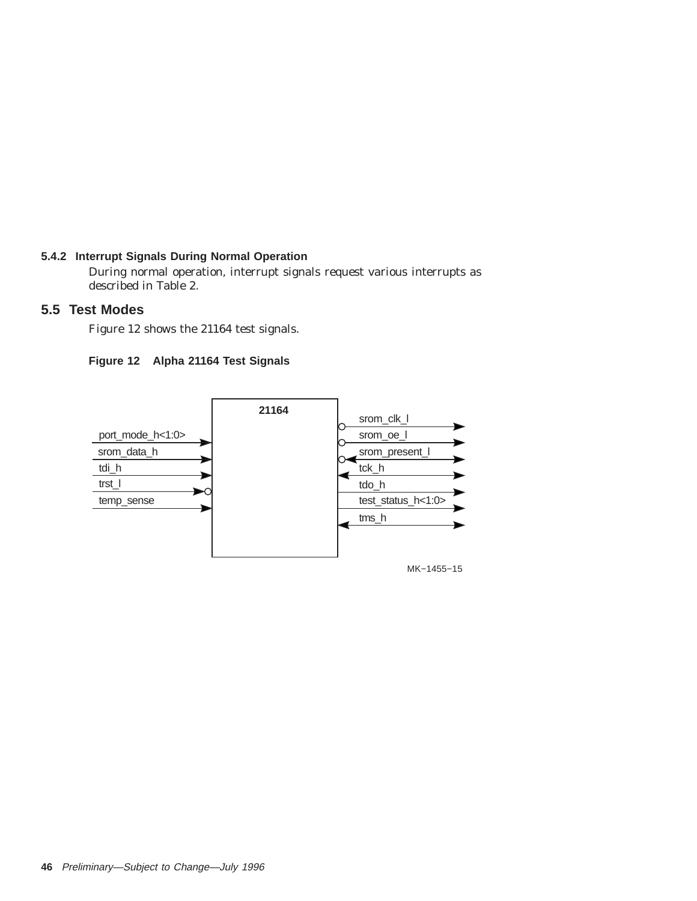## **5.4.2 Interrupt Signals During Normal Operation**

During normal operation, interrupt signals request various interrupts as described in Table 2.

## **5.5 Test Modes**

Figure 12 shows the 21164 test signals.



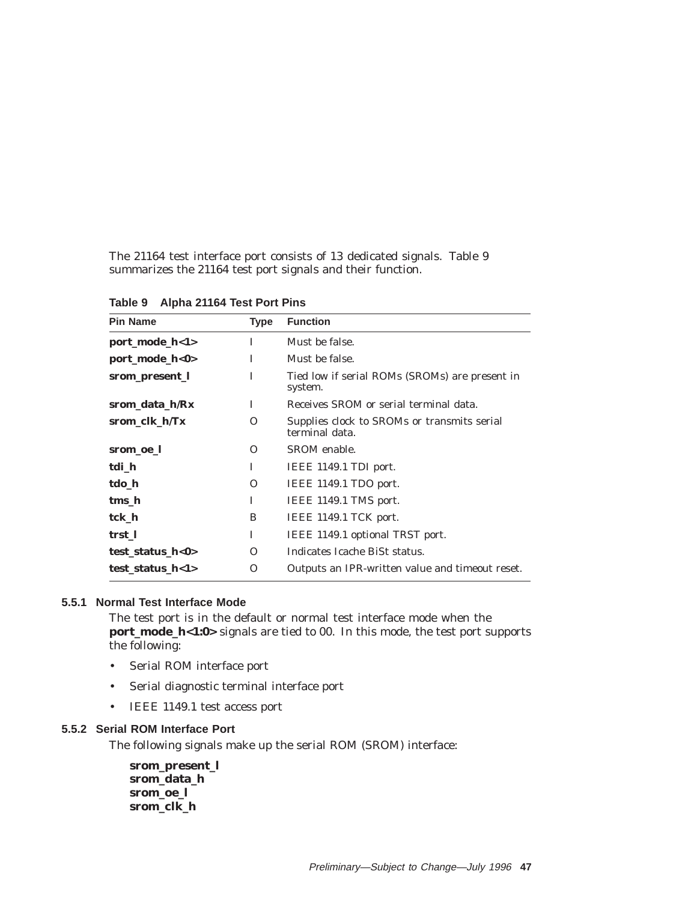The 21164 test interface port consists of 13 dedicated signals. Table 9 summarizes the 21164 test port signals and their function.

| <b>Pin Name</b>                | <b>Type</b> | <b>Function</b>                                               |
|--------------------------------|-------------|---------------------------------------------------------------|
| port_mode_h<1>                 | T           | Must be false.                                                |
| port_mode_h<0>                 | I           | Must be false.                                                |
| srom_present_l                 | I           | Tied low if serial ROMs (SROMs) are present in<br>system.     |
| srom data h/Rx                 | T           | Receives SROM or serial terminal data.                        |
| srom clk h/Tx                  | $\Omega$    | Supplies clock to SROMs or transmits serial<br>terminal data. |
| srom_oe_l                      | O           | SROM enable.                                                  |
| tdi h                          | I           | IEEE 1149.1 TDI port.                                         |
| tdo h                          | $\Omega$    | IEEE 1149.1 TDO port.                                         |
| tms h                          | I           | IEEE 1149.1 TMS port.                                         |
| tck h                          | B           | IEEE 1149.1 TCK port.                                         |
| trst 1                         | T           | IEEE 1149.1 optional TRST port.                               |
| test_status_h<0>               | Ω           | Indicates Icache BiSt status.                                 |
| test status $h<1>$<br>$\Omega$ |             | Outputs an IPR-written value and timeout reset.               |

**Table 9 Alpha 21164 Test Port Pins**

## **5.5.1 Normal Test Interface Mode**

The test port is in the default or normal test interface mode when the **port\_mode\_h<1:0>** signals are tied to 00. In this mode, the test port supports the following:

- Serial ROM interface port
- Serial diagnostic terminal interface port
- IEEE 1149.1 test access port

### **5.5.2 Serial ROM Interface Port**

The following signals make up the serial ROM (SROM) interface:

**srom\_present\_l srom\_data\_h srom\_oe\_l srom\_clk\_h**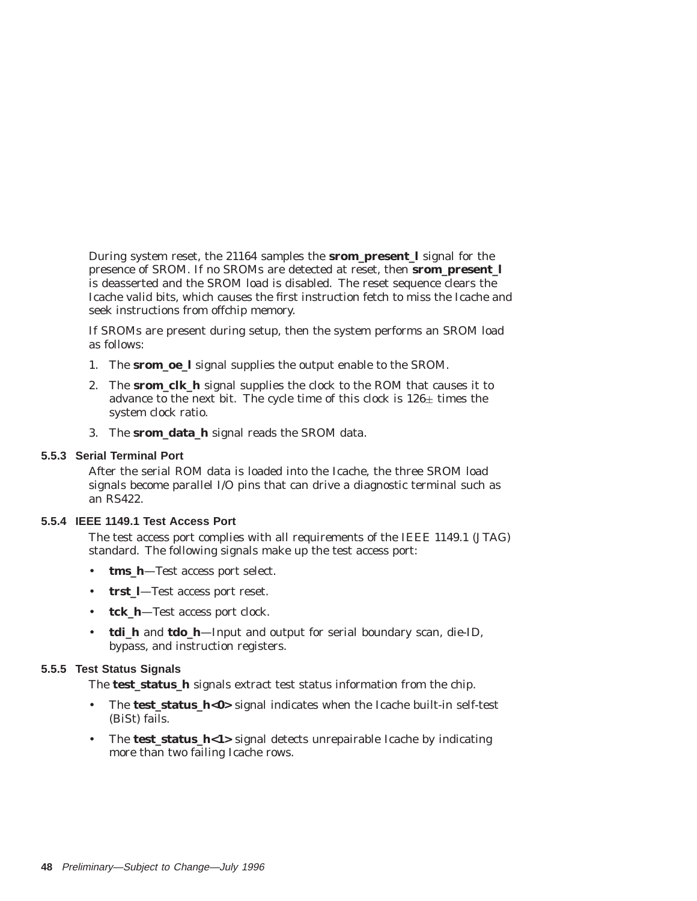During system reset, the 21164 samples the **srom\_present\_l** signal for the presence of SROM. If no SROMs are detected at reset, then **srom\_present\_l** is deasserted and the SROM load is disabled. The reset sequence clears the Icache valid bits, which causes the first instruction fetch to miss the Icache and seek instructions from offchip memory.

If SROMs are present during setup, then the system performs an SROM load as follows:

- 1. The **srom\_oe\_l** signal supplies the output enable to the SROM.
- 2. The **srom\_clk\_h** signal supplies the clock to the ROM that causes it to advance to the next bit. The cycle time of this clock is  $126\pm$  times the system clock ratio.
- 3. The **srom\_data\_h** signal reads the SROM data.

#### **5.5.3 Serial Terminal Port**

After the serial ROM data is loaded into the Icache, the three SROM load signals become parallel I/O pins that can drive a diagnostic terminal such as an RS422.

### **5.5.4 IEEE 1149.1 Test Access Port**

The test access port complies with all requirements of the IEEE 1149.1 (JTAG) standard. The following signals make up the test access port:

- tms h-Test access port select.
- **trst\_l**—Test access port reset.
- **tck\_h**—Test access port clock.
- **tdi\_h** and **tdo\_h**—Input and output for serial boundary scan, die-ID, bypass, and instruction registers.

#### **5.5.5 Test Status Signals**

The **test status** h signals extract test status information from the chip.

- The **test\_status\_h<0>** signal indicates when the Icache built-in self-test (BiSt) fails.
- The **test\_status\_h<1>** signal detects unrepairable Icache by indicating more than two failing Icache rows.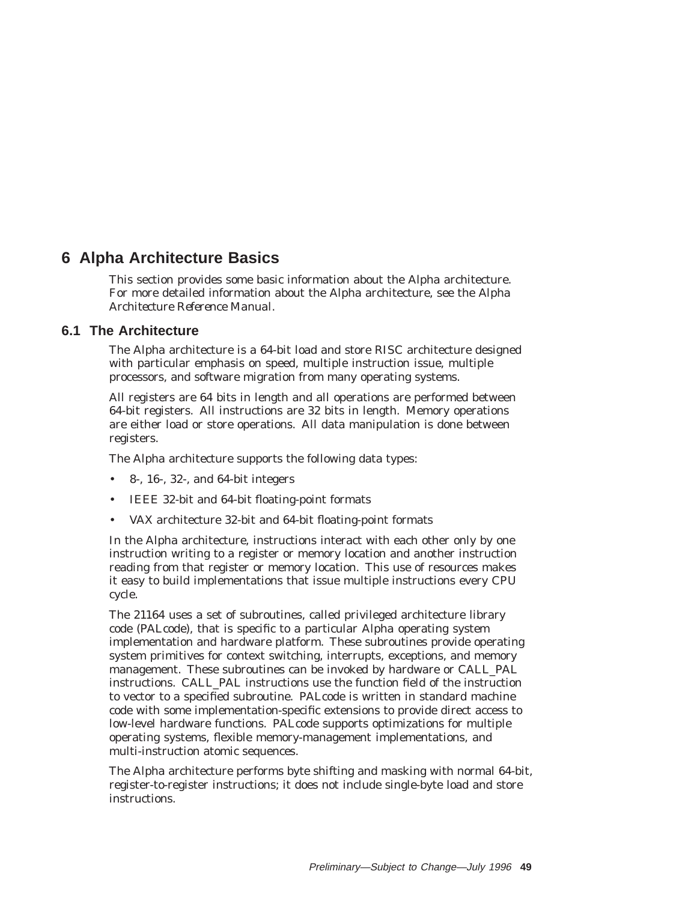# **6 Alpha Architecture Basics**

This section provides some basic information about the Alpha architecture. For more detailed information about the Alpha architecture, see the *Alpha Architecture Reference Manual*.

## **6.1 The Architecture**

The Alpha architecture is a 64-bit load and store RISC architecture designed with particular emphasis on speed, multiple instruction issue, multiple processors, and software migration from many operating systems.

All registers are 64 bits in length and all operations are performed between 64-bit registers. All instructions are 32 bits in length. Memory operations are either load or store operations. All data manipulation is done between registers.

The Alpha architecture supports the following data types:

- 8-, 16-, 32-, and 64-bit integers
- IEEE 32-bit and 64-bit floating-point formats
- VAX architecture 32-bit and 64-bit floating-point formats

In the Alpha architecture, instructions interact with each other only by one instruction writing to a register or memory location and another instruction reading from that register or memory location. This use of resources makes it easy to build implementations that issue multiple instructions every CPU cycle.

The 21164 uses a set of subroutines, called privileged architecture library code (PALcode), that is specific to a particular Alpha operating system implementation and hardware platform. These subroutines provide operating system primitives for context switching, interrupts, exceptions, and memory management. These subroutines can be invoked by hardware or CALL\_PAL instructions. CALL\_PAL instructions use the function field of the instruction to vector to a specified subroutine. PALcode is written in standard machine code with some implementation-specific extensions to provide direct access to low-level hardware functions. PALcode supports optimizations for multiple operating systems, flexible memory-management implementations, and multi-instruction atomic sequences.

The Alpha architecture performs byte shifting and masking with normal 64-bit, register-to-register instructions; it does not include single-byte load and store instructions.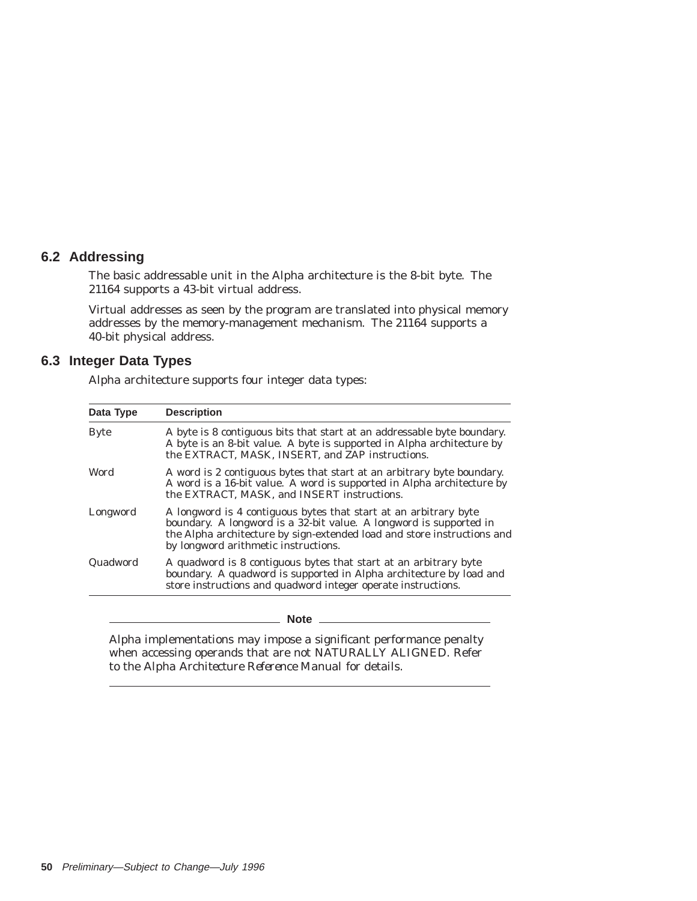## **6.2 Addressing**

The basic addressable unit in the Alpha architecture is the 8-bit byte. The 21164 supports a 43-bit virtual address.

Virtual addresses as seen by the program are translated into physical memory addresses by the memory-management mechanism. The 21164 supports a 40-bit physical address.

## **6.3 Integer Data Types**

Alpha architecture supports four integer data types:

| <b>Description</b>                                                                                                                                                                                                                                        |
|-----------------------------------------------------------------------------------------------------------------------------------------------------------------------------------------------------------------------------------------------------------|
| A byte is 8 contiguous bits that start at an addressable byte boundary.<br>A byte is an 8-bit value. A byte is supported in Alpha architecture by<br>the EXTRACT, MASK, INSERT, and ZAP instructions.                                                     |
| A word is 2 contiguous bytes that start at an arbitrary byte boundary.<br>A word is a 16-bit value. A word is supported in Alpha architecture by<br>the EXTRACT, MASK, and INSERT instructions.                                                           |
| A longword is 4 contiguous bytes that start at an arbitrary byte<br>boundary. A longword is a 32-bit value. A longword is supported in<br>the Alpha architecture by sign-extended load and store instructions and<br>by longword arithmetic instructions. |
| A quadword is 8 contiguous bytes that start at an arbitrary byte<br>boundary. A quadword is supported in Alpha architecture by load and<br>store instructions and quadword integer operate instructions.                                                  |
|                                                                                                                                                                                                                                                           |

**Note** \_\_\_\_\_\_\_

Alpha implementations may impose a significant performance penalty when accessing operands that are not NATURALLY ALIGNED. Refer to the *Alpha Architecture Reference Manual* for details.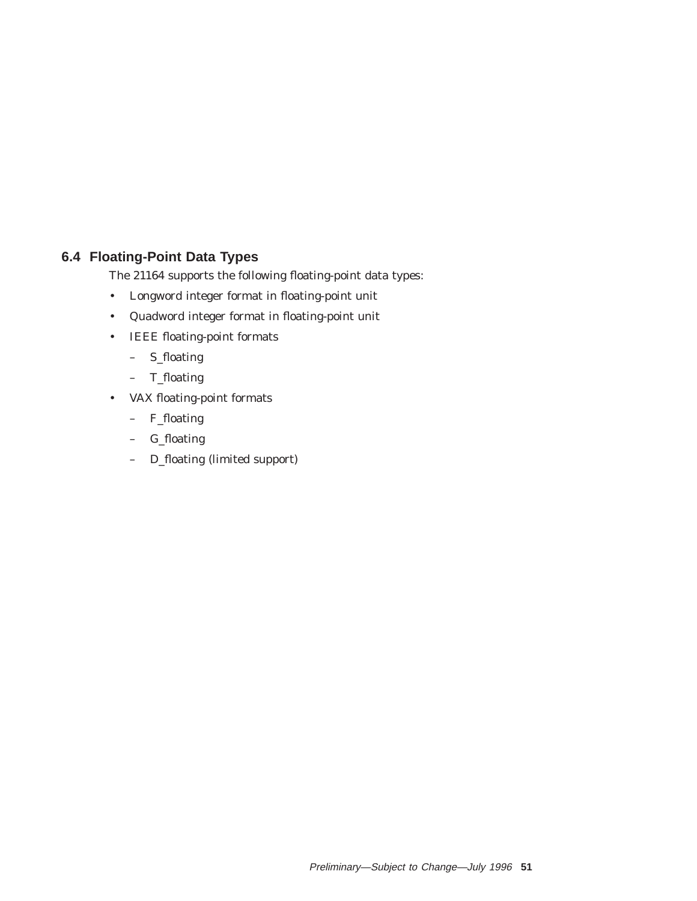# **6.4 Floating-Point Data Types**

The 21164 supports the following floating-point data types:

- Longword integer format in floating-point unit
- Quadword integer format in floating-point unit
- IEEE floating-point formats
	- S\_floating
	- T\_floating
- VAX floating-point formats
	- F\_floating
	- G\_floating
	- D\_floating (limited support)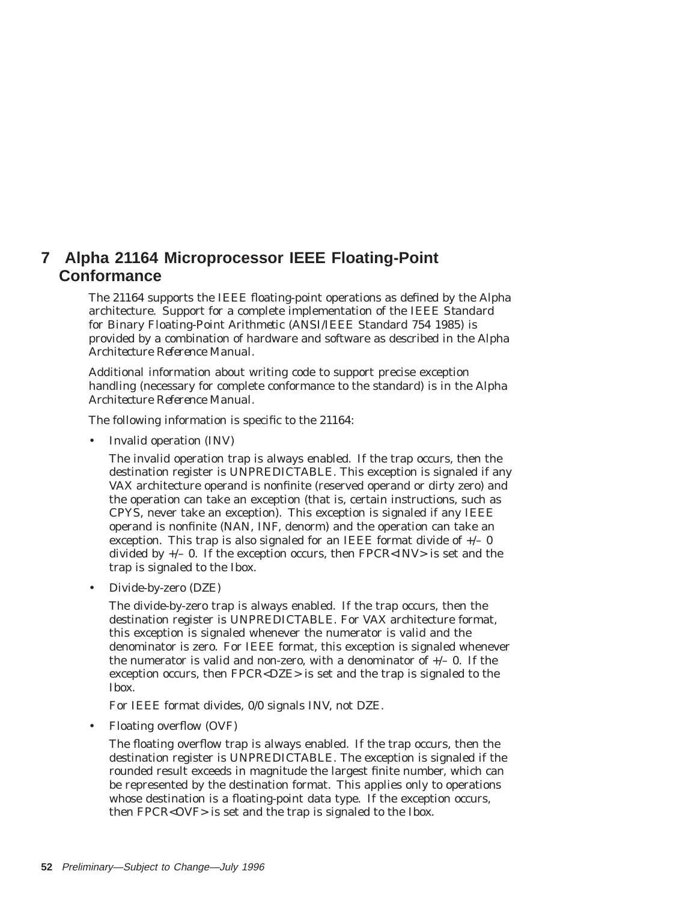# **7 Alpha 21164 Microprocessor IEEE Floating-Point Conformance**

The 21164 supports the IEEE floating-point operations as defined by the Alpha architecture. Support for a complete implementation of the IEEE *Standard for Binary Floating-Point Arithmetic* (ANSI/IEEE Standard 754 1985) is provided by a combination of hardware and software as described in the *Alpha Architecture Reference Manual*.

Additional information about writing code to support precise exception handling (necessary for complete conformance to the standard) is in the *Alpha Architecture Reference Manual*.

The following information is specific to the 21164:

• Invalid operation (INV)

The invalid operation trap is always enabled. If the trap occurs, then the destination register is UNPREDICTABLE. This exception is signaled if any VAX architecture operand is nonfinite (reserved operand or dirty zero) and the operation can take an exception (that is, certain instructions, such as CPYS, never take an exception). This exception is signaled if any IEEE operand is nonfinite (NAN, INF, denorm) and the operation can take an exception. This trap is also signaled for an IEEE format divide of  $+/- 0$ divided by  $+/-$  0. If the exception occurs, then  $\text{FPCR}\text{}< \text{INV}\text{> is set}$  and the trap is signaled to the Ibox.

• Divide-by-zero (DZE)

The divide-by-zero trap is always enabled. If the trap occurs, then the destination register is UNPREDICTABLE. For VAX architecture format, this exception is signaled whenever the numerator is valid and the denominator is zero. For IEEE format, this exception is signaled whenever the numerator is valid and non-zero, with a denominator of  $+/-$  0. If the exception occurs, then FPCR<DZE> is set and the trap is signaled to the Ibox.

For IEEE format divides, 0/0 signals INV, not DZE.

• Floating overflow (OVF)

The floating overflow trap is always enabled. If the trap occurs, then the destination register is UNPREDICTABLE. The exception is signaled if the rounded result exceeds in magnitude the largest finite number, which can be represented by the destination format. This applies only to operations whose destination is a floating-point data type. If the exception occurs, then FPCR<OVF> is set and the trap is signaled to the Ibox.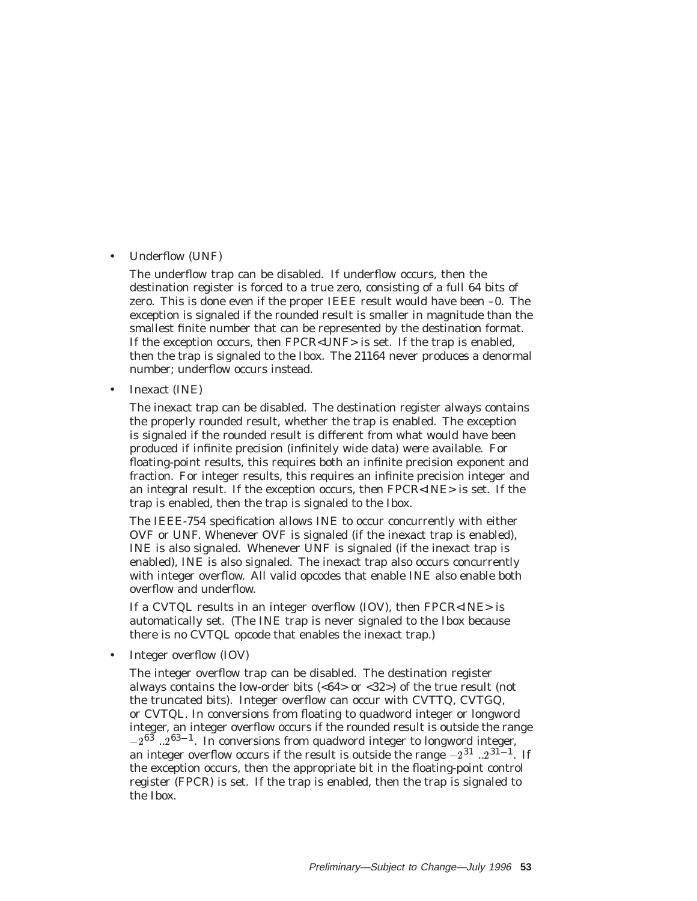#### • Underflow (UNF)

The underflow trap can be disabled. If underflow occurs, then the destination register is forced to a true zero, consisting of a full 64 bits of zero. This is done even if the proper IEEE result would have been –0. The exception is signaled if the rounded result is smaller in magnitude than the smallest finite number that can be represented by the destination format. If the exception occurs, then FPCR<UNF> is set. If the trap is enabled, then the trap is signaled to the Ibox. The 21164 never produces a denormal number; underflow occurs instead.

• Inexact (INE)

The inexact trap can be disabled. The destination register always contains the properly rounded result, whether the trap is enabled. The exception is signaled if the rounded result is different from what would have been produced if infinite precision (infinitely wide data) were available. For floating-point results, this requires both an infinite precision exponent and fraction. For integer results, this requires an infinite precision integer and an integral result. If the exception occurs, then FPCR<INE> is set. If the trap is enabled, then the trap is signaled to the Ibox.

The IEEE-754 specification allows INE to occur concurrently with either OVF or UNF. Whenever OVF is signaled (if the inexact trap is enabled), INE is also signaled. Whenever UNF is signaled (if the inexact trap is enabled), INE is also signaled. The inexact trap also occurs concurrently with integer overflow. All valid opcodes that enable INE also enable both overflow and underflow.

If a CVTQL results in an integer overflow (IOV), then FPCR<INE> is automatically set. (The INE trap is never signaled to the Ibox because there is no CVTQL opcode that enables the inexact trap.)

• Integer overflow (IOV)

The integer overflow trap can be disabled. The destination register always contains the low-order bits  $( $64$  or  $$32$ )$  of the true result (not$ the truncated bits). Integer overflow can occur with CVTTQ, CVTGQ, or CVTQL. In conversions from floating to quadword integer or longword integer, an integer overflow occurs if the rounded result is outside the range  $-2^{63}$  ...  $2^{63-1}$ . In conversions from quadword integer to longword integer, an integer overflow occurs if the result is outside the range  $-2^{31}$  ...  $2^{31-1}$ . If the exception occurs, then the appropriate bit in the floating-point control register (FPCR) is set. If the trap is enabled, then the trap is signaled to the Ibox.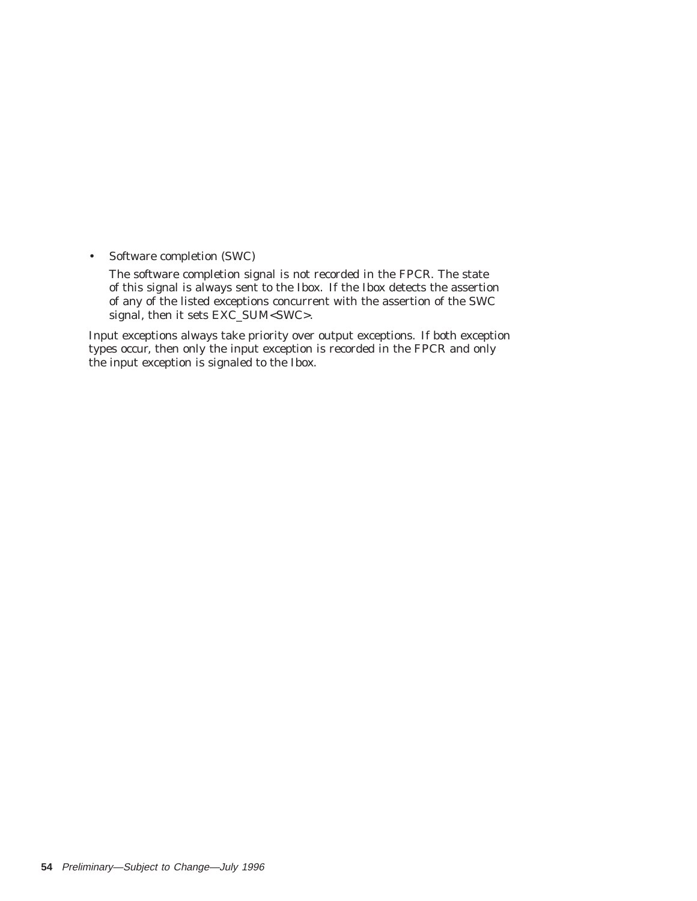• Software completion (SWC)

The software completion signal is not recorded in the FPCR. The state of this signal is always sent to the Ibox. If the Ibox detects the assertion of any of the listed exceptions concurrent with the assertion of the SWC signal, then it sets EXC\_SUM<SWC>.

Input exceptions always take priority over output exceptions. If both exception types occur, then only the input exception is recorded in the FPCR and only the input exception is signaled to the Ibox.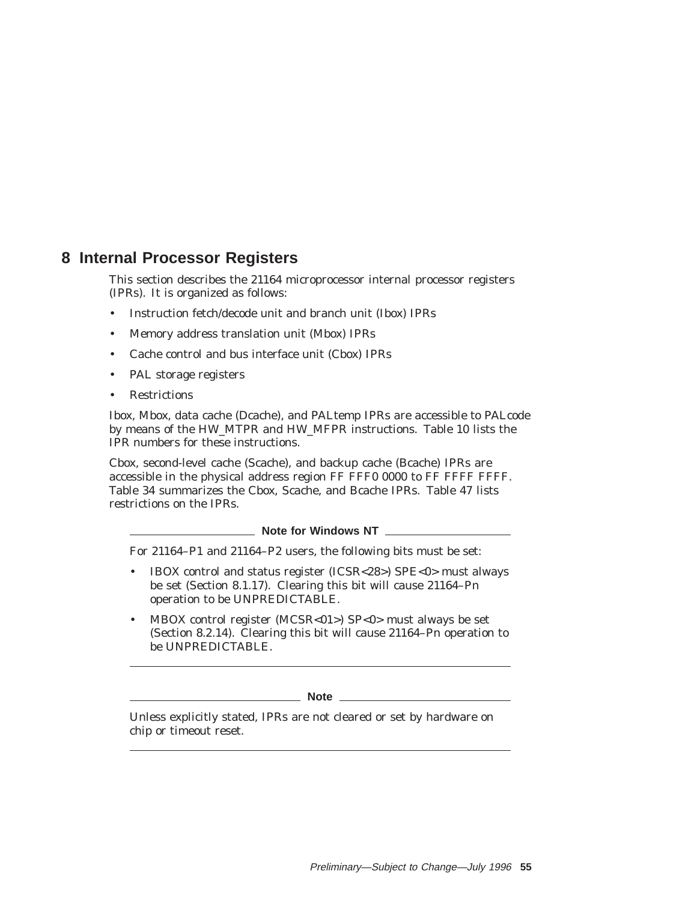# **8 Internal Processor Registers**

This section describes the 21164 microprocessor internal processor registers (IPRs). It is organized as follows:

- Instruction fetch/decode unit and branch unit (Ibox) IPRs
- Memory address translation unit (Mbox) IPRs
- Cache control and bus interface unit (Cbox) IPRs
- PAL storage registers
- Restrictions

Ibox, Mbox, data cache (Dcache), and PALtemp IPRs are accessible to PALcode by means of the HW\_MTPR and HW\_MFPR instructions. Table 10 lists the IPR numbers for these instructions.

Cbox, second-level cache (Scache), and backup cache (Bcache) IPRs are accessible in the physical address region FF FFF0 0000 to FF FFFF FFFF. Table 34 summarizes the Cbox, Scache, and Bcache IPRs. Table 47 lists restrictions on the IPRs.

**Note for Windows NT** 

For 21164–P1 and 21164–P2 users, the following bits must be set:

- IBOX control and status register (ICSR<28>) SPE<0> must always be set (Section 8.1.17). Clearing this bit will cause 21164–P*n* operation to be UNPREDICTABLE.
- MBOX control register (MCSR<01>) SP<0> must always be set (Section 8.2.14). Clearing this bit will cause 21164–P*n* operation to be UNPREDICTABLE.

**Note** 

Unless explicitly stated, IPRs are not cleared or set by hardware on chip or timeout reset.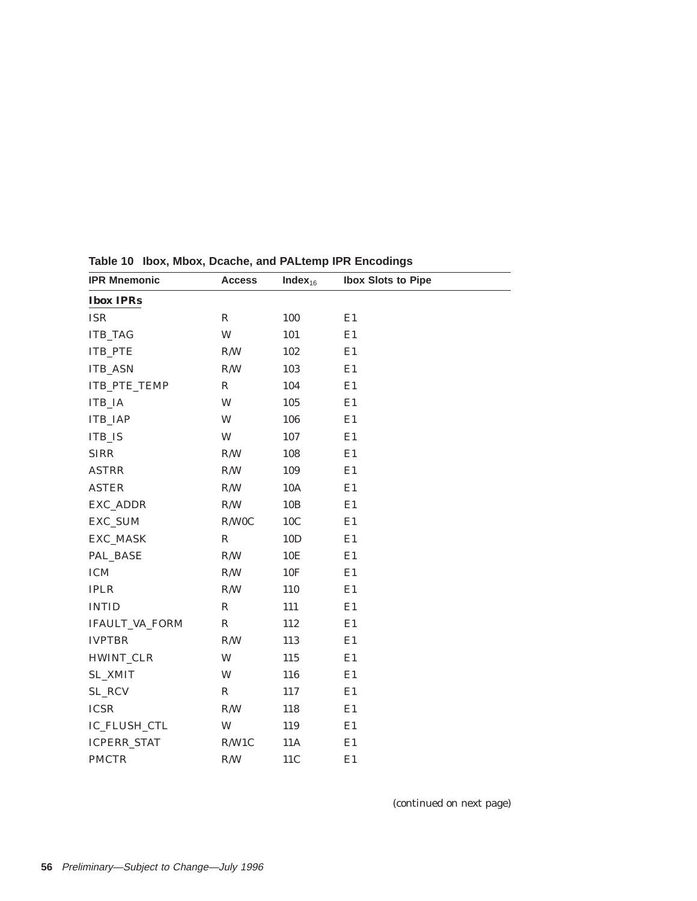| <b>IPR Mnemonic</b> | <b>Access</b>           | Index $_{16}$   | <b>Ibox Slots to Pipe</b> |
|---------------------|-------------------------|-----------------|---------------------------|
| <b>Ibox IPRs</b>    |                         |                 |                           |
| <b>ISR</b>          | $\mathbb R$             | 100             | E1                        |
| <b>ITB_TAG</b>      | W                       | 101             | E1                        |
| ITB_PTE             | R/W                     | 102             | E1                        |
| <b>ITB_ASN</b>      | $\mathbb{R}/\mathbb{W}$ | 103             | E1                        |
| ITB_PTE_TEMP        | $\mathbb R$             | 104             | E1                        |
| ITB_IA              | W                       | 105             | E1                        |
| <b>ITB_IAP</b>      | W                       | 106             | E1                        |
| <b>ITB_IS</b>       | W                       | 107             | E1                        |
| <b>SIRR</b>         | R/W                     | 108             | E1                        |
| <b>ASTRR</b>        | R/W                     | 109             | E1                        |
| <b>ASTER</b>        | R/W                     | 10A             | E1                        |
| EXC_ADDR            | R/W                     | 10B             | E1                        |
| EXC_SUM             | R/W0C                   | 10C             | E1                        |
| EXC_MASK            | $\mathbb R$             | 10D             | E1                        |
| PAL_BASE            | R/W                     | 10 <sub>E</sub> | E1                        |
| <b>ICM</b>          | R/W                     | 10F             | E1                        |
| $\rm IPLR$          | R/W                     | 110             | E1                        |
| <b>INTID</b>        | $\mathbb{R}$            | 111             | E1                        |
| IFAULT_VA_FORM      | ${\bf R}$               | 112             | E1                        |
| <b>IVPTBR</b>       | R/W                     | 113             | E1                        |
| HWINT_CLR           | W                       | 115             | E1                        |
| <b>SL_XMIT</b>      | W                       | 116             | E1                        |
| SL_RCV              | $\mathbb R$             | 117             | E1                        |
| <b>ICSR</b>         | R/W                     | 118             | E1                        |
| IC_FLUSH_CTL        | W                       | 119             | E1                        |
| <b>ICPERR_STAT</b>  | R/W1C                   | 11A             | E1                        |
| <b>PMCTR</b>        | R/W                     | 11C             | E1                        |
|                     |                         |                 |                           |

**Table 10 Ibox, Mbox, Dcache, and PALtemp IPR Encodings**

(continued on next page)

 $\overline{\phantom{0}}$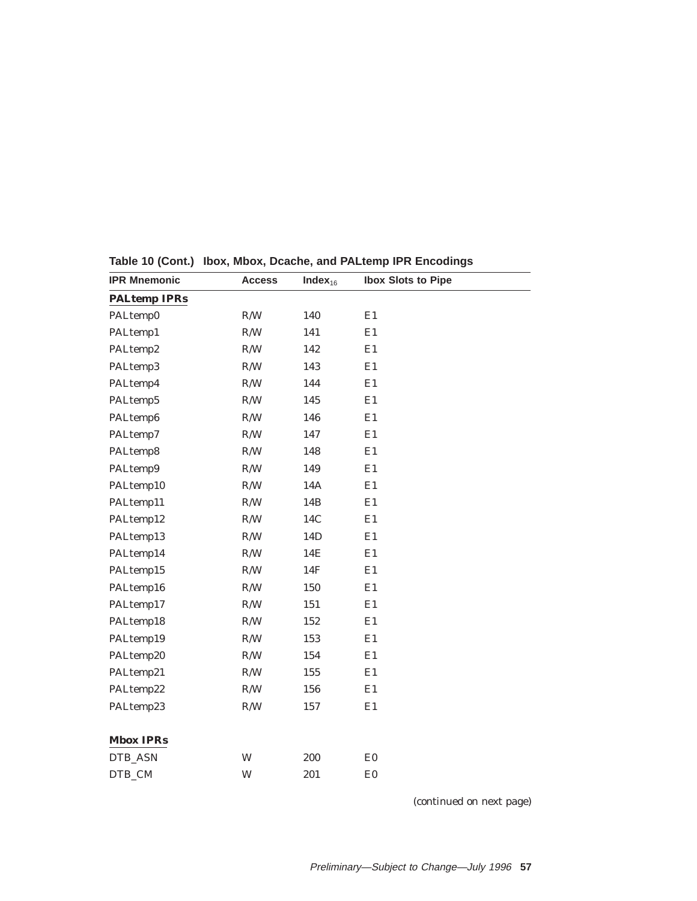| <b>IPR Mnemonic</b> | <b>Access</b> | Index $_{16}$ | <b>Ibox Slots to Pipe</b> |
|---------------------|---------------|---------------|---------------------------|
| <b>PALtemp IPRs</b> |               |               |                           |
| PALtemp0            | R/W           | 140           | E1                        |
| PALtemp1            | R/W           | 141           | E1                        |
| PALtemp2            | R/W           | 142           | E1                        |
| PALtemp3            | R/W           | 143           | E1                        |
| PALtemp4            | R/W           | 144           | E1                        |
| PALtemp5            | R/W           | 145           | E1                        |
| PALtemp6            | R/W           | 146           | E1                        |
| PALtemp7            | R/W           | 147           | E1                        |
| PALtemp8            | R/W           | 148           | E1                        |
| PALtemp9            | R/W           | 149           | E1                        |
| PALtemp10           | $\rm R/W$     | 14A           | E1                        |
| PALtemp11           | R/W           | 14B           | E1                        |
| PALtemp12           | R/W           | 14C           | E1                        |
| PALtemp13           | R/W           | 14D           | E1                        |
| PALtemp14           | R/W           | 14E           | E1                        |
| PALtemp15           | R/W           | 14F           | E1                        |
| PALtemp16           | R/W           | 150           | E1                        |
| PALtemp17           | R/W           | 151           | E1                        |
| PALtemp18           | R/W           | 152           | E1                        |
| PALtemp19           | R/W           | 153           | E1                        |
| PALtemp20           | R/W           | 154           | E1                        |
| PALtemp21           | R/W           | 155           | E1                        |
| PALtemp22           | R/W           | 156           | E1                        |
| PALtemp23           | R/W           | 157           | E1                        |
|                     |               |               |                           |
| <b>Mbox IPRs</b>    |               |               |                           |
| DTB_ASN             | W             | 200           | E0                        |
| DTB_CM              | W             | 201           | E0                        |
|                     |               |               |                           |

**Table 10 (Cont.) Ibox, Mbox, Dcache, and PALtemp IPR Encodings**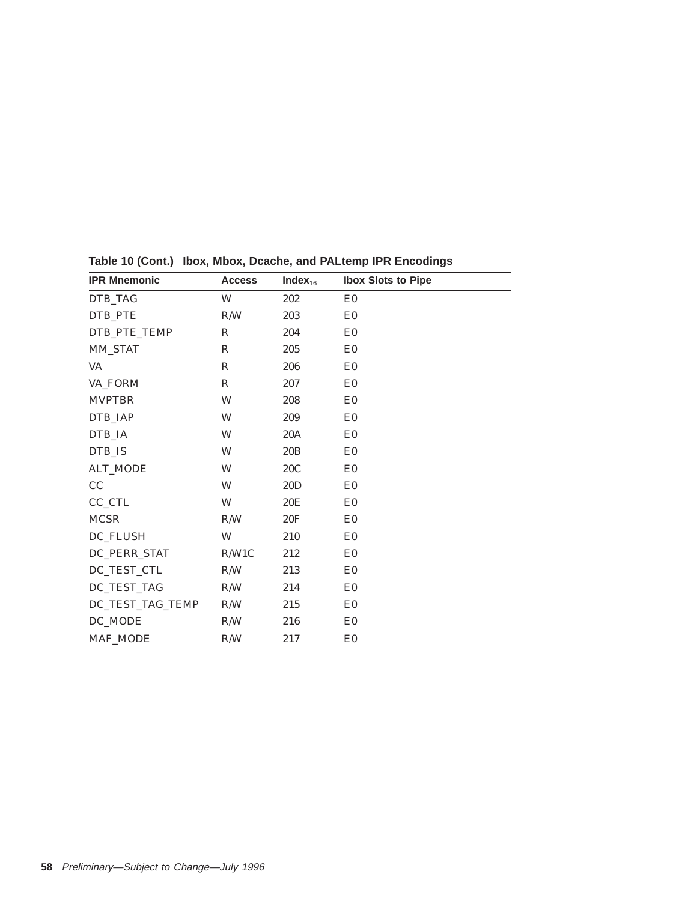| <b>IPR Mnemonic</b> | <b>Access</b> | Index $_{16}$ | <b>Ibox Slots to Pipe</b> |  |
|---------------------|---------------|---------------|---------------------------|--|
| DTB TAG             | W             | 202           | E <sub>0</sub>            |  |
| DTB PTE             | R/W           | 203           | E <sub>0</sub>            |  |
| DTB_PTE_TEMP        | $\mathbb{R}$  | 204           | E <sub>0</sub>            |  |
| <b>MM_STAT</b>      | $\mathbb{R}$  | 205           | E <sub>0</sub>            |  |
| VA                  | R             | 206           | E <sub>0</sub>            |  |
| VA_FORM             | $\mathbb{R}$  | 207           | E <sub>0</sub>            |  |
| <b>MVPTBR</b>       | W             | 208           | E <sub>0</sub>            |  |
| DTB_IAP             | W             | 209           | E <sub>0</sub>            |  |
| DTB_IA              | W             | 20A           | E <sub>0</sub>            |  |
| DTB IS              | W             | 20B           | E <sub>0</sub>            |  |
| <b>ALT_MODE</b>     | W             | 20C           | E <sub>0</sub>            |  |
| CC                  | W             | 20D           | E0                        |  |
| CC_CTL              | W             | 20E           | E <sub>0</sub>            |  |
| <b>MCSR</b>         | R/W           | 20F           | E <sub>0</sub>            |  |
| DC_FLUSH            | W             | 210           | E0                        |  |
| DC_PERR_STAT        | R/W1C         | 212           | E <sub>0</sub>            |  |
| DC_TEST_CTL         | R/W           | 213           | E <sub>0</sub>            |  |
| DC_TEST_TAG         | R/W           | 214           | E <sub>0</sub>            |  |
| DC_TEST_TAG_TEMP    | R/W           | 215           | E0                        |  |
| DC_MODE             | R/W           | 216           | E <sub>0</sub>            |  |
| MAF_MODE            | R/W           | 217           | E <sub>0</sub>            |  |
|                     |               |               |                           |  |

**Table 10 (Cont.) Ibox, Mbox, Dcache, and PALtemp IPR Encodings**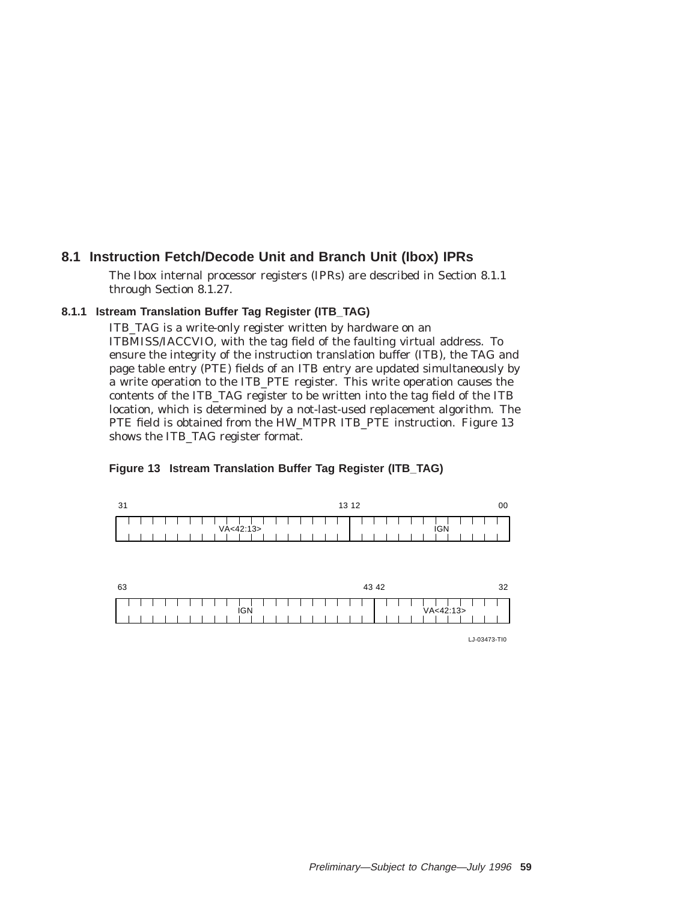## **8.1 Instruction Fetch/Decode Unit and Branch Unit (Ibox) IPRs**

The Ibox internal processor registers (IPRs) are described in Section 8.1.1 through Section 8.1.27.

### **8.1.1 Istream Translation Buffer Tag Register (ITB\_TAG)**

ITB\_TAG is a write-only register written by hardware on an ITBMISS/IACCVIO, with the tag field of the faulting virtual address. To ensure the integrity of the instruction translation buffer (ITB), the TAG and page table entry (PTE) fields of an ITB entry are updated simultaneously by a write operation to the ITB\_PTE register. This write operation causes the contents of the ITB\_TAG register to be written into the tag field of the ITB location, which is determined by a not-last-used replacement algorithm. The PTE field is obtained from the HW\_MTPR ITB\_PTE instruction. Figure 13 shows the ITB\_TAG register format.



#### **Figure 13 Istream Translation Buffer Tag Register (ITB\_TAG)**

LJ-03473-TI0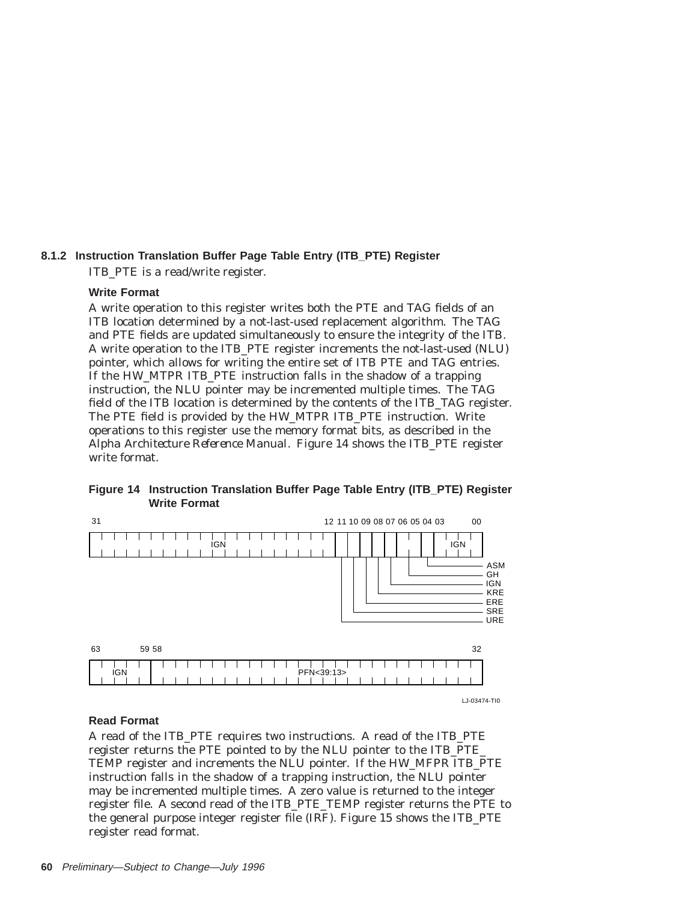## **8.1.2 Instruction Translation Buffer Page Table Entry (ITB\_PTE) Register** ITB\_PTE is a read/write register.

### **Write Format**

A write operation to this register writes both the PTE and TAG fields of an ITB location determined by a not-last-used replacement algorithm. The TAG and PTE fields are updated simultaneously to ensure the integrity of the ITB. A write operation to the ITB\_PTE register increments the not-last-used (NLU) pointer, which allows for writing the entire set of ITB PTE and TAG entries. If the HW\_MTPR ITB\_PTE instruction falls in the shadow of a trapping instruction, the NLU pointer may be incremented multiple times. The TAG field of the ITB location is determined by the contents of the ITB\_TAG register. The PTE field is provided by the HW\_MTPR ITB\_PTE instruction. Write operations to this register use the memory format bits, as described in the *Alpha Architecture Reference Manual*. Figure 14 shows the ITB\_PTE register write format.



**Figure 14 Instruction Translation Buffer Page Table Entry (ITB\_PTE) Register Write Format**

#### **Read Format**

A read of the ITB\_PTE requires two instructions. A read of the ITB\_PTE register returns the PTE pointed to by the NLU pointer to the ITB\_PTE\_ TEMP register and increments the NLU pointer. If the HW\_MFPR ITB\_PTE instruction falls in the shadow of a trapping instruction, the NLU pointer may be incremented multiple times. A zero value is returned to the integer register file. A second read of the ITB\_PTE\_TEMP register returns the PTE to the general purpose integer register file (IRF). Figure 15 shows the ITB\_PTE register read format.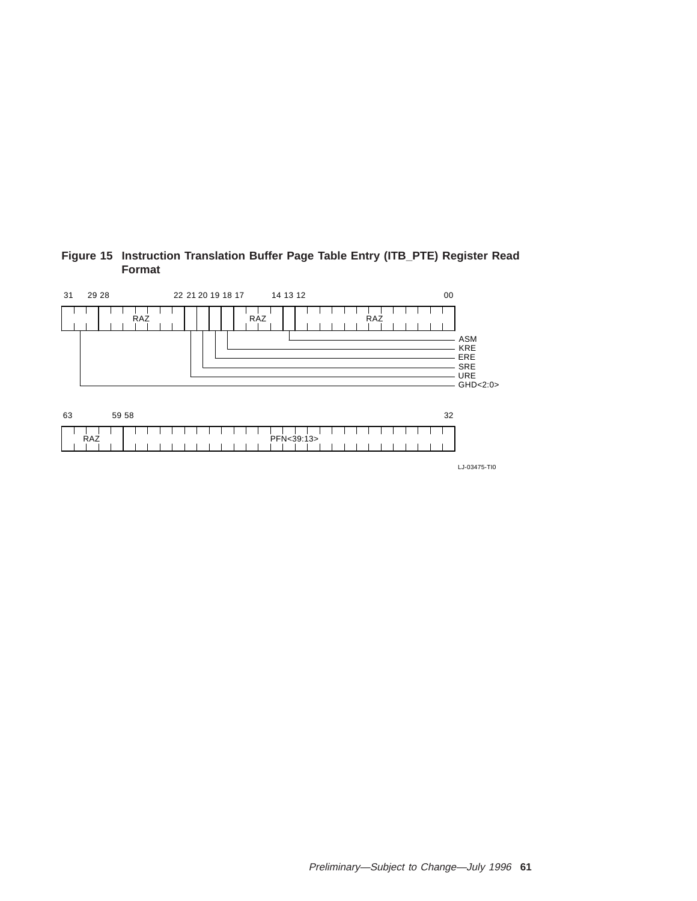

### **Figure 15 Instruction Translation Buffer Page Table Entry (ITB\_PTE) Register Read Format**

LJ-03475-TI0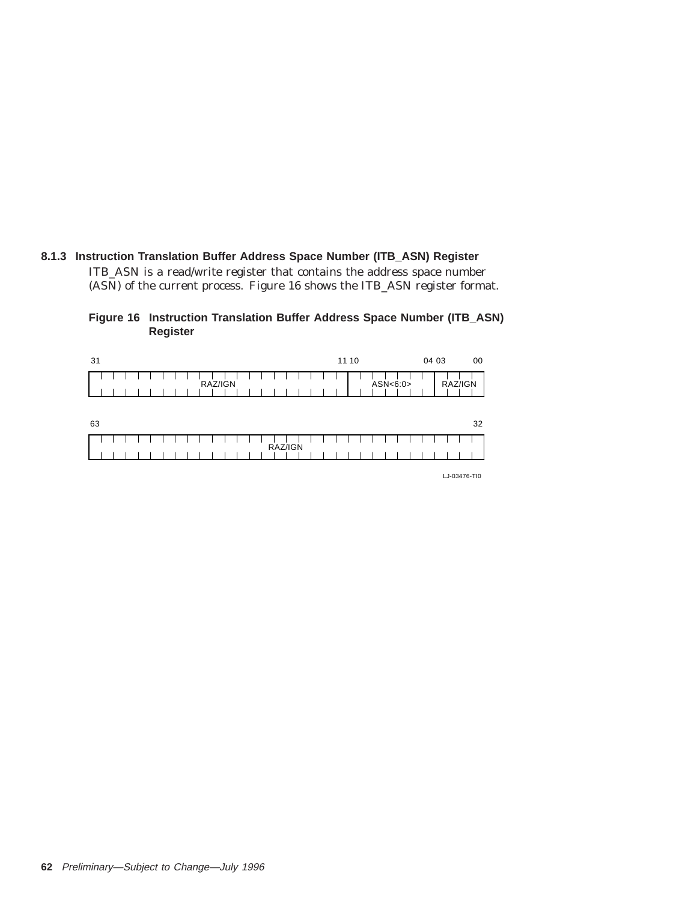# **8.1.3 Instruction Translation Buffer Address Space Number (ITB\_ASN) Register**

ITB\_ASN is a read/write register that contains the address space number (ASN) of the current process. Figure 16 shows the ITB\_ASN register format.

| Figure 16 Instruction Translation Buffer Address Space Number (ITB_ASN) |  |  |  |  |
|-------------------------------------------------------------------------|--|--|--|--|
| Register                                                                |  |  |  |  |

| 31 |  |  |  |  |  |         |  |  |  |  | 11 10 |  |          | 04 03 |         | 00 |
|----|--|--|--|--|--|---------|--|--|--|--|-------|--|----------|-------|---------|----|
|    |  |  |  |  |  | RAZ/IGN |  |  |  |  |       |  | ASN<6:0> |       | RAZ/IGN |    |
| 63 |  |  |  |  |  |         |  |  |  |  |       |  |          |       |         | 32 |
|    |  |  |  |  |  |         |  |  |  |  |       |  |          |       |         |    |

LJ-03476-TI0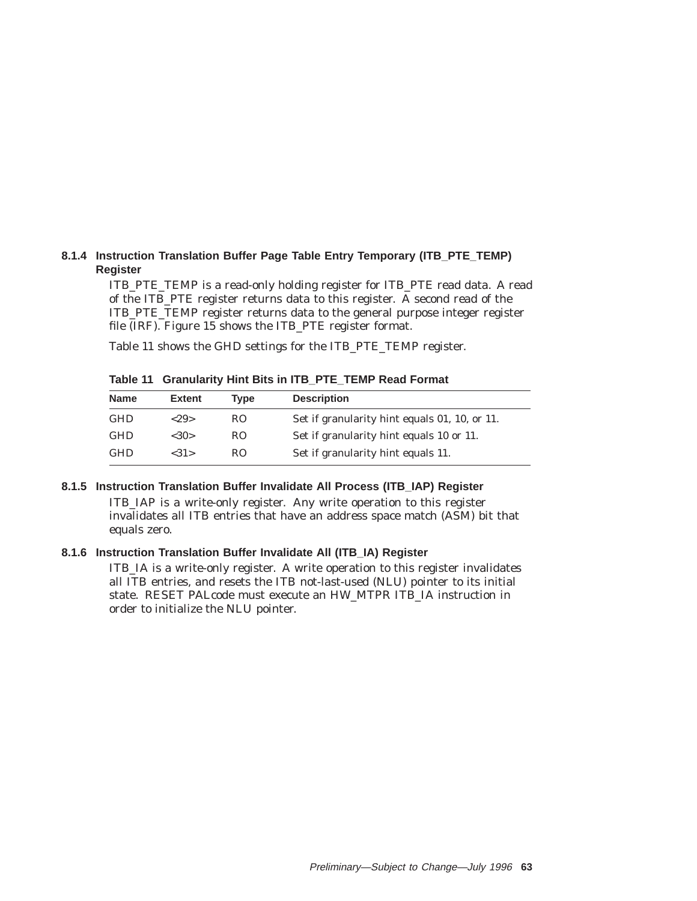#### **8.1.4 Instruction Translation Buffer Page Table Entry Temporary (ITB\_PTE\_TEMP) Register**

ITB\_PTE\_TEMP is a read-only holding register for ITB\_PTE read data. A read of the ITB\_PTE register returns data to this register. A second read of the ITB\_PTE\_TEMP register returns data to the general purpose integer register file (IRF). Figure 15 shows the ITB\_PTE register format.

Table 11 shows the GHD settings for the ITB\_PTE\_TEMP register.

**Table 11 Granularity Hint Bits in ITB\_PTE\_TEMP Read Format**

| <b>Name</b> | Extent     | Tvpe | <b>Description</b>                            |
|-------------|------------|------|-----------------------------------------------|
| <b>GHD</b>  | ${<}29{>}$ | RO.  | Set if granularity hint equals 01, 10, or 11. |
| <b>GHD</b>  | <30>       | RO.  | Set if granularity hint equals 10 or 11.      |
| <b>GHD</b>  | <31>       | RO.  | Set if granularity hint equals 11.            |

#### **8.1.5 Instruction Translation Buffer Invalidate All Process (ITB\_IAP) Register**

ITB\_IAP is a write-only register. Any write operation to this register invalidates all ITB entries that have an address space match (ASM) bit that equals zero.

#### **8.1.6 Instruction Translation Buffer Invalidate All (ITB\_IA) Register**

ITB\_IA is a write-only register. A write operation to this register invalidates all ITB entries, and resets the ITB not-last-used (NLU) pointer to its initial state. RESET PALcode must execute an HW\_MTPR ITB\_IA instruction in order to initialize the NLU pointer.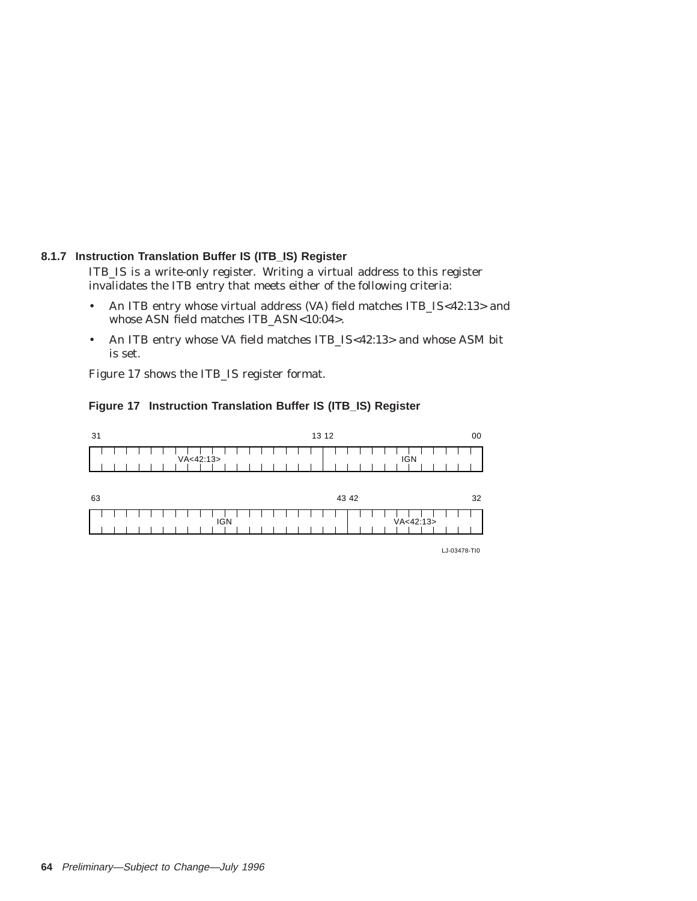#### **8.1.7 Instruction Translation Buffer IS (ITB\_IS) Register**

ITB\_IS is a write-only register. Writing a virtual address to this register invalidates the ITB entry that meets either of the following criteria:

- An ITB entry whose virtual address (VA) field matches ITB\_IS<42:13> and whose ASN field matches ITB\_ASN<10:04>.
- An ITB entry whose VA field matches ITB\_IS<42:13> and whose ASM bit is set.

Figure 17 shows the ITB\_IS register format.





LJ-03478-TI0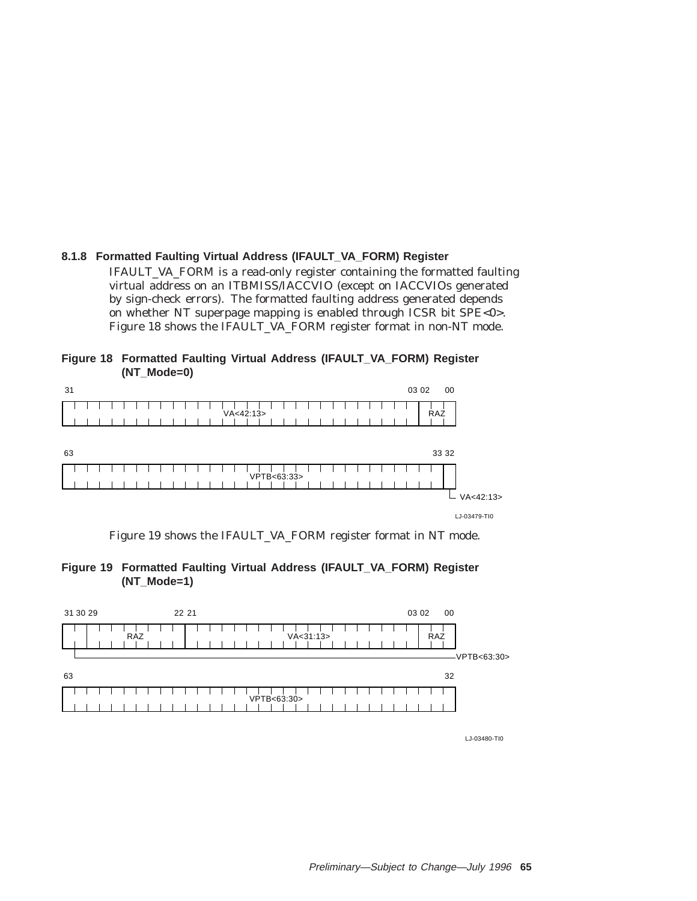# **8.1.8 Formatted Faulting Virtual Address (IFAULT\_VA\_FORM) Register**

IFAULT\_VA\_FORM is a read-only register containing the formatted faulting virtual address on an ITBMISS/IACCVIO (except on IACCVIOs generated by sign-check errors). The formatted faulting address generated depends on whether NT superpage mapping is enabled through ICSR bit SPE<0>. Figure 18 shows the IFAULT\_VA\_FORM register format in non-NT mode.

| Figure 18 Formatted Faulting Virtual Address (IFAULT_VA_FORM) Register |  |  |  |
|------------------------------------------------------------------------|--|--|--|
| (NT Mode=0)                                                            |  |  |  |

| 31 |  |  |  |  |  |  |             |  |             |  |  |  |  |  | 03 02 |     | 00    |              |  |
|----|--|--|--|--|--|--|-------------|--|-------------|--|--|--|--|--|-------|-----|-------|--------------|--|
|    |  |  |  |  |  |  | VA < 42:13> |  |             |  |  |  |  |  |       | RAZ |       |              |  |
| 63 |  |  |  |  |  |  |             |  |             |  |  |  |  |  |       |     | 33 32 |              |  |
|    |  |  |  |  |  |  |             |  | VPTB<63:33> |  |  |  |  |  |       |     |       |              |  |
|    |  |  |  |  |  |  |             |  |             |  |  |  |  |  |       |     |       | VA < 42:13>  |  |
|    |  |  |  |  |  |  |             |  |             |  |  |  |  |  |       |     |       | LJ-03479-TI0 |  |

Figure 19 shows the IFAULT\_VA\_FORM register format in NT mode.



|    | 31 30 29 |  |            |  |  | 22 21 |  |  |  |  |             |             |  |  |  |  | 03 02 |            | 00 |              |  |
|----|----------|--|------------|--|--|-------|--|--|--|--|-------------|-------------|--|--|--|--|-------|------------|----|--------------|--|
|    |          |  | <b>RAZ</b> |  |  |       |  |  |  |  |             | VA < 31:13> |  |  |  |  |       | <b>RAZ</b> |    |              |  |
|    |          |  |            |  |  |       |  |  |  |  |             |             |  |  |  |  |       |            |    | -VPTB<63:30> |  |
| 63 |          |  |            |  |  |       |  |  |  |  |             |             |  |  |  |  |       |            | 32 |              |  |
|    |          |  |            |  |  |       |  |  |  |  | VPTB<63:30> |             |  |  |  |  |       |            |    |              |  |
|    |          |  |            |  |  |       |  |  |  |  |             |             |  |  |  |  |       |            |    |              |  |

LJ-03480-TI0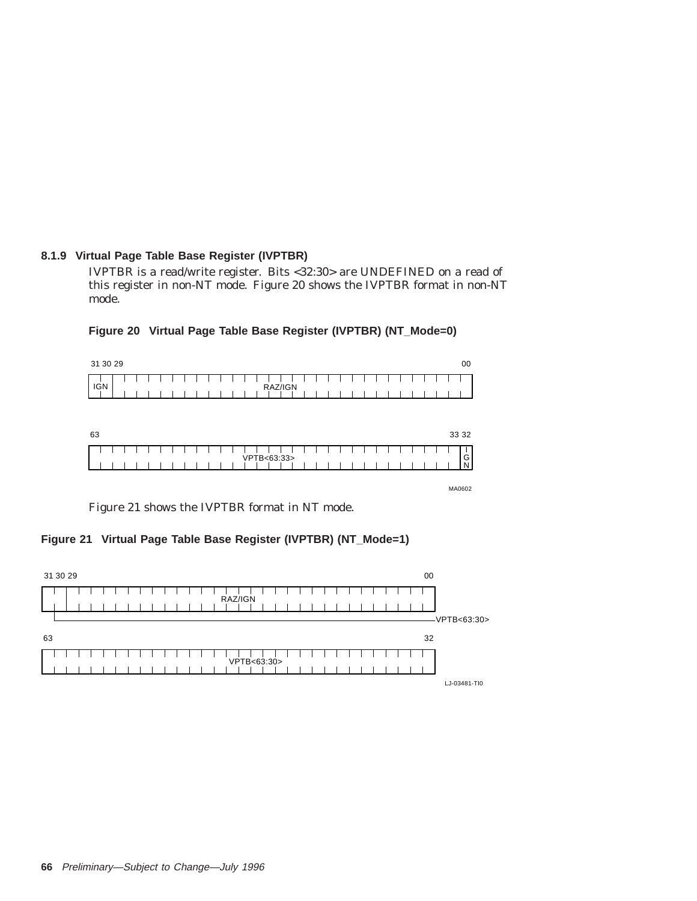# **8.1.9 Virtual Page Table Base Register (IVPTBR)**

IVPTBR is a read/write register. Bits <32:30> are UNDEFINED on a read of this register in non-NT mode. Figure 20 shows the IVPTBR format in non-NT mode.

| 31 30 29   |  |  |  |  |  |  |  |             |  |  |  |  |  |  |  |  | 00     |
|------------|--|--|--|--|--|--|--|-------------|--|--|--|--|--|--|--|--|--------|
| <b>IGN</b> |  |  |  |  |  |  |  |             |  |  |  |  |  |  |  |  |        |
|            |  |  |  |  |  |  |  | RAZ/IGN     |  |  |  |  |  |  |  |  |        |
|            |  |  |  |  |  |  |  |             |  |  |  |  |  |  |  |  |        |
|            |  |  |  |  |  |  |  |             |  |  |  |  |  |  |  |  |        |
| 63         |  |  |  |  |  |  |  |             |  |  |  |  |  |  |  |  | 33 32  |
|            |  |  |  |  |  |  |  |             |  |  |  |  |  |  |  |  |        |
|            |  |  |  |  |  |  |  | VPTB<63:33> |  |  |  |  |  |  |  |  | G<br>N |

#### **Figure 20 Virtual Page Table Base Register (IVPTBR) (NT\_Mode=0)**

MA0602

Figure 21 shows the IVPTBR format in NT mode.

# **Figure 21 Virtual Page Table Base Register (IVPTBR) (NT\_Mode=1)**

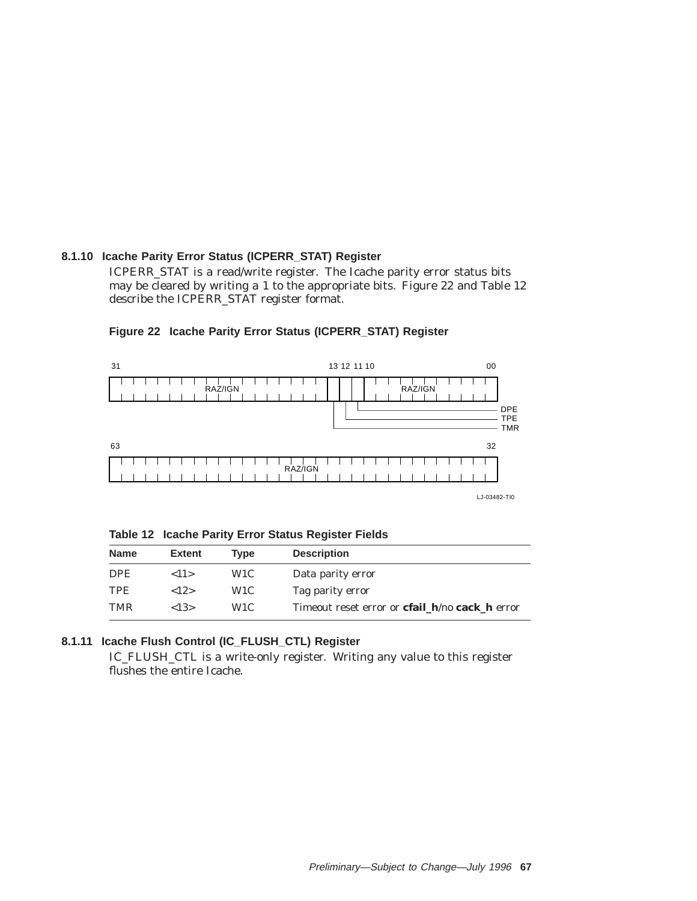# **8.1.10 Icache Parity Error Status (ICPERR\_STAT) Register**

ICPERR\_STAT is a read/write register. The Icache parity error status bits may be cleared by writing a 1 to the appropriate bits. Figure 22 and Table 12 describe the ICPERR\_STAT register format.



**Figure 22 Icache Parity Error Status (ICPERR\_STAT) Register**

LJ-03482-TI0

**Table 12 Icache Parity Error Status Register Fields**

| <b>Name</b> | <b>Extent</b>        | Tvpe             | <b>Description</b>                                            |
|-------------|----------------------|------------------|---------------------------------------------------------------|
| DPE.        | $\langle 11 \rangle$ | W <sub>1</sub> C | Data parity error                                             |
| <b>TPE</b>  | ${12}$               | W1C              | Tag parity error                                              |
| <b>TMR</b>  | ${<}13>$             | W1C.             | Timeout reset error or <b>cfail h</b> /no <b>cack</b> h error |

# **8.1.11 Icache Flush Control (IC\_FLUSH\_CTL) Register**

IC\_FLUSH\_CTL is a write-only register. Writing any value to this register flushes the entire Icache.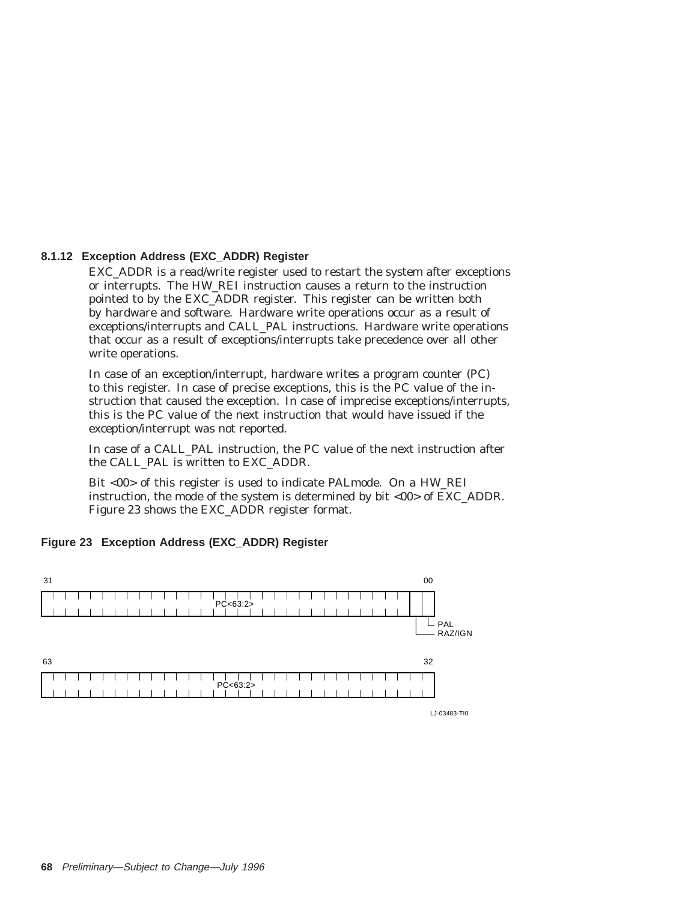#### **8.1.12 Exception Address (EXC\_ADDR) Register**

EXC\_ADDR is a read/write register used to restart the system after exceptions or interrupts. The HW\_REI instruction causes a return to the instruction pointed to by the EXC\_ADDR register. This register can be written both by hardware and software. Hardware write operations occur as a result of exceptions/interrupts and CALL\_PAL instructions. Hardware write operations that occur as a result of exceptions/interrupts take precedence over all other write operations.

In case of an exception/interrupt, hardware writes a program counter (PC) to this register. In case of precise exceptions, this is the PC value of the instruction that caused the exception. In case of imprecise exceptions/interrupts, this is the PC value of the next instruction that would have issued if the exception/interrupt was not reported.

In case of a CALL\_PAL instruction, the PC value of the next instruction after the CALL\_PAL is written to EXC\_ADDR.

Bit <00> of this register is used to indicate PALmode. On a HW\_REI instruction, the mode of the system is determined by bit <00> of EXC\_ADDR. Figure 23 shows the EXC\_ADDR register format.

# **Figure 23 Exception Address (EXC\_ADDR) Register**



**68** Preliminary—Subject to Change—July 1996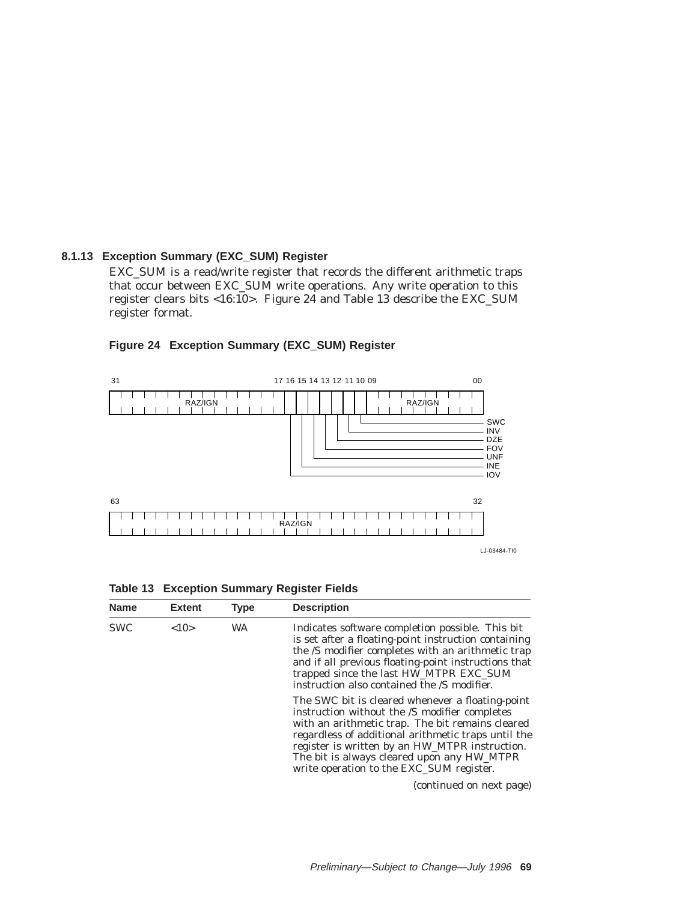#### **8.1.13 Exception Summary (EXC\_SUM) Register**

EXC\_SUM is a read/write register that records the different arithmetic traps that occur between EXC\_SUM write operations. Any write operation to this register clears bits <16:10>. Figure 24 and Table 13 describe the EXC\_SUM register format.



# **Figure 24 Exception Summary (EXC\_SUM) Register**

**Table 13 Exception Summary Register Fields**

| <b>Name</b> | <b>Extent</b> | <b>Type</b> | <b>Description</b>                                                                                                                                                                                                                                                                                                                                       |
|-------------|---------------|-------------|----------------------------------------------------------------------------------------------------------------------------------------------------------------------------------------------------------------------------------------------------------------------------------------------------------------------------------------------------------|
| <b>SWC</b>  | <10>          | <b>WA</b>   | Indicates software completion possible. This bit<br>is set after a floating-point instruction containing<br>the /S modifier completes with an arithmetic trap<br>and if all previous floating-point instructions that<br>trapped since the last HW_MTPR EXC_SUM<br>instruction also contained the /S modifier.                                           |
|             |               |             | The SWC bit is cleared whenever a floating-point<br>instruction without the /S modifier completes<br>with an arithmetic trap. The bit remains cleared<br>regardless of additional arithmetic traps until the<br>register is written by an HW_MTPR instruction.<br>The bit is always cleared upon any HW_MTPR<br>write operation to the EXC_SUM register. |
|             |               |             | (continued on next page)                                                                                                                                                                                                                                                                                                                                 |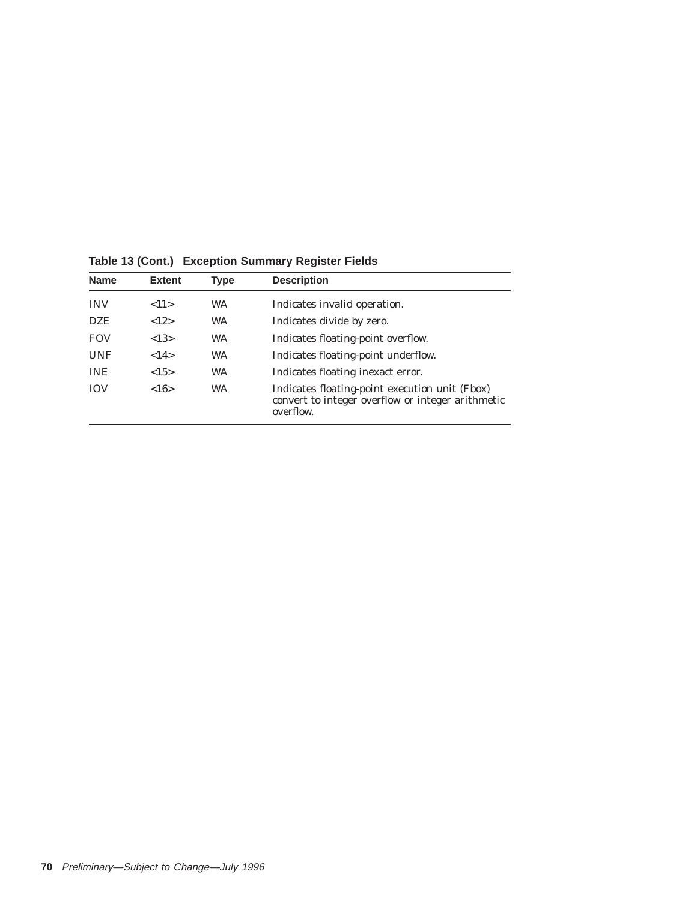| <b>Name</b> | <b>Extent</b> | Type      | <b>Description</b>                                                                                               |
|-------------|---------------|-----------|------------------------------------------------------------------------------------------------------------------|
| <b>INV</b>  | <11>          | <b>WA</b> | Indicates invalid operation.                                                                                     |
| <b>DZE</b>  | <12>          | <b>WA</b> | Indicates divide by zero.                                                                                        |
| <b>FOV</b>  | <13>          | <b>WA</b> | Indicates floating-point overflow.                                                                               |
| <b>UNF</b>  | <14>          | <b>WA</b> | Indicates floating-point underflow.                                                                              |
| <b>INE</b>  | <15>          | <b>WA</b> | Indicates floating inexact error.                                                                                |
| <b>IOV</b>  | <16>          | <b>WA</b> | Indicates floating-point execution unit (Fbox)<br>convert to integer overflow or integer arithmetic<br>overflow. |

**Table 13 (Cont.) Exception Summary Register Fields**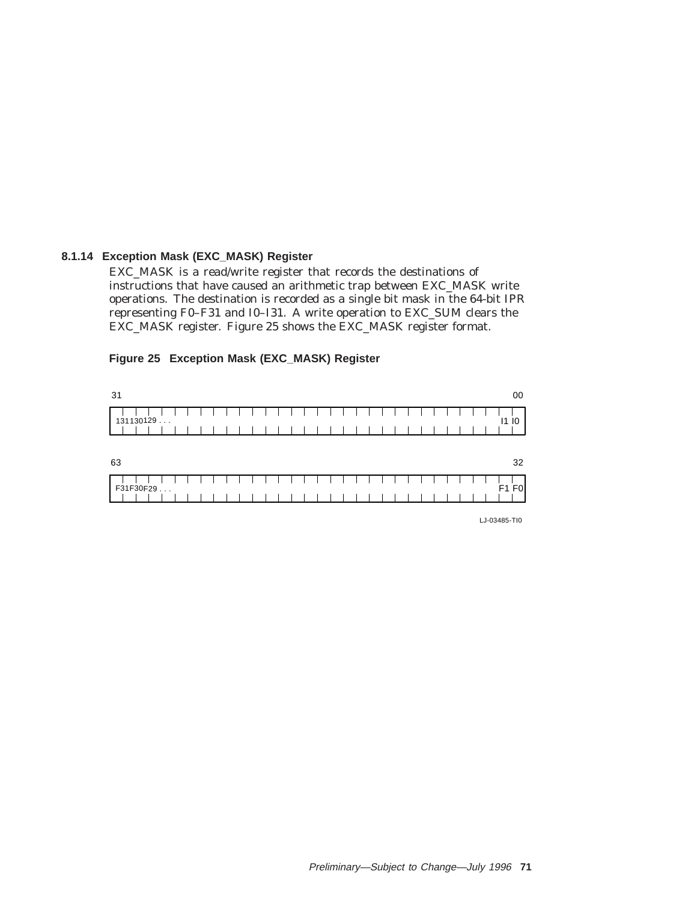#### **8.1.14 Exception Mask (EXC\_MASK) Register**

EXC\_MASK is a read/write register that records the destinations of instructions that have caused an arithmetic trap between EXC\_MASK write operations. The destination is recorded as a single bit mask in the 64-bit IPR representing F0–F31 and I0–I31. A write operation to EXC\_SUM clears the EXC\_MASK register. Figure 25 shows the EXC\_MASK register format.

#### **Figure 25 Exception Mask (EXC\_MASK) Register**

| 31                    |  |  |  |  |  |  |  |  |  |  |  |  |      | 00   |
|-----------------------|--|--|--|--|--|--|--|--|--|--|--|--|------|------|
| 131130129             |  |  |  |  |  |  |  |  |  |  |  |  |      | 1110 |
| 63                    |  |  |  |  |  |  |  |  |  |  |  |  |      | 32   |
| F31F30F29<br>$\cdots$ |  |  |  |  |  |  |  |  |  |  |  |  | F1F0 |      |

LJ-03485-TI0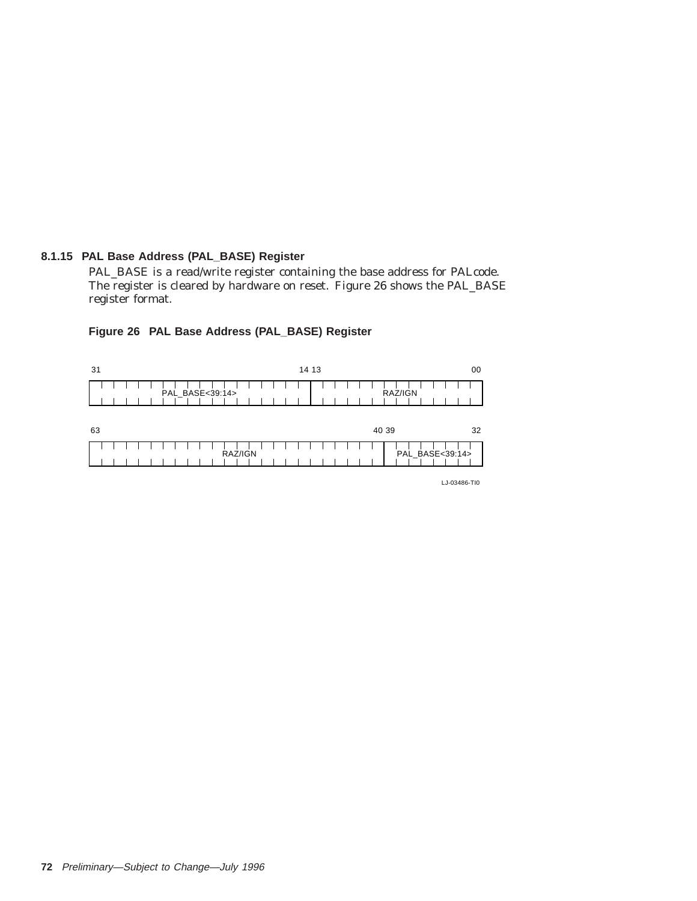# **8.1.15 PAL Base Address (PAL\_BASE) Register**

PAL\_BASE is a read/write register containing the base address for PALcode. The register is cleared by hardware on reset. Figure 26 shows the PAL\_BASE register format.

| 31 | 14 13           | 00              |
|----|-----------------|-----------------|
|    | PAL_BASE<39:14> | RAZ/IGN         |
| 63 |                 | 32<br>40 39     |
|    | RAZ/IGN         | PAL_BASE<39:14> |

#### **Figure 26 PAL Base Address (PAL\_BASE) Register**

LJ-03486-TI0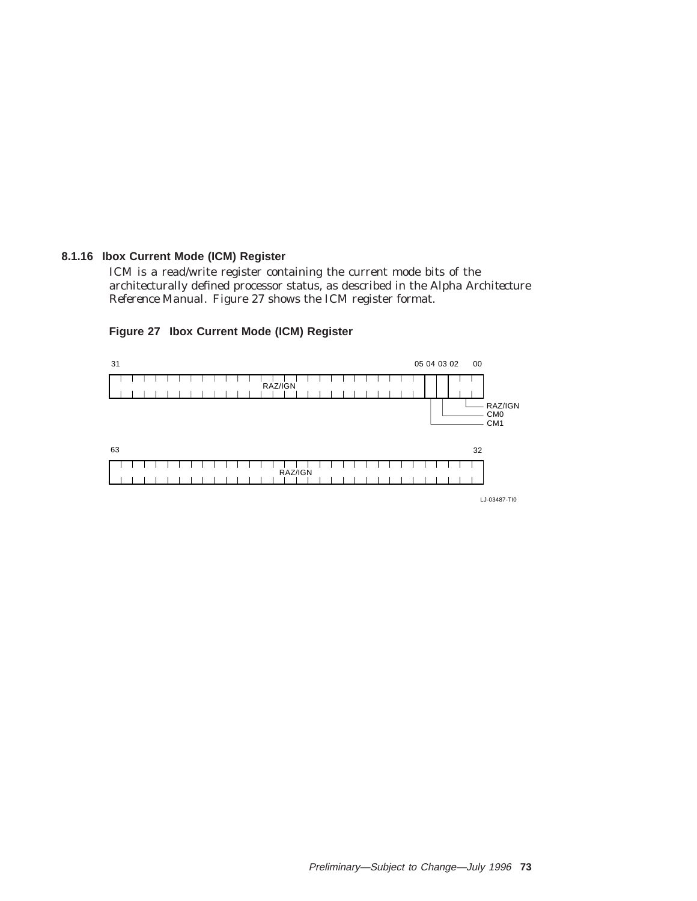#### **8.1.16 Ibox Current Mode (ICM) Register**

ICM is a read/write register containing the current mode bits of the architecturally defined processor status, as described in the *Alpha Architecture Reference Manual*. Figure 27 shows the ICM register format.

#### **Figure 27 Ibox Current Mode (ICM) Register**



LJ-03487-TI0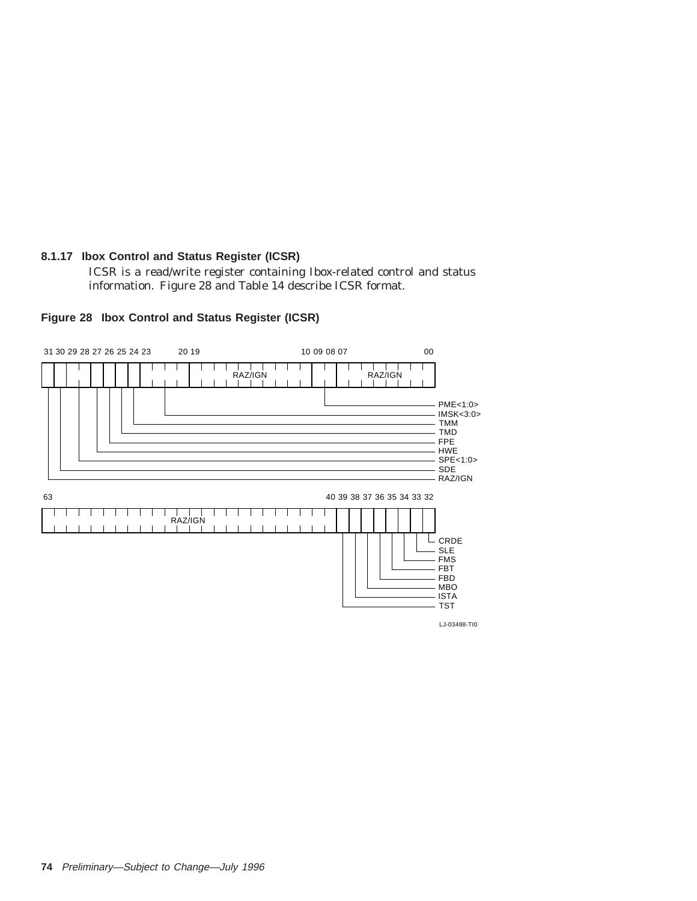# **8.1.17 Ibox Control and Status Register (ICSR)**

ICSR is a read/write register containing Ibox-related control and status information. Figure 28 and Table 14 describe ICSR format.



#### **Figure 28 Ibox Control and Status Register (ICSR)**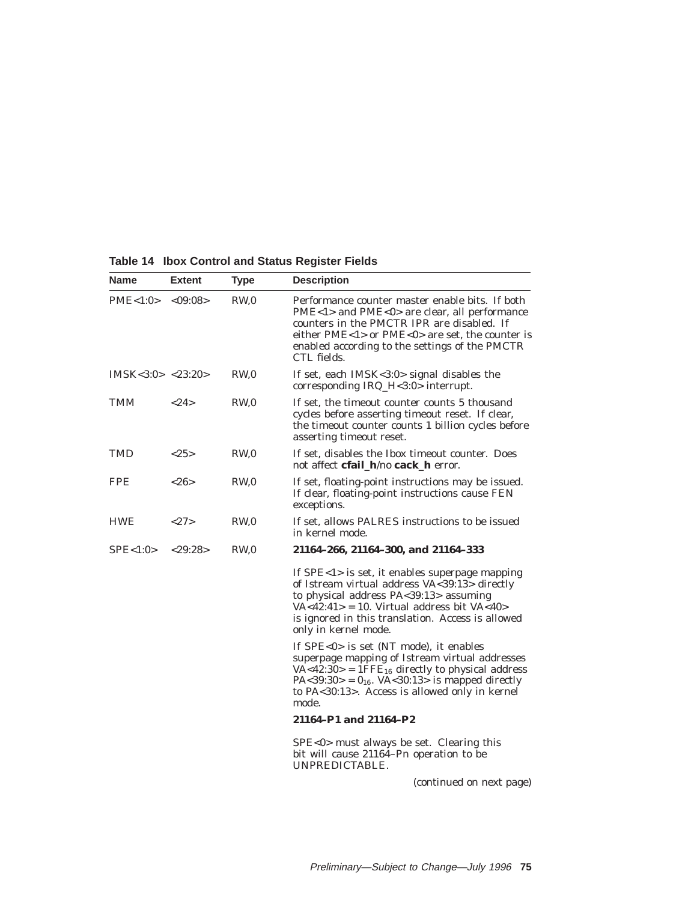| Name                                | <b>Extent</b> | <b>Type</b>     | <b>Description</b>                                                                                                                                                                                                                                                            |
|-------------------------------------|---------------|-----------------|-------------------------------------------------------------------------------------------------------------------------------------------------------------------------------------------------------------------------------------------------------------------------------|
| $PME < 1:0 > \langle 09:08 \rangle$ |               | RW <sub>0</sub> | Performance counter master enable bits. If both<br>PME<1> and PME<0> are clear, all performance<br>counters in the PMCTR IPR are disabled. If<br>either $PME < 1$ or $PME < 0$ are set, the counter is<br>enabled according to the settings of the PMCTR<br>CTL fields.       |
| IMSK < 3:0 > < 23:20 >              |               | RW <sub>0</sub> | If set, each $IMSK < 3:0 >$ signal disables the<br>corresponding IRQ_H<3:0> interrupt.                                                                                                                                                                                        |
| TMM                                 | <24>          | RW,0            | If set, the timeout counter counts 5 thousand<br>cycles before asserting timeout reset. If clear,<br>the timeout counter counts 1 billion cycles before<br>asserting timeout reset.                                                                                           |
| TMD                                 | <25>          | RW <sub>0</sub> | If set, disables the Ibox timeout counter. Does<br>not affect cfail_h/no cack_h error.                                                                                                                                                                                        |
| FPE                                 | <26           | RW,0            | If set, floating-point instructions may be issued.<br>If clear, floating-point instructions cause FEN<br>exceptions.                                                                                                                                                          |
| <b>HWE</b>                          | <27>          | RW.0            | If set, allows PALRES instructions to be issued<br>in kernel mode.                                                                                                                                                                                                            |
| SPE<1:0>                            | $<$ 29:28>    | RW <sub>0</sub> | 21164-266, 21164-300, and 21164-333                                                                                                                                                                                                                                           |
|                                     |               |                 | If $SPE < 1$ is set, it enables superpage mapping<br>of Istream virtual address VA<39:13> directly<br>to physical address PA<39:13> assuming<br>$VA < 42:41$ = 10. Virtual address bit VA $< 40$<br>is ignored in this translation. Access is allowed<br>only in kernel mode. |
|                                     |               |                 | If SPE<0> is set (NT mode), it enables<br>superpage mapping of Istream virtual addresses<br>$VA < 42:30>$ = 1FFE <sub>16</sub> directly to physical address<br>PA<39:30> = $0_{16}$ . VA<30:13> is mapped directly<br>to PA<30:13>. Access is allowed only in kernel<br>mode. |
|                                     |               |                 | 21164-P1 and 21164-P2                                                                                                                                                                                                                                                         |
|                                     |               |                 | SPE<0> must always be set. Clearing this<br>bit will cause $21164 - Pn$ operation to be<br>UNPREDICTABLE.                                                                                                                                                                     |
|                                     |               |                 | (continued on next page)                                                                                                                                                                                                                                                      |

**Table 14 Ibox Control and Status Register Fields**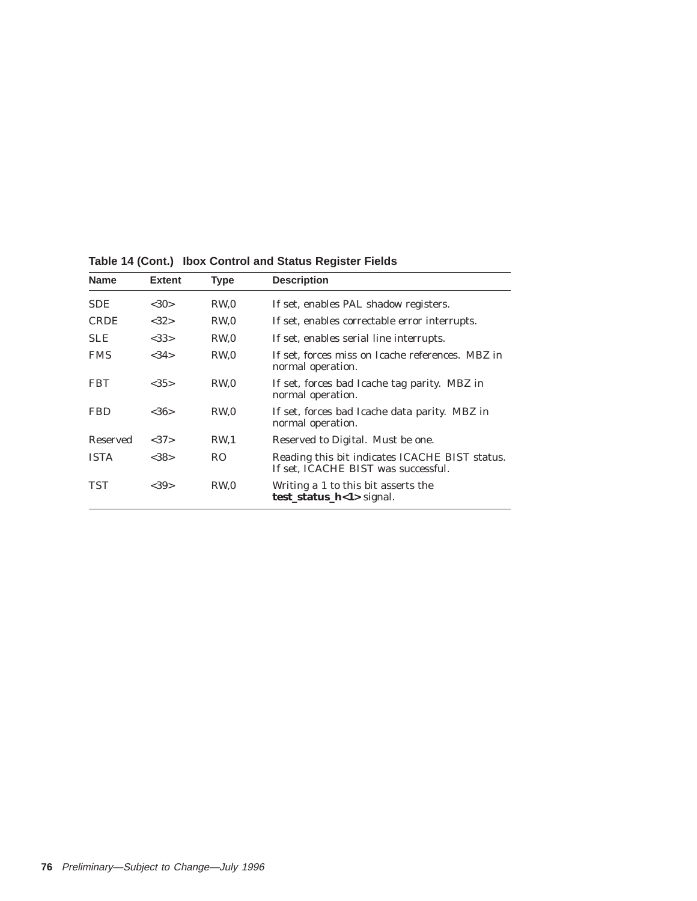| <b>Name</b> | <b>Extent</b> | <b>Type</b>     | <b>Description</b>                                                                    |
|-------------|---------------|-----------------|---------------------------------------------------------------------------------------|
| SDE         | <30>          | RW <sub>0</sub> | If set, enables PAL shadow registers.                                                 |
| <b>CRDE</b> | <32>          | RW <sub>0</sub> | If set, enables correctable error interrupts.                                         |
| <b>SLE</b>  | <33>          | RW <sub>0</sub> | If set, enables serial line interrupts.                                               |
| <b>FMS</b>  | <34>          | RW <sub>0</sub> | If set, forces miss on Icache references. MBZ in<br>normal operation.                 |
| <b>FBT</b>  | <35>          | RW.0            | If set, forces bad Icache tag parity. MBZ in<br>normal operation.                     |
| <b>FBD</b>  | <36>          | RW <sub>0</sub> | If set, forces bad Icache data parity. MBZ in<br>normal operation.                    |
| Reserved    | <37>          | RW <sub>1</sub> | Reserved to Digital. Must be one.                                                     |
| <b>ISTA</b> | <38>          | RO              | Reading this bit indicates ICACHE BIST status.<br>If set, ICACHE BIST was successful. |
| TST         | <39>          | RW <sub>0</sub> | Writing a 1 to this bit asserts the<br>test_status_h<1> signal.                       |

**Table 14 (Cont.) Ibox Control and Status Register Fields**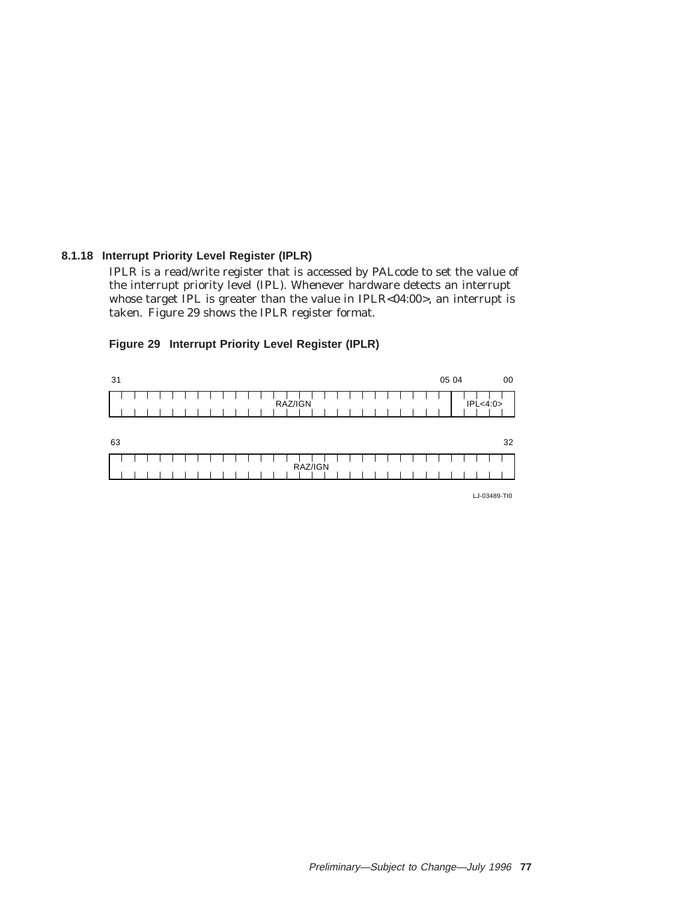#### **8.1.18 Interrupt Priority Level Register (IPLR)**

IPLR is a read/write register that is accessed by PALcode to set the value of the interrupt priority level (IPL). Whenever hardware detects an interrupt whose target IPL is greater than the value in IPLR<04:00>, an interrupt is taken. Figure 29 shows the IPLR register format.

| 31 |  |  |  |  |  |  |  |         |  |  |  |  |  | 05 04 |  |           | 00 |
|----|--|--|--|--|--|--|--|---------|--|--|--|--|--|-------|--|-----------|----|
|    |  |  |  |  |  |  |  | RAZ/IGN |  |  |  |  |  |       |  | IPL < 4:0 |    |
|    |  |  |  |  |  |  |  |         |  |  |  |  |  |       |  |           |    |
| 63 |  |  |  |  |  |  |  |         |  |  |  |  |  |       |  |           | 32 |

#### **Figure 29 Interrupt Priority Level Register (IPLR)**

LJ-03489-TI0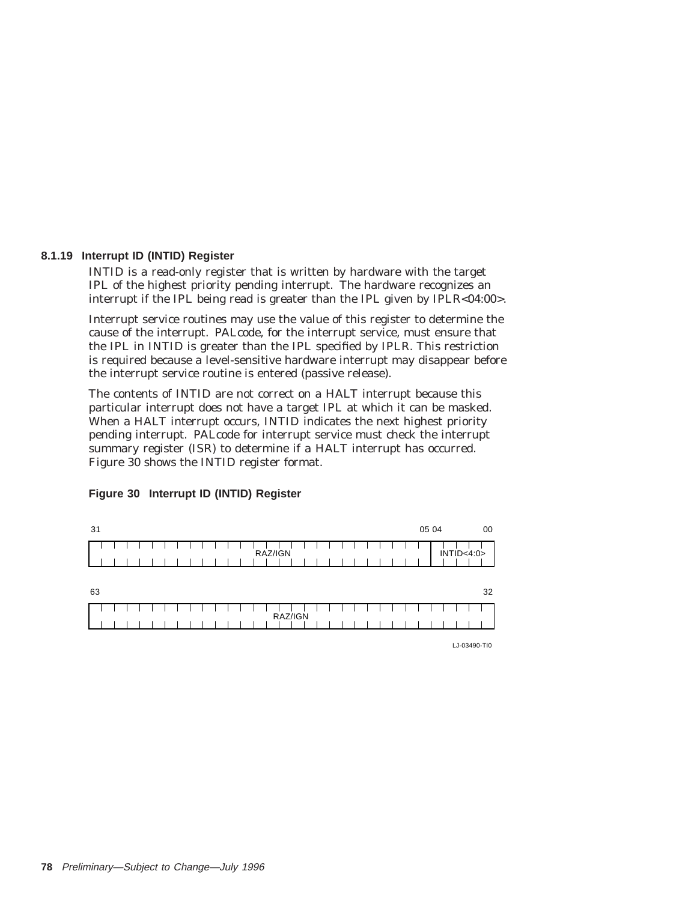#### **8.1.19 Interrupt ID (INTID) Register**

INTID is a read-only register that is written by hardware with the target IPL of the highest priority pending interrupt. The hardware recognizes an interrupt if the IPL being read is greater than the IPL given by IPLR<04:00>.

Interrupt service routines may use the value of this register to determine the cause of the interrupt. PALcode, for the interrupt service, must ensure that the IPL in INTID is greater than the IPL specified by IPLR. This restriction is required because a level-sensitive hardware interrupt may disappear before the interrupt service routine is entered (passive release).

The contents of INTID are not correct on a HALT interrupt because this particular interrupt does not have a target IPL at which it can be masked. When a HALT interrupt occurs, INTID indicates the next highest priority pending interrupt. PALcode for interrupt service must check the interrupt summary register (ISR) to determine if a HALT interrupt has occurred. Figure 30 shows the INTID register format.



#### **Figure 30 Interrupt ID (INTID) Register**

LJ-03490-TI0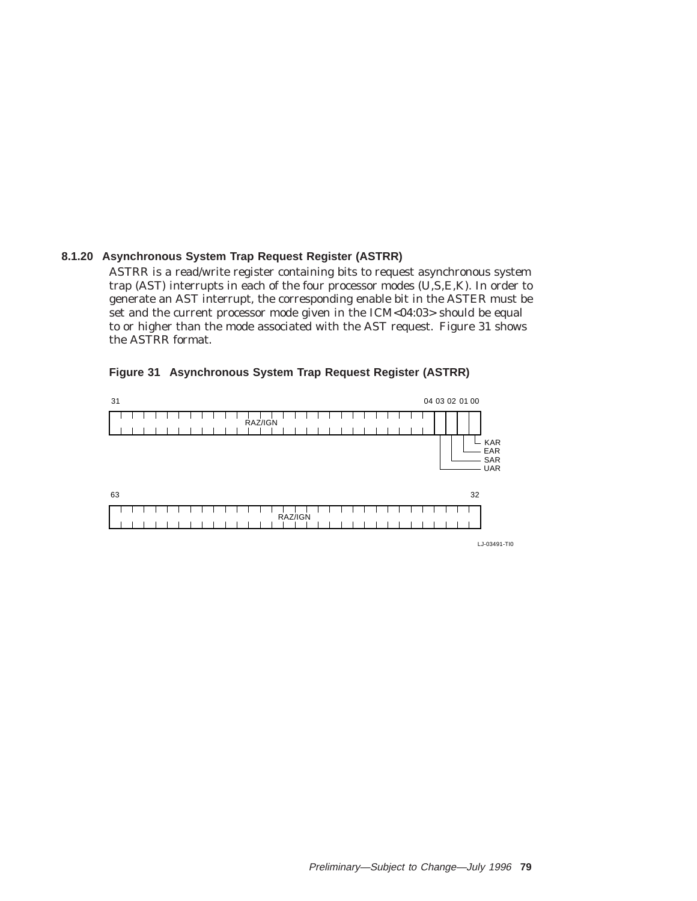### **8.1.20 Asynchronous System Trap Request Register (ASTRR)**

ASTRR is a read/write register containing bits to request asynchronous system trap (AST) interrupts in each of the four processor modes (U,S,E,K). In order to generate an AST interrupt, the corresponding enable bit in the ASTER must be set and the current processor mode given in the ICM<04:03> should be equal to or higher than the mode associated with the AST request. Figure 31 shows the ASTRR format.

| Figure 31 Asynchronous System Trap Request Register (ASTRR) |  |  |  |  |  |  |
|-------------------------------------------------------------|--|--|--|--|--|--|
|-------------------------------------------------------------|--|--|--|--|--|--|



LJ-03491-TI0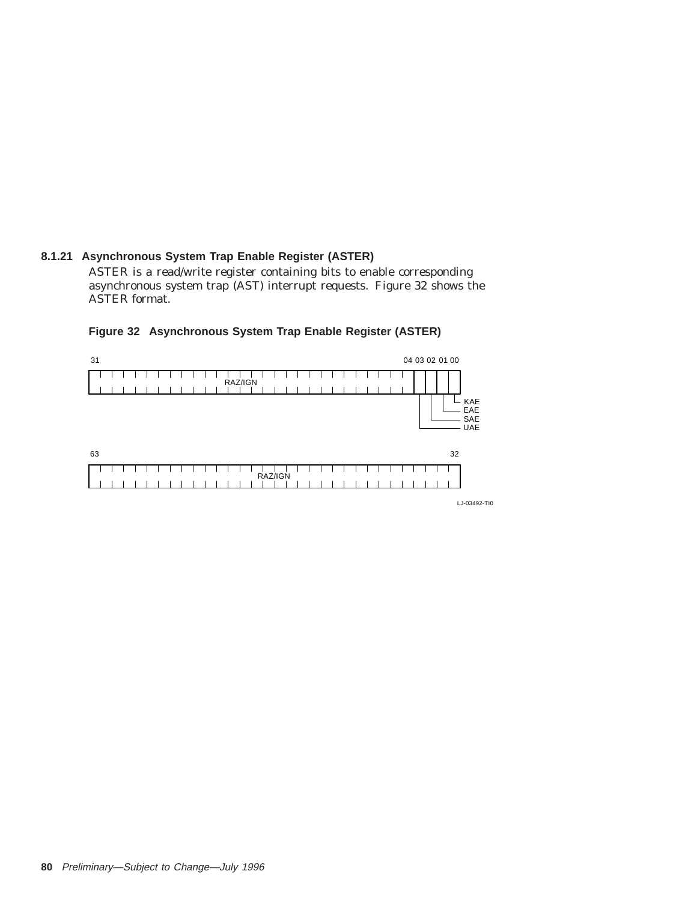# **8.1.21 Asynchronous System Trap Enable Register (ASTER)**

ASTER is a read/write register containing bits to enable corresponding asynchronous system trap (AST) interrupt requests. Figure 32 shows the ASTER format.

#### **Figure 32 Asynchronous System Trap Enable Register (ASTER)**



LJ-03492-TI0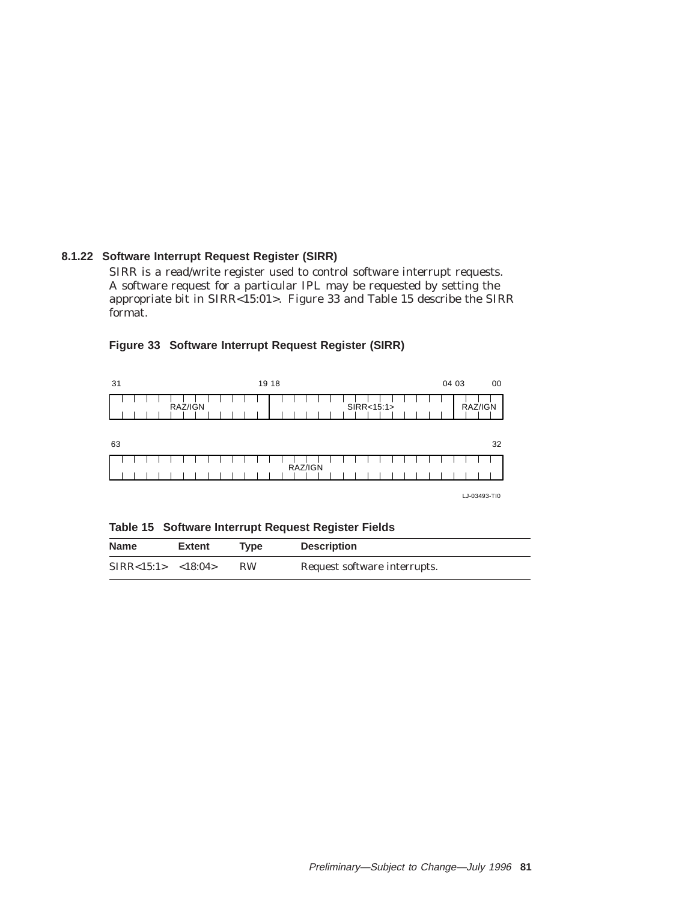# **8.1.22 Software Interrupt Request Register (SIRR)**

SIRR is a read/write register used to control software interrupt requests. A software request for a particular IPL may be requested by setting the appropriate bit in SIRR<15:01>. Figure 33 and Table 15 describe the SIRR format.

| 31 | 19 18                 | 04 03<br>00 |
|----|-----------------------|-------------|
|    | SIRR<15:1><br>RAZ/IGN | RAZ/IGN     |
| 63 |                       | 32          |
|    | RAZ/IGN               |             |

# **Figure 33 Software Interrupt Request Register (SIRR)**

LJ-03493-TI0

**Table 15 Software Interrupt Request Register Fields**

| <b>Name</b>             | <b>Extent</b> | Tvpe      | <b>Description</b>           |
|-------------------------|---------------|-----------|------------------------------|
| SIRR < 15:1 > < 18:04 > |               | <b>RW</b> | Request software interrupts. |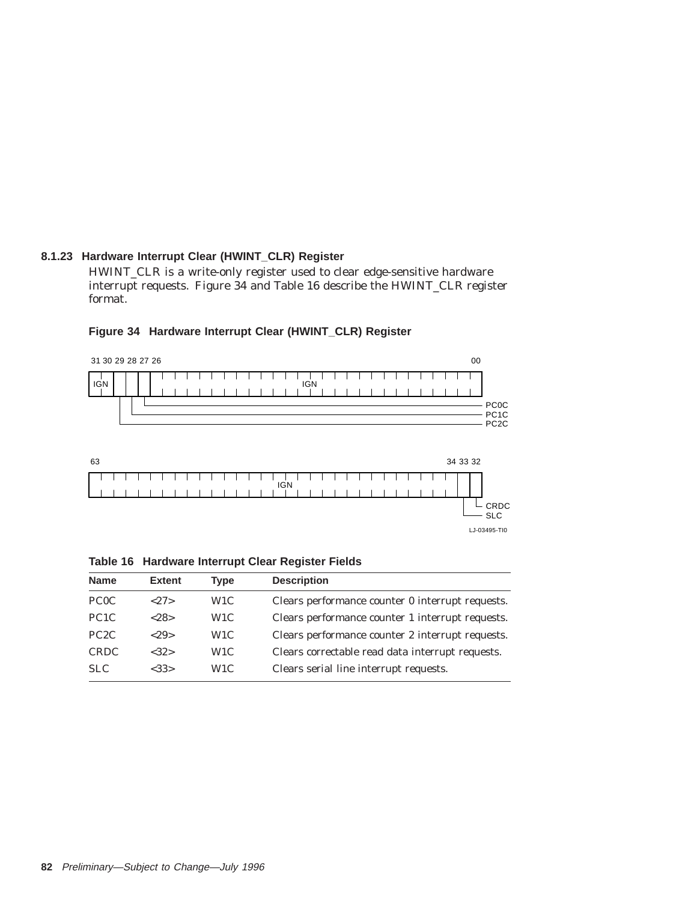# **8.1.23 Hardware Interrupt Clear (HWINT\_CLR) Register**

HWINT\_CLR is a write-only register used to clear edge-sensitive hardware interrupt requests. Figure 34 and Table 16 describe the HWINT\_CLR register format.



#### **Figure 34 Hardware Interrupt Clear (HWINT\_CLR) Register**

|  |  | Table 16 Hardware Interrupt Clear Register Fields |  |  |  |  |
|--|--|---------------------------------------------------|--|--|--|--|
|--|--|---------------------------------------------------|--|--|--|--|

| <b>Name</b>       | <b>Extent</b> | Type             | <b>Description</b>                               |
|-------------------|---------------|------------------|--------------------------------------------------|
| PC <sub>0</sub> C | < 27          | W <sub>1</sub> C | Clears performance counter 0 interrupt requests. |
| PC <sub>1</sub> C | < 28          | W <sub>1</sub> C | Clears performance counter 1 interrupt requests. |
| PC <sub>2</sub> C | < 2.9         | W <sub>1</sub> C | Clears performance counter 2 interrupt requests. |
| <b>CRDC</b>       | <32>          | W <sub>1</sub> C | Clears correctable read data interrupt requests. |
| <b>SLC</b>        | <33>          | W <sub>1</sub> C | Clears serial line interrupt requests.           |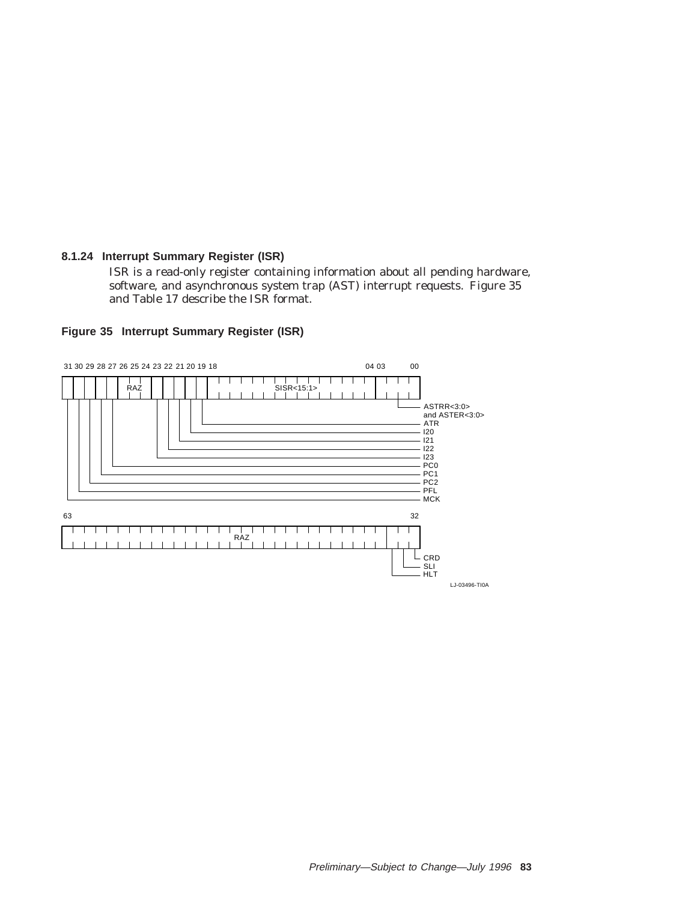#### **8.1.24 Interrupt Summary Register (ISR)**

ISR is a read-only register containing information about all pending hardware, software, and asynchronous system trap (AST) interrupt requests. Figure 35 and Table 17 describe the ISR format.



#### **Figure 35 Interrupt Summary Register (ISR)**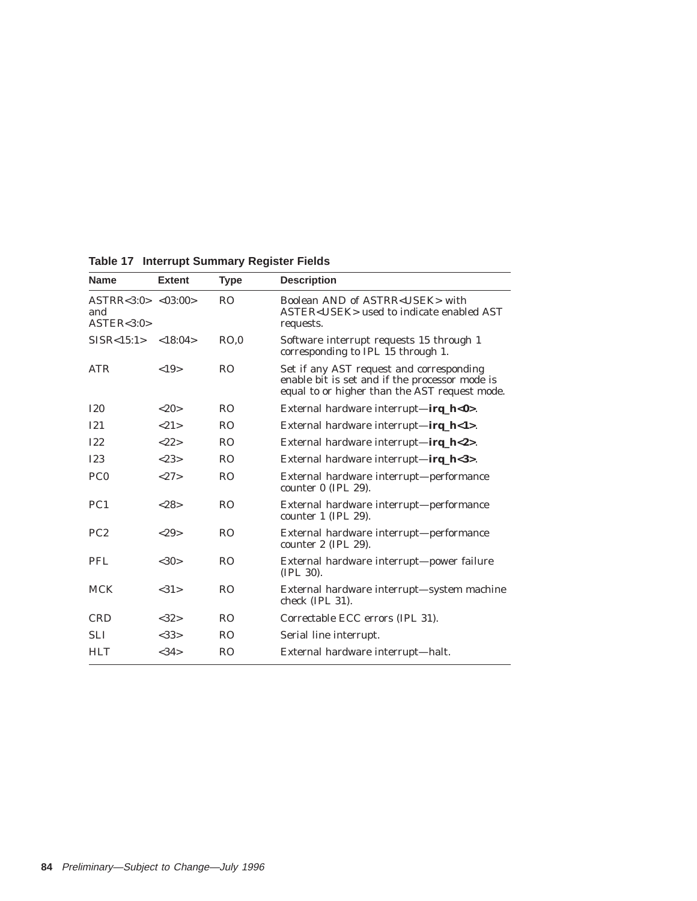| <b>Name</b>                                | <b>Extent</b> | <b>Type</b>    | <b>Description</b>                                                                                                                          |
|--------------------------------------------|---------------|----------------|---------------------------------------------------------------------------------------------------------------------------------------------|
| ASTRR < 3:0 > <03:00><br>and<br>ASTER<3:0> |               | R <sub>O</sub> | Boolean AND of ASTRR <usek> with<br/>ASTER<usek> used to indicate enabled AST<br/>requests.</usek></usek>                                   |
| $SISR < 15:1 > \langle 18:04 \rangle$      |               | RO.0           | Software interrupt requests 15 through 1<br>corresponding to IPL 15 through 1.                                                              |
| <b>ATR</b>                                 | <19>          | R <sub>O</sub> | Set if any AST request and corresponding<br>enable bit is set and if the processor mode is<br>equal to or higher than the AST request mode. |
| <b>I20</b>                                 | <20>          | R <sub>O</sub> | External hardware interrupt—irq_h<0>.                                                                                                       |
| I21                                        | < 2.1         | R <sub>O</sub> | External hardware interrupt—irq_h<1>.                                                                                                       |
| <b>I22</b>                                 | <22>          | R <sub>O</sub> | External hardware interrupt—irq_h<2>.                                                                                                       |
| <b>I23</b>                                 | < 2.3>        | <b>RO</b>      | External hardware interrupt— $\text{irq}_h$ <3>.                                                                                            |
| PC <sub>0</sub>                            | <2.7>         | R <sub>O</sub> | External hardware interrupt—performance<br>counter $0$ (IPL 29).                                                                            |
| PC <sub>1</sub>                            | <28>          | R <sub>O</sub> | External hardware interrupt—performance<br>counter 1 (IPL 29).                                                                              |
| PC2                                        | <29           | R <sub>O</sub> | External hardware interrupt—performance<br>counter 2 (IPL 29).                                                                              |
| <b>PFL</b>                                 | <30>          | R <sub>O</sub> | External hardware interrupt—power failure<br>$(IPL 30)$ .                                                                                   |
| <b>MCK</b>                                 | <31>          | R <sub>O</sub> | External hardware interrupt—system machine<br>check (IPL 31).                                                                               |
| <b>CRD</b>                                 | <32>          | R <sub>O</sub> | Correctable ECC errors (IPL 31).                                                                                                            |
| <b>SLI</b>                                 | <33>          | R <sub>O</sub> | Serial line interrupt.                                                                                                                      |
| <b>HLT</b>                                 | <34>          | R <sub>O</sub> | External hardware interrupt—halt.                                                                                                           |

**Table 17 Interrupt Summary Register Fields**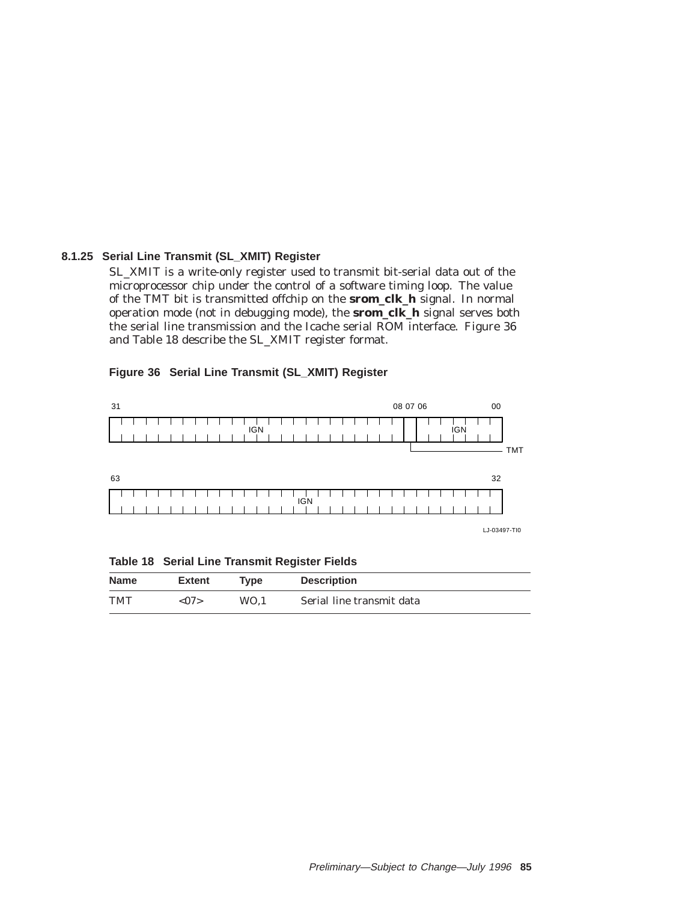#### **8.1.25 Serial Line Transmit (SL\_XMIT) Register**

SL\_XMIT is a write-only register used to transmit bit-serial data out of the microprocessor chip under the control of a software timing loop. The value of the TMT bit is transmitted offchip on the **srom\_clk\_h** signal. In normal operation mode (not in debugging mode), the **srom\_clk\_h** signal serves both the serial line transmission and the Icache serial ROM interface. Figure 36 and Table 18 describe the SL\_XMIT register format.

#### **Figure 36 Serial Line Transmit (SL\_XMIT) Register**



**Table 18 Serial Line Transmit Register Fields**

| <b>Name</b> | <b>Extent</b>  | <b>Type</b> | <b>Description</b>        |
|-------------|----------------|-------------|---------------------------|
| <b>TMT</b>  | $<\!\!07\!\!>$ | WO.1        | Serial line transmit data |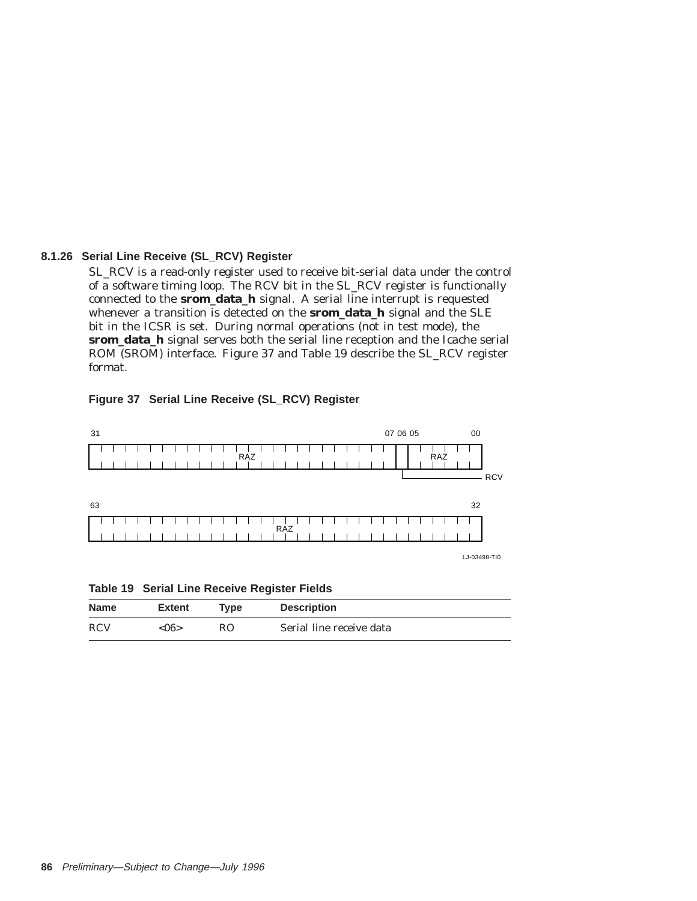#### **8.1.26 Serial Line Receive (SL\_RCV) Register**

SL\_RCV is a read-only register used to receive bit-serial data under the control of a software timing loop. The RCV bit in the SL\_RCV register is functionally connected to the **srom\_data\_h** signal. A serial line interrupt is requested whenever a transition is detected on the **srom\_data\_h** signal and the SLE bit in the ICSR is set. During normal operations (not in test mode), the **srom\_data\_h** signal serves both the serial line reception and the Icache serial ROM (SROM) interface. Figure 37 and Table 19 describe the SL\_RCV register format.

#### **Figure 37 Serial Line Receive (SL\_RCV) Register**



**Table 19 Serial Line Receive Register Fields**

| <b>Name</b> | <b>Extent</b> | Tvpe | <b>Description</b>       |
|-------------|---------------|------|--------------------------|
| <b>RCV</b>  | < 06          | RO.  | Serial line receive data |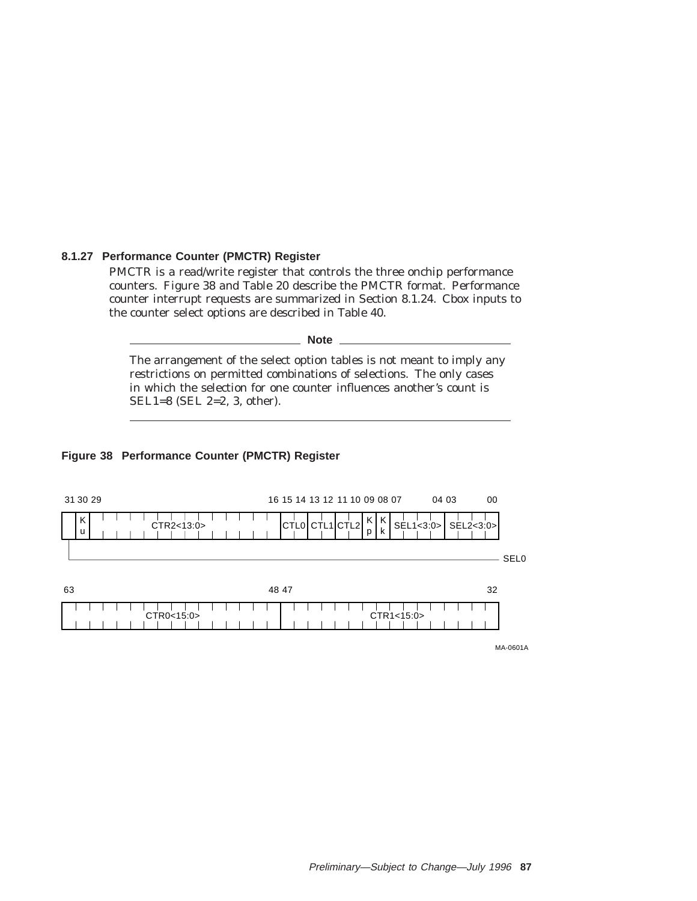#### **8.1.27 Performance Counter (PMCTR) Register**

PMCTR is a read/write register that controls the three onchip performance counters. Figure 38 and Table 20 describe the PMCTR format. Performance counter interrupt requests are summarized in Section 8.1.24. Cbox inputs to the counter select options are described in Table 40.

**Note**

The arrangement of the select option tables is not meant to imply any restrictions on permitted combinations of selections. The only cases in which the selection for one counter influences another's count is SEL1=8 (SEL 2=2, 3, other).

#### **Figure 38 Performance Counter (PMCTR) Register**



MA-0601A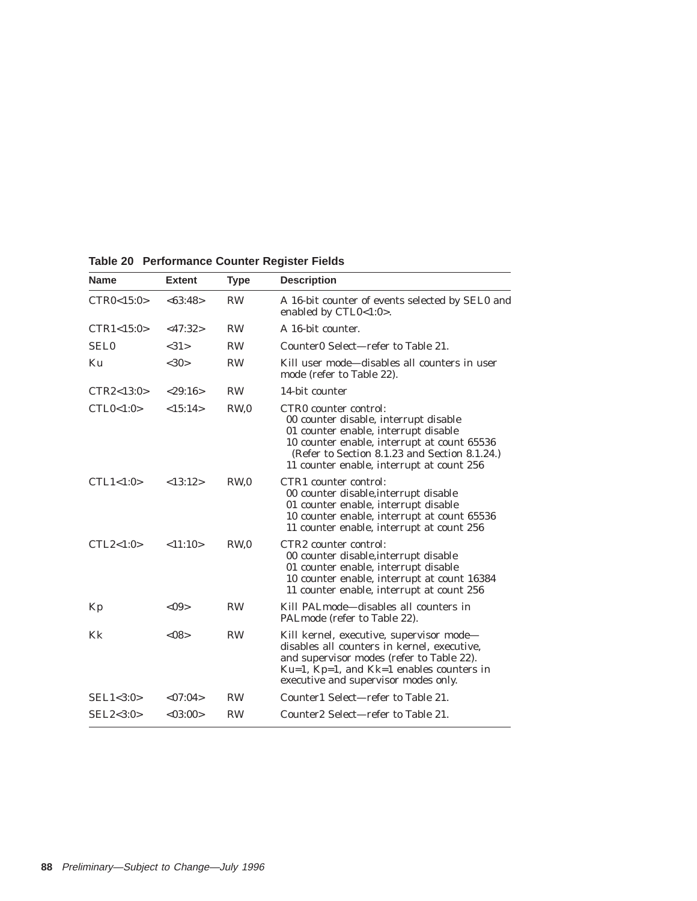| Name         | <b>Extent</b> | <b>Type</b>     | <b>Description</b>                                                                                                                                                                                                                                  |
|--------------|---------------|-----------------|-----------------------------------------------------------------------------------------------------------------------------------------------------------------------------------------------------------------------------------------------------|
| CTR0<15:0>   | <63:48>       | <b>RW</b>       | A 16-bit counter of events selected by SEL0 and<br>enabled by CTL0<1:0>.                                                                                                                                                                            |
| CTR1 < 15:0  | <47:32>       | <b>RW</b>       | A 16-bit counter.                                                                                                                                                                                                                                   |
| <b>SEL0</b>  | <31>          | <b>RW</b>       | Counter0 Select—refer to Table 21.                                                                                                                                                                                                                  |
| Ku           | <30>          | <b>RW</b>       | Kill user mode—disables all counters in user<br>mode (refer to Table 22).                                                                                                                                                                           |
| CTR2 < 13:0> | < 29:16>      | <b>RW</b>       | 14-bit counter                                                                                                                                                                                                                                      |
| CTL0<1:0>    | <15:14>       | RW <sub>0</sub> | CTRO counter control:<br>00 counter disable, interrupt disable<br>01 counter enable, interrupt disable<br>10 counter enable, interrupt at count 65536<br>(Refer to Section 8.1.23 and Section 8.1.24.)<br>11 counter enable, interrupt at count 256 |
| CTL1 < 1:0>  | <13:12>       | RW <sub>0</sub> | CTR1 counter control:<br>00 counter disable, interrupt disable<br>01 counter enable, interrupt disable<br>10 counter enable, interrupt at count 65536<br>11 counter enable, interrupt at count 256                                                  |
| CTL2 < 1:0>  | < 11:10>      | RW <sub>0</sub> | CTR <sub>2</sub> counter control:<br>00 counter disable, interrupt disable<br>01 counter enable, interrupt disable<br>10 counter enable, interrupt at count 16384<br>11 counter enable, interrupt at count 256                                      |
| Kp           | < 0.9         | <b>RW</b>       | Kill PALmode-disables all counters in<br>PALmode (refer to Table 22).                                                                                                                                                                               |
| Kk           | < 08          | <b>RW</b>       | Kill kernel, executive, supervisor mode—<br>disables all counters in kernel, executive,<br>and supervisor modes (refer to Table 22).<br>$Ku=1$ , $Kp=1$ , and $Kk=1$ enables counters in<br>executive and supervisor modes only.                    |
| SEL1 < 3:0>  | < 07:04>      | <b>RW</b>       | Counter1 Select-refer to Table 21.                                                                                                                                                                                                                  |
| SEL2 < 3:0>  | <03:00>       | <b>RW</b>       | Counter2 Select-refer to Table 21.                                                                                                                                                                                                                  |
|              |               |                 |                                                                                                                                                                                                                                                     |

**Table 20 Performance Counter Register Fields**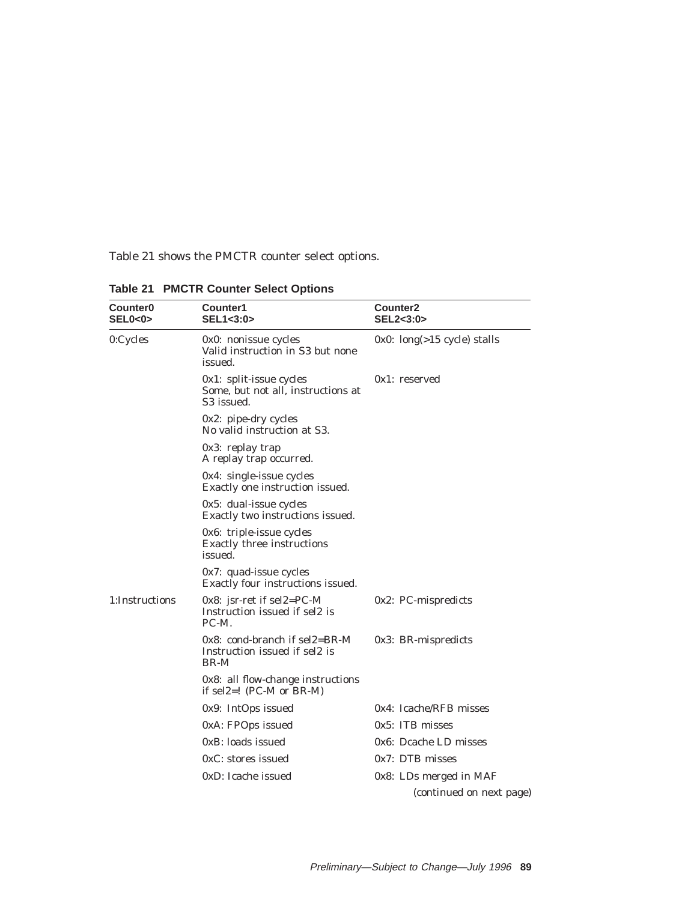Table 21 shows the PMCTR counter select options.

| <b>Counter0</b><br>SEL0<0> | Counter1<br>SEL1<3:0>                                                                | <b>Counter2</b><br>SEL2<3:0>   |
|----------------------------|--------------------------------------------------------------------------------------|--------------------------------|
| 0:Cycles                   | 0x0: nonissue cycles<br>Valid instruction in S3 but none<br>issued.                  | $0x0$ : long(>15 cycle) stalls |
|                            | $0x1$ : split-issue cycles<br>Some, but not all, instructions at<br>S3 issued.       | $0x1:$ reserved                |
|                            | 0x2: pipe-dry cycles<br>No valid instruction at S3.                                  |                                |
|                            | 0x3: replay trap<br>A replay trap occurred.                                          |                                |
|                            | 0x4: single-issue cycles<br>Exactly one instruction issued.                          |                                |
|                            | 0x5: dual-issue cycles<br>Exactly two instructions issued.                           |                                |
|                            | 0x6: triple-issue cycles<br>Exactly three instructions<br>issued.                    |                                |
|                            | $0x7$ : quad-issue cycles<br>Exactly four instructions issued.                       |                                |
| 1:Instructions             | 0x8: jsr-ret if sel2=PC-M<br>Instruction issued if sel2 is<br>PC-M.                  | 0x2: PC-mispredicts            |
|                            | $0x8$ : cond-branch if sel $2=BR$ -M<br>Instruction issued if sel2 is<br><b>BR-M</b> | 0x3: BR-mispredicts            |
|                            | 0x8: all flow-change instructions<br>if sel2=! $(PC-M \text{ or } BR-M)$             |                                |
|                            | 0x9: IntOps issued                                                                   | 0x4: Icache/RFB misses         |
|                            | 0xA: FPOps issued                                                                    | $0x5$ : ITB misses             |
|                            | 0xB: loads issued                                                                    | 0x6: Dcache LD misses          |
|                            | 0xC: stores issued                                                                   | $0x7$ : DTB misses             |
|                            | 0xD: Icache issued                                                                   | 0x8: LDs merged in MAF         |
|                            |                                                                                      | (continued on next page)       |

**Table 21 PMCTR Counter Select Options**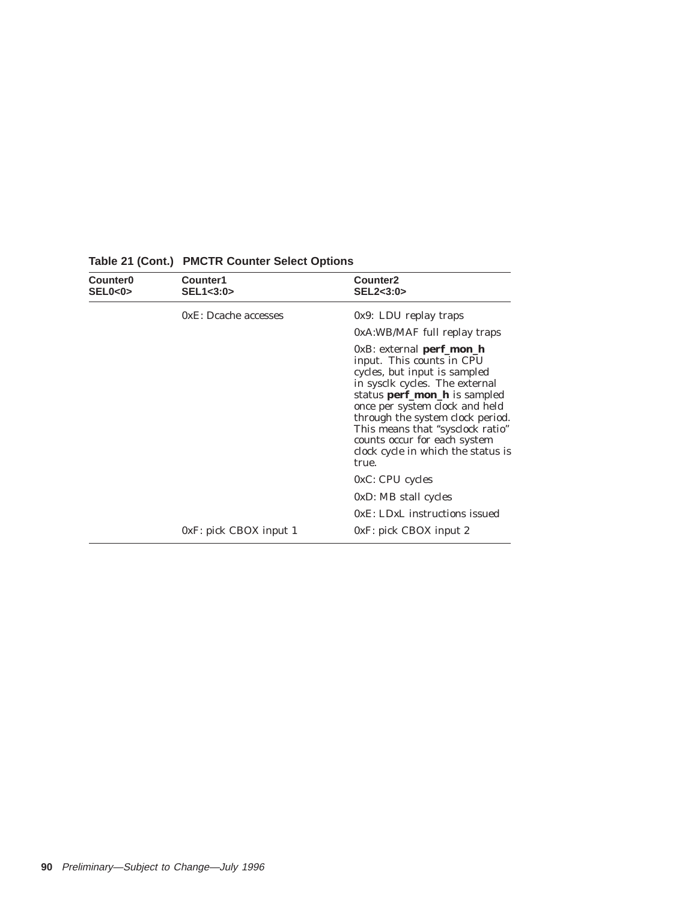| Counter <sub>0</sub><br>SELO < 0 | Counter1<br>SEL1<3:0>     | Counter <sub>2</sub><br>SEL2<3:0>                                                                                                                                                                                                                                                                                                                          |  |  |  |  |  |  |
|----------------------------------|---------------------------|------------------------------------------------------------------------------------------------------------------------------------------------------------------------------------------------------------------------------------------------------------------------------------------------------------------------------------------------------------|--|--|--|--|--|--|
|                                  | 0xE: Dcache accesses      | $0x9: LDU$ replay traps                                                                                                                                                                                                                                                                                                                                    |  |  |  |  |  |  |
|                                  |                           | 0xA:WB/MAF full replay traps                                                                                                                                                                                                                                                                                                                               |  |  |  |  |  |  |
|                                  |                           | $0xB$ : external <b>perf_mon_h</b><br>input. This counts in CPU<br>cycles, but input is sampled<br>in sysclk cycles. The external<br>status perf_mon_h is sampled<br>once per system clock and held<br>through the system clock period.<br>This means that "sysclock ratio"<br>counts occur for each system<br>clock cycle in which the status is<br>true. |  |  |  |  |  |  |
|                                  |                           | $0xC$ : CPU cycles                                                                                                                                                                                                                                                                                                                                         |  |  |  |  |  |  |
|                                  |                           | 0xD: MB stall cycles                                                                                                                                                                                                                                                                                                                                       |  |  |  |  |  |  |
|                                  |                           | 0xE: LDxL instructions issued                                                                                                                                                                                                                                                                                                                              |  |  |  |  |  |  |
|                                  | $0xF$ : pick CBOX input 1 | $0xF$ : pick CBOX input 2                                                                                                                                                                                                                                                                                                                                  |  |  |  |  |  |  |

# **Table 21 (Cont.) PMCTR Counter Select Options**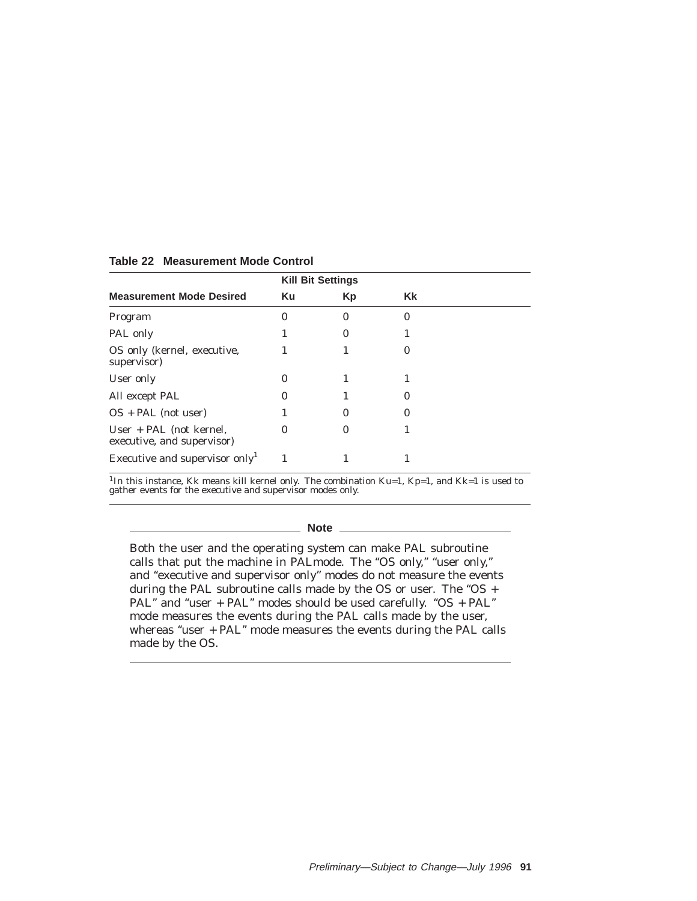|                                                         | <b>Kill Bit Settings</b> |    |          |
|---------------------------------------------------------|--------------------------|----|----------|
| <b>Measurement Mode Desired</b>                         | Ku                       | Кp | Kk       |
| Program                                                 | 0                        | 0  | $\bf{0}$ |
| PAL only                                                |                          | 0  |          |
| OS only (kernel, executive,<br>supervisor)              |                          |    | $\bf{0}$ |
| User only                                               |                          |    |          |
| All except PAL                                          |                          |    | $_{0}$   |
| $OS + PAL$ (not user)                                   |                          | 0  | $\bf{0}$ |
| $User + PAL$ (not kernel,<br>executive, and supervisor) | $\Omega$                 | 0  |          |
| Executive and supervisor only <sup>1</sup>              |                          |    |          |

#### **Table 22 Measurement Mode Control**

<sup>1</sup>In this instance, Kk means kill kernel only. The combination Ku=1, Kp=1, and Kk=1 is used to gather events for the executive and supervisor modes only.

#### **Note**

Both the user and the operating system can make PAL subroutine calls that put the machine in PALmode. The "OS only," "user only," and "executive and supervisor only" modes do not measure the events during the PAL subroutine calls made by the OS or user. The "OS + PAL" and "user + PAL" modes should be used carefully. "OS + PAL" mode measures the events during the PAL calls made by the user, whereas "user + PAL" mode measures the events during the PAL calls made by the OS.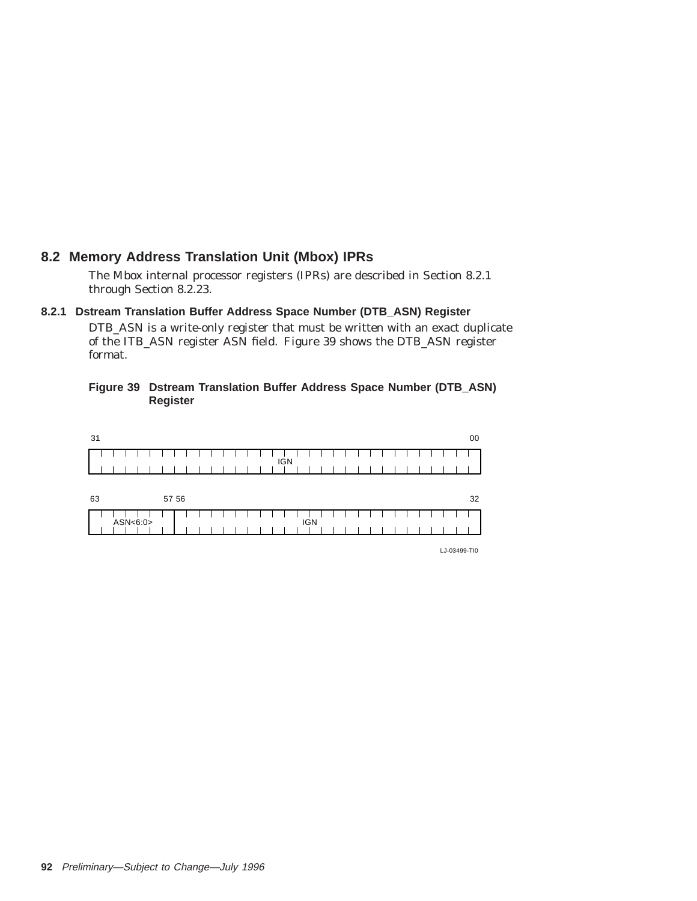# **8.2 Memory Address Translation Unit (Mbox) IPRs**

The Mbox internal processor registers (IPRs) are described in Section 8.2.1 through Section 8.2.23.

#### **8.2.1 Dstream Translation Buffer Address Space Number (DTB\_ASN) Register**

DTB\_ASN is a write-only register that must be written with an exact duplicate of the ITB\_ASN register ASN field. Figure 39 shows the DTB\_ASN register format.

#### **Figure 39 Dstream Translation Buffer Address Space Number (DTB\_ASN) Register**



LJ-03499-TI0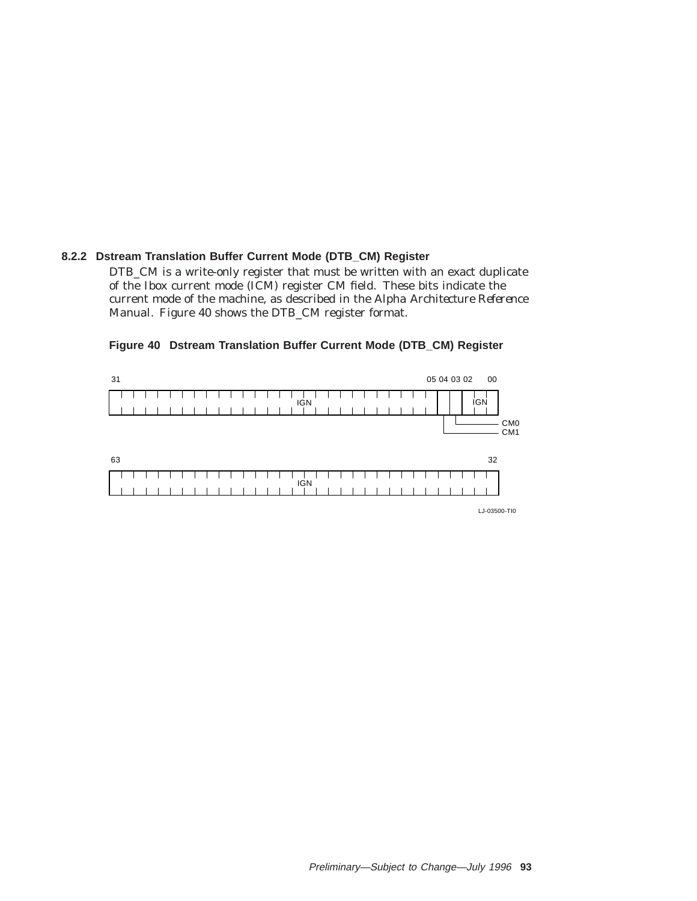### **8.2.2 Dstream Translation Buffer Current Mode (DTB\_CM) Register**

DTB\_CM is a write-only register that must be written with an exact duplicate of the Ibox current mode (ICM) register CM field. These bits indicate the current mode of the machine, as described in the *Alpha Architecture Reference Manual*. Figure 40 shows the DTB\_CM register format.

#### 31 30 29 28 27 26 25 24 23 22 21 20 19 18 17 16 15 14 13 12 11 10 09 08 07 06 05 04 03 02 01 00  $\overline{\phantom{a}}$  $\mathbf{I}$ ┱ IGN **IGN** CM0 CM1  $63$  53  $\mathbf{I}$  $\perp$  $\mathbf{I}$  $\blacksquare$  $\mathbf{I}$ ı IGN

#### **Figure 40 Dstream Translation Buffer Current Mode (DTB\_CM) Register**

LJ-03500-TI0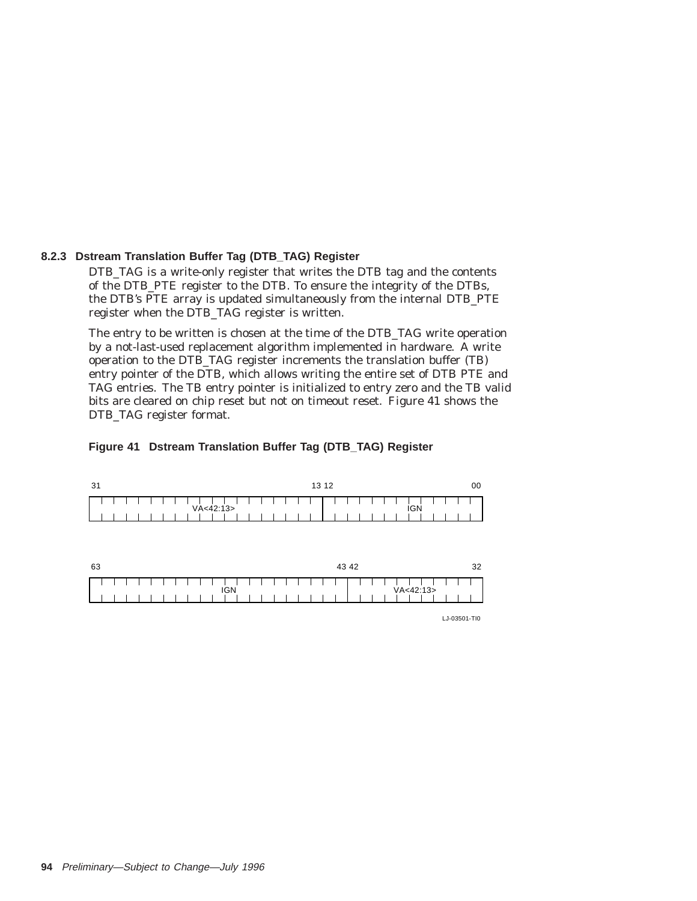#### **8.2.3 Dstream Translation Buffer Tag (DTB\_TAG) Register**

DTB\_TAG is a write-only register that writes the DTB tag and the contents of the DTB\_PTE register to the DTB. To ensure the integrity of the DTBs, the DTB's PTE array is updated simultaneously from the internal DTB\_PTE register when the DTB\_TAG register is written.

The entry to be written is chosen at the time of the DTB\_TAG write operation by a not-last-used replacement algorithm implemented in hardware. A write operation to the DTB\_TAG register increments the translation buffer (TB) entry pointer of the DTB, which allows writing the entire set of DTB PTE and TAG entries. The TB entry pointer is initialized to entry zero and the TB valid bits are cleared on chip reset but not on timeout reset. Figure 41 shows the DTB\_TAG register format.

#### **Figure 41 Dstream Translation Buffer Tag (DTB\_TAG) Register**

| -31 | 13 12           |     |  |  |  |  |  |  |  |  |
|-----|-----------------|-----|--|--|--|--|--|--|--|--|
|     | .<br>VA < 42:13 | IGN |  |  |  |  |  |  |  |  |
|     |                 |     |  |  |  |  |  |  |  |  |

| 63 |  |  |  |  |  |  |  |  |  | 43 42      |  |  |  |  |  |  |  |  |  |  | つつ<br>ັ |  |             |  |  |  |
|----|--|--|--|--|--|--|--|--|--|------------|--|--|--|--|--|--|--|--|--|--|---------|--|-------------|--|--|--|
|    |  |  |  |  |  |  |  |  |  | <b>IGN</b> |  |  |  |  |  |  |  |  |  |  |         |  | VA < 42:13> |  |  |  |
|    |  |  |  |  |  |  |  |  |  |            |  |  |  |  |  |  |  |  |  |  |         |  |             |  |  |  |

LJ-03501-TI0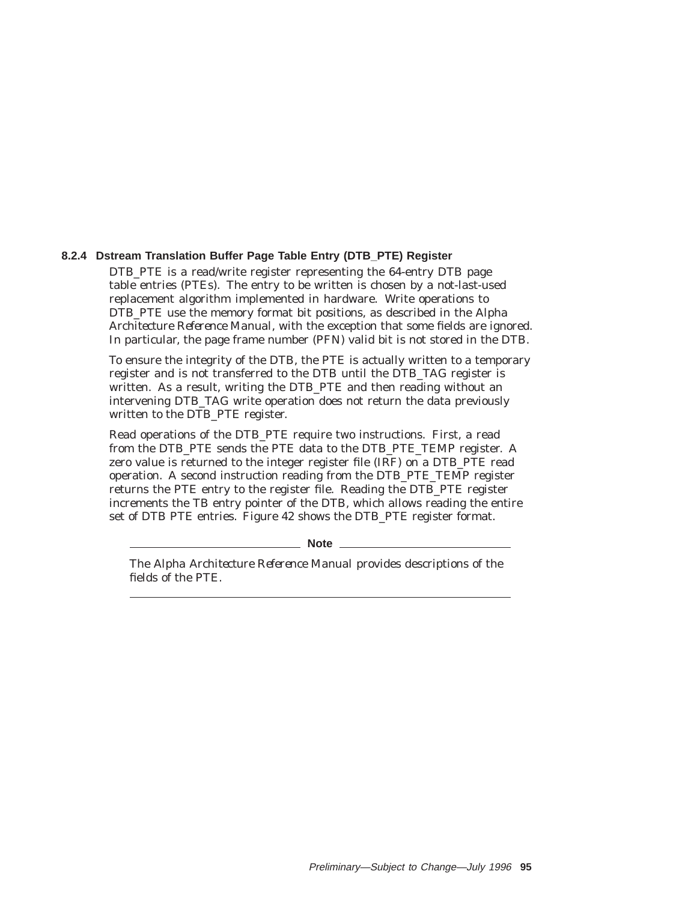#### **8.2.4 Dstream Translation Buffer Page Table Entry (DTB\_PTE) Register**

DTB PTE is a read/write register representing the 64-entry DTB page table entries (PTEs). The entry to be written is chosen by a not-last-used replacement algorithm implemented in hardware. Write operations to DTB\_PTE use the memory format bit positions, as described in the *Alpha Architecture Reference Manual*, with the exception that some fields are ignored. In particular, the page frame number (PFN) valid bit is not stored in the DTB.

To ensure the integrity of the DTB, the PTE is actually written to a temporary register and is not transferred to the DTB until the DTB\_TAG register is written. As a result, writing the DTB\_PTE and then reading without an intervening DTB\_TAG write operation does not return the data previously written to the DTB\_PTE register.

Read operations of the DTB\_PTE require two instructions. First, a read from the DTB\_PTE sends the PTE data to the DTB\_PTE\_TEMP register. A zero value is returned to the integer register file (IRF) on a DTB\_PTE read operation. A second instruction reading from the DTB\_PTE\_TEMP register returns the PTE entry to the register file. Reading the DTB\_PTE register increments the TB entry pointer of the DTB, which allows reading the entire set of DTB PTE entries. Figure 42 shows the DTB\_PTE register format.

**Note** —

The *Alpha Architecture Reference Manual* provides descriptions of the fields of the PTE.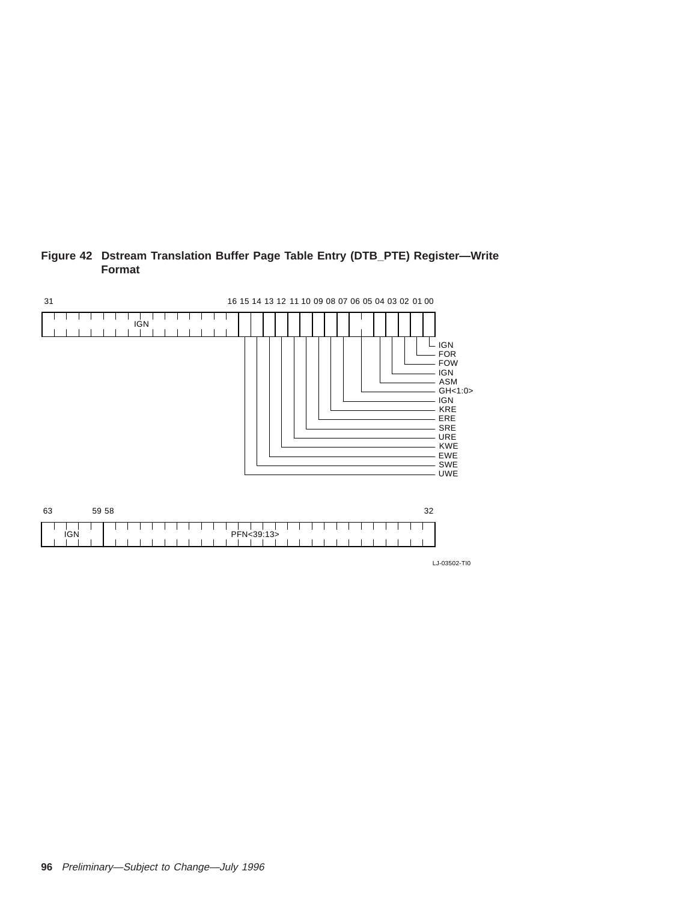

#### **Figure 42 Dstream Translation Buffer Page Table Entry (DTB\_PTE) Register—Write Format**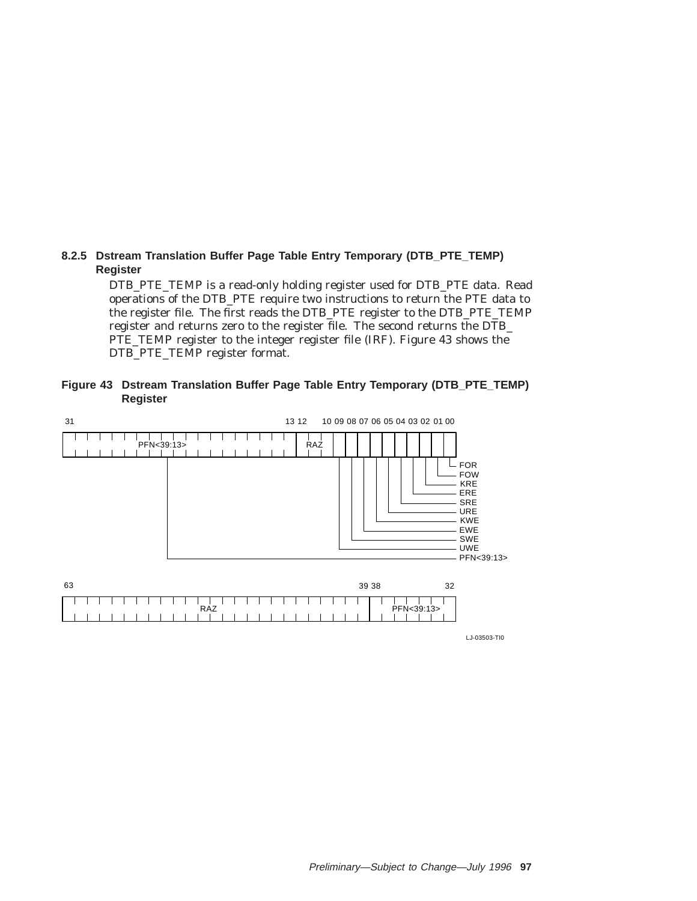### **8.2.5 Dstream Translation Buffer Page Table Entry Temporary (DTB\_PTE\_TEMP) Register**

DTB\_PTE\_TEMP is a read-only holding register used for DTB\_PTE data. Read operations of the DTB\_PTE require two instructions to return the PTE data to the register file. The first reads the DTB\_PTE register to the DTB\_PTE\_TEMP register and returns zero to the register file. The second returns the DTB\_ PTE\_TEMP register to the integer register file (IRF). Figure 43 shows the DTB\_PTE\_TEMP register format.

**Figure 43 Dstream Translation Buffer Page Table Entry Temporary (DTB\_PTE\_TEMP) Register**



LJ-03503-TI0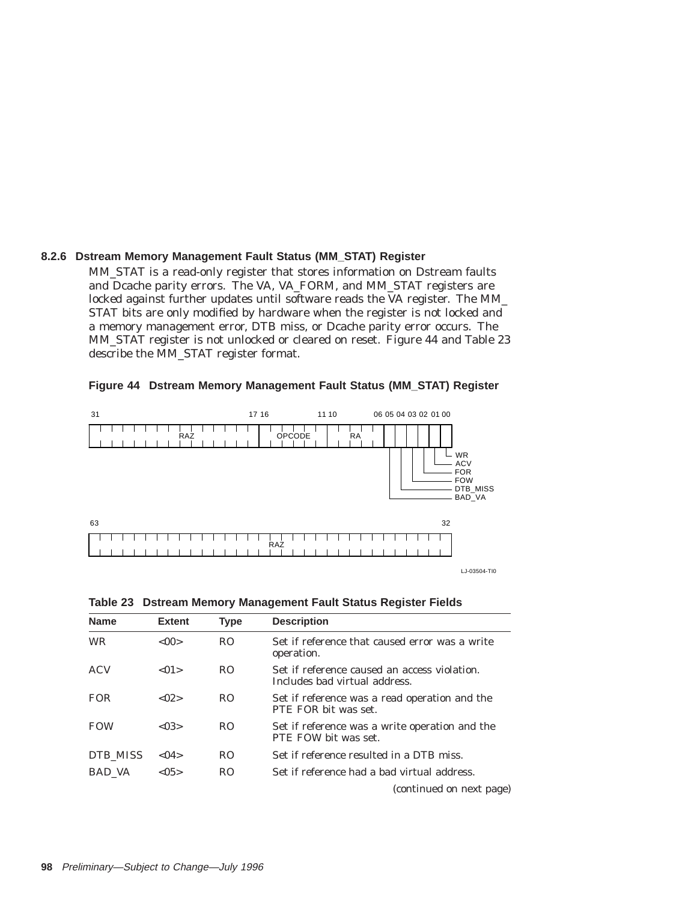# **8.2.6 Dstream Memory Management Fault Status (MM\_STAT) Register**

MM\_STAT is a read-only register that stores information on Dstream faults and Dcache parity errors. The VA, VA\_FORM, and MM\_STAT registers are locked against further updates until software reads the VA register. The MM\_ STAT bits are only modified by hardware when the register is not locked and a memory management error, DTB miss, or Dcache parity error occurs. The MM\_STAT register is not unlocked or cleared on reset. Figure 44 and Table 23 describe the MM\_STAT register format.



#### **Figure 44 Dstream Memory Management Fault Status (MM\_STAT) Register**

|  |  |  |  |  |  |  |  |  |  |  |  |  |  |  |  |  | ,,,,,,,,,,,,,,,,,,,,,,,,,,,,,,,   |
|--|--|--|--|--|--|--|--|--|--|--|--|--|--|--|--|--|-----------------------------------|
|  |  |  |  |  |  |  |  |  |  |  |  |  |  |  |  |  | ,,,,,,,,,,,,,,,,,,,,,,,,,,,,,,,,, |

LJ-03504-TI0

BAD\_VA

| <b>Name</b>   | <b>Extent</b> | <b>Type</b>    | <b>Description</b>                                                            |
|---------------|---------------|----------------|-------------------------------------------------------------------------------|
| <b>WR</b>     | $<$ 00 $>$    | R <sub>O</sub> | Set if reference that caused error was a write<br>operation.                  |
| ACV           | < 01          | R <sub>O</sub> | Set if reference caused an access violation.<br>Includes bad virtual address. |
| FOR.          | < 02          | R <sub>O</sub> | Set if reference was a read operation and the<br>PTE FOR bit was set.         |
| <b>FOW</b>    | < 0.3         | R <sub>O</sub> | Set if reference was a write operation and the<br>PTE FOW bit was set.        |
| DTB MISS      | < 04          | R <sub>O</sub> | Set if reference resulted in a DTB miss.                                      |
| <b>BAD VA</b> | < 0.5         | R <sub>O</sub> | Set if reference had a bad virtual address.                                   |
|               |               |                | (continued on next page)                                                      |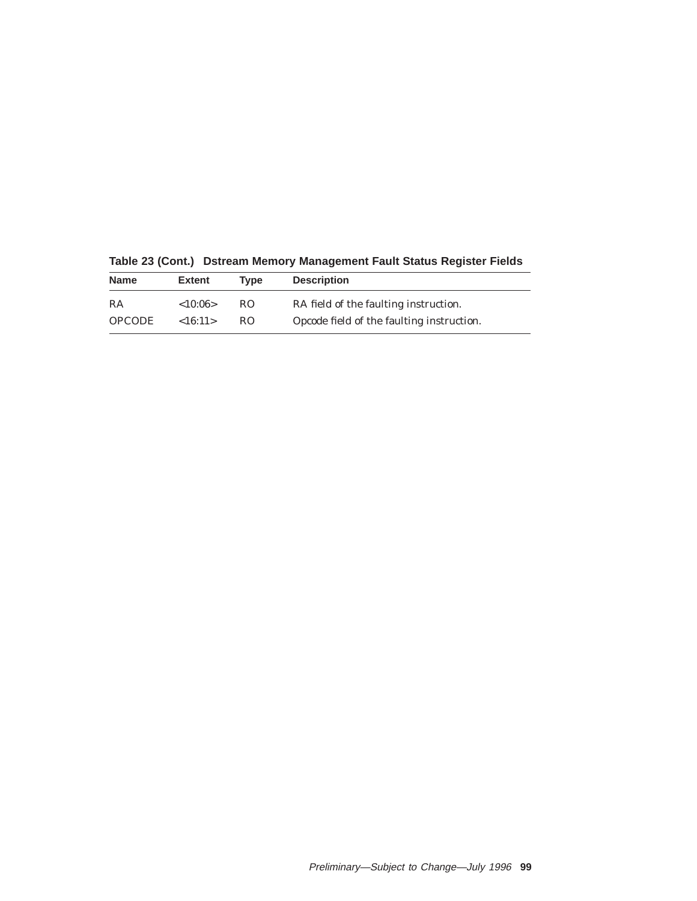| <b>Name</b>   | <b>Extent</b> | <b>Type</b> | <b>Description</b>                        |
|---------------|---------------|-------------|-------------------------------------------|
| RA            | <10:06>       | RO.         | RA field of the faulting instruction.     |
| <b>OPCODE</b> | ${<}16:11>$   | RO.         | Opcode field of the faulting instruction. |

**Table 23 (Cont.) Dstream Memory Management Fault Status Register Fields**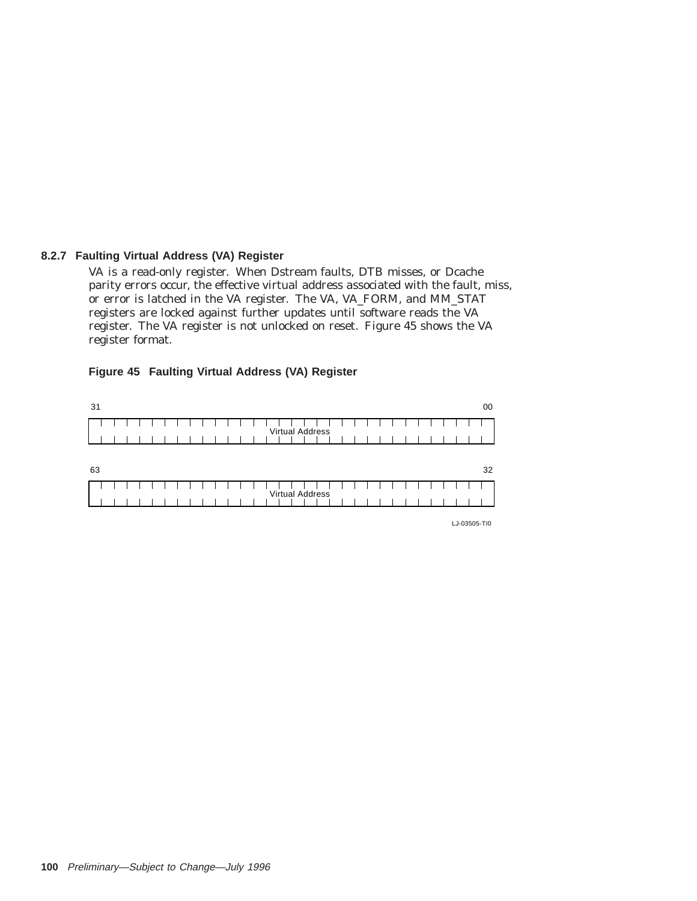### **8.2.7 Faulting Virtual Address (VA) Register**

VA is a read-only register. When Dstream faults, DTB misses, or Dcache parity errors occur, the effective virtual address associated with the fault, miss, or error is latched in the VA register. The VA, VA\_FORM, and MM\_STAT registers are locked against further updates until software reads the VA register. The VA register is not unlocked on reset. Figure 45 shows the VA register format.

### **Figure 45 Faulting Virtual Address (VA) Register**

| 31 |  |  |  |  |  |  |  |                        |  |  |  |  |  |  | 00 |
|----|--|--|--|--|--|--|--|------------------------|--|--|--|--|--|--|----|
|    |  |  |  |  |  |  |  | <b>Virtual Address</b> |  |  |  |  |  |  |    |
|    |  |  |  |  |  |  |  |                        |  |  |  |  |  |  |    |
| 63 |  |  |  |  |  |  |  |                        |  |  |  |  |  |  | 32 |
|    |  |  |  |  |  |  |  | <b>Virtual Address</b> |  |  |  |  |  |  |    |
|    |  |  |  |  |  |  |  |                        |  |  |  |  |  |  |    |

LJ-03505-TI0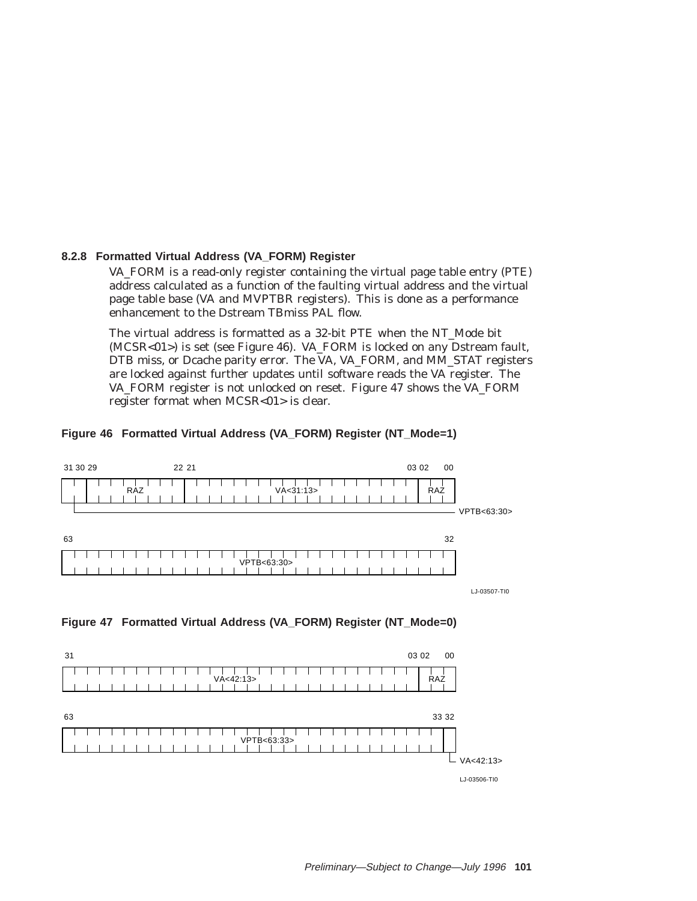### **8.2.8 Formatted Virtual Address (VA\_FORM) Register**

VA\_FORM is a read-only register containing the virtual page table entry (PTE) address calculated as a function of the faulting virtual address and the virtual page table base (VA and MVPTBR registers). This is done as a performance enhancement to the Dstream TBmiss PAL flow.

The virtual address is formatted as a 32-bit PTE when the NT\_Mode bit (MCSR<01>) is set (see Figure 46). VA\_FORM is locked on any Dstream fault, DTB miss, or Dcache parity error. The VA, VA\_FORM, and MM\_STAT registers are locked against further updates until software reads the VA register. The VA\_FORM register is not unlocked on reset. Figure 47 shows the VA\_FORM register format when MCSR<01> is clear.

### **Figure 46 Formatted Virtual Address (VA\_FORM) Register (NT\_Mode=1)**





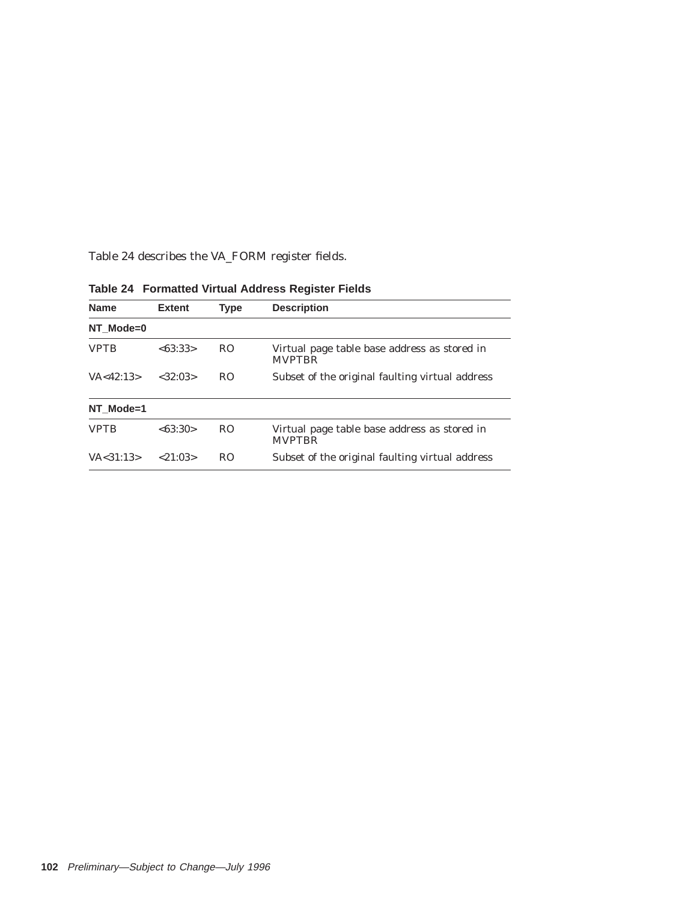Table 24 describes the VA\_FORM register fields.

| <b>Name</b> | <b>Extent</b> | Type           | <b>Description</b>                                            |
|-------------|---------------|----------------|---------------------------------------------------------------|
| NT Mode=0   |               |                |                                                               |
| <b>VPTB</b> | <63:33>       | R <sub>O</sub> | Virtual page table base address as stored in<br><b>MVPTBR</b> |
| VA < 42:13> | <32:03>       | R <sub>O</sub> | Subset of the original faulting virtual address               |
| NT Mode=1   |               |                |                                                               |
| <b>VPTB</b> | <63:30>       | R <sub>O</sub> | Virtual page table base address as stored in<br><b>MVPTBR</b> |
| VA < 31:13> | < 21:03>      | R <sub>O</sub> | Subset of the original faulting virtual address               |

**Table 24 Formatted Virtual Address Register Fields**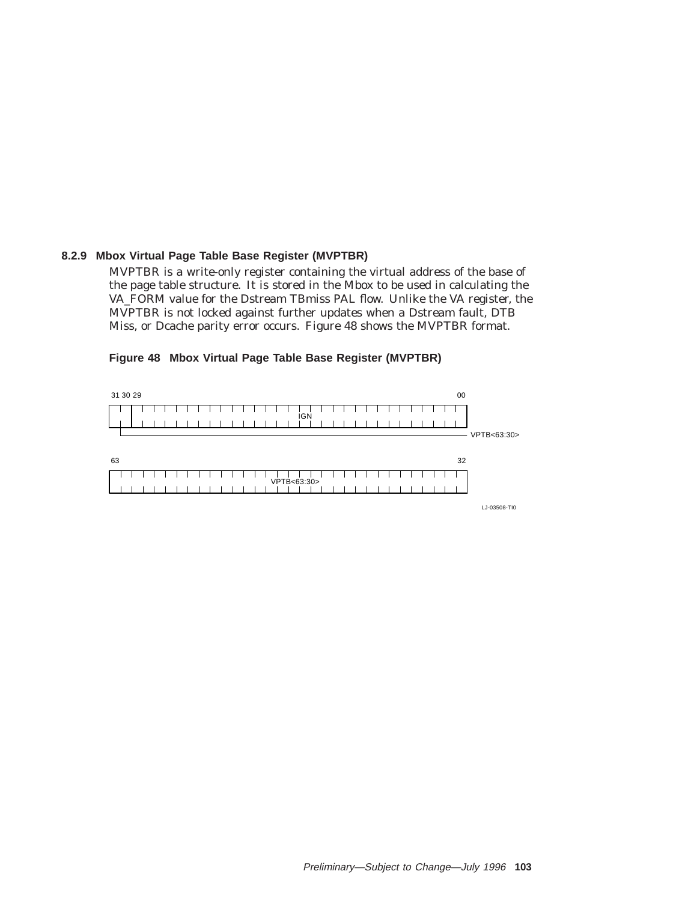### **8.2.9 Mbox Virtual Page Table Base Register (MVPTBR)**

MVPTBR is a write-only register containing the virtual address of the base of the page table structure. It is stored in the Mbox to be used in calculating the VA\_FORM value for the Dstream TBmiss PAL flow. Unlike the VA register, the MVPTBR is not locked against further updates when a Dstream fault, DTB Miss, or Dcache parity error occurs. Figure 48 shows the MVPTBR format.

#### **Figure 48 Mbox Virtual Page Table Base Register (MVPTBR)**



LJ-03508-TI0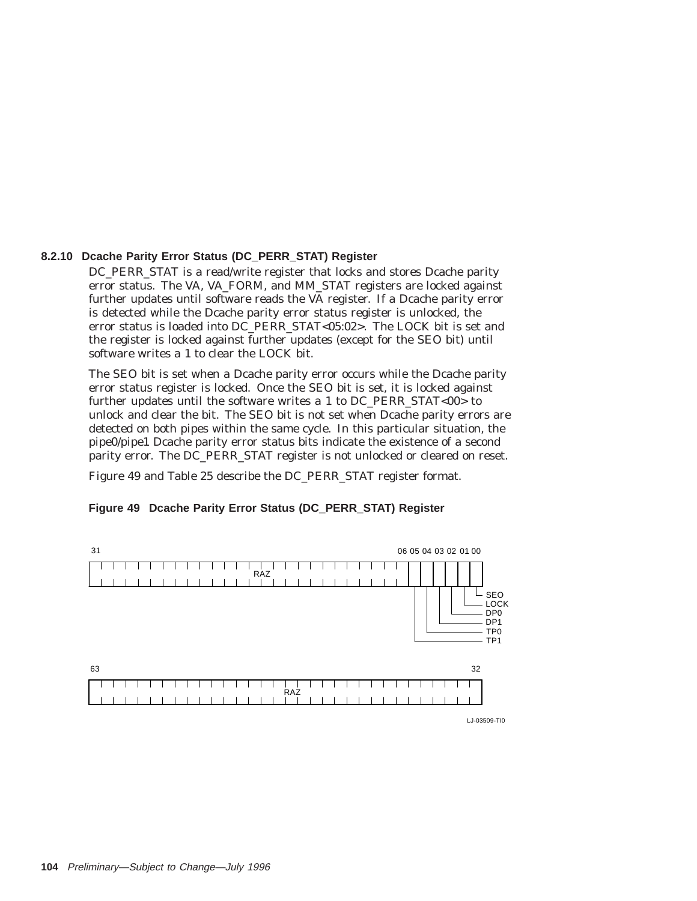### **8.2.10 Dcache Parity Error Status (DC\_PERR\_STAT) Register**

DC\_PERR\_STAT is a read/write register that locks and stores Dcache parity error status. The VA, VA\_FORM, and MM\_STAT registers are locked against further updates until software reads the VA register. If a Dcache parity error is detected while the Dcache parity error status register is unlocked, the error status is loaded into DC\_PERR\_STAT<05:02>. The LOCK bit is set and the register is locked against further updates (except for the SEO bit) until software writes a 1 to clear the LOCK bit.

The SEO bit is set when a Dcache parity error occurs while the Dcache parity error status register is locked. Once the SEO bit is set, it is locked against further updates until the software writes a 1 to DC\_PERR\_STAT<00> to unlock and clear the bit. The SEO bit is not set when Dcache parity errors are detected on both pipes within the same cycle. In this particular situation, the pipe0/pipe1 Dcache parity error status bits indicate the existence of a second parity error. The DC\_PERR\_STAT register is not unlocked or cleared on reset.

Figure 49 and Table 25 describe the DC\_PERR\_STAT register format.



### **Figure 49 Dcache Parity Error Status (DC\_PERR\_STAT) Register**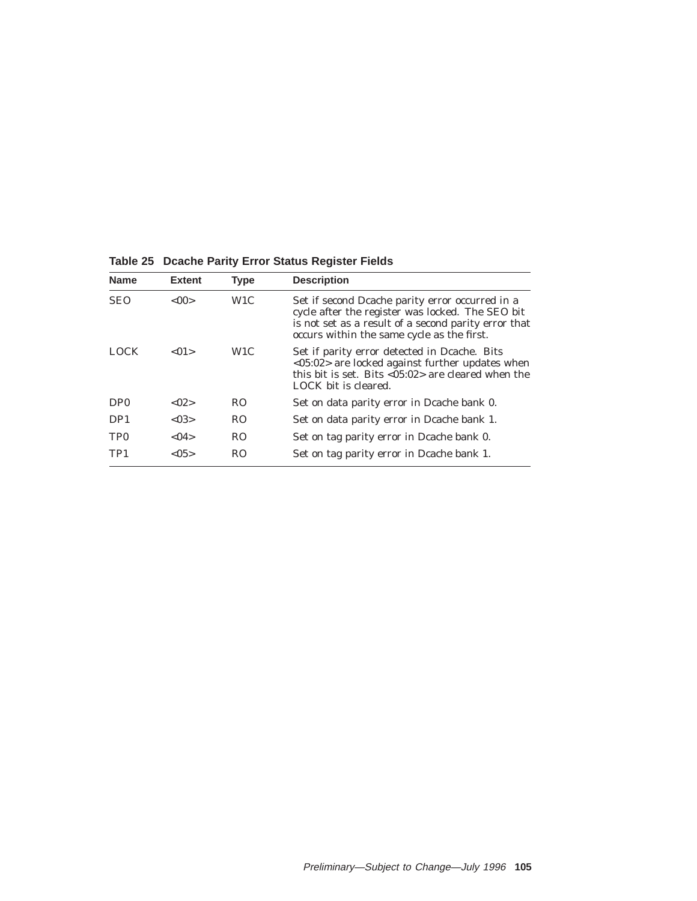| <b>Name</b>     | <b>Extent</b> | <b>Type</b>      | <b>Description</b>                                                                                                                                                                                        |
|-----------------|---------------|------------------|-----------------------------------------------------------------------------------------------------------------------------------------------------------------------------------------------------------|
| <b>SEO</b>      | <00           | W1C              | Set if second Deache parity error occurred in a<br>cycle after the register was locked. The SEO bit<br>is not set as a result of a second parity error that<br>occurs within the same cycle as the first. |
| <b>LOCK</b>     | < 01          | W <sub>1</sub> C | Set if parity error detected in Deache. Bits<br><05:02> are locked against further updates when<br>this bit is set. Bits $< 05:02>$ are cleared when the<br>LOCK bit is cleared.                          |
| D <sub>P0</sub> | < 02          | R <sub>O</sub>   | Set on data parity error in Deache bank 0.                                                                                                                                                                |
| DP <sub>1</sub> | < 0.3         | R <sub>O</sub>   | Set on data parity error in Deache bank 1.                                                                                                                                                                |
| TP <sub>0</sub> | < 04          | R <sub>O</sub>   | Set on tag parity error in Deache bank 0.                                                                                                                                                                 |
| TP <sub>1</sub> | < 0.5         | R <sub>O</sub>   | Set on tag parity error in Dcache bank 1.                                                                                                                                                                 |

**Table 25 Dcache Parity Error Status Register Fields**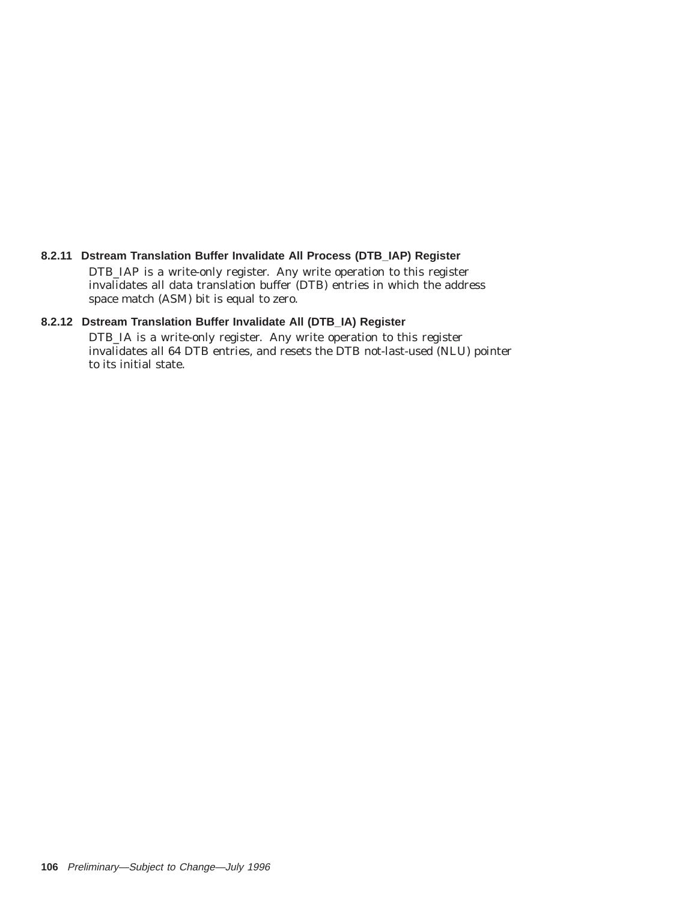# **8.2.11 Dstream Translation Buffer Invalidate All Process (DTB\_IAP) Register**

DTB\_IAP is a write-only register. Any write operation to this register invalidates all data translation buffer (DTB) entries in which the address space match (ASM) bit is equal to zero.

# **8.2.12 Dstream Translation Buffer Invalidate All (DTB\_IA) Register**

DTB\_IA is a write-only register. Any write operation to this register invalidates all 64 DTB entries, and resets the DTB not-last-used (NLU) pointer to its initial state.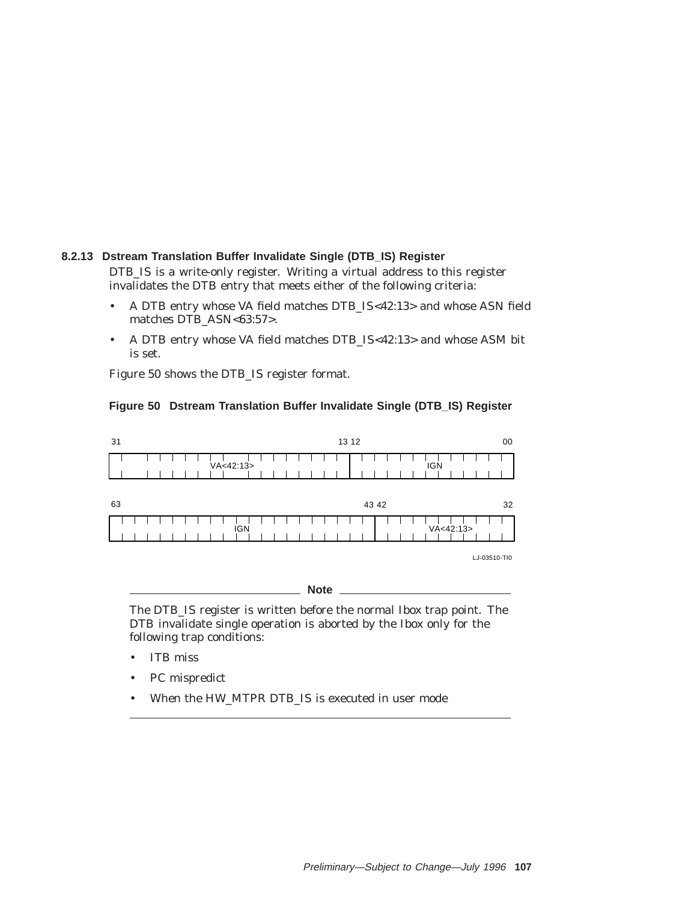# **8.2.13 Dstream Translation Buffer Invalidate Single (DTB\_IS) Register**

DTB\_IS is a write-only register. Writing a virtual address to this register invalidates the DTB entry that meets either of the following criteria:

- A DTB entry whose VA field matches DTB\_IS<42:13> and whose ASN field matches DTB\_ASN<63:57>.
- A DTB entry whose VA field matches DTB\_IS<42:13> and whose ASM bit is set.

Figure 50 shows the DTB\_IS register format.

### **Figure 50 Dstream Translation Buffer Invalidate Single (DTB\_IS) Register**



The DTB\_IS register is written before the normal Ibox trap point. The DTB invalidate single operation is aborted by the Ibox only for the following trap conditions:

**Note**

- ITB miss
- PC mispredict
- When the HW\_MTPR DTB\_IS is executed in user mode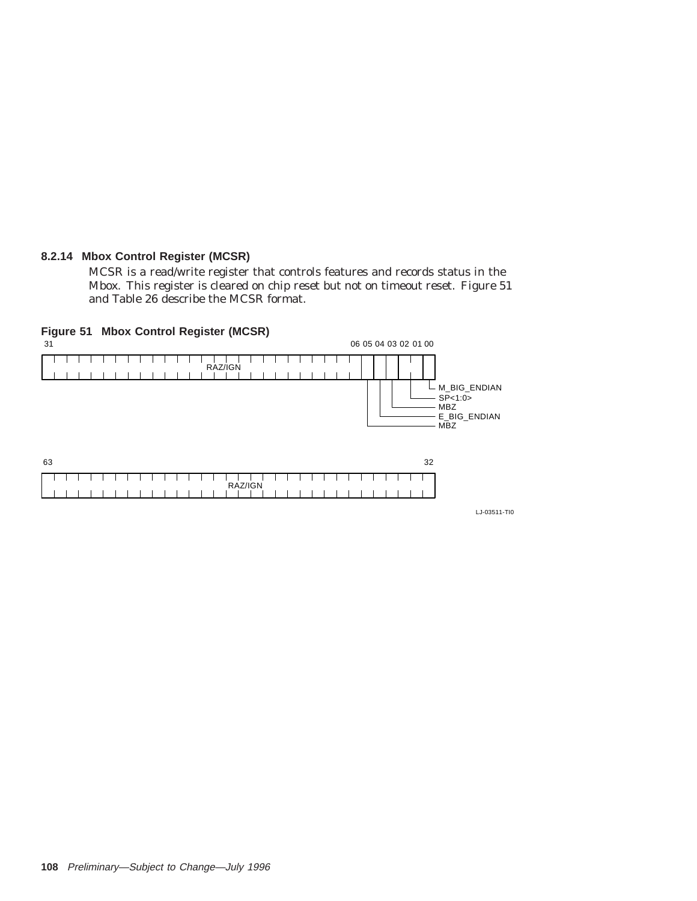# **8.2.14 Mbox Control Register (MCSR)**

MCSR is a read/write register that controls features and records status in the Mbox. This register is cleared on chip reset but not on timeout reset. Figure 51 and Table 26 describe the MCSR format.



LJ-03511-TI0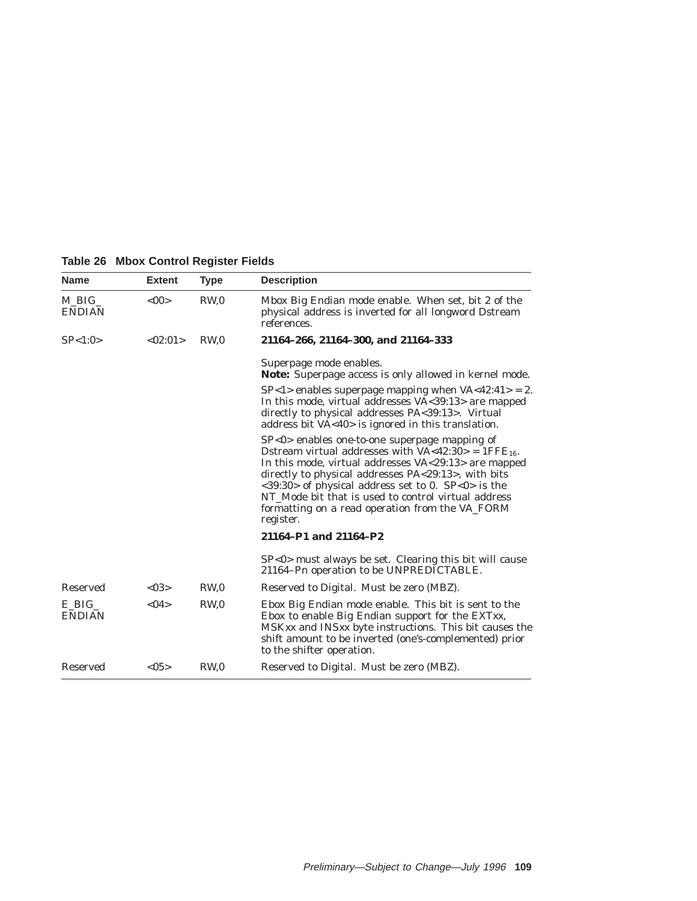| <b>Name</b>              | <b>Extent</b> | <b>Type</b>     | <b>Description</b>                                                                                                                                                                                                                                                                                                                                                                                                      |
|--------------------------|---------------|-----------------|-------------------------------------------------------------------------------------------------------------------------------------------------------------------------------------------------------------------------------------------------------------------------------------------------------------------------------------------------------------------------------------------------------------------------|
| $M$ BIG<br><b>ENDIAN</b> | <00           | RW <sub>0</sub> | Mbox Big Endian mode enable. When set, bit 2 of the<br>physical address is inverted for all longword Dstream<br>references.                                                                                                                                                                                                                                                                                             |
| SP<1:0>                  | <02:01>       | RW.0            | 21164-266, 21164-300, and 21164-333                                                                                                                                                                                                                                                                                                                                                                                     |
|                          |               |                 | Superpage mode enables.<br><b>Note:</b> Superpage access is only allowed in kernel mode.                                                                                                                                                                                                                                                                                                                                |
|                          |               |                 | $SP < 1$ enables superpage mapping when $VA < 42:41 > 2$ .<br>In this mode, virtual addresses VA<39:13> are mapped<br>directly to physical addresses PA<39:13>. Virtual<br>address bit VA<40> is ignored in this translation.                                                                                                                                                                                           |
|                          |               |                 | $SP<0>$ enables one-to-one superpage mapping of<br>Dstream virtual addresses with $VA < 42:30 > 1$ FFE <sub>16</sub> .<br>In this mode, virtual addresses VA<29:13> are mapped<br>directly to physical addresses PA<29:13>, with bits<br>$<39:30>$ of physical address set to 0. SP $<0>$ is the<br>NT Mode bit that is used to control virtual address<br>formatting on a read operation from the VA_FORM<br>register. |
|                          |               |                 | 21164-P1 and 21164-P2                                                                                                                                                                                                                                                                                                                                                                                                   |
|                          |               |                 | $SP < 0$ must always be set. Clearing this bit will cause<br>21164-Pn operation to be UNPREDICTABLE.                                                                                                                                                                                                                                                                                                                    |
| <b>Reserved</b>          | < 03          | RW <sub>0</sub> | Reserved to Digital. Must be zero (MBZ).                                                                                                                                                                                                                                                                                                                                                                                |
| E BIG<br><b>ENDIAN</b>   | < 04          | RW <sub>0</sub> | Ebox Big Endian mode enable. This bit is sent to the<br>Ebox to enable Big Endian support for the EXTxx,<br>MSKxx and INSxx byte instructions. This bit causes the<br>shift amount to be inverted (one's-complemented) prior<br>to the shifter operation.                                                                                                                                                               |
| Reserved                 | <05>          | RW <sub>0</sub> | Reserved to Digital. Must be zero (MBZ).                                                                                                                                                                                                                                                                                                                                                                                |

**Table 26 Mbox Control Register Fields**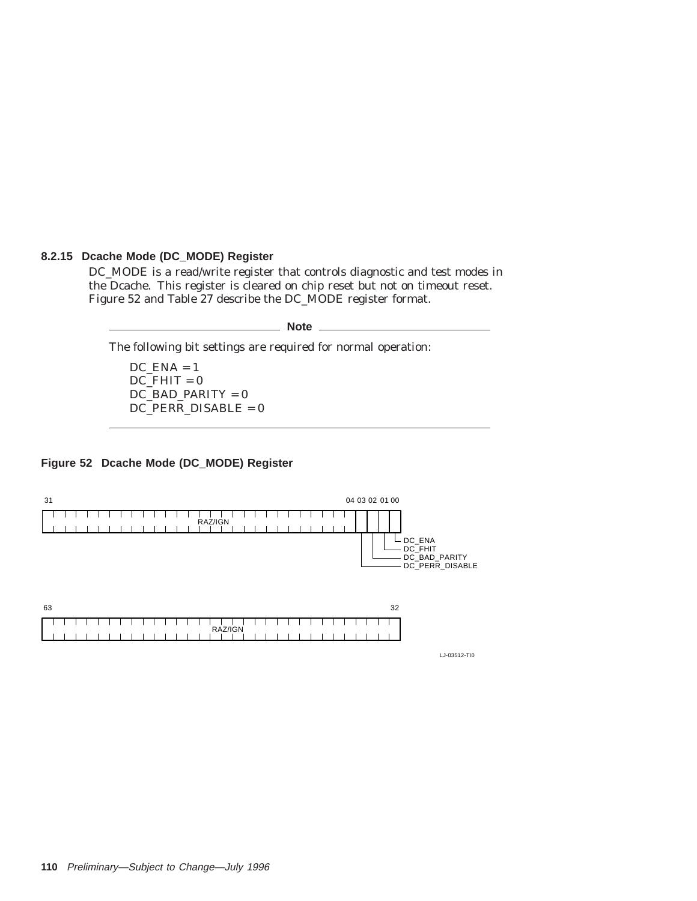### **8.2.15 Dcache Mode (DC\_MODE) Register**

DC\_MODE is a read/write register that controls diagnostic and test modes in the Dcache. This register is cleared on chip reset but not on timeout reset. Figure 52 and Table 27 describe the DC\_MODE register format.

**Note**

The following bit settings are required for normal operation:

 $DC$  $ENA = 1$  $DC$  $FHIT = 0$ DC\_BAD\_PARITY = 0 DC\_PERR\_DISABLE = 0

### **Figure 52 Dcache Mode (DC\_MODE) Register**



LJ-03512-TI0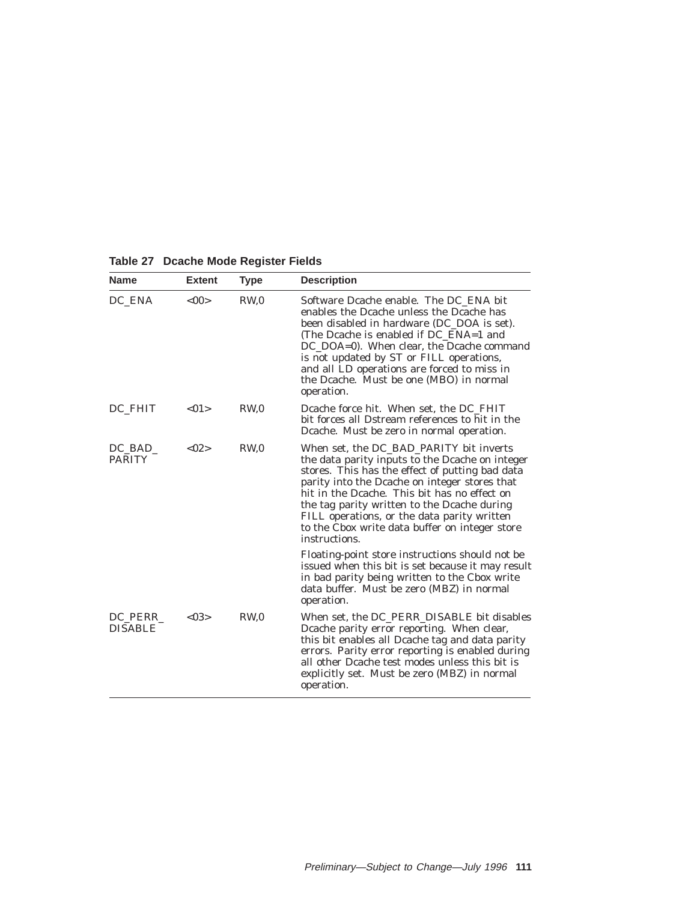| Table 27 Dcache Mode Register Fields |  |  |  |
|--------------------------------------|--|--|--|
|--------------------------------------|--|--|--|

| <b>Name</b>                 | <b>Extent</b> | <b>Type</b>     | <b>Description</b>                                                                                                                                                                                                                                                                                                                                                                                              |
|-----------------------------|---------------|-----------------|-----------------------------------------------------------------------------------------------------------------------------------------------------------------------------------------------------------------------------------------------------------------------------------------------------------------------------------------------------------------------------------------------------------------|
| DC ENA                      | < 00          | RW <sub>0</sub> | Software Dcache enable. The DC ENA bit<br>enables the Dcache unless the Dcache has<br>been disabled in hardware (DC DOA is set).<br>(The Dcache is enabled if DC_ENA=1 and<br>DC_DOA=0). When clear, the Dcache command<br>is not updated by ST or FILL operations,<br>and all LD operations are forced to miss in<br>the Dcache. Must be one (MBO) in normal<br>operation.                                     |
| DC FHIT                     | < 01          | RW <sub>0</sub> | Dcache force hit. When set, the DC_FHIT<br>bit forces all Dstream references to hit in the<br>Dcache. Must be zero in normal operation.                                                                                                                                                                                                                                                                         |
| $DC$ $BAD$<br><b>PARITY</b> | < 02 >        | RW <sub>0</sub> | When set, the DC_BAD_PARITY bit inverts<br>the data parity inputs to the Dcache on integer<br>stores. This has the effect of putting bad data<br>parity into the Deache on integer stores that<br>hit in the Dcache. This bit has no effect on<br>the tag parity written to the Dcache during<br>FILL operations, or the data parity written<br>to the Cbox write data buffer on integer store<br>instructions. |
|                             |               |                 | Floating-point store instructions should <i>not</i> be<br>issued when this bit is set because it may result<br>in bad parity being written to the Cbox write<br>data buffer. Must be zero (MBZ) in normal<br>operation.                                                                                                                                                                                         |
| DC PERR<br><b>DISABLE</b>   | < 03>         | RW,0            | When set, the DC PERR DISABLE bit disables<br>Dcache parity error reporting. When clear,<br>this bit enables all Dcache tag and data parity<br>errors. Parity error reporting is enabled during<br>all other Dcache test modes unless this bit is<br>explicitly set. Must be zero (MBZ) in normal<br>operation.                                                                                                 |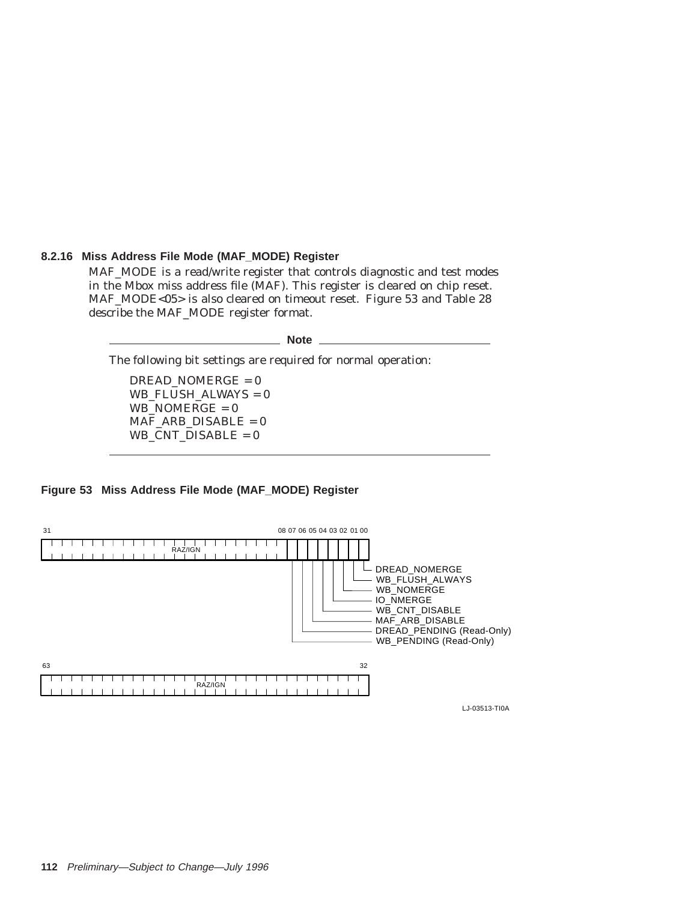### **8.2.16 Miss Address File Mode (MAF\_MODE) Register**

MAF\_MODE is a read/write register that controls diagnostic and test modes in the Mbox miss address file (MAF). This register is cleared on chip reset. MAF\_MODE<05> is also cleared on timeout reset. Figure 53 and Table 28 describe the MAF\_MODE register format.

**Note**

The following bit settings are required for normal operation:

 $DREAD<sub>NOMERGE</sub> = 0$ WB\_FLUSH\_ALWAYS = 0 WB\_NOMERGE =  $0$ MAF\_ARB\_DISABLE = 0 WB\_CNT\_DISABLE = 0

### **Figure 53 Miss Address File Mode (MAF\_MODE) Register**



LJ-03513-TI0A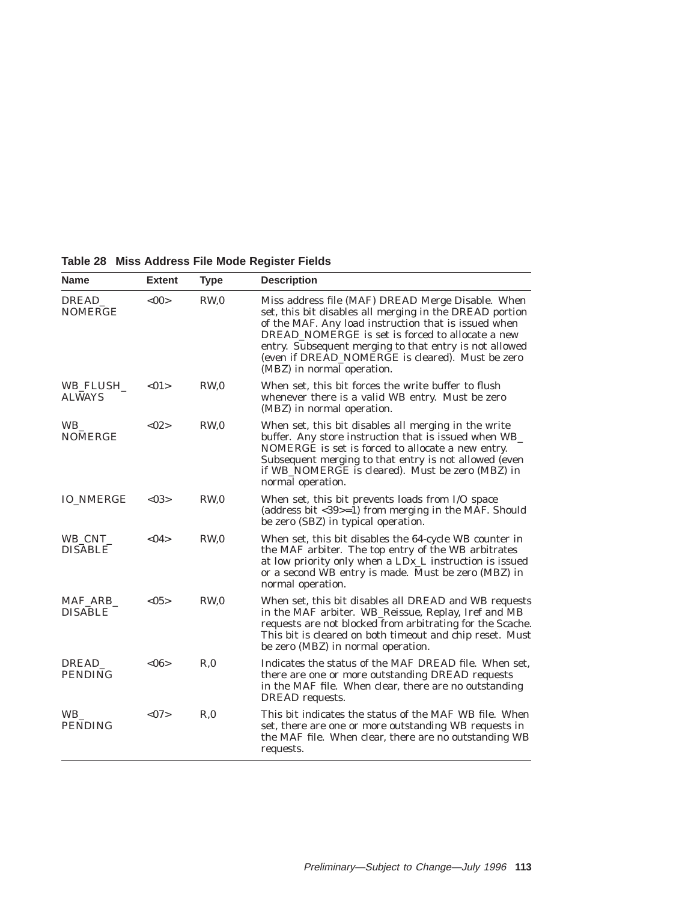| <b>Name</b>                 | <b>Extent</b>  | <b>Type</b>     | <b>Description</b>                                                                                                                                                                                                                                                                                                                                                   |
|-----------------------------|----------------|-----------------|----------------------------------------------------------------------------------------------------------------------------------------------------------------------------------------------------------------------------------------------------------------------------------------------------------------------------------------------------------------------|
| DREAD<br><b>NOMERGE</b>     | <00            | RW <sub>0</sub> | Miss address file (MAF) DREAD Merge Disable. When<br>set, this bit disables all merging in the DREAD portion<br>of the MAF. Any load instruction that is issued when<br>DREAD NOMERGE is set is forced to allocate a new<br>entry. Subsequent merging to that entry is not allowed<br>(even if DREAD_NOMERGE is cleared). Must be zero<br>(MBZ) in normal operation. |
| WB FLUSH<br><b>ALWAYS</b>   | $<$ 01 $>$     | RW <sub>0</sub> | When set, this bit forces the write buffer to flush<br>whenever there is a valid WB entry. Must be zero<br>(MBZ) in normal operation.                                                                                                                                                                                                                                |
| <b>WB</b><br><b>NOMERGE</b> | <02>           | RW <sub>0</sub> | When set, this bit disables all merging in the write<br>buffer. Any store instruction that is issued when WB_<br>NOMERGE is set is forced to allocate a new entry.<br>Subsequent merging to that entry is not allowed (even<br>if WB_NOMERGE is cleared). Must be zero (MBZ) in<br>normal operation.                                                                 |
| <b>IO_NMERGE</b>            | < 03>          | RW <sub>0</sub> | When set, this bit prevents loads from I/O space<br>(address bit $<$ 39>=1) from merging in the MAF. Should<br>be zero (SBZ) in typical operation.                                                                                                                                                                                                                   |
| WB_CNT_<br><b>DISABLE</b>   | < 04           | RW <sub>0</sub> | When set, this bit disables the 64-cycle WB counter in<br>the MAF arbiter. The top entry of the WB arbitrates<br>at low priority only when a $LDx_L$ instruction is issued<br>or a second WB entry is made. Must be zero (MBZ) in<br>normal operation.                                                                                                               |
| MAF_ARB_<br><b>DISABLE</b>  | <05>           | RW <sub>0</sub> | When set, this bit disables all DREAD and WB requests<br>in the MAF arbiter. WB_Reissue, Replay, Iref and MB<br>requests are not blocked from arbitrating for the Scache.<br>This bit is cleared on both timeout and chip reset. Must<br>be zero (MBZ) in normal operation.                                                                                          |
| DREAD<br><b>PENDING</b>     | $<\!\!06\!\!>$ | R <sub>0</sub>  | Indicates the status of the MAF DREAD file. When set,<br>there are one or more outstanding DREAD requests<br>in the MAF file. When clear, there are no outstanding<br>DREAD requests.                                                                                                                                                                                |
| <b>WB</b><br><b>PENDING</b> | <07            | R <sub>0</sub>  | This bit indicates the status of the MAF WB file. When<br>set, there are one or more outstanding WB requests in<br>the MAF file. When clear, there are no outstanding WB<br>requests.                                                                                                                                                                                |

# **Table 28 Miss Address File Mode Register Fields**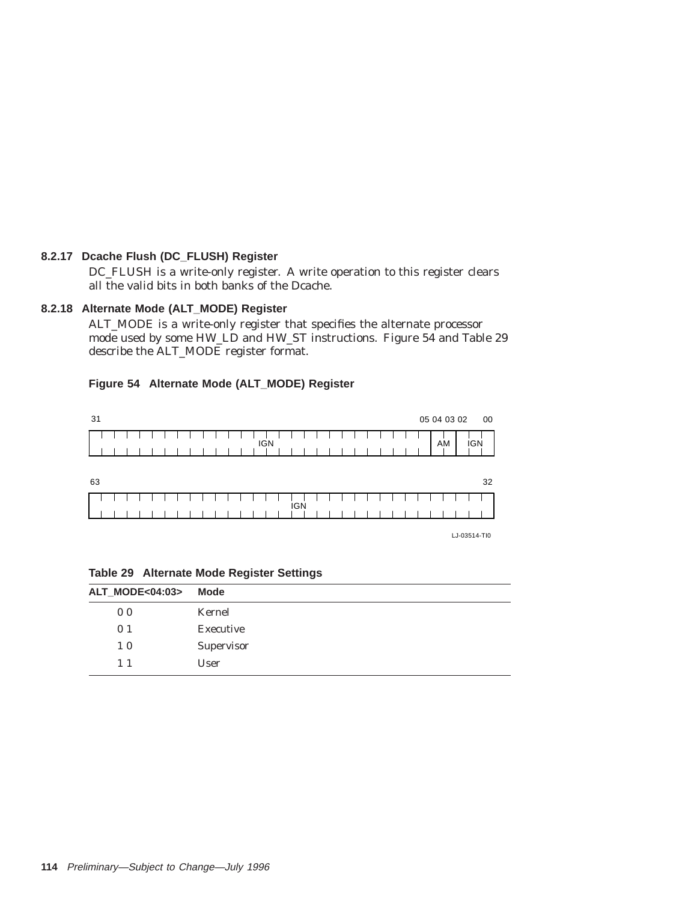# **8.2.17 Dcache Flush (DC\_FLUSH) Register**

DC\_FLUSH is a write-only register. A write operation to this register clears all the valid bits in both banks of the Dcache.

# **8.2.18 Alternate Mode (ALT\_MODE) Register**

ALT\_MODE is a write-only register that specifies the alternate processor mode used by some HW\_LD and HW\_ST instructions. Figure 54 and Table 29 describe the ALT\_MODE register format.

# **Figure 54 Alternate Mode (ALT\_MODE) Register**



| LJ-03514-TI0 |
|--------------|
|--------------|

| <b>ALT_MODE&lt;04:03&gt;</b> | Mode       |
|------------------------------|------------|
| 0 <sub>0</sub>               | Kernel     |
| 0 <sub>1</sub>               | Executive  |
| 10                           | Supervisor |
| $1\;1$                       | User       |

#### **Table 29 Alternate Mode Register Settings**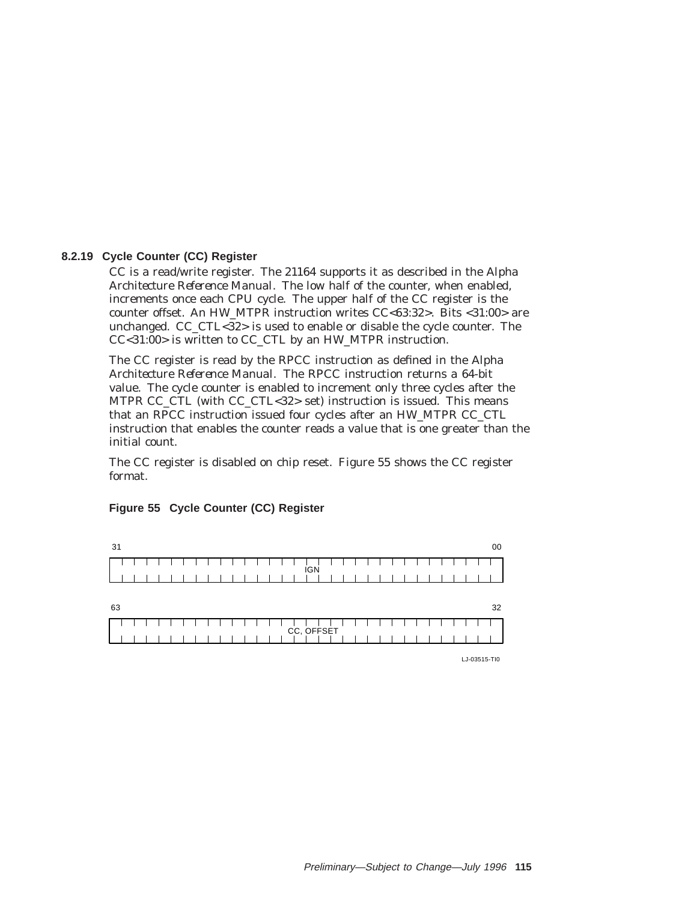### **8.2.19 Cycle Counter (CC) Register**

CC is a read/write register. The 21164 supports it as described in the *Alpha Architecture Reference Manual*. The low half of the counter, when enabled, increments once each CPU cycle. The upper half of the CC register is the counter offset. An HW\_MTPR instruction writes CC<63:32>. Bits <31:00> are unchanged. CC\_CTL<32> is used to enable or disable the cycle counter. The CC<31:00> is written to CC\_CTL by an HW\_MTPR instruction.

The CC register is read by the RPCC instruction as defined in the *Alpha Architecture Reference Manual*. The RPCC instruction returns a 64-bit value. The cycle counter is enabled to increment only three cycles after the MTPR CC\_CTL (with CC\_CTL<32> set) instruction is issued. This means that an RPCC instruction issued four cycles after an HW\_MTPR CC\_CTL instruction that enables the counter reads a value that is one greater than the initial count.

The CC register is disabled on chip reset. Figure 55 shows the CC register format.

| 31 |  |  |  |  |  |  |  |  |  |            |  |  |  |  |  |  |  |  | 00 |
|----|--|--|--|--|--|--|--|--|--|------------|--|--|--|--|--|--|--|--|----|
|    |  |  |  |  |  |  |  |  |  | <b>IGN</b> |  |  |  |  |  |  |  |  |    |
|    |  |  |  |  |  |  |  |  |  |            |  |  |  |  |  |  |  |  |    |
| 63 |  |  |  |  |  |  |  |  |  |            |  |  |  |  |  |  |  |  | 32 |
|    |  |  |  |  |  |  |  |  |  | CC, OFFSET |  |  |  |  |  |  |  |  |    |
|    |  |  |  |  |  |  |  |  |  |            |  |  |  |  |  |  |  |  |    |

#### **Figure 55 Cycle Counter (CC) Register**

LJ-03515-TI0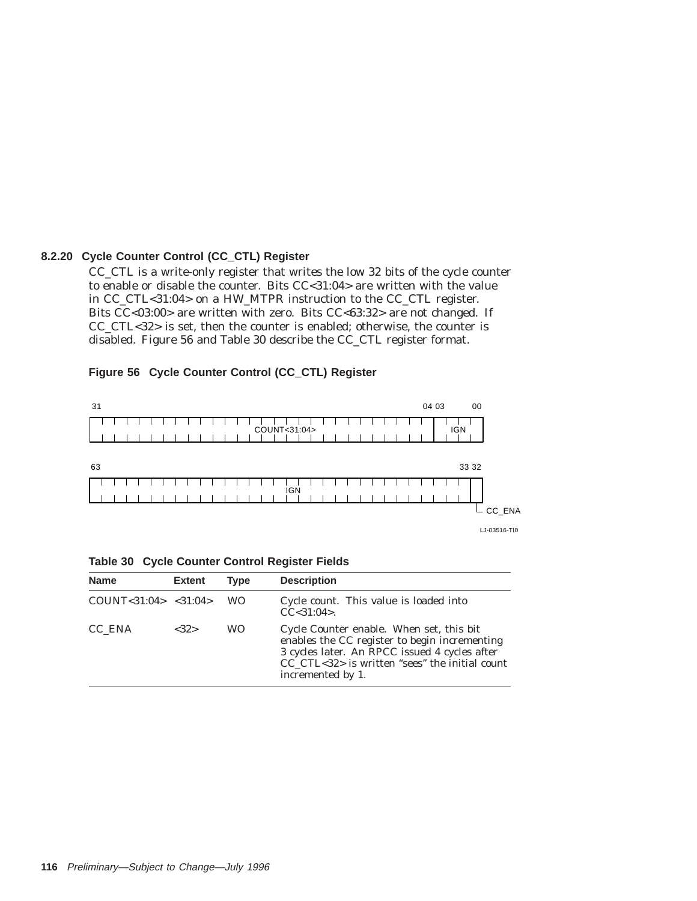### **8.2.20 Cycle Counter Control (CC\_CTL) Register**

CC\_CTL is a write-only register that writes the low 32 bits of the cycle counter to enable or disable the counter. Bits CC<31:04> are written with the value in CC\_CTL<31:04> on a HW\_MTPR instruction to the CC\_CTL register. Bits CC<03:00> are written with zero. Bits CC<63:32> are not changed. If CC\_CTL<32> is set, then the counter is enabled; otherwise, the counter is disabled. Figure 56 and Table 30 describe the CC\_CTL register format.



### **Figure 56 Cycle Counter Control (CC\_CTL) Register**



| <b>Name</b>               | <b>Extent</b> | <b>Type</b> | <b>Description</b>                                                                                                                                                                                                |
|---------------------------|---------------|-------------|-------------------------------------------------------------------------------------------------------------------------------------------------------------------------------------------------------------------|
| COUNT < 31:04 > < 31:04 > |               | <b>WO</b>   | Cycle count. This value is loaded into<br>$CC < 31:04$ .                                                                                                                                                          |
| CC ENA                    | <32>          | <b>WO</b>   | Cycle Counter enable. When set, this bit<br>enables the CC register to begin incrementing<br>3 cycles later. An RPCC issued 4 cycles after<br>CC CTL<32> is written "sees" the initial count<br>incremented by 1. |

**Table 30 Cycle Counter Control Register Fields**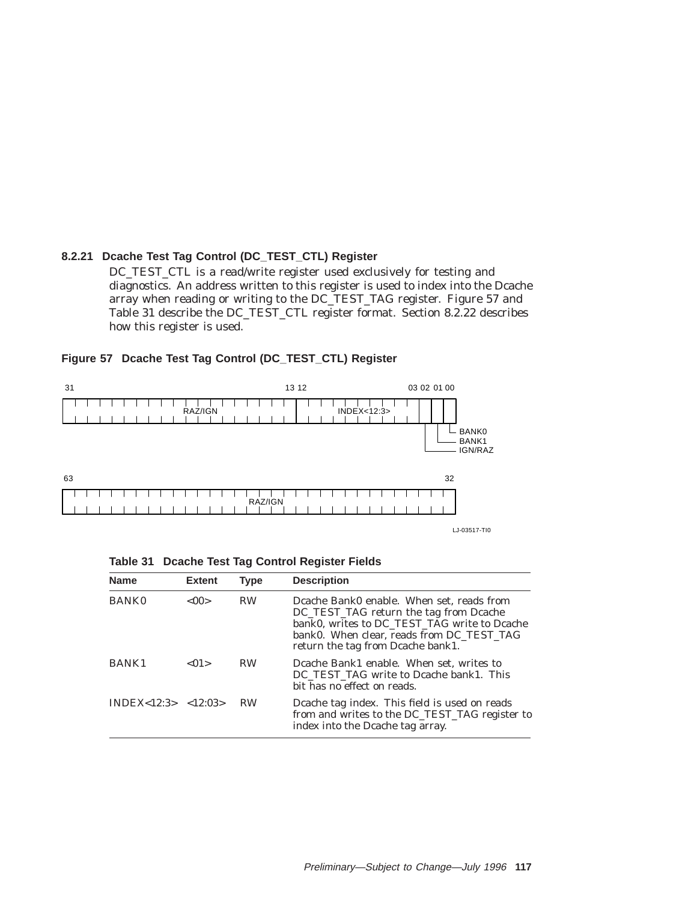# **8.2.21 Dcache Test Tag Control (DC\_TEST\_CTL) Register**

DC\_TEST\_CTL is a read/write register used exclusively for testing and diagnostics. An address written to this register is used to index into the Dcache array when reading or writing to the DC\_TEST\_TAG register. Figure 57 and Table 31 describe the DC\_TEST\_CTL register format. Section 8.2.22 describes how this register is used.



### **Figure 57 Dcache Test Tag Control (DC\_TEST\_CTL) Register**

|  |  |  |  |  | Table 31 Dcache Test Tag Control Register Fields |  |
|--|--|--|--|--|--------------------------------------------------|--|
|--|--|--|--|--|--------------------------------------------------|--|

| <b>Name</b>            | <b>Extent</b> | <b>Type</b> | <b>Description</b>                                                                                                                                                                                                    |
|------------------------|---------------|-------------|-----------------------------------------------------------------------------------------------------------------------------------------------------------------------------------------------------------------------|
| <b>BANK0</b>           | $<$ 00 $>$    | <b>RW</b>   | Dcache Bank0 enable. When set, reads from<br>DC_TEST_TAG return the tag from Dcache<br>bank0, writes to DC_TEST_TAG write to Dcache<br>bank0. When clear, reads from DC TEST TAG<br>return the tag from Deache bank1. |
| <b>BANK1</b>           | < 01          | <b>RW</b>   | Dcache Bank1 enable. When set, writes to<br>DC TEST TAG write to Deache bank1. This<br>bit has no effect on reads.                                                                                                    |
| INDEX < 12:3 > 12:03 > |               | <b>RW</b>   | Dcache tag index. This field is used on reads<br>from and writes to the DC_TEST_TAG register to<br>index into the Dcache tag array.                                                                                   |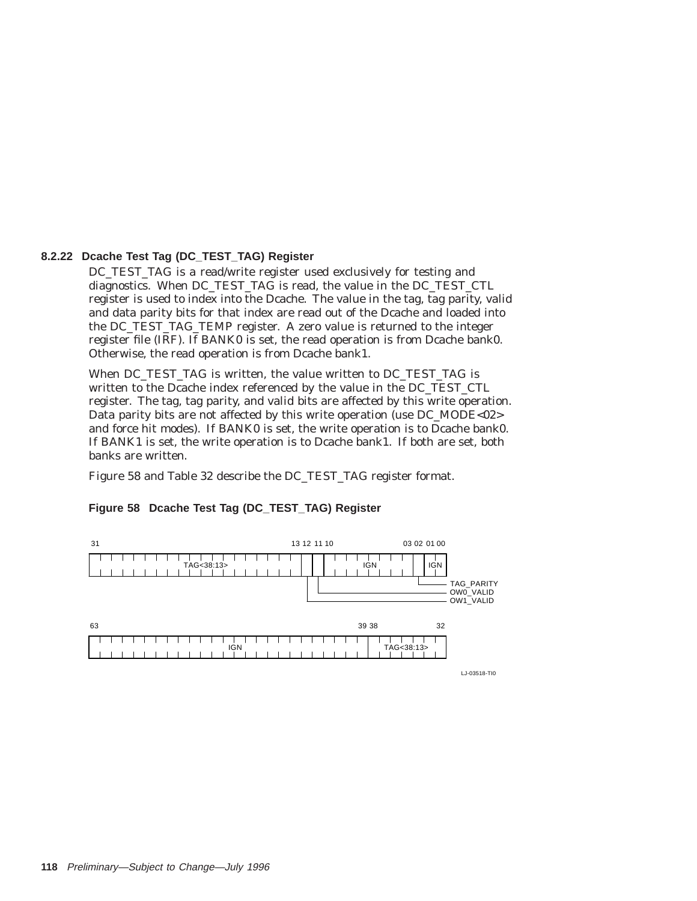### **8.2.22 Dcache Test Tag (DC\_TEST\_TAG) Register**

DC\_TEST\_TAG is a read/write register used exclusively for testing and diagnostics. When DC\_TEST\_TAG is read, the value in the DC\_TEST\_CTL register is used to index into the Dcache. The value in the tag, tag parity, valid and data parity bits for that index are read out of the Dcache and loaded into the DC\_TEST\_TAG\_TEMP register. A zero value is returned to the integer register file (IRF). If BANK0 is set, the read operation is from Dcache bank0. Otherwise, the read operation is from Dcache bank1.

When DC\_TEST\_TAG is written, the value written to DC\_TEST\_TAG is written to the Dcache index referenced by the value in the DC\_TEST\_CTL register. The tag, tag parity, and valid bits are affected by this write operation. Data parity bits are not affected by this write operation (use DC\_MODE<02> and force hit modes). If BANK0 is set, the write operation is to Dcache bank0. If BANK1 is set, the write operation is to Dcache bank1. If both are set, both banks are written.

Figure 58 and Table 32 describe the DC\_TEST\_TAG register format.



# **Figure 58 Dcache Test Tag (DC\_TEST\_TAG) Register**

LJ-03518-TI0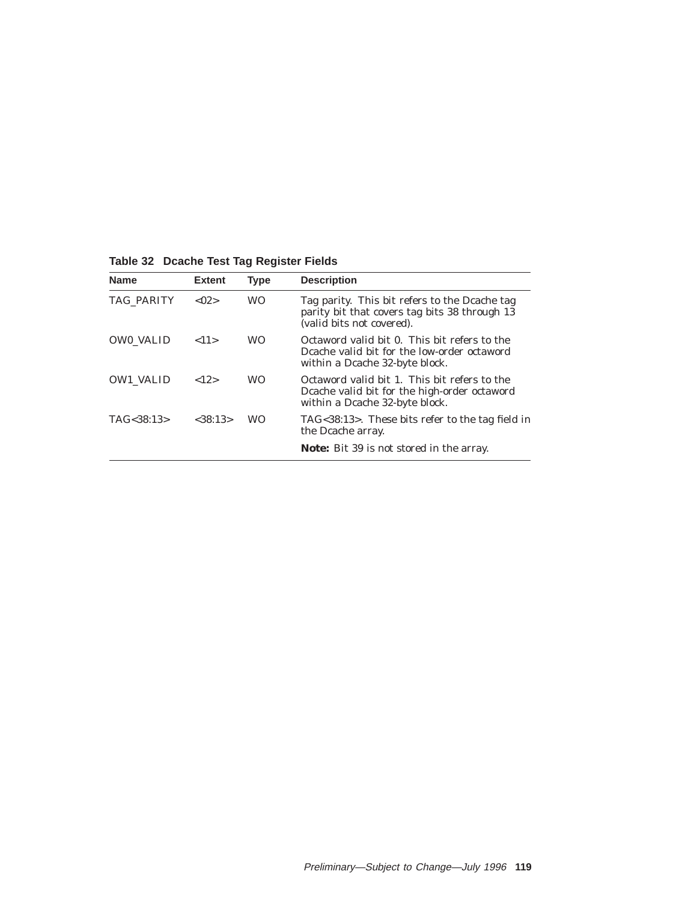| <b>Name</b>      | <b>Extent</b> | <b>Type</b> | <b>Description</b>                                                                                                             |
|------------------|---------------|-------------|--------------------------------------------------------------------------------------------------------------------------------|
| TAG PARITY       | < 02          | <b>WO</b>   | Tag parity. This bit refers to the Deache tag<br>parity bit that covers tag bits 38 through 13<br>(valid bits not covered).    |
| <b>OWO VALID</b> | <11>          | <b>WO</b>   | Octaword valid bit 0. This bit refers to the<br>Deache valid bit for the low-order octaword<br>within a Dcache 32-byte block.  |
| <b>OW1 VALID</b> | <12>          | <b>WO</b>   | Octaword valid bit 1. This bit refers to the<br>Deache valid bit for the high-order octaword<br>within a Dcache 32-byte block. |
| TAG < 38:13>     | < 38:13>      | <b>WO</b>   | TAG<38:13>. These bits refer to the tag field in<br>the Dcache array.                                                          |
|                  |               |             | <b>Note:</b> Bit 39 is not stored in the array.                                                                                |

**Table 32 Dcache Test Tag Register Fields**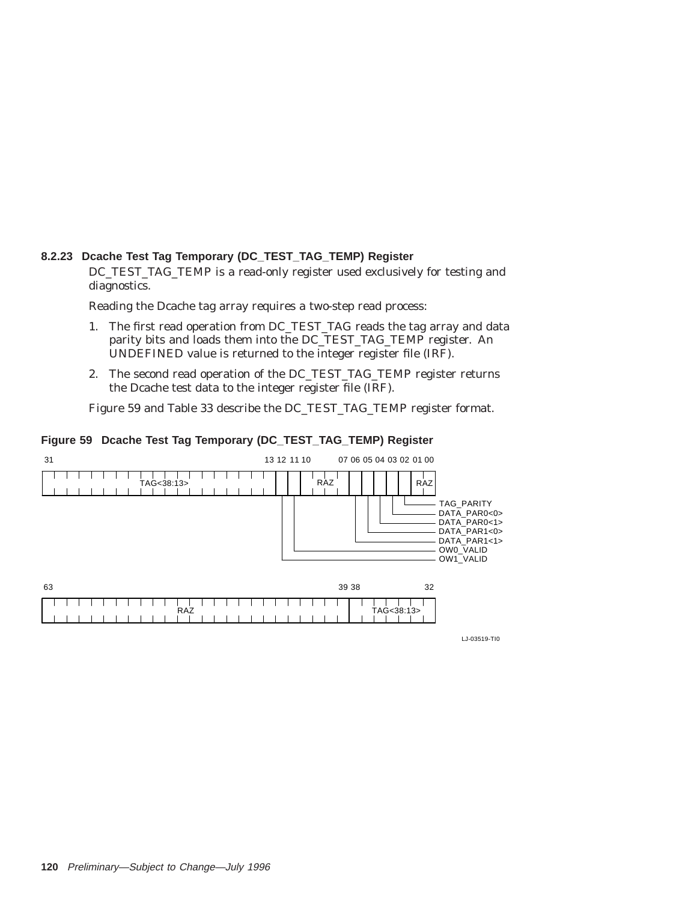# **8.2.23 Dcache Test Tag Temporary (DC\_TEST\_TAG\_TEMP) Register**

DC\_TEST\_TAG\_TEMP is a read-only register used exclusively for testing and diagnostics.

Reading the Dcache tag array requires a two-step read process:

- 1. The first read operation from DC\_TEST\_TAG reads the tag array and data parity bits and loads them into the DC\_TEST\_TAG\_TEMP register. An UNDEFINED value is returned to the integer register file (IRF).
- 2. The second read operation of the DC\_TEST\_TAG\_TEMP register returns the Dcache test data to the integer register file (IRF).

Figure 59 and Table 33 describe the DC\_TEST\_TAG\_TEMP register format.

# **Figure 59 Dcache Test Tag Temporary (DC\_TEST\_TAG\_TEMP) Register**



LJ-03519-TI0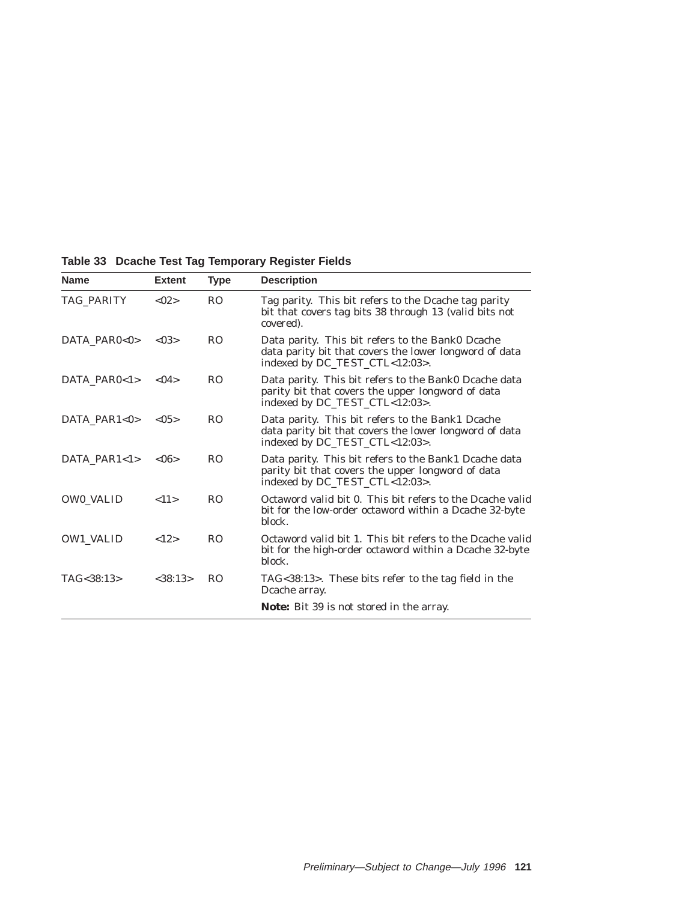| <b>Name</b>      | <b>Extent</b>  | Type           | <b>Description</b>                                                                                                                           |
|------------------|----------------|----------------|----------------------------------------------------------------------------------------------------------------------------------------------|
| TAG PARITY       | < 02           | R <sub>O</sub> | Tag parity. This bit refers to the Deache tag parity<br>bit that covers tag bits 38 through 13 (valid bits not<br>covered).                  |
| DATA PAR0<0>     | < 0.3          | R <sub>O</sub> | Data parity. This bit refers to the Bank0 Dcache<br>data parity bit that covers the lower longword of data<br>indexed by DC_TEST_CTL<12:03>. |
| DATA PAR0<1>     | < 04           | R <sub>O</sub> | Data parity. This bit refers to the Bank0 Dcache data<br>parity bit that covers the upper longword of data<br>indexed by DC_TEST_CTL<12:03>. |
| DATA PAR1<0>     | < 0.5          | R <sub>O</sub> | Data parity. This bit refers to the Bank1 Dcache<br>data parity bit that covers the lower longword of data<br>indexed by DC_TEST_CTL<12:03>. |
| DATA PAR1<1>     | $<\!\!06\!\!>$ | R <sub>O</sub> | Data parity. This bit refers to the Bank1 Dcache data<br>parity bit that covers the upper longword of data<br>indexed by DC_TEST_CTL<12:03>. |
| <b>OWO VALID</b> | <11>           | R <sub>O</sub> | Octaword valid bit 0. This bit refers to the Deache valid<br>bit for the low-order octaword within a Dcache 32-byte<br>block.                |
| <b>OW1 VALID</b> | <12>           | R <sub>O</sub> | Octaword valid bit 1. This bit refers to the Deache valid<br>bit for the high-order octaword within a Dcache 32-byte<br>block.               |
| TAG<38:13>       | <38:13>        | R <sub>O</sub> | TAG<38:13>. These bits refer to the tag field in the<br>Deache array.                                                                        |
|                  |                |                | <b>Note:</b> Bit 39 is not stored in the array.                                                                                              |

**Table 33 Dcache Test Tag Temporary Register Fields**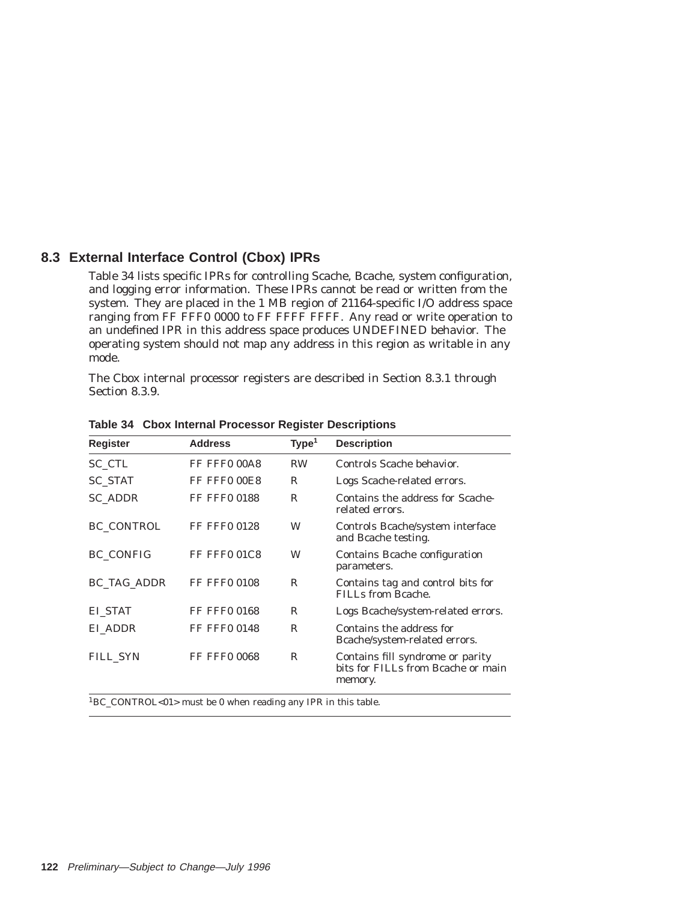# **8.3 External Interface Control (Cbox) IPRs**

Table 34 lists specific IPRs for controlling Scache, Bcache, system configuration, and logging error information. These IPRs cannot be read or written from the system. They are placed in the 1 MB region of 21164-specific I/O address space ranging from FF FFF0 0000 to FF FFFF FFFF. Any read or write operation to an undefined IPR in this address space produces UNDEFINED behavior. The operating system should not map any address in this region as writable in any mode.

The Cbox internal processor registers are described in Section 8.3.1 through Section 8.3.9.

| <b>Register</b>    | <b>Address</b>      | Type <sup>1</sup> | <b>Description</b>                                                                |
|--------------------|---------------------|-------------------|-----------------------------------------------------------------------------------|
| SC CTL             | FF FFF0 00A8        | <b>RW</b>         | Controls Scache behavior.                                                         |
| <b>SC STAT</b>     | FF FFF0 00E8        | R                 | Logs Scache-related errors.                                                       |
| <b>SC ADDR</b>     | <b>FF FFF0 0188</b> | R                 | Contains the address for Scache-<br>related errors.                               |
| <b>BC CONTROL</b>  | <b>FF FFF0 0128</b> | W                 | Controls Bcache/system interface<br>and Bcache testing.                           |
| <b>BC CONFIG</b>   | FF FFF0 01C8        | W                 | Contains Beache configuration<br>parameters.                                      |
| <b>BC_TAG_ADDR</b> | <b>FF FFF0 0108</b> | R                 | Contains tag and control bits for<br>FILLs from Bcache.                           |
| EI STAT            | <b>FF FFF0 0168</b> | R                 | Logs Bcache/system-related errors.                                                |
| EI ADDR            | <b>FF FFF0 0148</b> | R                 | Contains the address for<br>Bcache/system-related errors.                         |
| FILL SYN           | <b>FF FFF0 0068</b> | R                 | Contains fill syndrome or parity<br>bits for FILLs from Beache or main<br>memory. |

**Table 34 Cbox Internal Processor Register Descriptions**

1BC\_CONTROL<01> must be 0 when reading any IPR in this table.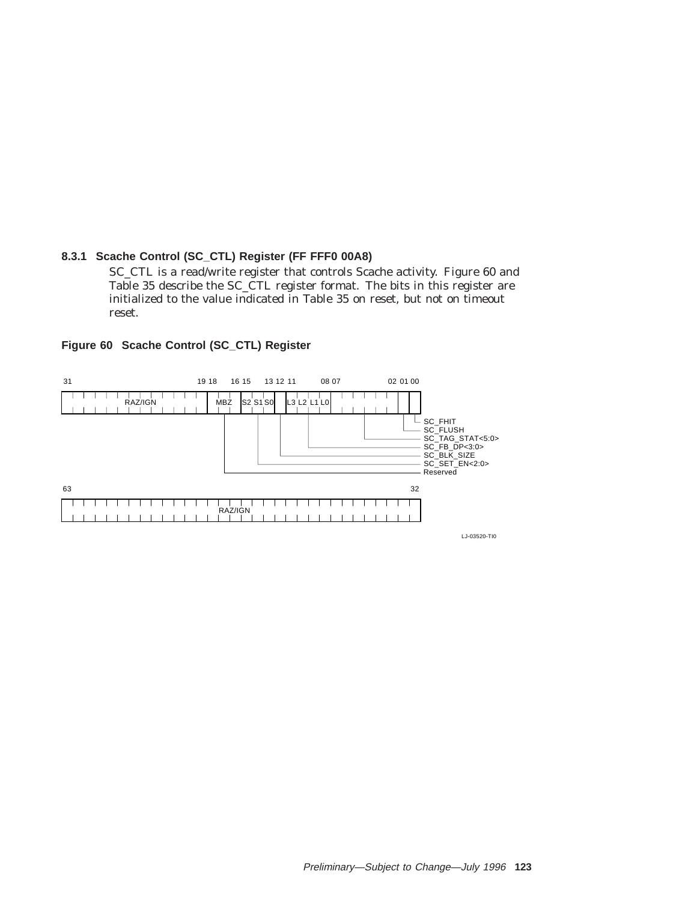### **8.3.1 Scache Control (SC\_CTL) Register (FF FFF0 00A8)**

SC\_CTL is a read/write register that controls Scache activity. Figure 60 and Table 35 describe the SC\_CTL register format. The bits in this register are initialized to the value indicated in Table 35 on reset, but not on timeout reset.



**Figure 60 Scache Control (SC\_CTL) Register**

LJ-03520-TI0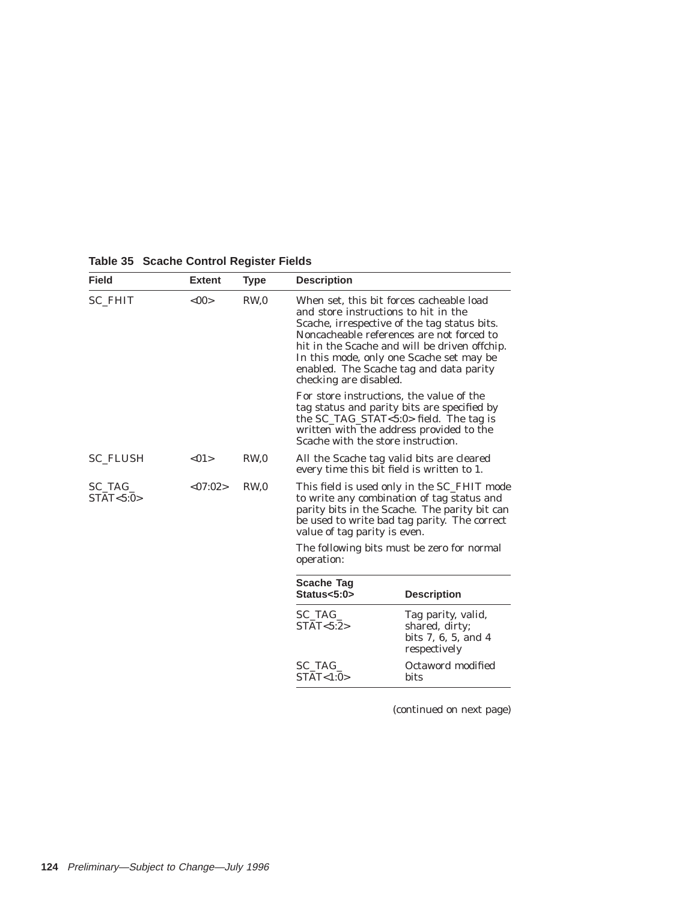| <b>Field</b>             | <b>Extent</b> | <b>Type</b>     | <b>Description</b>                                                                                                                                                                                                                                                                                                                              |                                                                             |  |  |  |
|--------------------------|---------------|-----------------|-------------------------------------------------------------------------------------------------------------------------------------------------------------------------------------------------------------------------------------------------------------------------------------------------------------------------------------------------|-----------------------------------------------------------------------------|--|--|--|
| <b>SC FHIT</b>           | $<$ 00>       | RW <sub>0</sub> | When set, this bit forces cacheable load<br>and store instructions to hit in the<br>Scache, irrespective of the tag status bits.<br>Noncacheable references are not forced to<br>hit in the Scache and will be driven offchip.<br>In this mode, only one Scache set may be<br>enabled. The Scache tag and data parity<br>checking are disabled. |                                                                             |  |  |  |
|                          |               |                 | For store instructions, the value of the<br>tag status and parity bits are specified by<br>the $SC_TAG_STAT < 5:0>$ field. The tag is<br>written with the address provided to the<br>Scache with the store instruction.                                                                                                                         |                                                                             |  |  |  |
| <b>SC FLUSH</b>          | <01           | RW <sub>0</sub> | All the Scache tag valid bits are cleared<br>every time this bit field is written to 1.                                                                                                                                                                                                                                                         |                                                                             |  |  |  |
| $SC\_TAG$<br>STAT < 5:0> | < 07:02>      | RW <sub>0</sub> | This field is used only in the SC_FHIT mode<br>to write any combination of tag status and<br>parity bits in the Scache. The parity bit can<br>be used to write bad tag parity. The correct<br>value of tag parity is even.                                                                                                                      |                                                                             |  |  |  |
|                          |               |                 | The following bits must be zero for normal<br>operation:                                                                                                                                                                                                                                                                                        |                                                                             |  |  |  |
|                          |               |                 | <b>Scache Tag</b><br>Status<5:0>                                                                                                                                                                                                                                                                                                                | <b>Description</b>                                                          |  |  |  |
|                          |               |                 | SC_TAG_<br>STAT < 5:2>                                                                                                                                                                                                                                                                                                                          | Tag parity, valid,<br>shared, dirty;<br>bits 7, 6, 5, and 4<br>respectively |  |  |  |
|                          |               |                 | SC TAG<br>STAT < 1:0>                                                                                                                                                                                                                                                                                                                           | Octaword modified<br>bits                                                   |  |  |  |

**Table 35 Scache Control Register Fields**

(continued on next page)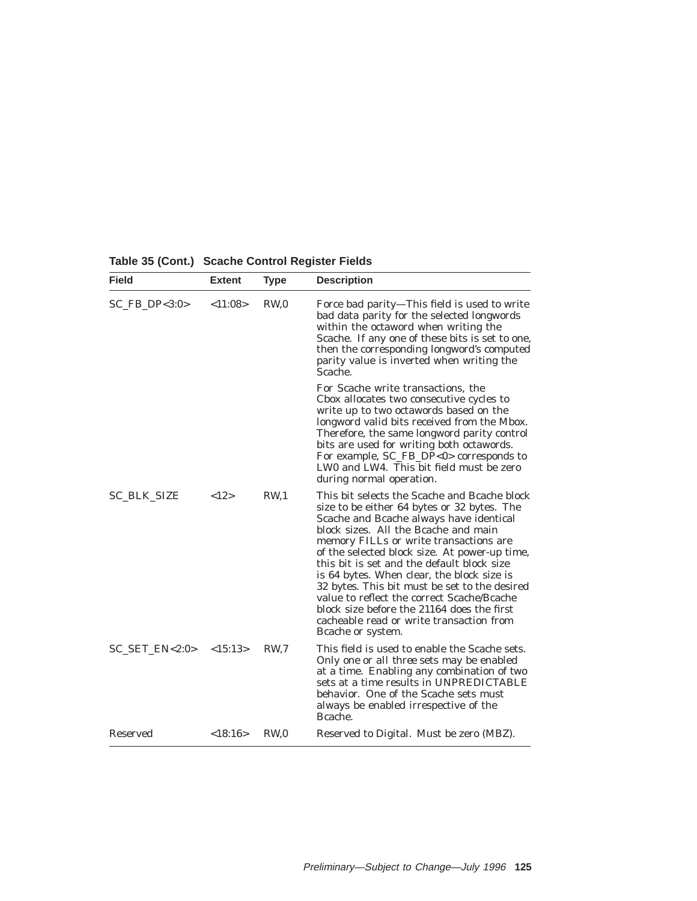| <b>Field</b>         | <b>Extent</b> | <b>Type</b>     | <b>Description</b>                                                                                                                                                                                                                                                                                                                                                                                                                                                                                                                                                                  |
|----------------------|---------------|-----------------|-------------------------------------------------------------------------------------------------------------------------------------------------------------------------------------------------------------------------------------------------------------------------------------------------------------------------------------------------------------------------------------------------------------------------------------------------------------------------------------------------------------------------------------------------------------------------------------|
| $SC$ FB DP<3:0>      | < 11:08>      | RW <sub>0</sub> | Force bad parity—This field is used to write<br>bad data parity for the selected longwords<br>within the octaword when writing the<br>Scache. If any one of these bits is set to one,<br>then the corresponding longword's computed<br>parity value is inverted when writing the<br>Scache.                                                                                                                                                                                                                                                                                         |
|                      |               |                 | For Scache write transactions, the<br>Cbox allocates two consecutive cycles to<br>write up to two octawords based on the<br>longword valid bits received from the Mbox.<br>Therefore, the same longword parity control<br>bits are used for writing both octawords.<br>For example, SC_FB_DP<0> corresponds to<br>LW0 and LW4. This bit field must be zero<br>during normal operation.                                                                                                                                                                                              |
| <b>SC_BLK_SIZE</b>   | <12>          | RW <sub>1</sub> | This bit selects the Scache and Bcache block<br>size to be either 64 bytes or 32 bytes. The<br>Scache and Bcache always have identical<br>block sizes. All the Bcache and main<br>memory FILLs or write transactions are<br>of the selected block size. At power-up time,<br>this bit is set and the default block size<br>is 64 bytes. When clear, the block size is<br>32 bytes. This bit must be set to the desired<br>value to reflect the correct Scache/Bcache<br>block size before the 21164 does the first<br>cacheable read or write transaction from<br>Bcache or system. |
| $SC\_SET\_EN < 2:0>$ | <15:13>       | RW.7            | This field is used to enable the Scache sets.<br>Only <i>one</i> or <i>all three</i> sets may be enabled<br>at a time. Enabling any combination of two<br>sets at a time results in UNPREDICTABLE<br>behavior. One of the Scache sets must<br>always be enabled irrespective of the<br>Bcache.                                                                                                                                                                                                                                                                                      |
| Reserved             | <18:16>       | RW <sub>0</sub> | Reserved to Digital. Must be zero (MBZ).                                                                                                                                                                                                                                                                                                                                                                                                                                                                                                                                            |

**Table 35 (Cont.) Scache Control Register Fields**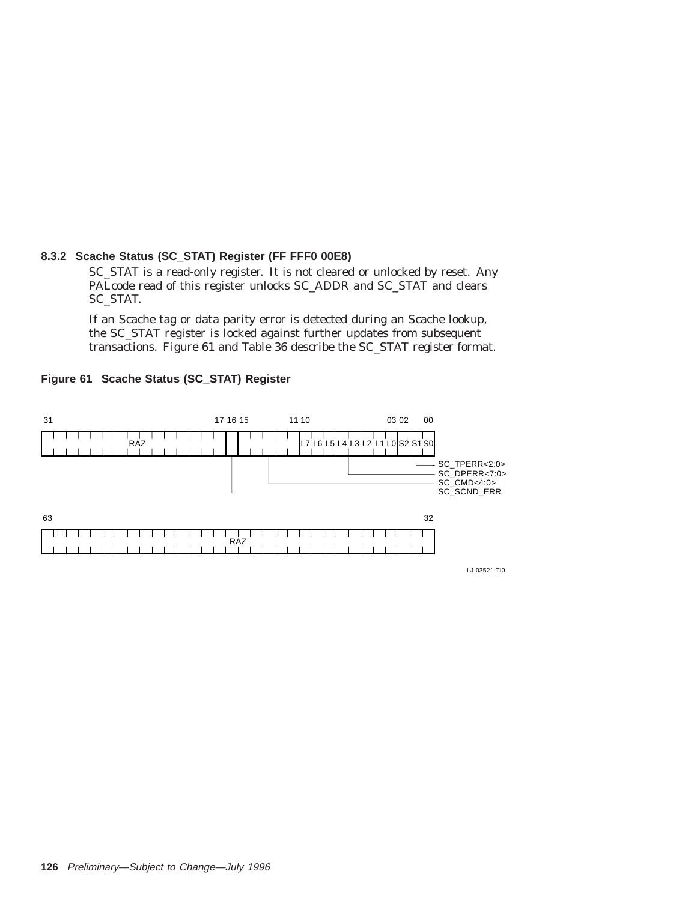### **8.3.2 Scache Status (SC\_STAT) Register (FF FFF0 00E8)**

SC\_STAT is a read-only register. It is not cleared or unlocked by reset. Any PALcode read of this register unlocks SC\_ADDR and SC\_STAT and clears SC\_STAT.

If an Scache tag or data parity error is detected during an Scache lookup, the SC\_STAT register is locked against further updates from subsequent transactions. Figure 61 and Table 36 describe the SC\_STAT register format.



### **Figure 61 Scache Status (SC\_STAT) Register**

LJ-03521-TI0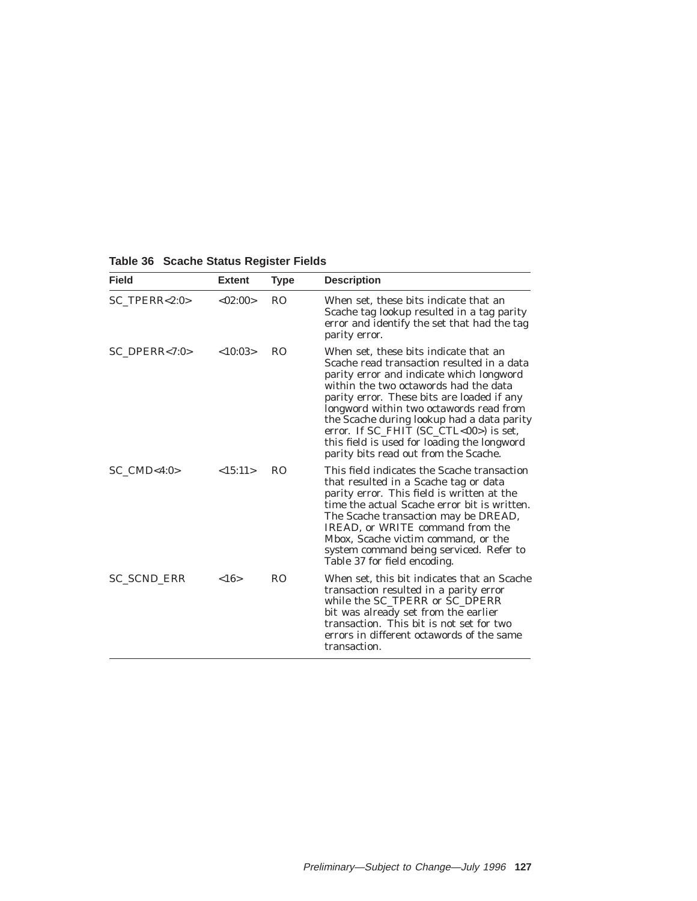| <b>Field</b>       | <b>Extent</b> | Type           | <b>Description</b>                                                                                                                                                                                                                                                                                                                                                                                                                                      |
|--------------------|---------------|----------------|---------------------------------------------------------------------------------------------------------------------------------------------------------------------------------------------------------------------------------------------------------------------------------------------------------------------------------------------------------------------------------------------------------------------------------------------------------|
| $SC_TPERR < 2:0$   | <02:00>       | R <sub>O</sub> | When set, these bits indicate that an<br>Scache tag lookup resulted in a tag parity<br>error and identify the set that had the tag<br>parity error.                                                                                                                                                                                                                                                                                                     |
| $SC\_DPERR < 7:0>$ | <10:03>       | R <sub>O</sub> | When set, these bits indicate that an<br>Scache read transaction resulted in a data<br>parity error and indicate which longword<br>within the two octawords had the data<br>parity error. These bits are loaded if any<br>longword within two octawords read from<br>the Scache during lookup had a data parity<br>error. If $SC$ -FHIT $(SC$ -CTL<00>) is set,<br>this field is used for loading the longword<br>parity bits read out from the Scache. |
| $SC$ $CMD<4:0>$    | <15:11>       | <b>RO</b>      | This field indicates the Scache transaction<br>that resulted in a Scache tag or data<br>parity error. This field is written at the<br>time the actual Scache error bit is written.<br>The Scache transaction may be DREAD,<br>IREAD, or WRITE command from the<br>Mbox, Scache victim command, or the<br>system command being serviced. Refer to<br>Table 37 for field encoding.                                                                        |
| SC_SCND_ERR        | <16>          | R <sub>O</sub> | When set, this bit indicates that an Scache<br>transaction resulted in a parity error<br>while the SC_TPERR or SC_DPERR<br>bit was already set from the earlier<br>transaction. This bit is not set for two<br>errors in different octawords of the same<br>transaction.                                                                                                                                                                                |

**Table 36 Scache Status Register Fields**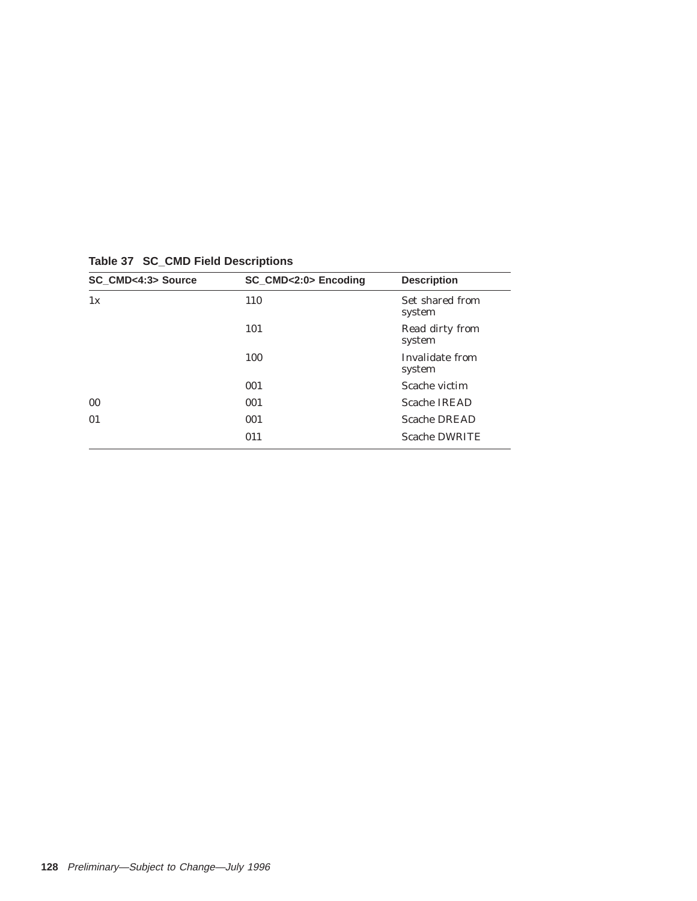| SC_CMD<4:3> Source | SC_CMD<2:0> Encoding | <b>Description</b>        |
|--------------------|----------------------|---------------------------|
| 1x                 | 110                  | Set shared from<br>system |
|                    | 101                  | Read dirty from<br>system |
|                    | 100                  | Invalidate from<br>system |
|                    | 001                  | Scache victim             |
| 0 <sub>0</sub>     | 001                  | <b>Scache IREAD</b>       |
| 01                 | 001                  | <b>Scache DREAD</b>       |
|                    | 011                  | <b>Scache DWRITE</b>      |
|                    |                      |                           |

**Table 37 SC\_CMD Field Descriptions**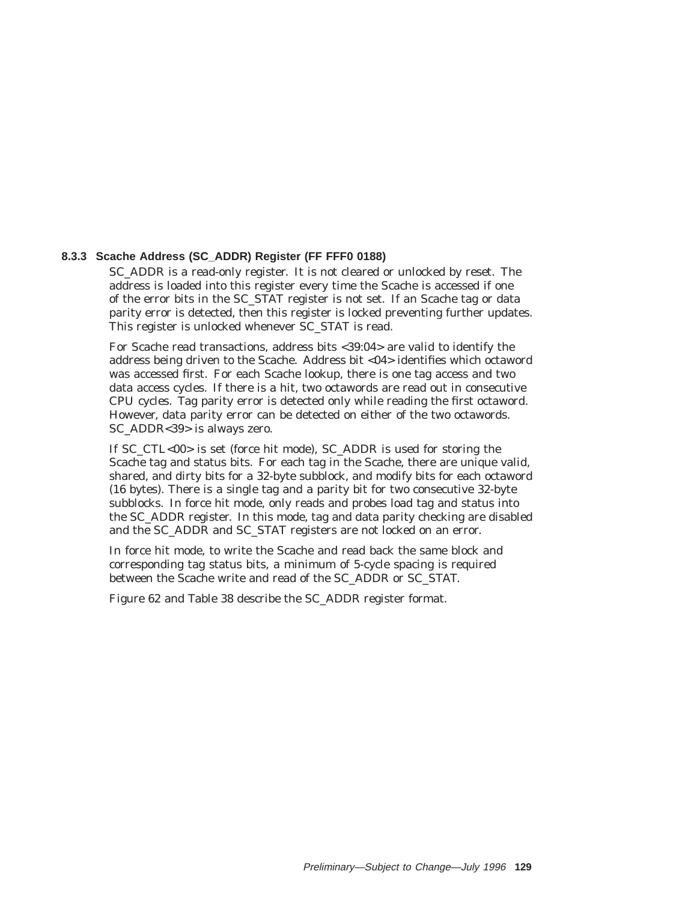### **8.3.3 Scache Address (SC\_ADDR) Register (FF FFF0 0188)**

SC\_ADDR is a read-only register. It is not cleared or unlocked by reset. The address is loaded into this register every time the Scache is accessed if one of the error bits in the SC\_STAT register is not set. If an Scache tag or data parity error is detected, then this register is locked preventing further updates. This register is unlocked whenever SC\_STAT is read.

For Scache read transactions, address bits <39:04> are valid to identify the address being driven to the Scache. Address bit <04> identifies which octaword was accessed first. For each Scache lookup, there is one tag access and two data access cycles. If there is a hit, two octawords are read out in consecutive CPU cycles. Tag parity error is detected only while reading the first octaword. However, data parity error can be detected on either of the two octawords. SC\_ADDR<39> is always zero.

If SC\_CTL<00> is set (force hit mode), SC\_ADDR is used for storing the Scache tag and status bits. For each tag in the Scache, there are unique valid, shared, and dirty bits for a 32-byte subblock, and modify bits for each octaword (16 bytes). There is a single tag and a parity bit for two consecutive 32-byte subblocks. In force hit mode, only reads and probes load tag and status into the SC\_ADDR register. In this mode, tag and data parity checking are disabled and the SC\_ADDR and SC\_STAT registers are not locked on an error.

In force hit mode, to write the Scache and read back the same block and corresponding tag status bits, a minimum of 5-cycle spacing is required between the Scache write and read of the SC\_ADDR or SC\_STAT.

Figure 62 and Table 38 describe the SC\_ADDR register format.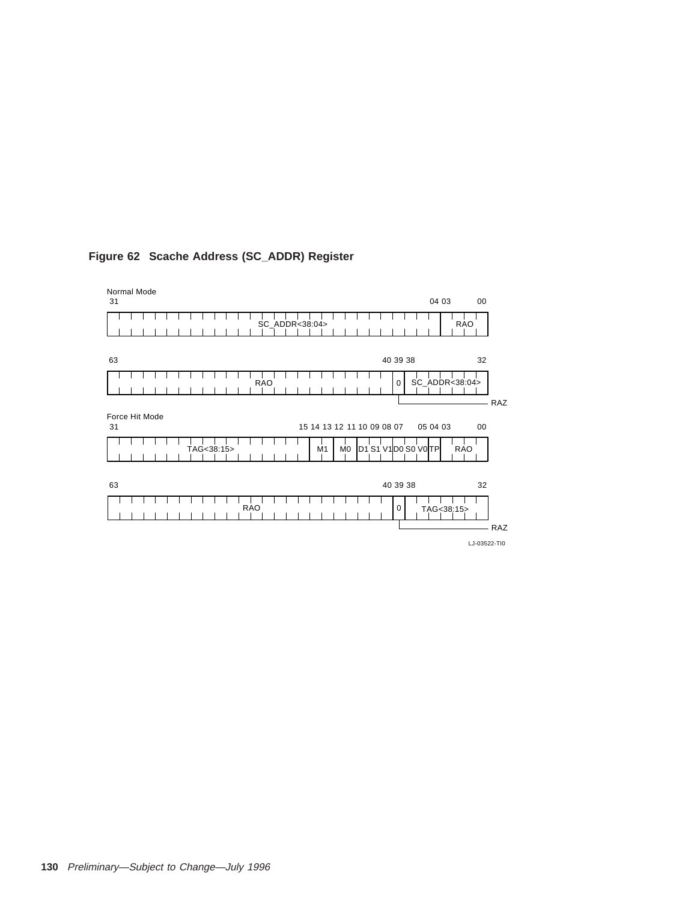| 31                   |                                              | 04 03<br>00    |
|----------------------|----------------------------------------------|----------------|
|                      | SC_ADDR<38:04>                               | RAO            |
|                      |                                              |                |
| 63                   | 40 39 38                                     | 32             |
|                      | <b>RAO</b><br>0                              | SC_ADDR<38:04> |
|                      |                                              | RAZ            |
|                      |                                              |                |
| Force Hit Mode<br>31 | 15 14 13 12 11 10 09 08 07                   | 05 04 03<br>00 |
|                      | D1 S1 V1D0 S0 V0TP<br>TAG<38:15><br>M0<br>M1 | <b>RAO</b>     |
|                      |                                              |                |
|                      |                                              |                |
|                      |                                              |                |
|                      | 40 39 38                                     | 32             |
| 63                   |                                              |                |
|                      | <b>RAO</b><br>0                              | TAG<38:15>     |
|                      |                                              | RAZ            |

# **Figure 62 Scache Address (SC\_ADDR) Register**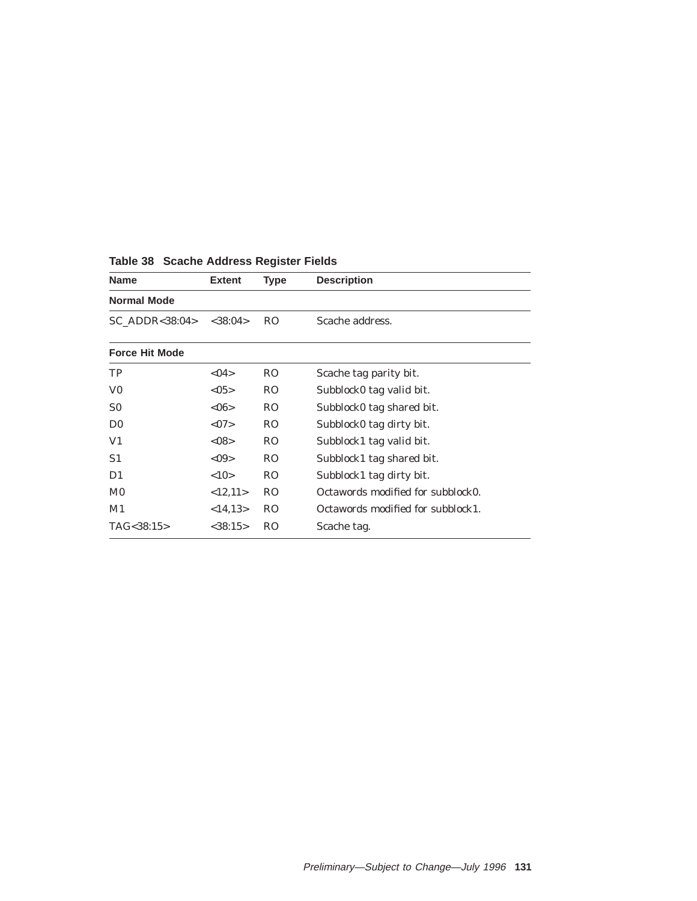| <b>Name</b>           | <b>Extent</b>  | <b>Type</b>    | <b>Description</b>                |  |  |
|-----------------------|----------------|----------------|-----------------------------------|--|--|
| <b>Normal Mode</b>    |                |                |                                   |  |  |
| $SC$ ADDR<38:04>      | $<$ 38:04 $>$  | <sub>RO</sub>  | Scache address.                   |  |  |
| <b>Force Hit Mode</b> |                |                |                                   |  |  |
| TP                    | < 04           | R <sub>O</sub> | Scache tag parity bit.            |  |  |
| V <sub>0</sub>        | < 0.5          | R <sub>O</sub> | Subblock0 tag valid bit.          |  |  |
| S <sub>0</sub>        | $<\!\!06\!\!>$ | R <sub>O</sub> | Subblock0 tag shared bit.         |  |  |
| D <sub>0</sub>        | <07            | R <sub>O</sub> | Subblock0 tag dirty bit.          |  |  |
| V1                    | < 08           | R <sub>O</sub> | Subblock1 tag valid bit.          |  |  |
| S1                    | $<$ 09 $>$     | R <sub>O</sub> | Subblock1 tag shared bit.         |  |  |
| D1                    | <10            | R <sub>O</sub> | Subblock1 tag dirty bit.          |  |  |
| M <sub>0</sub>        | <12,11>        | <sub>RO</sub>  | Octawords modified for subblock0. |  |  |
| M1                    | <14,13>        | <sub>RO</sub>  | Octawords modified for subblock1. |  |  |
| TAG<38:15>            | $<$ 38:15>     | <sub>RO</sub>  | Scache tag.                       |  |  |

# **Table 38 Scache Address Register Fields**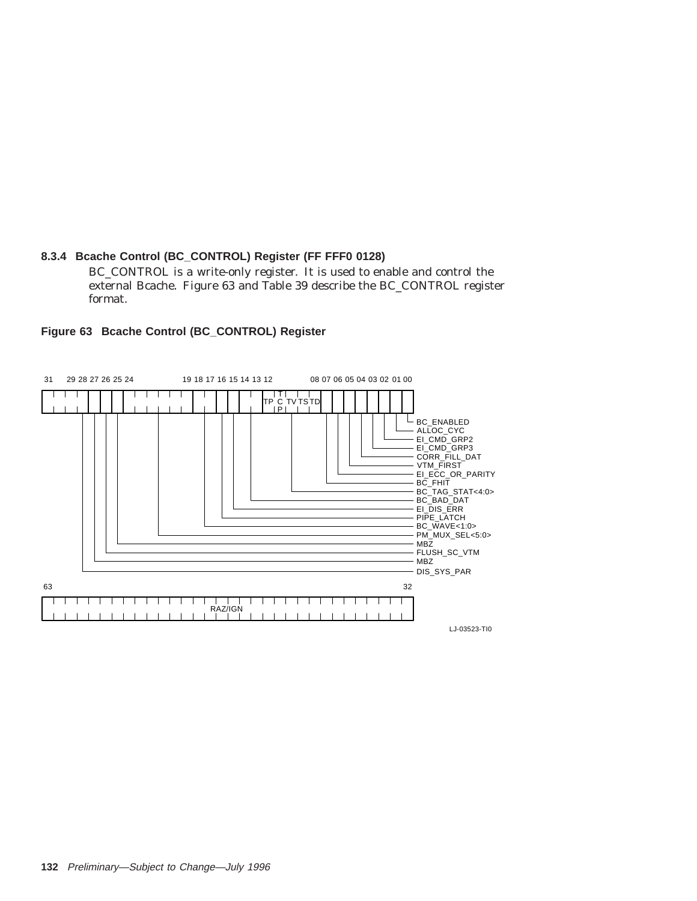# **8.3.4 Bcache Control (BC\_CONTROL) Register (FF FFF0 0128)**

BC\_CONTROL is a write-only register. It is used to enable and control the external Bcache. Figure 63 and Table 39 describe the BC\_CONTROL register format.



# **Figure 63 Bcache Control (BC\_CONTROL) Register**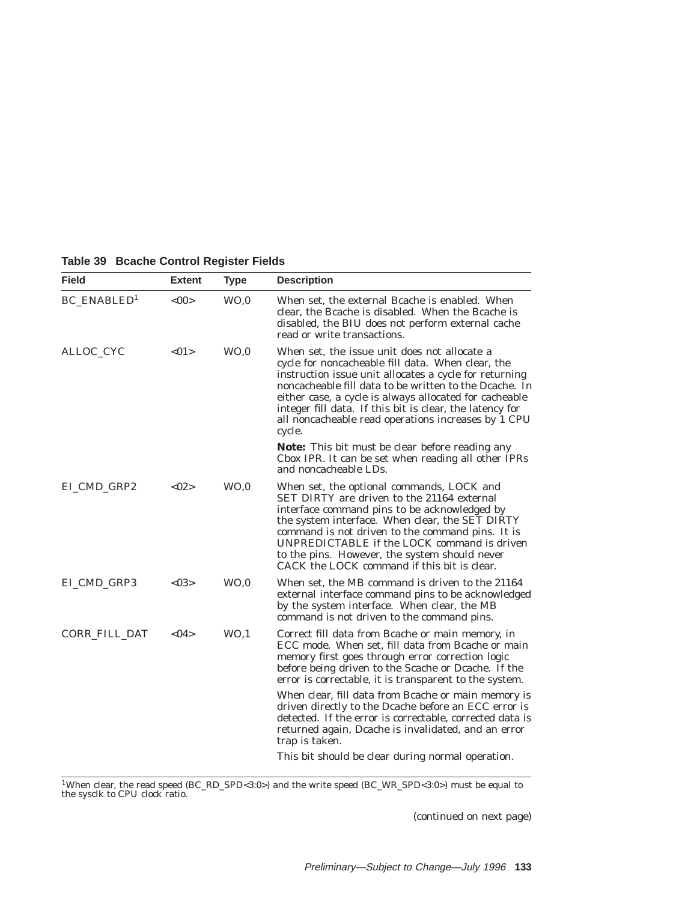| <b>Field</b>                   | <b>Extent</b> | <b>Type</b>     | <b>Description</b>                                                                                                                                                                                                                                                                                                                                                                                           |
|--------------------------------|---------------|-----------------|--------------------------------------------------------------------------------------------------------------------------------------------------------------------------------------------------------------------------------------------------------------------------------------------------------------------------------------------------------------------------------------------------------------|
| <b>BC_ENABLED</b> <sup>1</sup> | < 00          | WO <sub>0</sub> | When set, the external Bcache is enabled. When<br>clear, the Bcache is disabled. When the Bcache is<br>disabled, the BIU does not perform external cache<br>read or write transactions.                                                                                                                                                                                                                      |
| ALLOC_CYC                      | <01>          | WO <sub>0</sub> | When set, the issue unit does not allocate a<br>cycle for noncacheable fill data. When clear, the<br>instruction issue unit allocates a cycle for returning<br>noncacheable fill data to be written to the Dcache. In<br>either case, a cycle is always allocated for cacheable<br>integer fill data. If this bit is clear, the latency for<br>all noncacheable read operations increases by 1 CPU<br>cycle. |
|                                |               |                 | <b>Note:</b> This bit <i>must</i> be clear before reading any<br>Cbox IPR. It can be set when reading all other IPRs<br>and noncacheable LDs.                                                                                                                                                                                                                                                                |
| EI_CMD_GRP2                    | <02>          | WO, 0           | When set, the optional commands, LOCK and<br>SET DIRTY are driven to the 21164 external<br>interface command pins to be acknowledged by<br>the system interface. When clear, the SET DIRTY<br>command is not driven to the command pins. It is<br>UNPREDICTABLE if the LOCK command is driven<br>to the pins. However, the system should never<br>CACK the LOCK command if this bit is clear.                |
| EI_CMD_GRP3                    | < 03          | WO <sub>0</sub> | When set, the MB command is driven to the 21164<br>external interface command pins to be acknowledged<br>by the system interface. When clear, the MB<br>command is not driven to the command pins.                                                                                                                                                                                                           |
| CORR_FILL_DAT                  | < 04          | WO, 1           | Correct fill data from Bcache or main memory, in<br>ECC mode. When set, fill data from Bcache or main<br>memory first goes through error correction logic<br>before being driven to the Scache or Dcache. If the<br>error is correctable, it is transparent to the system.                                                                                                                                   |
|                                |               |                 | When clear, fill data from Bcache or main memory is<br>driven directly to the Dcache before an ECC error is<br>detected. If the error is correctable, corrected data is<br>returned again, Dcache is invalidated, and an error<br>trap is taken.                                                                                                                                                             |
|                                |               |                 | This bit should be clear during normal operation.                                                                                                                                                                                                                                                                                                                                                            |

# **Table 39 Bcache Control Register Fields**

 $\rm ^1W$ hen clear, the read speed (BC\_RD\_SPD<3:0>) and the write speed (BC\_WR\_SPD<3:0>) must be equal to the sysclk to CPU clock ratio.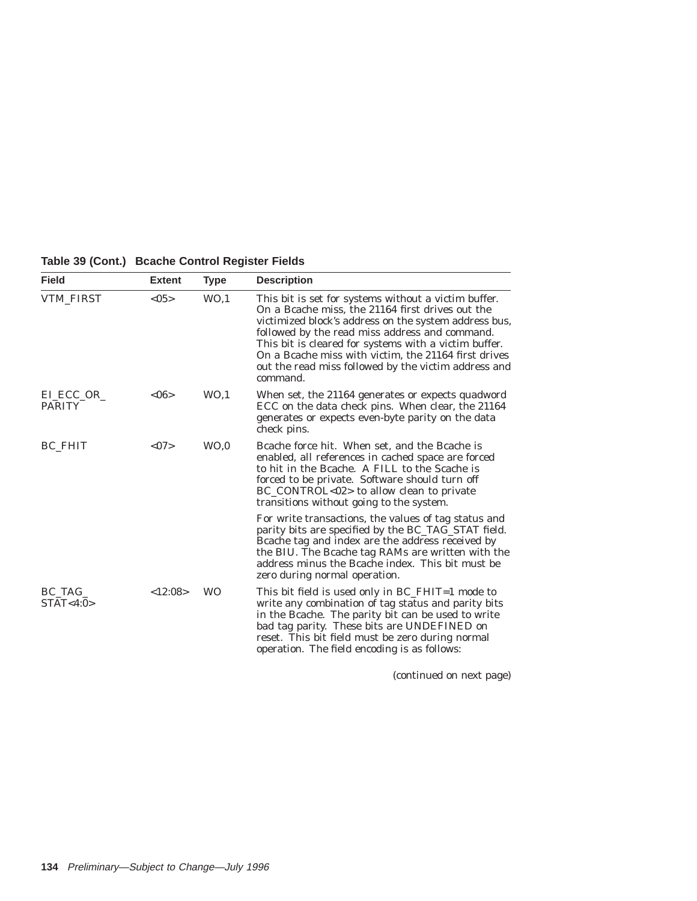| Table 39 (Cont.) Bcache Control Register Fields |  |  |  |  |
|-------------------------------------------------|--|--|--|--|
|-------------------------------------------------|--|--|--|--|

| <b>Field</b>               | <b>Extent</b> | <b>Type</b>     | <b>Description</b>                                                                                                                                                                                                                                                                                                                                                                                       |
|----------------------------|---------------|-----------------|----------------------------------------------------------------------------------------------------------------------------------------------------------------------------------------------------------------------------------------------------------------------------------------------------------------------------------------------------------------------------------------------------------|
| <b>VTM_FIRST</b>           | < 0.5         | WO <sub>1</sub> | This bit is set for systems without a victim buffer.<br>On a Bcache miss, the 21164 first drives out the<br>victimized block's address on the system address bus,<br>followed by the read miss address and command.<br>This bit is cleared for systems with a victim buffer.<br>On a Bcache miss with victim, the 21164 first drives<br>out the read miss followed by the victim address and<br>command. |
| EL ECC_OR<br><b>PARITY</b> | <06           | WO <sub>1</sub> | When set, the 21164 generates or expects quadword<br>ECC on the data check pins. When clear, the 21164<br>generates or expects even-byte parity on the data<br>check pins.                                                                                                                                                                                                                               |
| <b>BC FHIT</b>             | <07           | WO <sub>0</sub> | Bcache force hit. When set, and the Bcache is<br>enabled, all references in cached space are forced<br>to hit in the Bcache. A FILL to the Scache is<br>forced to be private. Software should turn off<br>BC_CONTROL<02> to allow clean to private<br>transitions without going to the system.                                                                                                           |
|                            |               |                 | For write transactions, the values of tag status and<br>parity bits are specified by the BC_TAG_STAT field.<br>Bcache tag and index are the address received by<br>the BIU. The Bcache tag RAMs are written with the<br>address minus the Bcache index. This bit must be<br>zero during normal operation.                                                                                                |
| BC_TAG_<br>STAT < 4:0>     | <12:08>       | <b>WO</b>       | This bit field is used only in BC_FHIT=1 mode to<br>write any combination of tag status and parity bits<br>in the Bcache. The parity bit can be used to write<br>bad tag parity. These bits are UNDEFINED on<br>reset. This bit field must be zero during normal<br>operation. The field encoding is as follows:                                                                                         |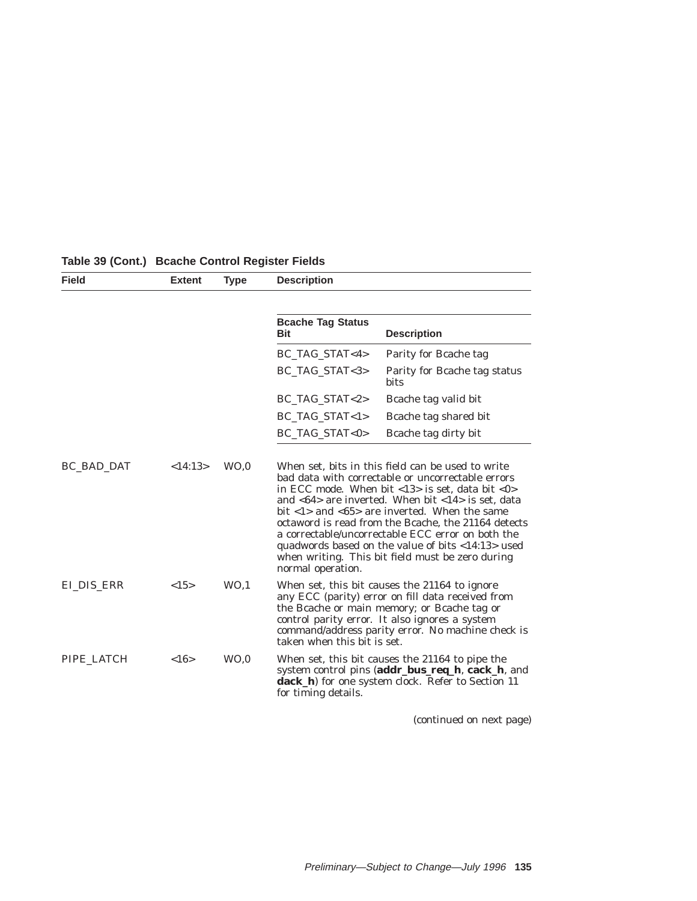| <b>Field</b> | <b>Extent</b> | <b>Type</b>     | <b>Description</b>                     |                                                                                                                                                                                                                                                                                                                                                                                                                 |
|--------------|---------------|-----------------|----------------------------------------|-----------------------------------------------------------------------------------------------------------------------------------------------------------------------------------------------------------------------------------------------------------------------------------------------------------------------------------------------------------------------------------------------------------------|
|              |               |                 |                                        |                                                                                                                                                                                                                                                                                                                                                                                                                 |
|              |               |                 | <b>Bcache Tag Status</b><br><b>Bit</b> | <b>Description</b>                                                                                                                                                                                                                                                                                                                                                                                              |
|              |               |                 | BC_TAG_STAT<4>                         | Parity for Bcache tag                                                                                                                                                                                                                                                                                                                                                                                           |
|              |               |                 | BC_TAG_STAT<3>                         | Parity for Beache tag status<br><b>bits</b>                                                                                                                                                                                                                                                                                                                                                                     |
|              |               |                 | BC_TAG_STAT<2>                         | Bcache tag valid bit                                                                                                                                                                                                                                                                                                                                                                                            |
|              |               |                 | BC_TAG_STAT<1>                         | Beache tag shared bit                                                                                                                                                                                                                                                                                                                                                                                           |
|              |               |                 | BC_TAG_STAT<0>                         | Beache tag dirty bit                                                                                                                                                                                                                                                                                                                                                                                            |
|              |               |                 | normal operation.                      | in ECC mode. When bit $<13$ is set, data bit $<0$<br>and $<64>$ are inverted. When bit $<14>$ is set, data<br>bit $\langle 1 \rangle$ and $\langle 65 \rangle$ are inverted. When the same<br>octaword is read from the Bcache, the 21164 detects<br>a correctable/uncorrectable ECC error on both the<br>quadwords based on the value of bits <14:13> used<br>when writing. This bit field must be zero during |
| EI_DIS_ERR   | <15>          | WO <sub>1</sub> | taken when this bit is set.            | When set, this bit causes the 21164 to ignore<br>any ECC (parity) error on fill data received from<br>the Boache or main memory; or Boache tag or<br>control parity error. It also ignores a system<br>command/address parity error. No machine check is                                                                                                                                                        |
| PIPE LATCH   | <16>          | WO <sub>0</sub> | for timing details.                    | When set, this bit causes the 21164 to pipe the<br>system control pins (addr_bus_req_h, cack_h, and<br>dack_h) for one system clock. Refer to Section 11                                                                                                                                                                                                                                                        |

# **Table 39 (Cont.) Bcache Control Register Fields**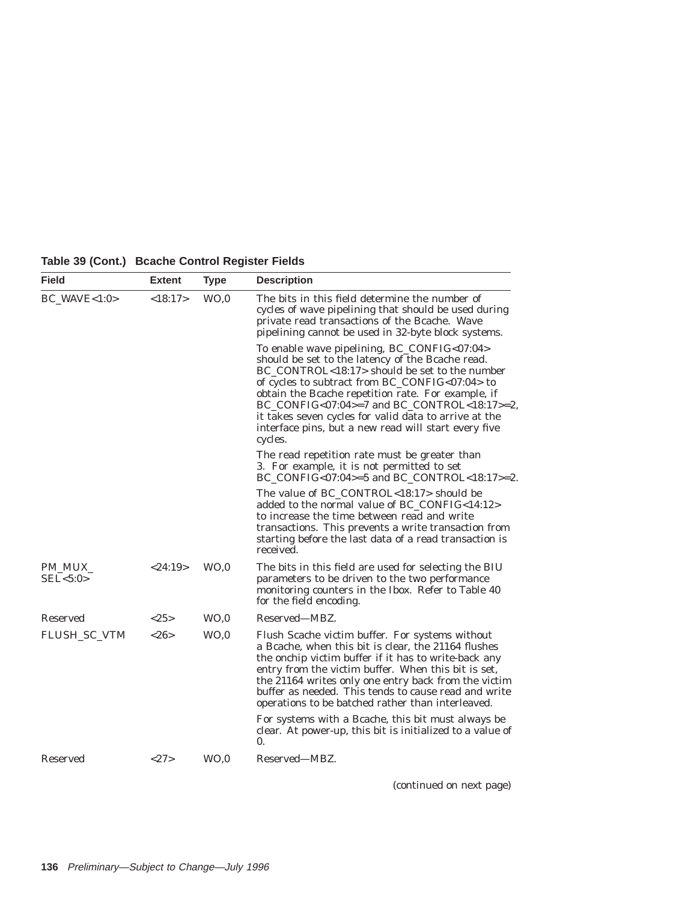| <b>Field</b>              | <b>Extent</b> | <b>Type</b>     | <b>Description</b>                                                                                                                                                                                                                                                                                                                                                                                                                  |
|---------------------------|---------------|-----------------|-------------------------------------------------------------------------------------------------------------------------------------------------------------------------------------------------------------------------------------------------------------------------------------------------------------------------------------------------------------------------------------------------------------------------------------|
| <b>BC_WAVE&lt;1:0&gt;</b> | <18:17>       | WO <sub>0</sub> | The bits in this field determine the number of<br>cycles of wave pipelining that should be used during<br>private read transactions of the Bcache. Wave<br>pipelining cannot be used in 32-byte block systems.                                                                                                                                                                                                                      |
|                           |               |                 | To enable wave pipelining, BC_CONFIG<07:04><br>should be set to the latency of the Bcache read.<br>BC_CONTROL<18:17> should be set to the number<br>of cycles to subtract from BC_CONFIG<07:04> to<br>obtain the Bcache repetition rate. For example, if<br>BC_CONFIG<07:04>=7 and BC_CONTROL<18:17>=2,<br>it takes seven cycles for valid data to arrive at the<br>interface pins, but a new read will start every five<br>cycles. |
|                           |               |                 | The read repetition rate must be greater than<br>3. For example, it is not permitted to set<br>$BC$ _CONFIG<07:04>=5 and $BC$ _CONTROL<18:17>=2.                                                                                                                                                                                                                                                                                    |
|                           |               |                 | The value of BC_CONTROL<18:17> should be<br>added to the normal value of BC_CONFIG<14:12><br>to increase the time between read and write<br>transactions. This prevents a write transaction from<br>starting before the last data of a read transaction is<br>received.                                                                                                                                                             |
| PM MUX<br>SEL < 5:0       | < 24:19>      | WO <sub>0</sub> | The bits in this field are used for selecting the BIU<br>parameters to be driven to the two performance<br>monitoring counters in the Ibox. Refer to Table 40<br>for the field encoding.                                                                                                                                                                                                                                            |
| Reserved                  | <25>          | WO, 0           | Reserved—MBZ.                                                                                                                                                                                                                                                                                                                                                                                                                       |
| <b>FLUSH_SC_VTM</b>       | <26>          | WO <sub>0</sub> | Flush Scache victim buffer. For systems without<br>a Bcache, when this bit is clear, the 21164 flushes<br>the onchip victim buffer if it has to write-back any<br>entry from the victim buffer. When this bit is set,<br>the 21164 writes only one entry back from the victim<br>buffer as needed. This tends to cause read and write<br>operations to be batched rather than interleaved.                                          |
|                           |               |                 | For systems with a Bcache, this bit must always be<br>clear. At power-up, this bit is initialized to a value of<br>$\mathbf{0}$ .                                                                                                                                                                                                                                                                                                   |
| Reserved                  | <27>          | WO <sub>0</sub> | Reserved—MBZ.                                                                                                                                                                                                                                                                                                                                                                                                                       |

**Table 39 (Cont.) Bcache Control Register Fields**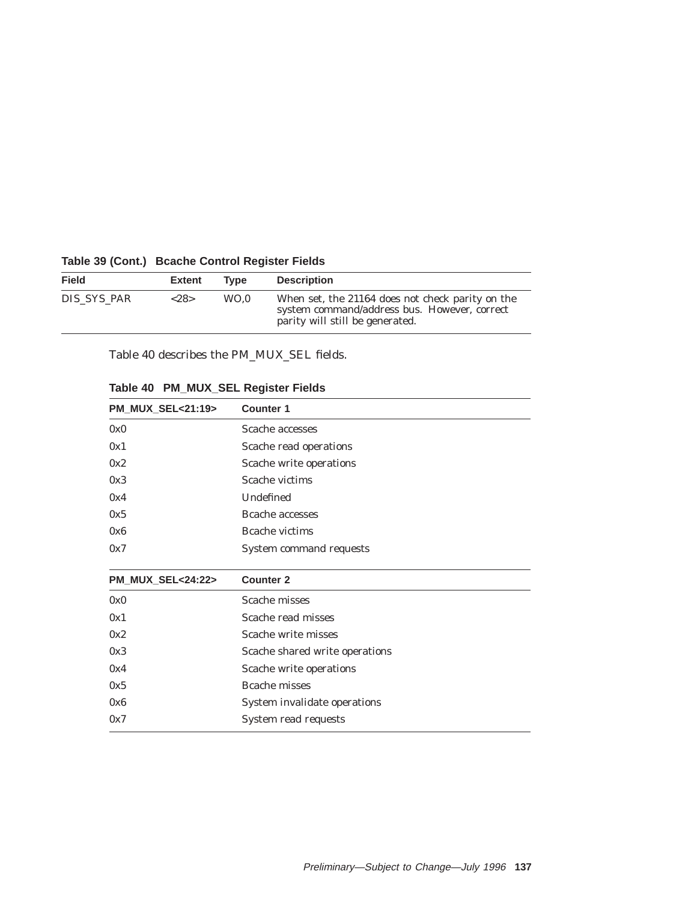| <b>Field</b> | <b>Extent</b> | Tvpe | <b>Description</b>                                                                                                                  |
|--------------|---------------|------|-------------------------------------------------------------------------------------------------------------------------------------|
| DIS SYS PAR  | <28>          | WO.0 | When set, the 21164 does not check parity on the<br>system command/address bus. However, correct<br>parity will still be generated. |

### **Table 39 (Cont.) Bcache Control Register Fields**

Table 40 describes the PM\_MUX\_SEL fields.

| PM_MUX_SEL<21:19> | <b>Counter 1</b>               |
|-------------------|--------------------------------|
| 0x0               | Scache accesses                |
| 0x1               | Scache read operations         |
| 0x2               | Scache write operations        |
| 0x3               | Scache victims                 |
| 0x4               | Undefined                      |
| 0x5               | Bcache accesses                |
| 0x6               | Bcache victims                 |
| 0x7               | System command requests        |
|                   |                                |
|                   |                                |
| PM_MUX_SEL<24:22> | <b>Counter 2</b>               |
| 0x0               | Scache misses                  |
| 0x1               | Scache read misses             |
| 0x2               | Scache write misses            |
| 0x3               | Scache shared write operations |
| 0x4               | Scache write operations        |
| 0x5               | <b>Bcache misses</b>           |
| 0x6               | System invalidate operations   |

## **Table 40 PM\_MUX\_SEL Register Fields**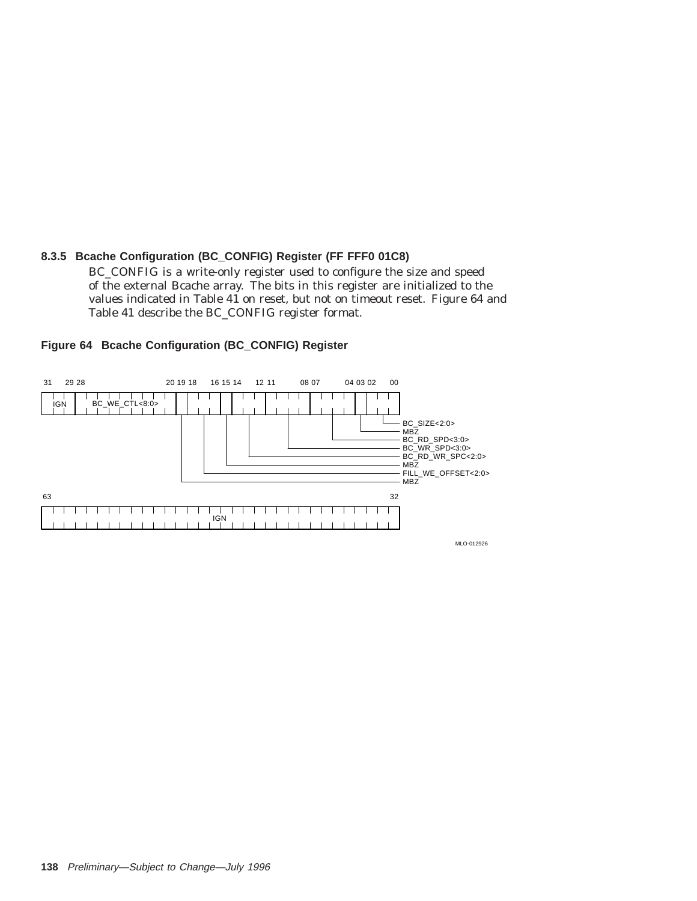### **8.3.5 Bcache Configuration (BC\_CONFIG) Register (FF FFF0 01C8)**

BC\_CONFIG is a write-only register used to configure the size and speed of the external Bcache array. The bits in this register are initialized to the values indicated in Table 41 on reset, but not on timeout reset. Figure 64 and Table 41 describe the BC\_CONFIG register format.



#### **Figure 64 Bcache Configuration (BC\_CONFIG) Register**

MLO-012926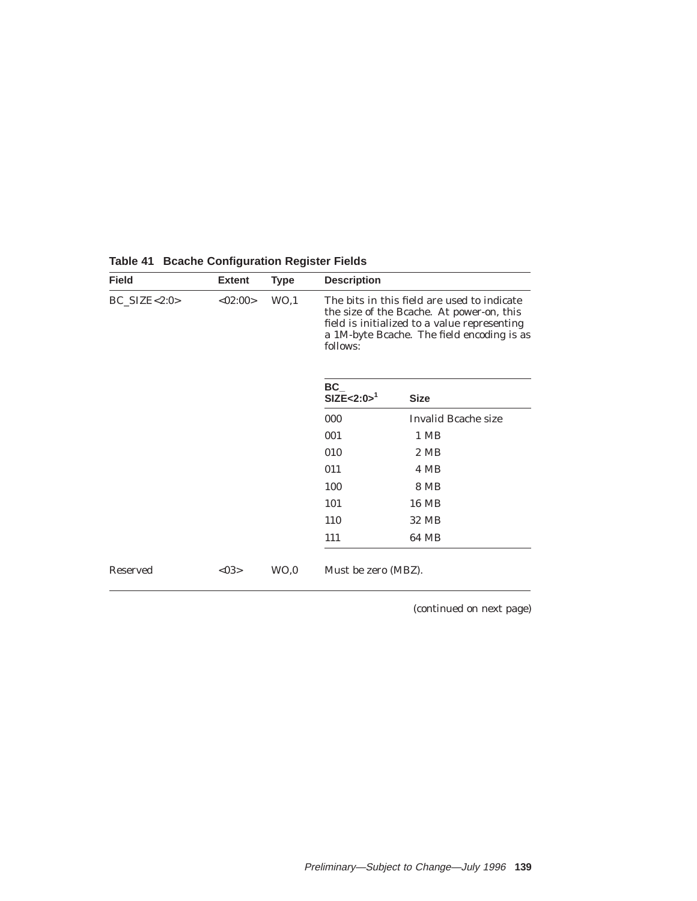| <b>Field</b>      | <b>Extent</b> | <b>Type</b>     | <b>Description</b>  |                                                                                                                                                                                        |
|-------------------|---------------|-----------------|---------------------|----------------------------------------------------------------------------------------------------------------------------------------------------------------------------------------|
| $BC\_SIZE < 2:0>$ | <02:00>       | WO, 1           | follows:            | The bits in this field are used to indicate<br>the size of the Bcache. At power-on, this<br>field is initialized to a value representing<br>a 1M-byte Bcache. The field encoding is as |
|                   |               |                 | BC<br>$SIZE<2:0>^1$ | <b>Size</b>                                                                                                                                                                            |
|                   |               |                 | 000                 | Invalid Bcache size                                                                                                                                                                    |
|                   |               |                 | 001                 | 1 MB                                                                                                                                                                                   |
|                   |               |                 | 010                 | 2 MB                                                                                                                                                                                   |
|                   |               |                 | 011                 | 4 MB                                                                                                                                                                                   |
|                   |               |                 | 100                 | 8 MB                                                                                                                                                                                   |
|                   |               |                 | 101                 | 16 MB                                                                                                                                                                                  |
|                   |               |                 | 110                 | 32 MB                                                                                                                                                                                  |
|                   |               |                 | 111                 | 64 MB                                                                                                                                                                                  |
| <b>Reserved</b>   | <03>          | WO <sub>0</sub> | Must be zero (MBZ). |                                                                                                                                                                                        |

**Table 41 Bcache Configuration Register Fields**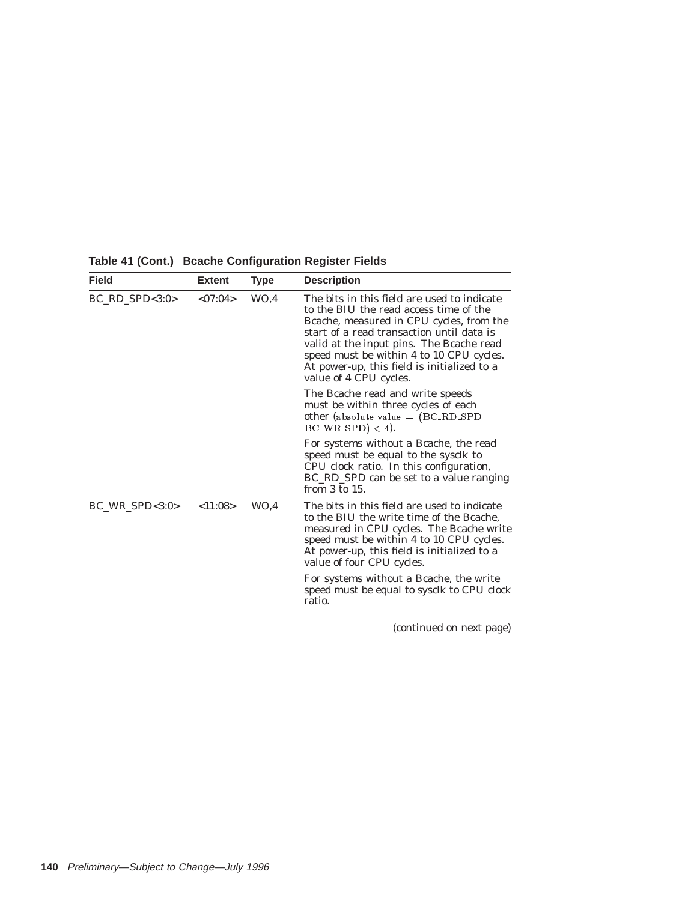| <b>Field</b>     | <b>Extent</b> | Type | <b>Description</b>                                                                                                                                                                                                                                                                                                                              |
|------------------|---------------|------|-------------------------------------------------------------------------------------------------------------------------------------------------------------------------------------------------------------------------------------------------------------------------------------------------------------------------------------------------|
| $BC_RD_SPD<3:0>$ | < 07:04>      | WO.4 | The bits in this field are used to indicate<br>to the BIU the read access time of the<br>Brache, measured in CPU cycles, from the<br>start of a read transaction until data is<br>valid at the input pins. The Bcache read<br>speed must be within 4 to 10 CPU cycles.<br>At power-up, this field is initialized to a<br>value of 4 CPU cycles. |
|                  |               |      | The Bcache read and write speeds<br>must be within three cycles of each<br>other (absolute value $=$ (BC_RD_SPD $-$<br>$BC_WR_SPD$ < 4).                                                                                                                                                                                                        |
|                  |               |      | For systems without a Beache, the read<br>speed must be equal to the sysclk to<br>CPU clock ratio. In this configuration,<br>BC_RD_SPD can be set to a value ranging<br>from 3 to 15.                                                                                                                                                           |
| $BC_WR_SPD<3:0>$ | < 11:08>      | WO.4 | The bits in this field are used to indicate<br>to the BIU the write time of the Bcache,<br>measured in CPU cycles. The Bcache write<br>speed must be within 4 to 10 CPU cycles.<br>At power-up, this field is initialized to a<br>value of four CPU cycles.                                                                                     |
|                  |               |      | For systems without a Beache, the write<br>speed must be equal to sysclk to CPU clock<br>ratio.                                                                                                                                                                                                                                                 |
|                  |               |      | (continued on next page)                                                                                                                                                                                                                                                                                                                        |

**Table 41 (Cont.) Bcache Configuration Register Fields**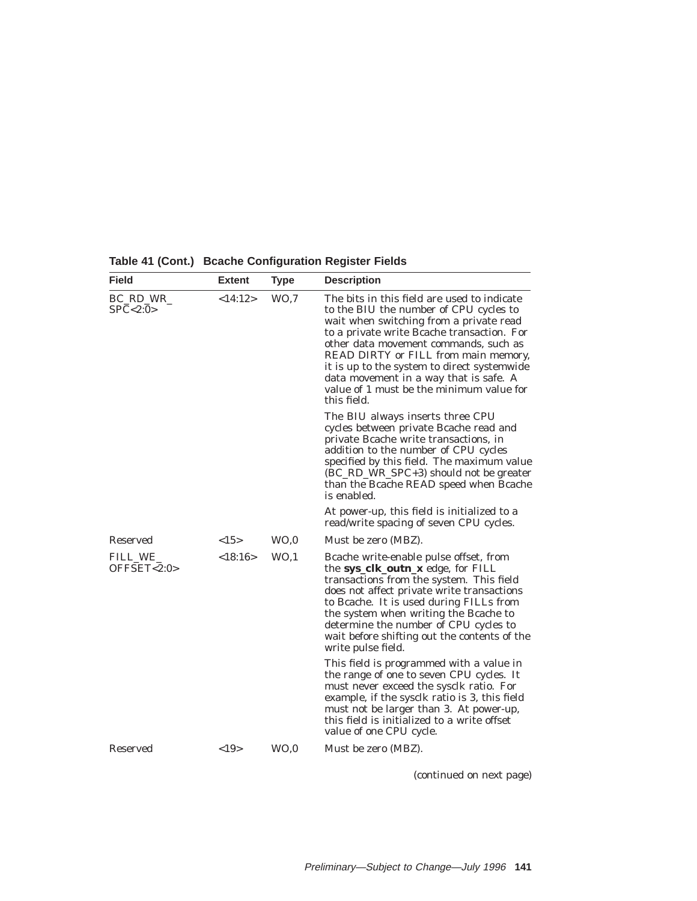| <b>Field</b>            | <b>Extent</b> | <b>Type</b>     | <b>Description</b>                                                                                                                                                                                                                                                                                                                                                                                                  |
|-------------------------|---------------|-----------------|---------------------------------------------------------------------------------------------------------------------------------------------------------------------------------------------------------------------------------------------------------------------------------------------------------------------------------------------------------------------------------------------------------------------|
| BC RD WR<br>SPC < 2:0   | <14:12>       | WO, 7           | The bits in this field are used to indicate<br>to the BIU the number of CPU cycles to<br>wait when switching from a private read<br>to a private write Bcache transaction. For<br>other data movement commands, such as<br>READ DIRTY or FILL from main memory,<br>it is up to the system to direct systemwide<br>data movement in a way that is safe. A<br>value of 1 must be the minimum value for<br>this field. |
|                         |               |                 | The BIU always inserts three CPU<br>cycles between private Bcache read and<br>private Bcache write transactions, in<br>addition to the number of CPU cycles<br>specified by this field. The maximum value<br>(BC_RD_WR_SPC+3) should not be greater<br>than the Bcache READ speed when Bcache<br>is enabled.                                                                                                        |
|                         |               |                 | At power-up, this field is initialized to a<br>read/write spacing of seven CPU cycles.                                                                                                                                                                                                                                                                                                                              |
| <b>Reserved</b>         | <15>          | WO.0            | Must be zero (MBZ).                                                                                                                                                                                                                                                                                                                                                                                                 |
| FILL_WE_<br>OFFSET<2:0> | <18:16>       | WO <sub>1</sub> | Bcache write-enable pulse offset, from<br>the sys_clk_outn_x edge, for FILL<br>transactions from the system. This field<br>does not affect private write transactions<br>to Bcache. It is used during FILLs from<br>the system when writing the Bcache to<br>determine the number of CPU cycles to<br>wait before shifting out the contents of the<br>write pulse field.                                            |
|                         |               |                 | This field is programmed with a value in<br>the range of one to seven CPU cycles. It<br>must never exceed the sysclk ratio. For<br>example, if the sysclk ratio is 3, this field<br>must not be larger than 3. At power-up,<br>this field is initialized to a write offset<br>value of one CPU cycle.                                                                                                               |
| Reserved                | <19           | WO <sub>0</sub> | Must be zero (MBZ).                                                                                                                                                                                                                                                                                                                                                                                                 |

**Table 41 (Cont.) Bcache Configuration Register Fields**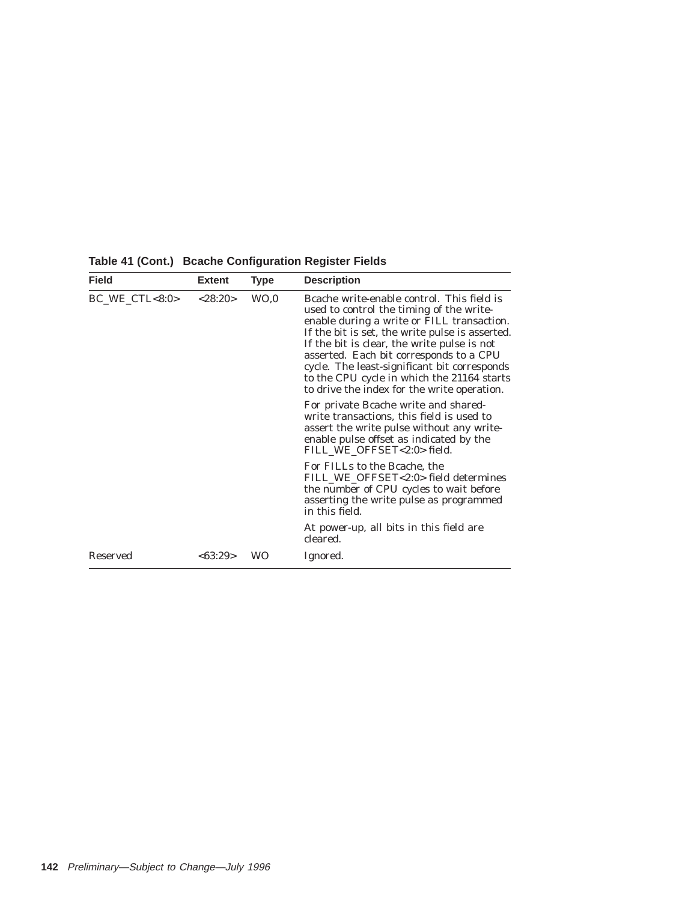| <b>Field</b>                                     | <b>Extent</b> | Type | <b>Description</b>                                                                                                                                                                                                                                                                                                                                                                                                             |
|--------------------------------------------------|---------------|------|--------------------------------------------------------------------------------------------------------------------------------------------------------------------------------------------------------------------------------------------------------------------------------------------------------------------------------------------------------------------------------------------------------------------------------|
| $BC_WE_CTL < 8:0>$<br>WO <sub>0</sub><br>< 28:20 |               |      | Bcache write-enable control. This field is<br>used to control the timing of the write-<br>enable during a write or FILL transaction.<br>If the bit is set, the write pulse is asserted.<br>If the bit is clear, the write pulse is not<br>asserted. Each bit corresponds to a CPU<br>cycle. The least-significant bit corresponds<br>to the CPU cycle in which the 21164 starts<br>to drive the index for the write operation. |
|                                                  |               |      | For private Bcache write and shared-<br>write transactions, this field is used to<br>assert the write pulse without any write-<br>enable pulse offset as indicated by the<br>FILL WE OFFSET<2:0> field.                                                                                                                                                                                                                        |
|                                                  |               |      | For FILLs to the Bcache, the<br>FILL_WE_OFFSET<2:0> field determines<br>the number of CPU cycles to wait before<br>asserting the write pulse as programmed<br>in this field.                                                                                                                                                                                                                                                   |
|                                                  |               |      | At power-up, all bits in this field are<br>cleared.                                                                                                                                                                                                                                                                                                                                                                            |
| Reserved                                         | <63:29>       | WO   | Ignored.                                                                                                                                                                                                                                                                                                                                                                                                                       |

**Table 41 (Cont.) Bcache Configuration Register Fields**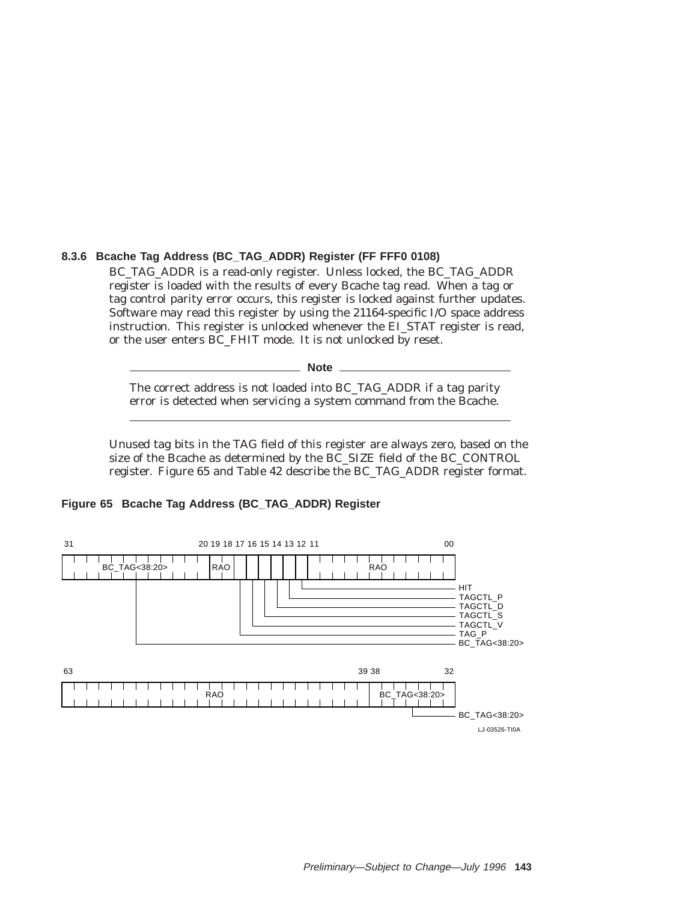### **8.3.6 Bcache Tag Address (BC\_TAG\_ADDR) Register (FF FFF0 0108)**

BC\_TAG\_ADDR is a read-only register. Unless locked, the BC\_TAG\_ADDR register is loaded with the results of every Bcache tag read. When a tag or tag control parity error occurs, this register is locked against further updates. Software may read this register by using the 21164-specific I/O space address instruction. This register is unlocked whenever the EI STAT register is read, or the user enters BC\_FHIT mode. It is not unlocked by reset.

**Note**

The correct address is not loaded into BC\_TAG\_ADDR if a tag parity error is detected when servicing a system command from the Bcache.

Unused tag bits in the TAG field of this register are always zero, based on the size of the Bcache as determined by the BC\_SIZE field of the BC\_CONTROL register. Figure 65 and Table 42 describe the BC\_TAG\_ADDR register format.

#### **Figure 65 Bcache Tag Address (BC\_TAG\_ADDR) Register**

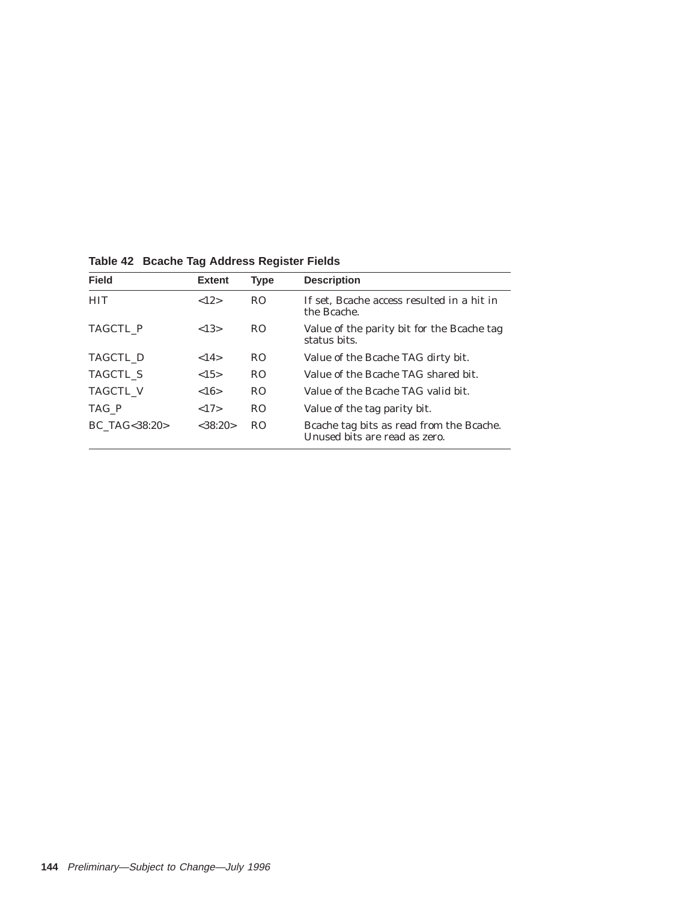| <b>Field</b>     | <b>Extent</b> | <b>Type</b>    | <b>Description</b>                                                        |
|------------------|---------------|----------------|---------------------------------------------------------------------------|
| <b>HIT</b>       | ${12}$        | R <sub>O</sub> | If set, Beache access resulted in a hit in<br>the Bcache.                 |
| <b>TAGCTL P</b>  | ${<}13>$      | R <sub>O</sub> | Value of the parity bit for the Beache tag<br>status bits.                |
| TAGCTL D         | <14>          | R <sub>O</sub> | Value of the Bcache TAG dirty bit.                                        |
| <b>TAGCTL S</b>  | <15>          | R <sub>O</sub> | Value of the Bcache TAG shared bit.                                       |
| <b>TAGCTL V</b>  | <16>          | R <sub>O</sub> | Value of the Bcache TAG valid bit.                                        |
| TAG P            | ${17}$        | R <sub>O</sub> | Value of the tag parity bit.                                              |
| BC TAG < 38:20 > | <38:20>       | R <sub>O</sub> | Brache tag bits as read from the Brache.<br>Unused bits are read as zero. |

**Table 42 Bcache Tag Address Register Fields**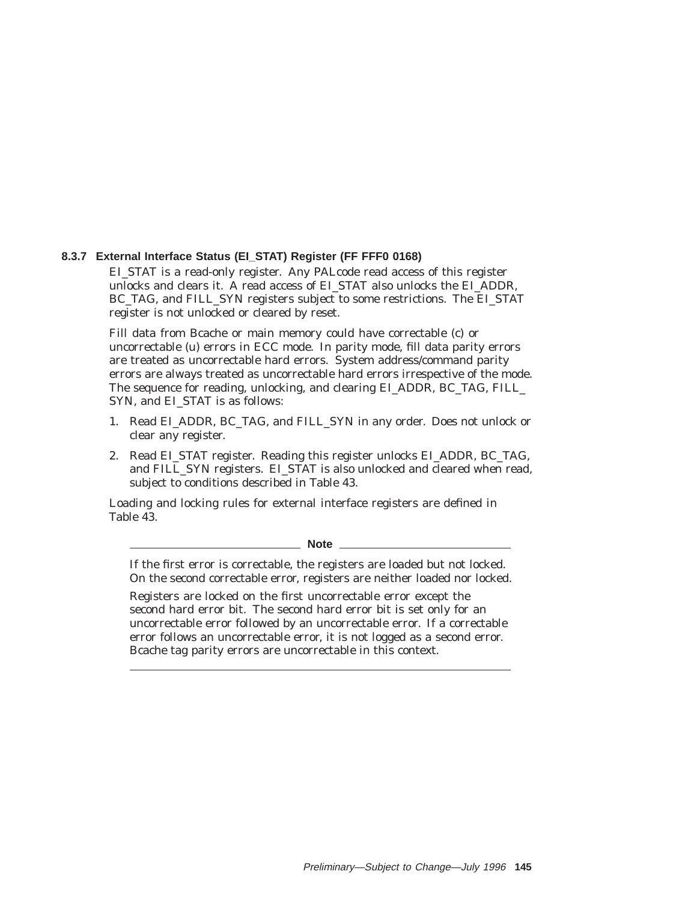#### **8.3.7 External Interface Status (EI\_STAT) Register (FF FFF0 0168)**

EI\_STAT is a read-only register. Any PALcode read access of this register unlocks and clears it. A read access of EI\_STAT also unlocks the EI\_ADDR, BC\_TAG, and FILL\_SYN registers subject to some restrictions. The EI\_STAT register is not unlocked or cleared by reset.

Fill data from Bcache or main memory could have correctable (c) or uncorrectable (u) errors in ECC mode. In parity mode, fill data parity errors are treated as uncorrectable hard errors. System address/command parity errors are always treated as uncorrectable hard errors irrespective of the mode. The sequence for reading, unlocking, and clearing EI\_ADDR, BC\_TAG, FILL\_ SYN, and EI\_STAT is as follows:

- 1. Read EI ADDR, BC TAG, and FILL SYN in any order. Does not unlock or clear any register.
- 2. Read EI\_STAT register. Reading this register unlocks EI\_ADDR, BC\_TAG, and FILL\_SYN registers. EI\_STAT is also unlocked and cleared when read, subject to conditions described in Table 43.

Loading and locking rules for external interface registers are defined in Table 43.

**Note**

If the first error is correctable, the registers are loaded but not locked. On the second correctable error, registers are neither loaded nor locked.

Registers are locked on the first uncorrectable error except the second hard error bit. The second hard error bit is set only for an uncorrectable error followed by an uncorrectable error. If a correctable error follows an uncorrectable error, it is not logged as a second error. Bcache tag parity errors are uncorrectable in this context.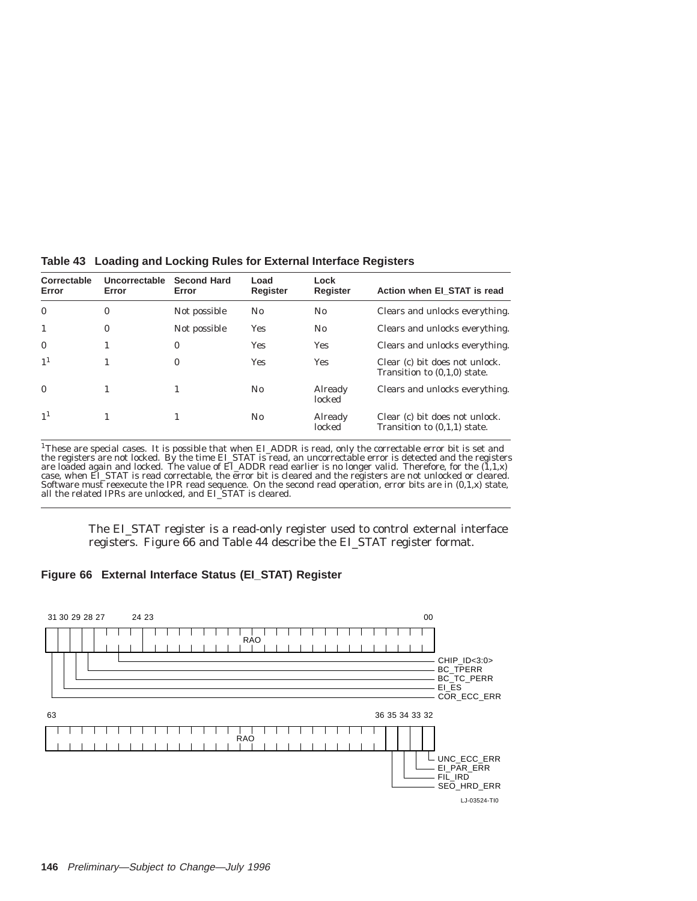| Correctable<br>Error | Uncorrectable<br>Error | <b>Second Hard</b><br>Error | Load<br>Register | Lock<br>Register  | Action when EI_STAT is read                                      |
|----------------------|------------------------|-----------------------------|------------------|-------------------|------------------------------------------------------------------|
| $\mathbf{0}$         | $\bf{0}$               | Not possible                | $\rm No$         | N0                | Clears and unlocks everything.                                   |
|                      | $\bf{0}$               | Not possible                | Yes              | $\rm No$          | Clears and unlocks everything.                                   |
| $\mathbf{0}$         | 1                      | $\bf{0}$                    | Yes              | <b>Yes</b>        | Clears and unlocks everything.                                   |
| 1 <sup>1</sup>       |                        | $\bf{0}$                    | Yes              | <b>Yes</b>        | Clear (c) bit does not unlock.<br>Transition to $(0,1,0)$ state. |
| $\mathbf{0}$         |                        |                             | $\rm No$         | Already<br>locked | Clears and unlocks everything.                                   |
| 1 <sup>1</sup>       |                        |                             | N <sub>0</sub>   | Already<br>locked | Clear (c) bit does not unlock.<br>Transition to $(0,1,1)$ state. |

**Table 43 Loading and Locking Rules for External Interface Registers**

<sup>1</sup>These are special cases. It is possible that when EI\_ADDR is read, only the correctable error bit is set and the registers are not locked. By the time EI\_STAT is read, an uncorrectable error is detected and the registe case, when EL\_STAT is read correctable, the error bit is cleared and the registers are not unlocked or cleared.<br>Software must reexecute the IPR read sequence. On the second read operation, error bits are in (0,1,x) state,<br>

The EI\_STAT register is a read-only register used to control external interface registers. Figure 66 and Table 44 describe the EI\_STAT register format.

#### **Figure 66 External Interface Status (EI\_STAT) Register**

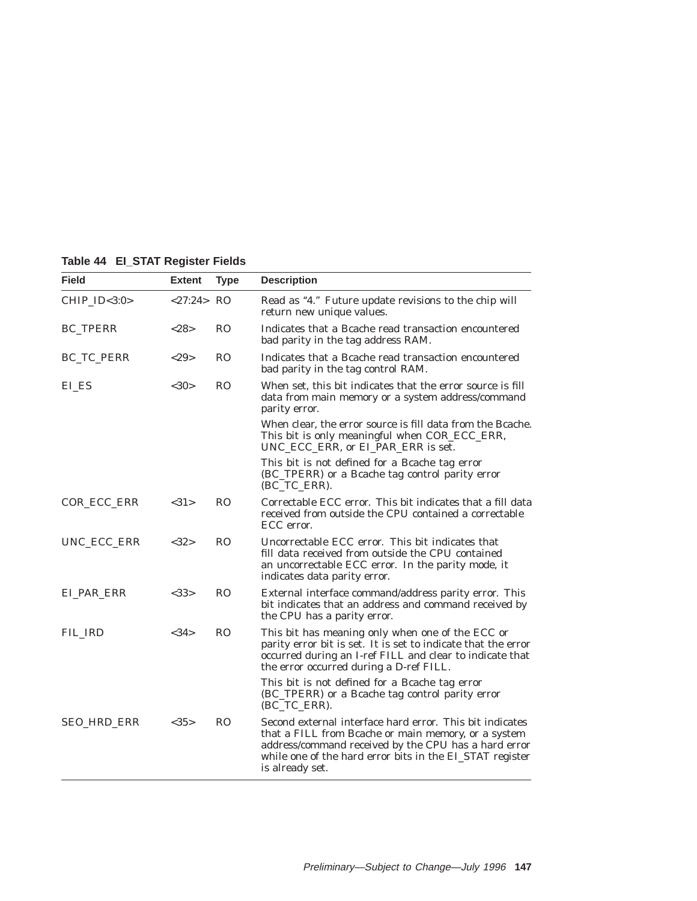|  |  |  | Table 44 El_STAT Register Fields |  |
|--|--|--|----------------------------------|--|
|--|--|--|----------------------------------|--|

| Field              | <b>Extent</b> | <b>Type</b>    | <b>Description</b>                                                                                                                                                                                                                                     |
|--------------------|---------------|----------------|--------------------------------------------------------------------------------------------------------------------------------------------------------------------------------------------------------------------------------------------------------|
| CHIP_ID<3:0>       | <27:24>RO     |                | Read as "4." Future update revisions to the chip will<br>return new unique values.                                                                                                                                                                     |
| <b>BC_TPERR</b>    | <28>          | R <sub>O</sub> | Indicates that a Bcache read transaction encountered<br>bad parity in the tag address RAM.                                                                                                                                                             |
| BC_TC_PERR         | <29           | R <sub>O</sub> | Indicates that a Bcache read transaction encountered<br>bad parity in the tag control RAM.                                                                                                                                                             |
| EL ES              | $<$ 30>       | <b>RO</b>      | When set, this bit indicates that the error source is fill<br>data from main memory or a system address/command<br>parity error.                                                                                                                       |
|                    |               |                | When clear, the error source is fill data from the Bcache.<br>This bit is only meaningful when COR_ECC_ERR,<br>UNC_ECC_ERR, or EI_PAR_ERR is set.                                                                                                      |
|                    |               |                | This bit is not defined for a Bcache tag error<br>(BC_TPERR) or a Bcache tag control parity error<br>(BC_TC_ERR).                                                                                                                                      |
| <b>COR ECC ERR</b> | <31>          | R <sub>O</sub> | Correctable ECC error. This bit indicates that a fill data<br>received from outside the CPU contained a correctable<br>ECC error.                                                                                                                      |
| UNC_ECC_ERR        | <32>          | R <sub>O</sub> | Uncorrectable ECC error. This bit indicates that<br>fill data received from outside the CPU contained<br>an uncorrectable ECC error. In the parity mode, it<br>indicates data parity error.                                                            |
| EI PAR ERR         | <33>          | R <sub>O</sub> | External interface command/address parity error. This<br>bit indicates that an address and command received by<br>the CPU has a parity error.                                                                                                          |
| FIL IRD            | <34>          | R <sub>O</sub> | This bit has meaning only when one of the ECC or<br>parity error bit is set. It is set to indicate that the error<br>occurred during an I-ref FILL and clear to indicate that<br>the error occurred during a D-ref FILL.                               |
|                    |               |                | This bit is not defined for a Bcache tag error<br>(BC_TPERR) or a Bcache tag control parity error<br>(BC_TC_ERR).                                                                                                                                      |
| SEO_HRD_ERR        | <35>          | R <sub>O</sub> | Second external interface hard error. This bit indicates<br>that a FILL from Bcache or main memory, or a system<br>address/command received by the CPU has a hard error<br>while one of the hard error bits in the EI_STAT register<br>is already set. |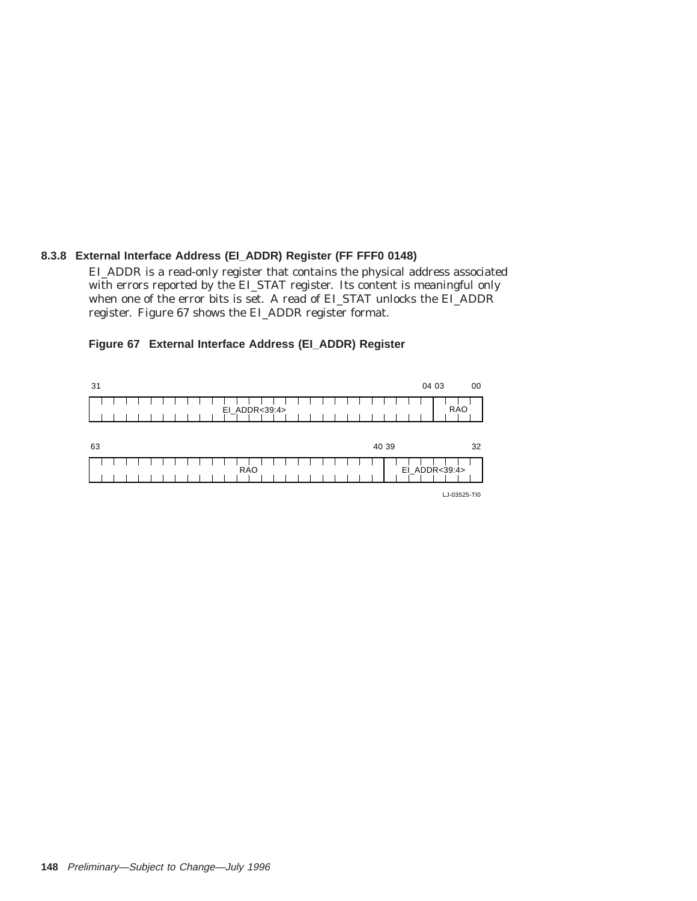## **8.3.8 External Interface Address (EI\_ADDR) Register (FF FFF0 0148)**

EI\_ADDR is a read-only register that contains the physical address associated with errors reported by the EI\_STAT register. Its content is meaningful only when one of the error bits is set. A read of EI\_STAT unlocks the EI\_ADDR register. Figure 67 shows the EI\_ADDR register format.



## **Figure 67 External Interface Address (EI\_ADDR) Register**

LJ-03525-TI0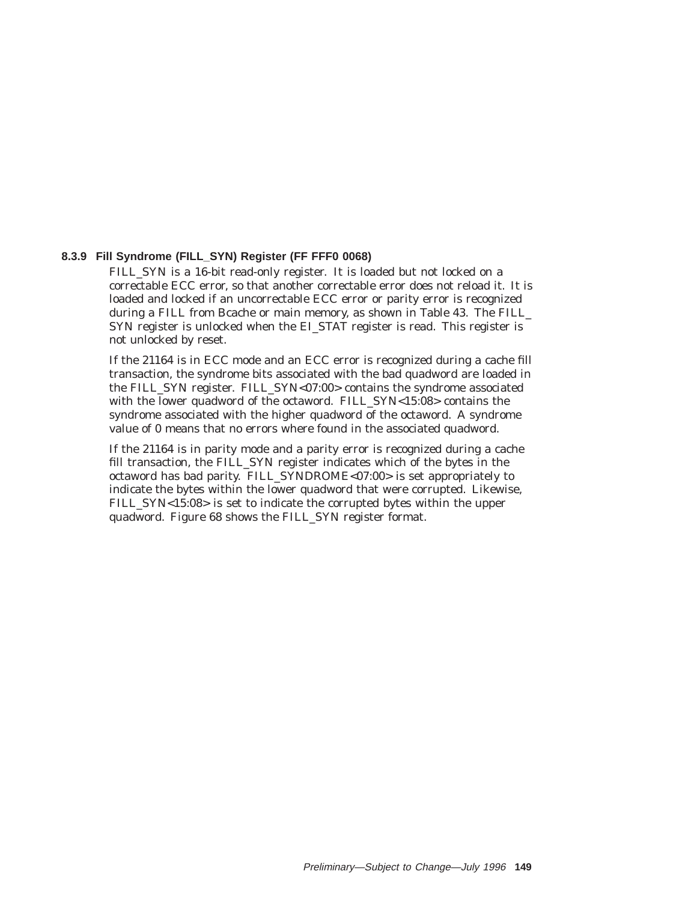#### **8.3.9 Fill Syndrome (FILL\_SYN) Register (FF FFF0 0068)**

FILL\_SYN is a 16-bit read-only register. It is loaded but not locked on a correctable ECC error, so that another correctable error does not reload it. It is loaded and locked if an uncorrectable ECC error or parity error is recognized during a FILL from Bcache or main memory, as shown in Table 43. The FILL\_ SYN register is unlocked when the EI STAT register is read. This register is not unlocked by reset.

If the 21164 is in ECC mode and an ECC error is recognized during a cache fill transaction, the syndrome bits associated with the bad quadword are loaded in the FILL\_SYN register. FILL\_SYN<07:00> contains the syndrome associated with the lower quadword of the octaword. FILL\_SYN<15:08> contains the syndrome associated with the higher quadword of the octaword. A syndrome value of 0 means that no errors where found in the associated quadword.

If the 21164 is in parity mode and a parity error is recognized during a cache fill transaction, the FILL\_SYN register indicates which of the bytes in the octaword has bad parity. FILL\_SYNDROME<07:00> is set appropriately to indicate the bytes within the lower quadword that were corrupted. Likewise, FILL\_SYN<15:08> is set to indicate the corrupted bytes within the upper quadword. Figure 68 shows the FILL\_SYN register format.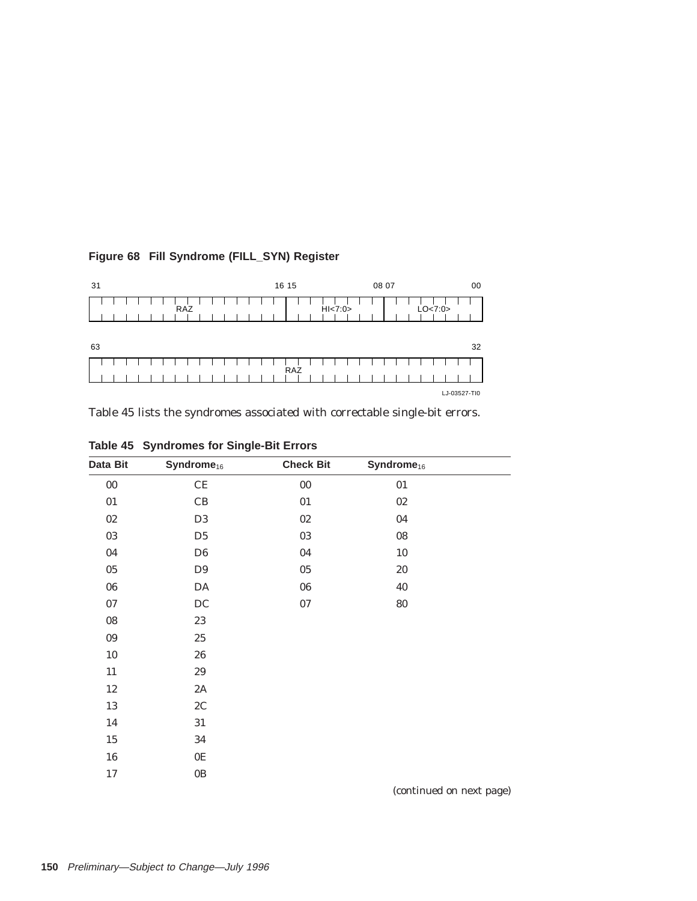| 31  | 16 15     | 08 07 | 00           |
|-----|-----------|-------|--------------|
| RAZ | H1 < 7:0> |       | LO<7:0>      |
| 63  |           |       | 32           |
|     | RAZ       |       |              |
|     |           |       | LJ-03527-TI0 |

## **Figure 68 Fill Syndrome (FILL\_SYN) Register**

Table 45 lists the syndromes associated with correctable single-bit errors.

| Data Bit    | Syndrome <sub>16</sub> | <b>Check Bit</b> | Syndrome <sub>16</sub> |  |
|-------------|------------------------|------------------|------------------------|--|
| $00\,$      | $\!$ $\!$              | ${\bf 00}$       | $01\,$                 |  |
| 01          | CB                     | 01               | $0\sqrt{2}$            |  |
| $0\sqrt{2}$ | D <sub>3</sub>         | $0\sqrt{2}$      | 04                     |  |
| 03          | D <sub>5</sub>         | $03\,$           | ${\bf 08}$             |  |
| 04          | D <sub>6</sub>         | 04               | $10\,$                 |  |
| $05\,$      | D <sub>9</sub>         | 05               | $20\,$                 |  |
| ${\bf 06}$  | DA                     | ${\bf 06}$       | 40                     |  |
| $07\,$      | $\rm DC$               | $07\,$           | $80\,$                 |  |
| ${\bf 08}$  | $23\,$                 |                  |                        |  |
| 09          | $25\,$                 |                  |                        |  |
| $10\,$      | 26                     |                  |                        |  |
| 11          | 29                     |                  |                        |  |
| $12\,$      | $2\mathrm{A}$          |                  |                        |  |
| 13          | 2C                     |                  |                        |  |
| 14          | $31\,$                 |                  |                        |  |
| $15\,$      | 34                     |                  |                        |  |
| 16          | $0\mathrm{E}$          |                  |                        |  |
| $17\,$      | $0\mathrm{B}$          |                  |                        |  |

| Table 45 Syndromes for Single-Bit Errors |  |  |
|------------------------------------------|--|--|
|                                          |  |  |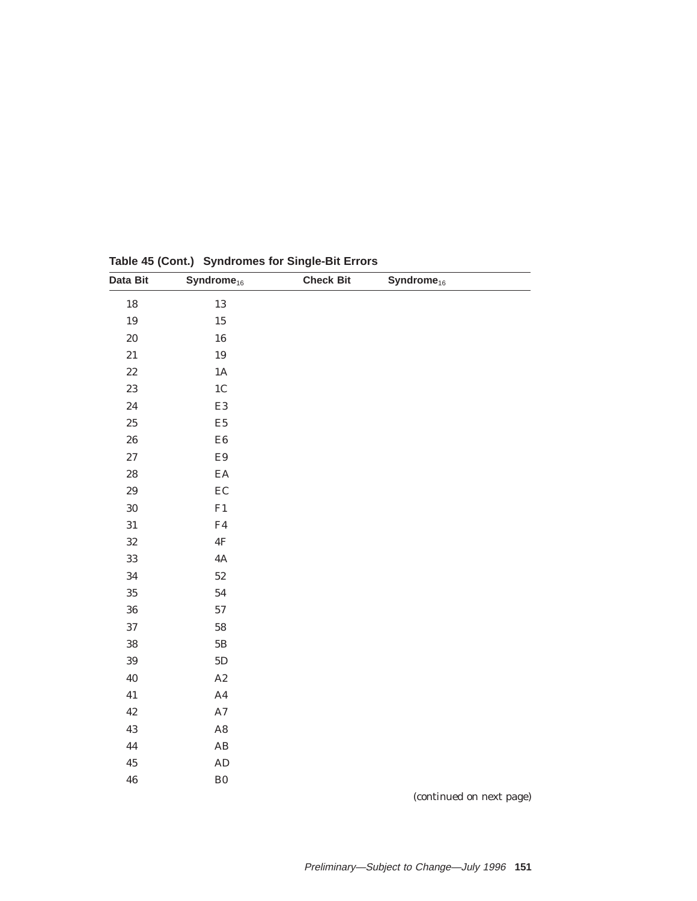| Data Bit    | $Symdrome_{16}$        | <b>Check Bit</b> | $Symdrome_{16}$ |  |
|-------------|------------------------|------------------|-----------------|--|
| $18\,$      | $13\,$                 |                  |                 |  |
| 19          | $15\,$                 |                  |                 |  |
| 20          | ${\bf 16}$             |                  |                 |  |
| 21          | $19\,$                 |                  |                 |  |
| $2\sqrt{2}$ | $1\mathrm{A}$          |                  |                 |  |
| 23          | 1 <sub>C</sub>         |                  |                 |  |
| 24          | $\mathop{\mathrm{E3}}$ |                  |                 |  |
| $25\,$      | $\rm E5$               |                  |                 |  |
| 26          | ${\rm E}6$             |                  |                 |  |
| $\sqrt{27}$ | $\mathbf{E}9$          |                  |                 |  |
| 28          | $\mathbf{E}\mathbf{A}$ |                  |                 |  |
| 29          | EC                     |                  |                 |  |
| 30          | ${\rm F1}$             |                  |                 |  |
| 31          | ${\rm F4}$             |                  |                 |  |
| 32          | $4\mathrm{F}$          |                  |                 |  |
| $33\,$      | $4\mathrm{A}$          |                  |                 |  |
| 34          | $52\,$                 |                  |                 |  |
| 35          | ${\bf 54}$             |                  |                 |  |
| 36          | $57\,$                 |                  |                 |  |
| 37          | ${\bf 58}$             |                  |                 |  |
| 38          | $5\mathrm{B}$          |                  |                 |  |
| 39          | $5\mathrm{D}$          |                  |                 |  |
| 40          | $\rm A2$               |                  |                 |  |
| 41          | $\rm A4$               |                  |                 |  |
| 42          | $\rm A7$               |                  |                 |  |
| 43          | $\rm{A}8$              |                  |                 |  |
| 44          | $\mathbf{A}\mathbf{B}$ |                  |                 |  |
| 45          | $\mathbf{A}\mathbf{D}$ |                  |                 |  |
| 46          | ${\bf B0}$             |                  |                 |  |

**Table 45 (Cont.) Syndromes for Single-Bit Errors**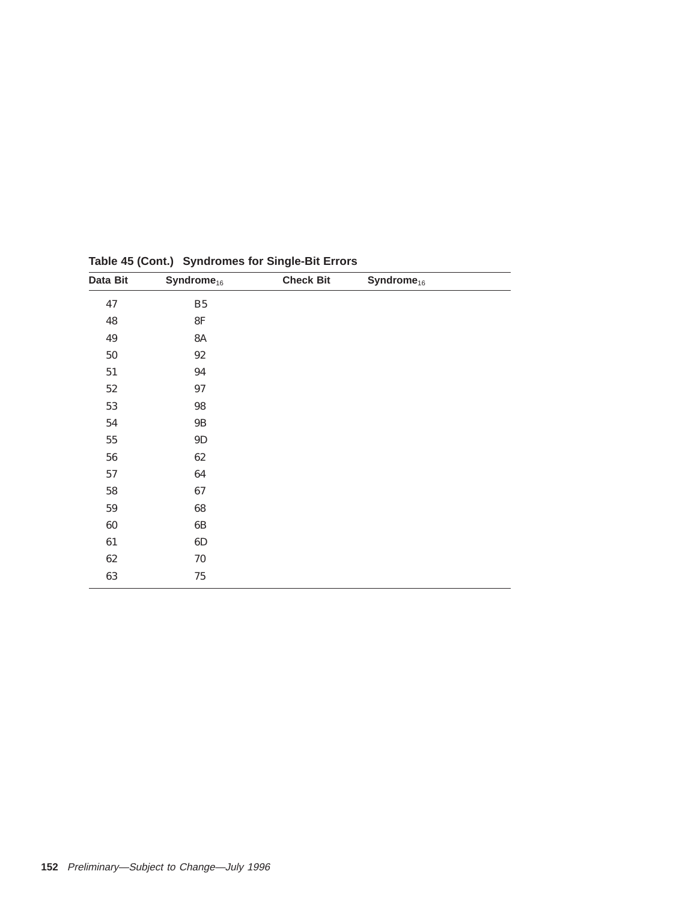| Data Bit   | Syndrome <sub>16</sub> | <b>Check Bit</b> | Syndrome <sub>16</sub> |  |
|------------|------------------------|------------------|------------------------|--|
| 47         | ${\bf B5}$             |                  |                        |  |
| 48         | $8\mathrm{F}$          |                  |                        |  |
| 49         | <b>8A</b>              |                  |                        |  |
| $50\,$     | $92\,$                 |                  |                        |  |
| $51\,$     | $\bf 94$               |                  |                        |  |
| $52\,$     | $\bf 97$               |                  |                        |  |
| 53         | 98                     |                  |                        |  |
| ${\bf 54}$ | $9\mathrm{B}$          |                  |                        |  |
| ${\bf 55}$ | $9\mathrm{D}$          |                  |                        |  |
| 56         | 62                     |                  |                        |  |
| $57\,$     | 64                     |                  |                        |  |
| 58         | 67                     |                  |                        |  |
| ${\bf 59}$ | $\bf 68$               |                  |                        |  |
| $60\,$     | $6\mathrm{B}$          |                  |                        |  |
| 61         | 6D                     |                  |                        |  |
| 62         | 70                     |                  |                        |  |
| 63         | $75\,$                 |                  |                        |  |
|            |                        |                  |                        |  |

**Table 45 (Cont.) Syndromes for Single-Bit Errors**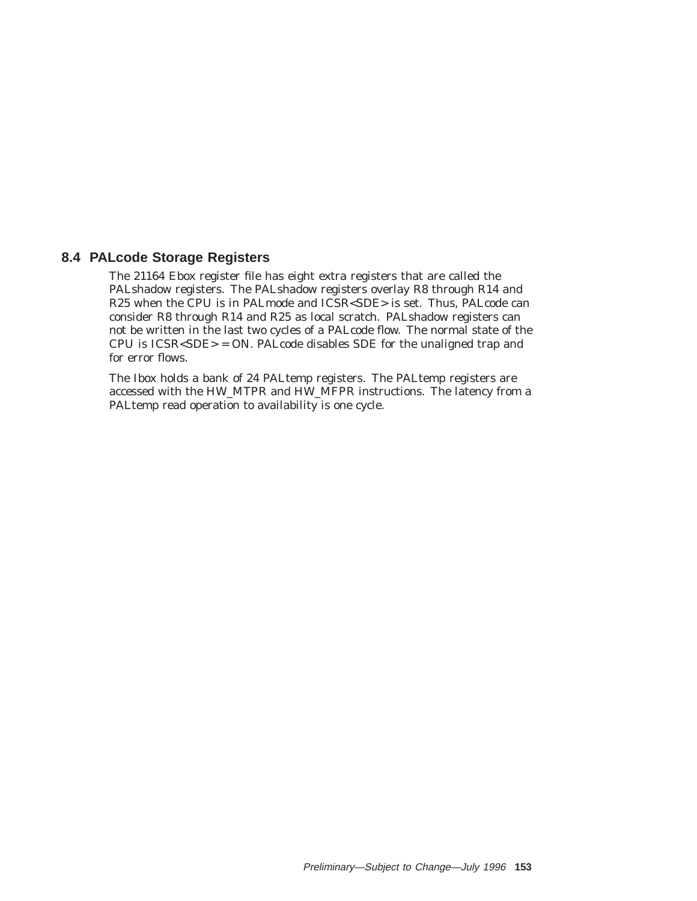## **8.4 PALcode Storage Registers**

The 21164 Ebox register file has eight extra registers that are called the PALshadow registers. The PALshadow registers overlay R8 through R14 and R25 when the CPU is in PALmode and ICSR<SDE> is set. Thus, PALcode can consider R8 through R14 and R25 as local scratch. PALshadow registers can not be written in the last two cycles of a PALcode flow. The normal state of the CPU is ICSR<SDE> = ON. PALcode disables SDE for the unaligned trap and for error flows.

The Ibox holds a bank of 24 PALtemp registers. The PALtemp registers are accessed with the HW\_MTPR and HW\_MFPR instructions. The latency from a PALtemp read operation to availability is one cycle.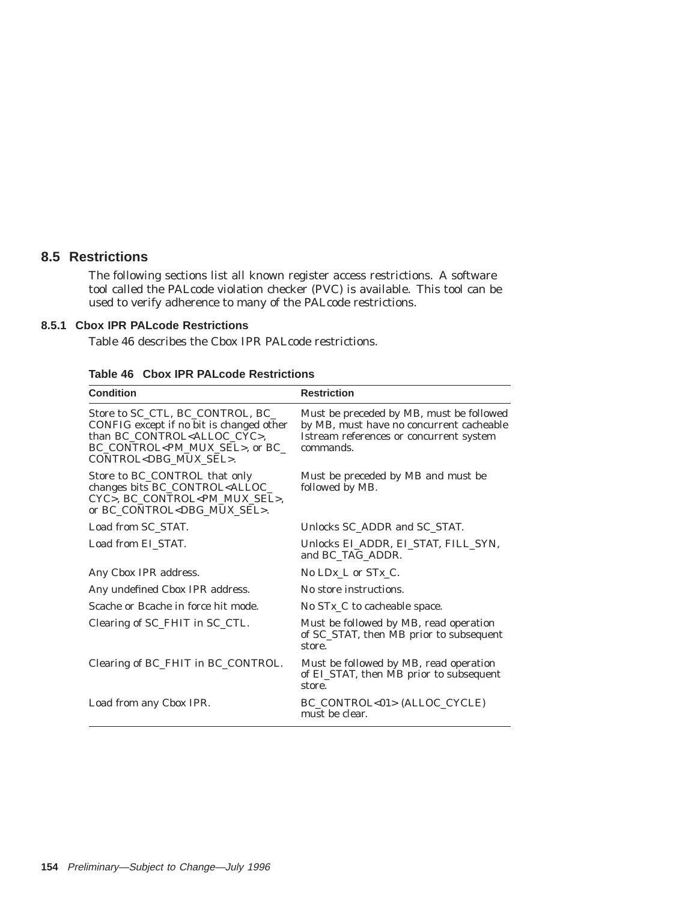## **8.5 Restrictions**

The following sections list all known register access restrictions. A software tool called the PALcode violation checker (PVC) is available. This tool can be used to verify adherence to many of the PALcode restrictions.

## **8.5.1 Cbox IPR PALcode Restrictions**

Table 46 describes the Cbox IPR PALcode restrictions.

| <b>Condition</b>                                                                                                                                                                                               | <b>Restriction</b>                                                                                                                           |
|----------------------------------------------------------------------------------------------------------------------------------------------------------------------------------------------------------------|----------------------------------------------------------------------------------------------------------------------------------------------|
| Store to SC_CTL, BC_CONTROL, BC_<br>CONFIG except if no bit is changed other<br>than BC_CONTROL <alloc_cyc>,<br/>BC_CONTROL<pm_mux_sel>, or BC_<br/>CONTROL<dbg mux="" sel="">.</dbg></pm_mux_sel></alloc_cyc> | Must be preceded by MB, must be followed<br>by MB, must have no concurrent cacheable<br>Istream references or concurrent system<br>commands. |
| Store to BC_CONTROL that only<br>changes bits BC_CONTROL <alloc_<br>CYC&gt;, BC CONTROL<pm mux="" sel="">,<br/>or BC_CONTROL<dbg_mux_sel>.</dbg_mux_sel></pm></alloc_<br>                                      | Must be preceded by MB and must be<br>followed by MB.                                                                                        |
| Load from SC_STAT.                                                                                                                                                                                             | Unlocks SC ADDR and SC STAT.                                                                                                                 |
| Load from EI STAT.                                                                                                                                                                                             | Unlocks EI ADDR, EI STAT, FILL SYN,<br>and BC TAG ADDR.                                                                                      |
| Any Cbox IPR address.                                                                                                                                                                                          | No $L\mathbb{D}X$ L or $STX$ C.                                                                                                              |
| Any undefined Cbox IPR address.                                                                                                                                                                                | No store instructions.                                                                                                                       |
| Scache or Bcache in force hit mode.                                                                                                                                                                            | No $STx_C$ to cacheable space.                                                                                                               |
| Clearing of SC_FHIT in SC_CTL.                                                                                                                                                                                 | Must be followed by MB, read operation<br>of SC_STAT, then MB prior to subsequent<br>store.                                                  |
| Clearing of BC_FHIT in BC_CONTROL.                                                                                                                                                                             | Must be followed by MB, read operation<br>of EL_STAT, then MB prior to subsequent<br>store.                                                  |
| Load from any Cbox IPR.                                                                                                                                                                                        | BC_CONTROL<01>(ALLOC_CYCLE)<br>must be clear.                                                                                                |

**Table 46 Cbox IPR PALcode Restrictions**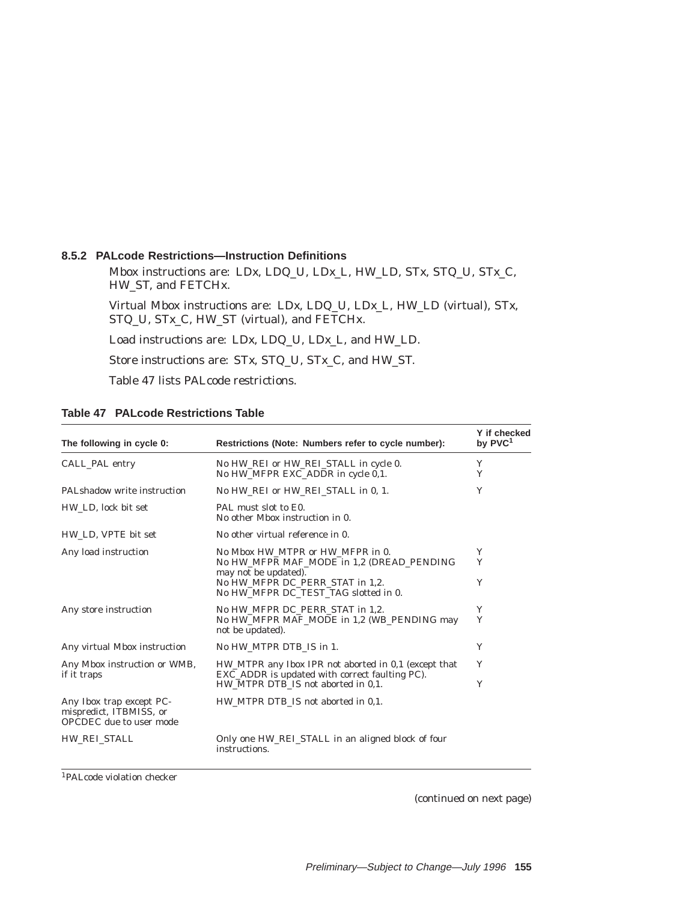#### **8.5.2 PALcode Restrictions—Instruction Definitions**

Mbox instructions are: LD*x*, LDQ\_U, LD*x*\_L, HW\_LD, ST*x*, STQ\_U, ST*x*\_C, HW\_ST, and FETCHx.

Virtual Mbox instructions are: LD*x*, LDQ\_U, LD*x*\_L, HW\_LD (virtual), ST*x*, STQ\_U, ST*x*\_C, HW\_ST (virtual), and FETCHx.

Load instructions are: LD*x*, LDQ\_U, LD*x*\_L, and HW\_LD.

Store instructions are: ST*x*, STQ\_U, ST*x*\_C, and HW\_ST.

Table 47 lists PALcode restrictions.

| The following in cycle 0:                                                      | Restrictions (Note: Numbers refer to cycle number):                                                    | Y if checked<br>by PVC <sup>1</sup> |
|--------------------------------------------------------------------------------|--------------------------------------------------------------------------------------------------------|-------------------------------------|
| CALL PAL entry                                                                 | No HW REI or HW REI STALL in cycle 0.<br>No HW MFPR EXC ADDR in cycle 0.1.                             | Y<br>Y                              |
| PAL shadow write instruction                                                   | No HW REI or HW REI STALL in 0, 1.                                                                     | Y                                   |
| HW LD, lock bit set                                                            | PAL must slot to E0.<br>No other Mbox instruction in 0.                                                |                                     |
| HW LD, VPTE bit set                                                            | No other virtual reference in 0.                                                                       |                                     |
| Any load instruction                                                           | No Mbox HW MTPR or HW MFPR in 0.<br>No HW MFPR MAF MODE in 1.2 (DREAD PENDING<br>may not be updated).  | Y<br>Y                              |
|                                                                                | No HW MFPR DC PERR STAT in 1.2.<br>No HW MFPR DC TEST TAG slotted in 0.                                | Y                                   |
| Any store instruction                                                          | No HW MFPR DC PERR STAT in 1.2.<br>No HW MFPR MAF MODE in 1.2 (WB PENDING may<br>not be updated).      | Y<br>Y                              |
| Any virtual Mbox instruction                                                   | No HW MTPR DTB IS in 1.                                                                                | Y                                   |
| Any Mbox instruction or WMB,<br>if it traps                                    | HW_MTPR any Ibox IPR not aborted in 0,1 (except that<br>EXC_ADDR is updated with correct faulting PC). | Y                                   |
|                                                                                | HW MTPR DTB IS not aborted in 0.1.                                                                     | Y                                   |
| Any Ibox trap except PC-<br>mispredict, ITBMISS, or<br>OPCDEC due to user mode | HW_MTPR DTB_IS not aborted in 0,1.                                                                     |                                     |
| HW REI STALL                                                                   | Only one HW_REI_STALL in an aligned block of four<br>instructions.                                     |                                     |

### **Table 47 PALcode Restrictions Table**

1PALcode violation checker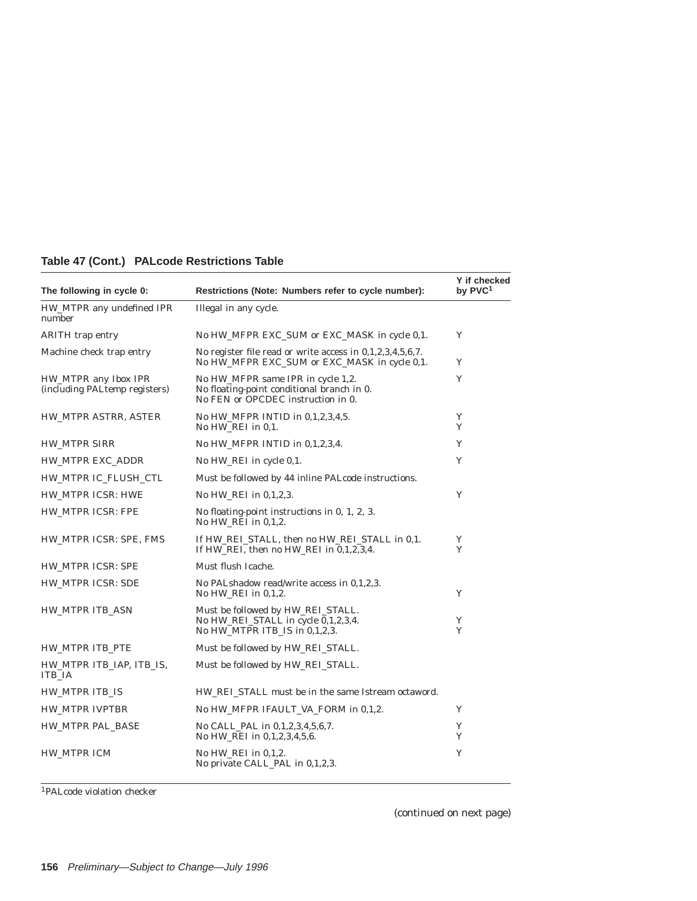# **Table 47 (Cont.) PALcode Restrictions Table**

| The following in cycle 0:                             | Restrictions (Note: Numbers refer to cycle number):                                                                   | Y if checked<br>by PVC <sup>1</sup> |
|-------------------------------------------------------|-----------------------------------------------------------------------------------------------------------------------|-------------------------------------|
| HW_MTPR any undefined IPR<br>number                   | Illegal in any cycle.                                                                                                 |                                     |
| <b>ARITH</b> trap entry                               | No HW_MFPR EXC_SUM or EXC_MASK in cycle 0,1.                                                                          | Y                                   |
| Machine check trap entry                              | No register file read or write access in $0,1,2,3,4,5,6,7$ .<br>No HW_MFPR EXC_SUM or EXC_MASK in cycle 0,1.          | Y                                   |
| HW_MTPR any Ibox IPR<br>(including PALtemp registers) | No HW_MFPR same IPR in cycle 1,2.<br>No floating-point conditional branch in 0.<br>No FEN or OPCDEC instruction in 0. | Y                                   |
| HW_MTPR ASTRR, ASTER                                  | No HW_MFPR INTID in 0,1,2,3,4,5.<br>No HW_REI in 0,1.                                                                 | Y<br>Y                              |
| <b>HW_MTPR SIRR</b>                                   | No HW_MFPR INTID in 0,1,2,3,4.                                                                                        | Y                                   |
| HW_MTPR EXC_ADDR                                      | No HW_REI in cycle 0,1.                                                                                               | Y                                   |
| HW_MTPR IC_FLUSH_CTL                                  | Must be followed by 44 inline PALcode instructions.                                                                   |                                     |
| HW_MTPR ICSR: HWE                                     | No HW_REI in 0,1,2,3.                                                                                                 | Y                                   |
| HW_MTPR ICSR: FPE                                     | No floating-point instructions in 0, 1, 2, 3.<br>No HW_REI in 0,1,2.                                                  |                                     |
| HW_MTPR ICSR: SPE, FMS                                | If HW_REI_STALL, then no HW_REI_STALL in 0,1.<br>If HW_REI, then no HW_REI in 0,1,2,3,4.                              | Y<br>Y                              |
| HW_MTPR ICSR: SPE                                     | Must flush Icache.                                                                                                    |                                     |
| HW_MTPR ICSR: SDE                                     | No PALshadow read/write access in 0,1,2,3.<br>No HW_REI in 0,1,2.                                                     | Y                                   |
| HW MTPR ITB ASN                                       | Must be followed by HW REI STALL.<br>No HW_REI_STALL in cycle 0,1,2,3,4.<br>No HW MTPR ITB IS in 0.1.2.3.             | Y<br>Y                              |
| HW_MTPR ITB_PTE                                       | Must be followed by HW_REI_STALL.                                                                                     |                                     |
| HW_MTPR ITB_IAP, ITB_IS,<br><b>ITB IA</b>             | Must be followed by HW_REI_STALL.                                                                                     |                                     |
| HW_MTPR ITB_IS                                        | HW_REI_STALL must be in the same Istream octaword.                                                                    |                                     |
| <b>HW_MTPR IVPTBR</b>                                 | No HW_MFPR IFAULT_VA_FORM in 0,1,2.                                                                                   | Y                                   |
| HW_MTPR PAL_BASE                                      | No CALL_PAL in 0,1,2,3,4,5,6,7.<br>No HW_REI in 0,1,2,3,4,5,6.                                                        | Y<br>Y                              |
| <b>HW_MTPR ICM</b>                                    | No $HW$ <sub>REI</sub> in $0,1,2$ .<br>No private CALL_PAL in 0,1,2,3.                                                | Y                                   |

1PALcode violation checker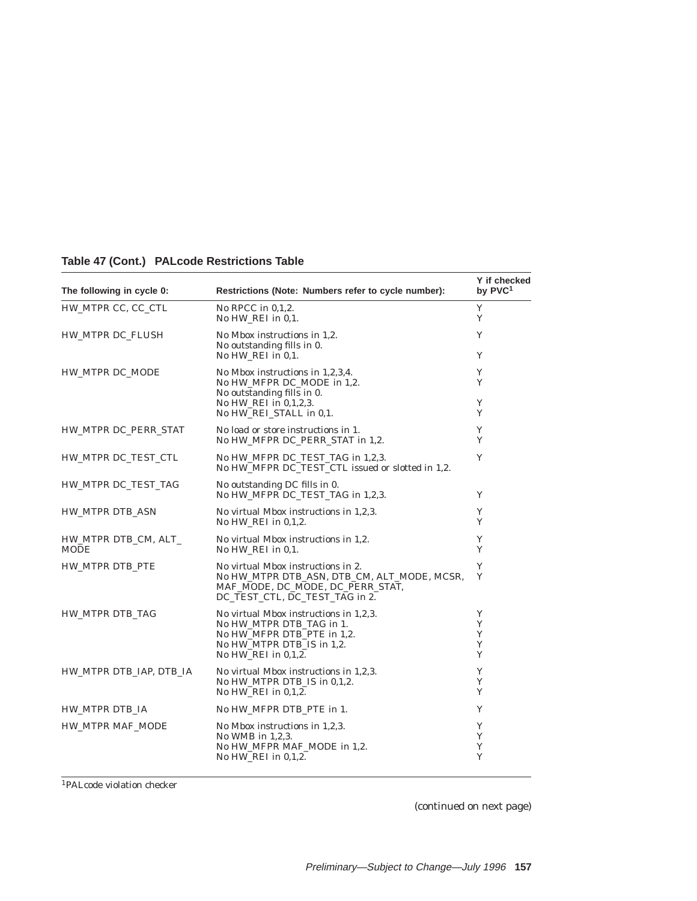| The following in cycle 0:    | Restrictions (Note: Numbers refer to cycle number):                                                                                                                  | Y if checked<br>by PVC <sup>1</sup> |
|------------------------------|----------------------------------------------------------------------------------------------------------------------------------------------------------------------|-------------------------------------|
| HW_MTPR CC, CC_CTL           | No RPCC in $0,1,2$ .<br>No $HW$ <sub>REI</sub> in $0,1$ .                                                                                                            | Y<br>Y                              |
| HW_MTPR DC_FLUSH             | No Mbox instructions in 1,2.<br>No outstanding fills in 0.<br>No HW REI in 0.1.                                                                                      | Y<br>Y                              |
| HW_MTPR DC_MODE              | No Mbox instructions in 1,2,3,4.<br>No HW_MFPR DC_MODE in 1,2.<br>No outstanding fills in 0.<br>No HW_REI in 0,1,2,3.<br>No HW_REI_STALL in 0,1.                     | Y<br>Y<br>Y<br>Y                    |
| HW_MTPR DC_PERR_STAT         | No load or store instructions in 1.<br>No HW_MFPR DC_PERR_STAT in 1,2.                                                                                               | Y<br>Y                              |
| HW_MTPR DC_TEST_CTL          | No HW MFPR DC TEST TAG in 1.2.3.<br>No HW_MFPR DC_TEST_CTL issued or slotted in 1,2.                                                                                 | Y                                   |
| HW_MTPR DC_TEST_TAG          | No outstanding DC fills in 0.<br>No HW MFPR DC TEST TAG in 1.2.3.                                                                                                    | Y                                   |
| <b>HW_MTPR DTB_ASN</b>       | No virtual Mbox instructions in 1,2,3.<br>No HW REI in $0.1.2$ .                                                                                                     | Y<br>Y                              |
| HW_MTPR DTB_CM, ALT_<br>MODE | No virtual Mbox instructions in 1,2.<br>No HW_REI in 0,1.                                                                                                            | Y<br>Y                              |
| HW MTPR DTB PTE              | No virtual Mbox instructions in 2.<br>No HW_MTPR DTB_ASN, DTB_CM, ALT_MODE, MCSR,<br>MAF_MODE, DC_MODE, DC_PERR_STAT,<br>DC_TEST_CTL, DC_TEST_TAG in 2.              | Y<br>Y                              |
| HW_MTPR DTB_TAG              | No virtual Mbox instructions in 1,2,3.<br>No HW_MTPR DTB_TAG in 1.<br>No HW_MFPR DTB_PTE in 1,2.<br>No HW_MTPR DTB_IS in 1,2.<br>No $HW$ <sub>REI</sub> in $0,1,2$ . | Y<br>Y<br>Y<br>Y<br>Y               |
| HW_MTPR DTB_IAP, DTB_IA      | No virtual Mbox instructions in 1,2,3.<br>No HW_MTPR DTB_IS in 0,1,2.<br>No $HW$ <sub>REI</sub> in $0,1,2$ .                                                         | Y<br>Y<br>Y                         |
| HW_MTPR DTB_IA               | No HW_MFPR DTB_PTE in 1.                                                                                                                                             | Y                                   |
| HW_MTPR MAF_MODE             | No Mbox instructions in 1,2,3.<br>No WMB in $1,2,3$ .<br>No HW_MFPR MAF_MODE in 1,2.<br>No $HW$ <sub>REI</sub> in $0,1,2$ .                                          | Y<br>Y<br>Y<br>Y                    |

# **Table 47 (Cont.) PALcode Restrictions Table**

1PALcode violation checker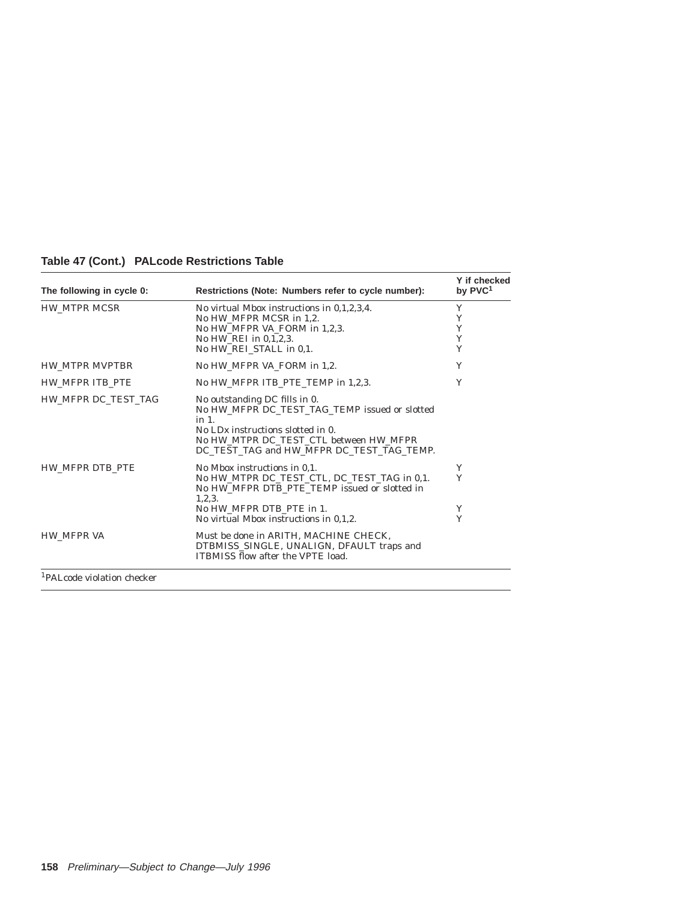| Table 47 (Cont.) PALcode Restrictions Table |
|---------------------------------------------|
|---------------------------------------------|

| The following in cycle 0:   | Restrictions (Note: Numbers refer to cycle number):                                                                                                                                                                         | Y if checked<br>by PVC <sup>1</sup> |
|-----------------------------|-----------------------------------------------------------------------------------------------------------------------------------------------------------------------------------------------------------------------------|-------------------------------------|
| <b>HW_MTPR MCSR</b>         | No virtual Mbox instructions in 0,1,2,3,4.<br>No HW MFPR MCSR in 1.2.<br>No HW MFPR VA FORM in 1,2,3.<br>No HW_REI in 0,1,2,3.<br>No HW_REI_STALL in 0,1.                                                                   | Y<br>Y<br>Y<br>Y<br>Y               |
| HW MTPR MVPTBR              | No HW_MFPR VA_FORM in 1,2.                                                                                                                                                                                                  | Y                                   |
| HW MFPR ITB PTE             | No HW_MFPR ITB_PTE_TEMP in 1,2,3.                                                                                                                                                                                           | Y                                   |
| HW MFPR DC TEST TAG         | No outstanding DC fills in 0.<br>No HW_MFPR DC_TEST_TAG_TEMP issued or slotted<br>$in 1$ .<br>No $LDx$ instructions slotted in $0$ .<br>No HW MTPR DC TEST CTL between HW MFPR<br>DC TEST TAG and HW MFPR DC TEST TAG TEMP. |                                     |
| HW MFPR DTB PTE             | No Mbox instructions in 0.1.<br>No HW MTPR DC TEST CTL, DC TEST TAG in 0.1.<br>No HW MFPR DTB PTE TEMP issued or slotted in<br>1, 2, 3.<br>No HW MFPR DTB PTE in 1.<br>No virtual Mbox instructions in 0.1.2.               | Y<br>Y<br>Y<br>Y                    |
| <b>HW MFPR VA</b>           | Must be done in ARITH, MACHINE CHECK,<br>DTBMISS_SINGLE, UNALIGN, DFAULT traps and<br><b>ITBMISS flow after the VPTE load.</b>                                                                                              |                                     |
| IDAI code violetion cheeken |                                                                                                                                                                                                                             |                                     |

1PALcode violation checker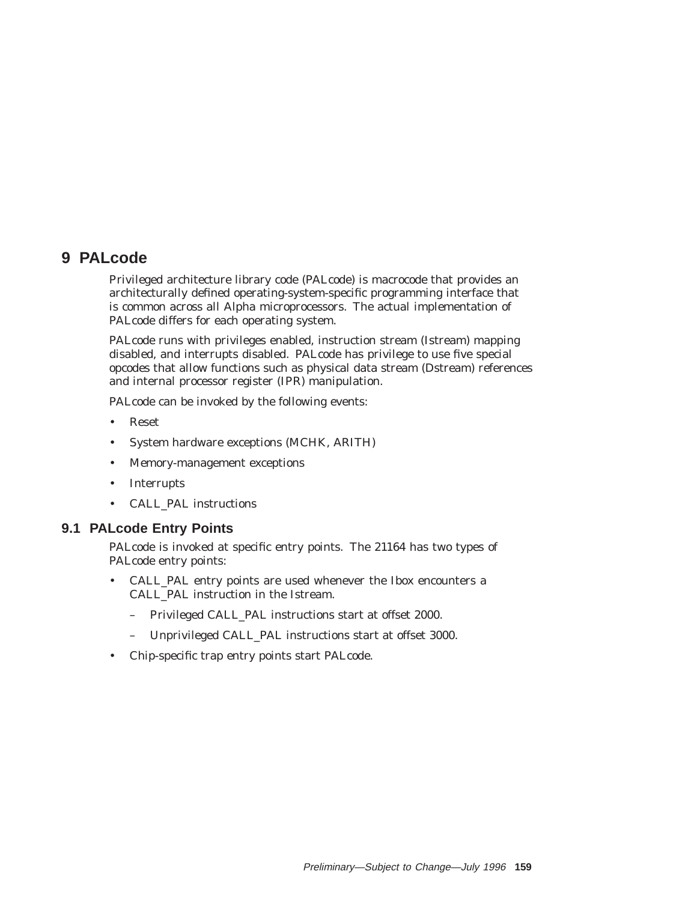# **9 PALcode**

Privileged architecture library code (PALcode) is macrocode that provides an architecturally defined operating-system-specific programming interface that is common across all Alpha microprocessors. The actual implementation of PALcode differs for each operating system.

PALcode runs with privileges enabled, instruction stream (Istream) mapping disabled, and interrupts disabled. PALcode has privilege to use five special opcodes that allow functions such as physical data stream (Dstream) references and internal processor register (IPR) manipulation.

PALcode can be invoked by the following events:

- Reset
- System hardware exceptions (MCHK, ARITH)
- Memory-management exceptions
- Interrupts
- CALL\_PAL instructions

## **9.1 PALcode Entry Points**

PALcode is invoked at specific entry points. The 21164 has two types of PALcode entry points:

- CALL\_PAL entry points are used whenever the Ibox encounters a CALL\_PAL instruction in the Istream.
	- Privileged CALL\_PAL instructions start at offset 2000.
	- Unprivileged CALL\_PAL instructions start at offset 3000.
- Chip-specific trap entry points start PALcode.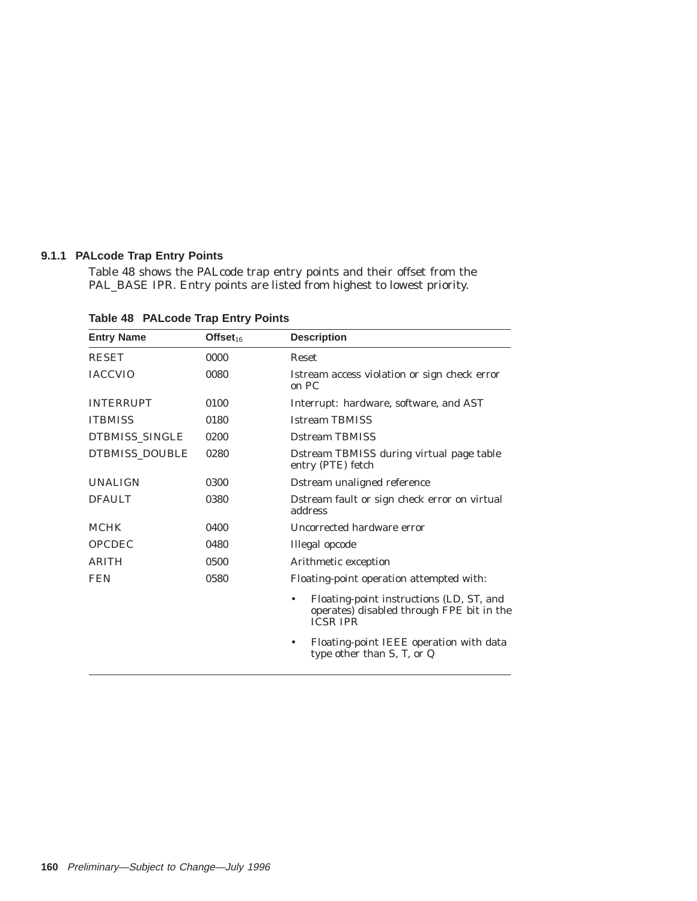### **9.1.1 PALcode Trap Entry Points**

Table 48 shows the PALcode trap entry points and their offset from the PAL\_BASE IPR. Entry points are listed from highest to lowest priority.

| <b>Entry Name</b> | Offset <sub>16</sub> | <b>Description</b>                                                                                                    |  |
|-------------------|----------------------|-----------------------------------------------------------------------------------------------------------------------|--|
| <b>RESET</b>      | 0000                 | <b>Reset</b>                                                                                                          |  |
| <b>IACCVIO</b>    | 0080                 | Istream access violation or sign check error<br>on PC                                                                 |  |
| <b>INTERRUPT</b>  | 0100                 | Interrupt: hardware, software, and AST                                                                                |  |
| <b>ITBMISS</b>    | 0180                 | <b>Istream TBMISS</b>                                                                                                 |  |
| DTBMISS_SINGLE    | 0200                 | <b>Dstream TBMISS</b>                                                                                                 |  |
| DTBMISS_DOUBLE    | 0280                 | Dstream TBMISS during virtual page table<br>entry (PTE) fetch                                                         |  |
| <b>UNALIGN</b>    | 0300                 | Dstream unaligned reference                                                                                           |  |
| <b>DFAULT</b>     | 0380                 | Dstream fault or sign check error on virtual<br>address                                                               |  |
| <b>MCHK</b>       | 0400                 | Uncorrected hardware error                                                                                            |  |
| <b>OPCDEC</b>     | 0480                 | Illegal opcode                                                                                                        |  |
| <b>ARITH</b>      | 0500                 | Arithmetic exception                                                                                                  |  |
| <b>FEN</b>        | 0580                 | Floating-point operation attempted with:                                                                              |  |
|                   |                      | Floating-point instructions (LD, ST, and<br>$\bullet$<br>operates) disabled through FPE bit in the<br><b>ICSR IPR</b> |  |
|                   |                      | Floating-point IEEE operation with data<br>type other than S, T, or Q                                                 |  |

**Table 48 PALcode Trap Entry Points**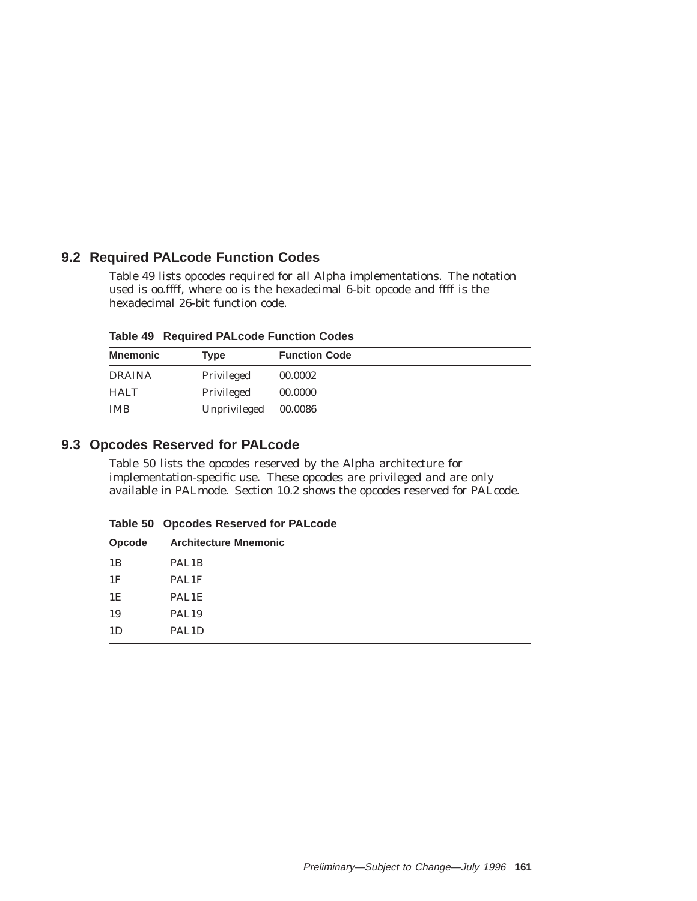# **9.2 Required PALcode Function Codes**

Table 49 lists opcodes required for all Alpha implementations. The notation used is *oo.ffff*, where *oo* is the hexadecimal 6-bit opcode and *ffff* is the hexadecimal 26-bit function code.

**Table 49 Required PALcode Function Codes**

| <b>Mnemonic</b> | Type         | <b>Function Code</b> |
|-----------------|--------------|----------------------|
| <b>DRAINA</b>   | Privileged   | 00.0002              |
| <b>HALT</b>     | Privileged   | 00.0000              |
| <b>IMB</b>      | Unprivileged | 00.0086              |

# **9.3 Opcodes Reserved for PALcode**

Table 50 lists the opcodes reserved by the Alpha architecture for implementation-specific use. These opcodes are privileged and are only available in PALmode. Section 10.2 shows the opcodes reserved for PALcode.

|  | Table 50 Opcodes Reserved for PALcode |  |  |  |
|--|---------------------------------------|--|--|--|
|--|---------------------------------------|--|--|--|

| Opcode | <b>Architecture Mnemonic</b> |
|--------|------------------------------|
| 1B     | PAL <sub>1</sub> B           |
| 1F     | PAL1F                        |
| 1E     | PAL1E                        |
| 19     | PAL <sub>19</sub>            |
| 1D     | PAL <sub>1</sub> D           |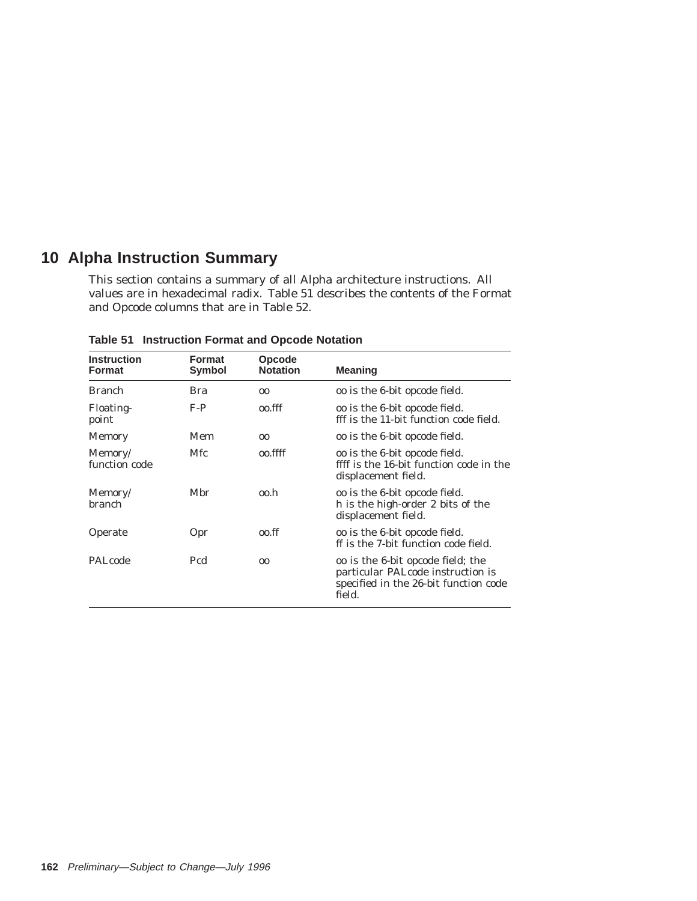# **10 Alpha Instruction Summary**

This section contains a summary of all Alpha architecture instructions. All values are in hexadecimal radix. Table 51 describes the contents of the Format and Opcode columns that are in Table 52.

| <b>Instruction</b><br><b>Format</b> | <b>Format</b><br>Symbol | <b>Opcode</b><br><b>Notation</b> | <b>Meaning</b>                                                                                                                    |
|-------------------------------------|-------------------------|----------------------------------|-----------------------------------------------------------------------------------------------------------------------------------|
| <b>Branch</b>                       | Bra                     | 00                               | <i>oo</i> is the 6-bit opcode field.                                                                                              |
| <b>Floating-</b><br>point           | $F-P$                   | oo.fff                           | <i>oo</i> is the 6-bit opcode field.<br><i>fff</i> is the 11-bit function code field.                                             |
| <b>Memory</b>                       | Mem                     | 0 <sup>0</sup>                   | <i>oo</i> is the 6-bit opcode field.                                                                                              |
| Memory/<br>function code            | <b>Mfc</b>              | oo ffff                          | <i>oo</i> is the 6-bit opcode field.<br><i>ffff</i> is the 16-bit function code in the<br>displacement field.                     |
| Memory/<br><b>branch</b>            | Mbr                     | oo.h                             | <i>oo</i> is the 6-bit opcode field.<br>h is the high-order 2 bits of the<br>displacement field.                                  |
| Operate                             | Opr                     | oo.ff                            | <i>oo</i> is the 6-bit opcode field.<br>$f$ is the 7-bit function code field.                                                     |
| PALcode                             | Pcd                     | 0 <sup>0</sup>                   | <i>oo</i> is the 6-bit opcode field; the<br>particular PAL code instruction is<br>specified in the 26-bit function code<br>field. |

**Table 51 Instruction Format and Opcode Notation**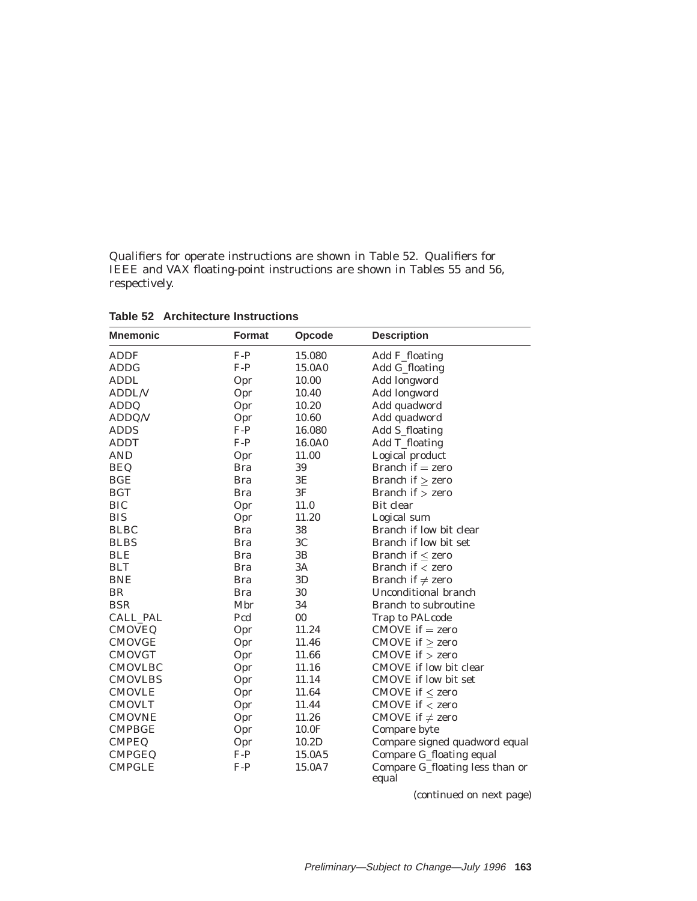Qualifiers for operate instructions are shown in Table 52. Qualifiers for IEEE and VAX floating-point instructions are shown in Tables 55 and 56, respectively.

| <b>Mnemonic</b> | <b>Format</b> | Opcode         | <b>Description</b>                       |
|-----------------|---------------|----------------|------------------------------------------|
| <b>ADDF</b>     | $F-P$         | 15.080         | Add F_floating                           |
| <b>ADDG</b>     | $F-P$         | 15.0A0         | Add G_floating                           |
| <b>ADDL</b>     | Opr           | 10.00          | Add longword                             |
| <b>ADDL/V</b>   | Opr           | 10.40          | Add longword                             |
| <b>ADDQ</b>     | Opr           | 10.20          | Add quadword                             |
| ADDQ/V          | Opr           | 10.60          | Add quadword                             |
| <b>ADDS</b>     | $F-P$         | 16.080         | Add S_floating                           |
| <b>ADDT</b>     | $F-P$         | 16.0A0         | Add T_floating                           |
| <b>AND</b>      | Opr           | 11.00          | Logical product                          |
| <b>BEQ</b>      | <b>Bra</b>    | 39             | Branch if $=$ zero                       |
| <b>BGE</b>      | <b>Bra</b>    | $3E$           | Branch if $\ge$ zero                     |
| <b>BGT</b>      | <b>Bra</b>    | 3F             | Branch if $>$ zero                       |
| <b>BIC</b>      | Opr           | 11.0           | Bit clear                                |
| <b>BIS</b>      | Opr           | 11.20          | Logical sum                              |
| <b>BLBC</b>     | <b>Bra</b>    | 38             | Branch if low bit clear                  |
| <b>BLBS</b>     | <b>Bra</b>    | 3 <sub>C</sub> | Branch if low bit set                    |
| <b>BLE</b>      | <b>Bra</b>    | 3B             | Branch if $\leq$ zero                    |
| <b>BLT</b>      | <b>Bra</b>    | 3A             | Branch if $\langle$ zero                 |
| <b>BNE</b>      | <b>Bra</b>    | 3D             | Branch if $\neq$ zero                    |
| <b>BR</b>       | <b>Bra</b>    | 30             | Unconditional branch                     |
| <b>BSR</b>      | Mbr           | 34             | Branch to subroutine                     |
| CALL_PAL        | Pcd           | 00             | Trap to PALcode                          |
| <b>CMOVEQ</b>   | Opr           | 11.24          | $CMOVE$ if $=$ zero                      |
| <b>CMOVGE</b>   | Opr           | 11.46          | CMOVE if $\ge$ zero                      |
| <b>CMOVGT</b>   | Opr           | 11.66          | $CMOVE$ if $>$ zero                      |
| <b>CMOVLBC</b>  | Opr           | 11.16          | CMOVE if low bit clear                   |
| <b>CMOVLBS</b>  | Opr           | 11.14          | <b>CMOVE</b> if low bit set              |
| <b>CMOVLE</b>   | Opr           | 11.64          | CMOVE if $\leq$ zero                     |
| <b>CMOVLT</b>   | Opr           | 11.44          | CMOVE if $<$ zero                        |
| <b>CMOVNE</b>   | Opr           | 11.26          | CMOVE if $\neq$ zero                     |
| <b>CMPBGE</b>   | Opr           | 10.0F          | Compare byte                             |
| <b>CMPEQ</b>    | Opr           | 10.2D          | Compare signed quadword equal            |
| <b>CMPGEQ</b>   | $F-P$         | 15.0A5         | Compare G_floating equal                 |
| <b>CMPGLE</b>   | $F-P$         | 15.0A7         | Compare G_floating less than or<br>equal |

**Table 52 Architecture Instructions**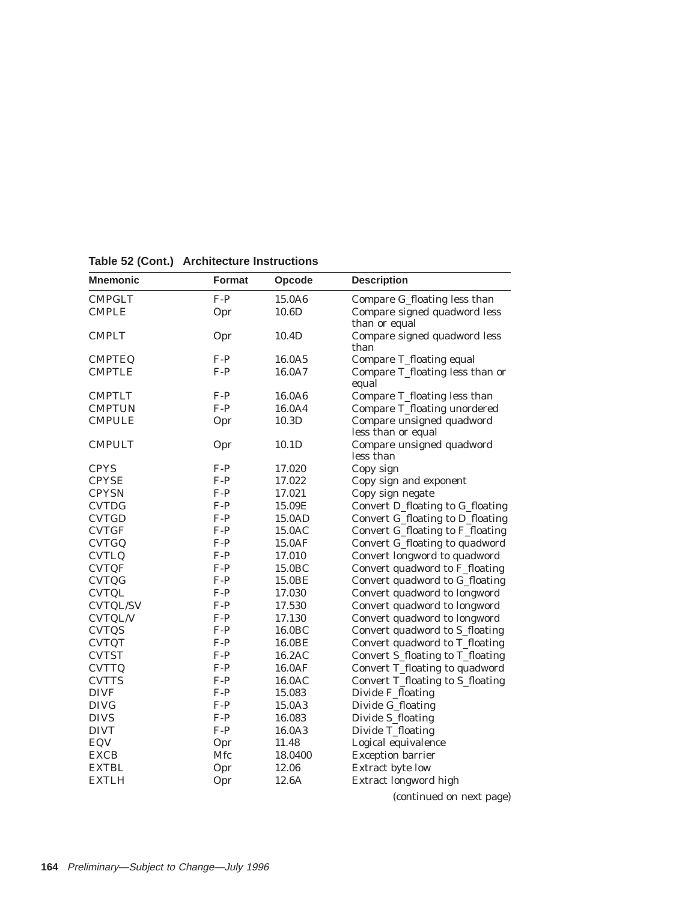| <b>Mnemonic</b> | <b>Format</b> | Opcode             | <b>Description</b>                              |
|-----------------|---------------|--------------------|-------------------------------------------------|
| <b>CMPGLT</b>   | $F-P$         | 15.0A6             | Compare G_floating less than                    |
| <b>CMPLE</b>    | Opr           | 10.6D              | Compare signed quadword less<br>than or equal   |
| <b>CMPLT</b>    | Opr           | 10.4D              | Compare signed quadword less<br>than            |
| <b>CMPTEQ</b>   | $F-P$         | 16.0A5             | Compare T_floating equal                        |
| <b>CMPTLE</b>   | $F-P$         | 16.0A7             | Compare T_floating less than or<br>equal        |
| <b>CMPTLT</b>   | $F-P$         | 16.0A6             | Compare T_floating less than                    |
| <b>CMPTUN</b>   | $F-P$         | 16.0A4             | Compare T_floating unordered                    |
| <b>CMPULE</b>   | Opr           | 10.3D              | Compare unsigned quadword<br>less than or equal |
| <b>CMPULT</b>   | Opr           | 10.1D              | Compare unsigned quadword<br>less than          |
| <b>CPYS</b>     | $F-P$         | 17.020             | Copy sign                                       |
| <b>CPYSE</b>    | $F-P$         | 17.022             | Copy sign and exponent                          |
| <b>CPYSN</b>    | $F-P$         | 17.021             | Copy sign negate                                |
| <b>CVTDG</b>    | $F-P$         | 15.09E             | Convert D_floating to G_floating                |
| <b>CVTGD</b>    | $F-P$         | 15.0AD             | Convert G_floating to D_floating                |
| <b>CVTGF</b>    | $F-P$         | 15.0AC             | Convert G_floating to F_floating                |
| <b>CVTGQ</b>    | $F-P$         | 15.0AF             | Convert G_floating to quadword                  |
| <b>CVTLQ</b>    | $F-P$         | 17.010             | Convert longword to quadword                    |
| <b>CVTQF</b>    | $F-P$         | 15.0 <sub>BC</sub> | Convert quadword to F_floating                  |
| <b>CVTQG</b>    | $F-P$         | 15.0BE             | Convert quadword to G_floating                  |
| <b>CVTQL</b>    | $F-P$         | 17.030             | Convert quadword to longword                    |
| <b>CVTQL/SV</b> | $F-P$         | 17.530             | Convert quadword to longword                    |
| <b>CVTQL/V</b>  | $F-P$         | 17.130             | Convert quadword to longword                    |
| <b>CVTQS</b>    | $F-P$         | 16.0BC             | Convert quadword to S_floating                  |
| <b>CVTQT</b>    | $F-P$         | 16.0BE             | Convert quadword to T_floating                  |
| <b>CVTST</b>    | $F-P$         | 16.2AC             | Convert S_floating to T_floating                |
| <b>CVTTQ</b>    | $F-P$         | 16.0AF             | Convert T_floating to quadword                  |
| <b>CVTTS</b>    | $F-P$         | 16.0AC             | Convert T_floating to S_floating                |
| <b>DIVF</b>     | $F-P$         | 15.083             | Divide F_floating                               |
| <b>DIVG</b>     | $F-P$         | 15.0A3             | Divide G_floating                               |
| <b>DIVS</b>     | $F-P$         | 16.083             | Divide S_floating                               |
| <b>DIVT</b>     | $F-P$         | 16.0A3             | Divide T_floating                               |
| EQV             | Opr           | 11.48              | Logical equivalence                             |
| <b>EXCB</b>     | Mfc           | 18.0400            | <b>Exception barrier</b>                        |
| <b>EXTBL</b>    | Opr           | 12.06              | Extract byte low                                |
| <b>EXTLH</b>    | Opr           | 12.6A              | Extract longword high                           |

| Table 52 (Cont.) Architecture Instructions |  |  |
|--------------------------------------------|--|--|
|--------------------------------------------|--|--|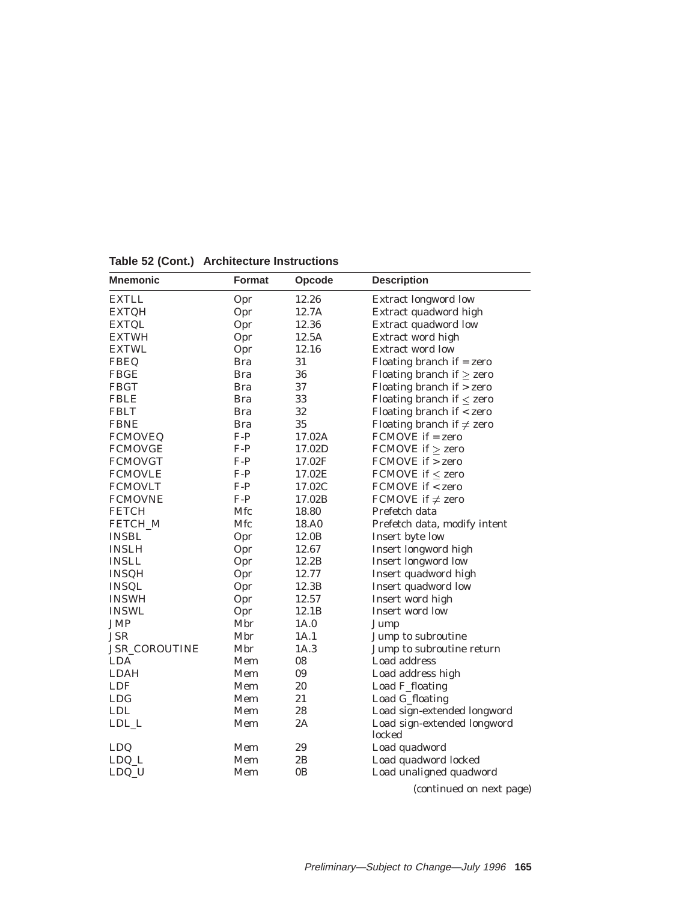| <b>Mnemonic</b> | Format     | Opcode         | <b>Description</b>                    |
|-----------------|------------|----------------|---------------------------------------|
| <b>EXTLL</b>    | Opr        | 12.26          | Extract longword low                  |
| <b>EXTQH</b>    | Opr        | 12.7A          | Extract quadword high                 |
| <b>EXTQL</b>    | Opr        | 12.36          | Extract quadword low                  |
| <b>EXTWH</b>    | Opr        | 12.5A          | Extract word high                     |
| <b>EXTWL</b>    | Opr        | 12.16          | <b>Extract word low</b>               |
| <b>FBEQ</b>     | <b>Bra</b> | 31             | Floating branch if $=$ zero           |
| <b>FBGE</b>     | <b>Bra</b> | 36             | Floating branch if $\ge$ zero         |
| <b>FBGT</b>     | <b>Bra</b> | 37             | Floating branch if $>$ zero           |
| <b>FBLE</b>     | <b>Bra</b> | 33             | Floating branch if $\leq$ zero        |
| <b>FBLT</b>     | <b>Bra</b> | 32             | Floating branch if $<$ zero           |
| <b>FBNE</b>     | <b>Bra</b> | 35             | Floating branch if $\neq$ zero        |
| <b>FCMOVEQ</b>  | $F-P$      | 17.02A         | $FCMOVE$ if = zero                    |
| <b>FCMOVGE</b>  | $F-P$      | 17.02D         | FCMOVE if $\ge$ zero                  |
| <b>FCMOVGT</b>  | $F-P$      | 17.02F         | FCMOVE if > zero                      |
| <b>FCMOVLE</b>  | $F-P$      | 17.02E         | FCMOVE if $\leq$ zero                 |
| <b>FCMOVLT</b>  | $F-P$      | 17.02C         | FCMOVE if < zero                      |
| <b>FCMOVNE</b>  | $F-P$      | 17.02B         | FCMOVE if $\neq$ zero                 |
| <b>FETCH</b>    | Mfc        | 18.80          | Prefetch data                         |
| FETCH_M         | Mfc        | 18.A0          | Prefetch data, modify intent          |
| <b>INSBL</b>    | Opr        | 12.0B          | Insert byte low                       |
| <b>INSLH</b>    | Opr        | 12.67          | Insert longword high                  |
| <b>INSLL</b>    | Opr        | 12.2B          | <b>Insert longword low</b>            |
| <b>INSQH</b>    | Opr        | 12.77          | Insert quadword high                  |
| <b>INSQL</b>    | Opr        | 12.3B          | Insert quadword low                   |
| <b>INSWH</b>    | Opr        | 12.57          | Insert word high                      |
| <b>INSWL</b>    | Opr        | 12.1B          | Insert word low                       |
| <b>JMP</b>      | Mbr        | 1A.0           | Jump                                  |
| <b>JSR</b>      | Mbr        | 1A.1           | Jump to subroutine                    |
| JSR_COROUTINE   | Mbr        | 1A.3           | Jump to subroutine return             |
| <b>LDA</b>      | Mem        | 08             | Load address                          |
| <b>LDAH</b>     | Mem        | 09             | Load address high                     |
| <b>LDF</b>      | Mem        | 20             | Load F_floating                       |
| <b>LDG</b>      | Mem        | 21             | Load G_floating                       |
| <b>LDL</b>      | Mem        | 28             | Load sign-extended longword           |
| LDL_L           | Mem        | 2A             | Load sign-extended longword<br>locked |
| LDQ             | Mem        | 29             | Load quadword                         |
| LDQ_L           | Mem        | 2B             | Load quadword locked                  |
| LDQ_U           | Mem        | 0 <sub>B</sub> | Load unaligned quadword               |

**Table 52 (Cont.) Architecture Instructions**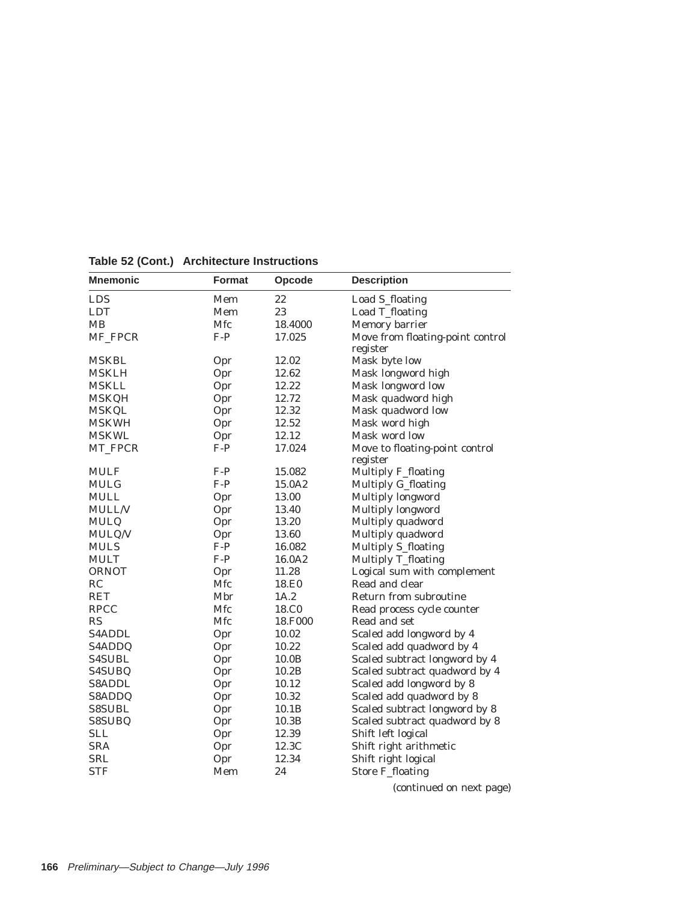| <b>Mnemonic</b> | <b>Format</b> | Opcode            | <b>Description</b>               |
|-----------------|---------------|-------------------|----------------------------------|
| <b>LDS</b>      | Mem           | 22                | Load S_floating                  |
| <b>LDT</b>      | Mem           | 23                | Load T_floating                  |
| MB              | Mfc           | 18.4000           | Memory barrier                   |
| MF_FPCR         | $F-P$         | 17.025            | Move from floating-point control |
|                 |               |                   | register                         |
| <b>MSKBL</b>    | Opr           | 12.02             | Mask byte low                    |
| MSKLH           | Opr           | 12.62             | Mask longword high               |
| <b>MSKLL</b>    | Opr           | 12.22             | Mask longword low                |
| <b>MSKQH</b>    | Opr           | 12.72             | Mask quadword high               |
| <b>MSKQL</b>    | Opr           | 12.32             | Mask quadword low                |
| <b>MSKWH</b>    | Opr           | 12.52             | Mask word high                   |
| <b>MSKWL</b>    | Opr           | 12.12             | Mask word low                    |
| MT_FPCR         | $F-P$         | 17.024            | Move to floating-point control   |
|                 |               |                   | register                         |
| <b>MULF</b>     | $F-P$         | 15.082            | Multiply F_floating              |
| MULG            | $F-P$         | 15.0A2            | Multiply G_floating              |
| <b>MULL</b>     | Opr           | 13.00             | Multiply longword                |
| <b>MULL/V</b>   | Opr           | 13.40             | Multiply longword                |
| <b>MULQ</b>     | Opr           | 13.20             | Multiply quadword                |
| MULQ/V          | Opr           | 13.60             | Multiply quadword                |
| <b>MULS</b>     | $F-P$         | 16.082            | <b>Multiply S_floating</b>       |
| <b>MULT</b>     | $F-P$         | 16.0A2            | Multiply T_floating              |
| <b>ORNOT</b>    | Opr           | 11.28             | Logical sum with complement      |
| RC              | Mfc           | 18.E0             | Read and clear                   |
| <b>RET</b>      | Mbr           | 1A.2              | Return from subroutine           |
| <b>RPCC</b>     | Mfc           | 18.C <sub>0</sub> | Read process cycle counter       |
| RS              | Mfc           | 18.F000           | Read and set                     |
| S4ADDL          | Opr           | 10.02             | Scaled add longword by 4         |
| S4ADDQ          | Opr           | 10.22             | Scaled add quadword by 4         |
| <b>S4SUBL</b>   | Opr           | 10.0B             | Scaled subtract longword by 4    |
| S4SUBQ          | Opr           | 10.2B             | Scaled subtract quadword by 4    |
| <b>S8ADDL</b>   | Opr           | 10.12             | Scaled add longword by 8         |
| S8ADDQ          | Opr           | 10.32             | Scaled add quadword by 8         |
| <b>S8SUBL</b>   | Opr           | 10.1B             | Scaled subtract longword by 8    |
| S8SUBQ          | Opr           | 10.3B             | Scaled subtract quadword by 8    |
| <b>SLL</b>      | Opr           | 12.39             | Shift left logical               |
| <b>SRA</b>      | Opr           | 12.3C             | Shift right arithmetic           |
| <b>SRL</b>      | Opr           | 12.34             | Shift right logical              |
| <b>STF</b>      | Mem           | 24                | <b>Store F_floating</b>          |

**Table 52 (Cont.) Architecture Instructions**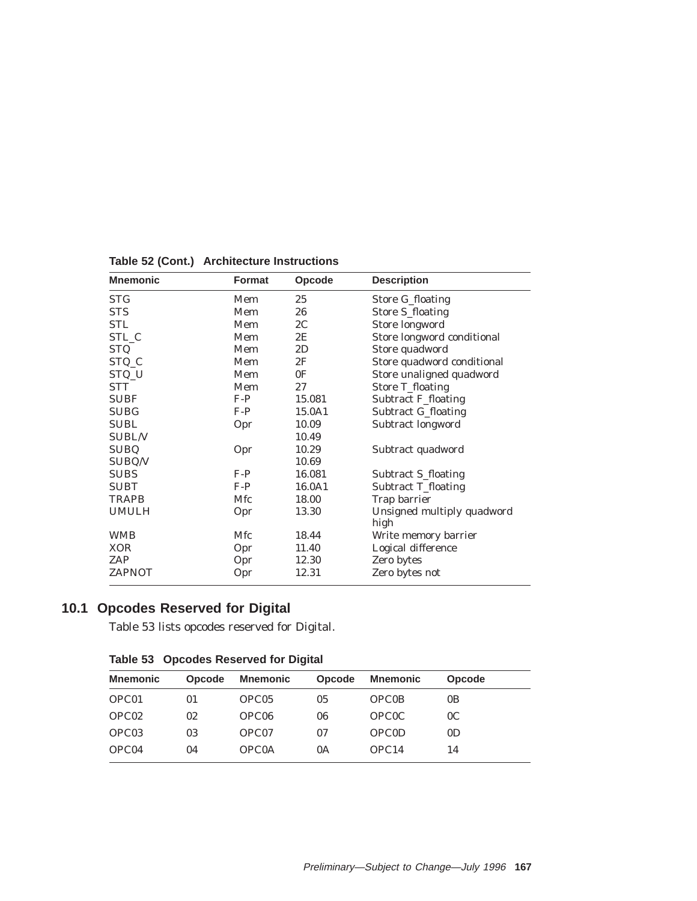| <b>Mnemonic</b> | <b>Format</b> | Opcode         | <b>Description</b>                 |  |  |  |
|-----------------|---------------|----------------|------------------------------------|--|--|--|
| <b>STG</b>      | Mem           | 25             | Store G_floating                   |  |  |  |
| <b>STS</b>      | Mem           | 26             | <b>Store S_floating</b>            |  |  |  |
| <b>STL</b>      | Mem           | 2C             | Store longword                     |  |  |  |
| STL C           | Mem           | 2E             | Store longword conditional         |  |  |  |
| <b>STQ</b>      | Mem           | 2D             | Store quadword                     |  |  |  |
| STQ_C           | Mem           | 2F             | Store quadword conditional         |  |  |  |
| STQ_U           | Mem           | 0 <sup>F</sup> | Store unaligned quadword           |  |  |  |
| <b>STT</b>      | Mem           | 27             | <b>Store T_floating</b>            |  |  |  |
| <b>SUBF</b>     | $F-P$         | 15.081         | <b>Subtract F_floating</b>         |  |  |  |
| <b>SUBG</b>     | $F-P$         | 15.0A1         | <b>Subtract G_floating</b>         |  |  |  |
| <b>SUBL</b>     | Opr           | 10.09          | Subtract longword                  |  |  |  |
| <b>SUBL/V</b>   |               | 10.49          |                                    |  |  |  |
| <b>SUBQ</b>     | Opr           | 10.29          | Subtract quadword                  |  |  |  |
| SUBQ/V          |               | 10.69          |                                    |  |  |  |
| <b>SUBS</b>     | $F-P$         | 16.081         | Subtract S_floating                |  |  |  |
| <b>SUBT</b>     | $F-P$         | 16.0A1         | Subtract T_floating                |  |  |  |
| <b>TRAPB</b>    | Mfc           | 18.00          | Trap barrier                       |  |  |  |
| <b>UMULH</b>    | Opr           | 13.30          | Unsigned multiply quadword<br>high |  |  |  |
| <b>WMB</b>      | Mfc           | 18.44          | Write memory barrier               |  |  |  |
| <b>XOR</b>      | Opr           | 11.40          | Logical difference                 |  |  |  |
| ZAP             | Opr           | 12.30          | Zero bytes                         |  |  |  |
| <b>ZAPNOT</b>   | Opr           | 12.31          | Zero bytes not                     |  |  |  |

**Table 52 (Cont.) Architecture Instructions**

# **10.1 Opcodes Reserved for Digital**

Table 53 lists opcodes reserved for Digital.

| <b>Mnemonic</b>   | Opcode | <b>Mnemonic</b>   | Opcode | <b>Mnemonic</b>   | <b>Opcode</b>  |
|-------------------|--------|-------------------|--------|-------------------|----------------|
| OPC01             | 01     | OPC <sub>05</sub> | 05     | <b>OPCOB</b>      | 0 <sub>B</sub> |
| OPC <sub>02</sub> | 02     | OPC <sub>06</sub> | 06     | <b>OPCOC</b>      | 0 <sup>C</sup> |
| OPC <sub>03</sub> | 03     | OPC07             | 07     | <b>OPCOD</b>      | 0 <sub>D</sub> |
| OPC04             | 04     | <b>OPCOA</b>      | 0A     | OPC <sub>14</sub> | 14             |
|                   |        |                   |        |                   |                |

**Table 53 Opcodes Reserved for Digital**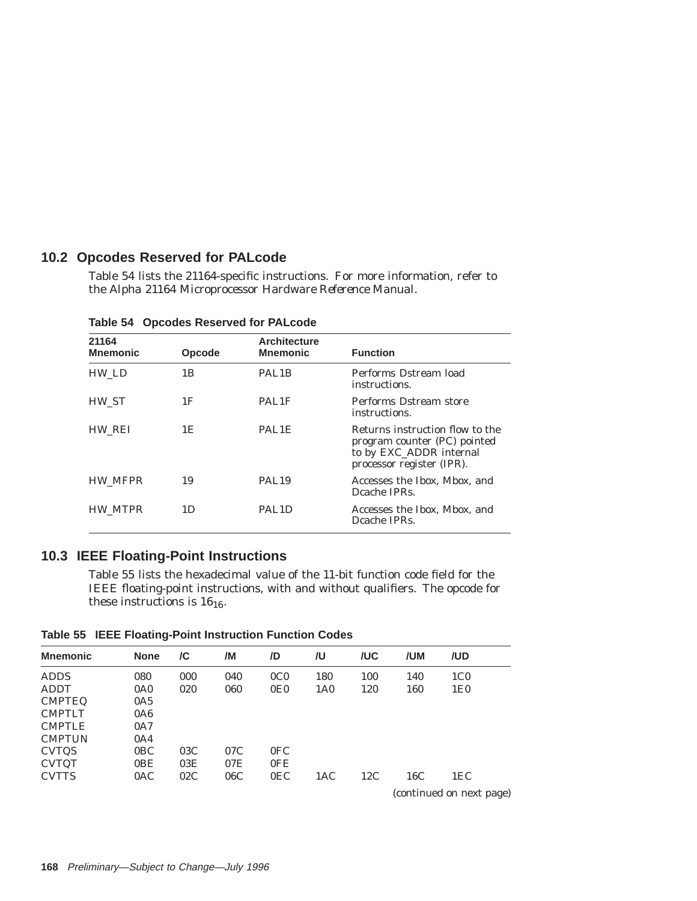# **10.2 Opcodes Reserved for PALcode**

Table 54 lists the 21164-specific instructions. For more information, refer to the *Alpha 21164 Microprocessor Hardware Reference Manual*.

| 21164<br><b>Mnemonic</b> | Opcode | <b>Architecture</b><br><b>Mnemonic</b> | <b>Function</b>                                                                                                         |
|--------------------------|--------|----------------------------------------|-------------------------------------------------------------------------------------------------------------------------|
| HW LD                    | 1 B    | PAL <sub>1</sub> B                     | Performs Dstream load<br>instructions.                                                                                  |
| HW ST                    | 1F     | PAL1F                                  | Performs Dstream store<br>instructions.                                                                                 |
| HW REI                   | 1E     | PAL1E                                  | Returns instruction flow to the<br>program counter (PC) pointed<br>to by EXC_ADDR internal<br>processor register (IPR). |
| <b>HW MFPR</b>           | 19     | PAL <sub>19</sub>                      | Accesses the Ibox, Mbox, and<br>Dcache IPRs.                                                                            |
| <b>HW MTPR</b>           | 1D     | PAL <sub>1</sub> D                     | Accesses the Ibox, Mbox, and<br>Dcache IPRs.                                                                            |

**Table 54 Opcodes Reserved for PALcode**

# **10.3 IEEE Floating-Point Instructions**

Table 55 lists the hexadecimal value of the 11-bit function code field for the IEEE floating-point instructions, with and without qualifiers. The opcode for these instructions is  $16_{16}$ .

| <b>Mnemonic</b> | <b>None</b> | /C  | /M  | /D              | /U              | /UC | /UM                      | /UD             |  |  |
|-----------------|-------------|-----|-----|-----------------|-----------------|-----|--------------------------|-----------------|--|--|
| <b>ADDS</b>     | 080         | 000 | 040 | 0 <sub>CO</sub> | 180             | 100 | 140                      | 1 <sub>CO</sub> |  |  |
| <b>ADDT</b>     | 0A0         | 020 | 060 | 0E0             | 1A <sub>0</sub> | 120 | 160                      | 1E <sub>0</sub> |  |  |
| <b>CMPTEQ</b>   | 0A5         |     |     |                 |                 |     |                          |                 |  |  |
| <b>CMPTLT</b>   | 0A6         |     |     |                 |                 |     |                          |                 |  |  |
| <b>CMPTLE</b>   | 0A7         |     |     |                 |                 |     |                          |                 |  |  |
| <b>CMPTUN</b>   | 0A4         |     |     |                 |                 |     |                          |                 |  |  |
| <b>CVTQS</b>    | 0BC         | 03C | 07C | 0FC             |                 |     |                          |                 |  |  |
| <b>CVTQT</b>    | 0BE         | 03E | 07E | 0FE             |                 |     |                          |                 |  |  |
| <b>CVTTS</b>    | 0AC         | 02C | 06C | 0EC             | 1AC             | 12C | 16C                      | 1EC             |  |  |
|                 |             |     |     |                 |                 |     | (continued on next page) |                 |  |  |

**Table 55 IEEE Floating-Point Instruction Function Codes**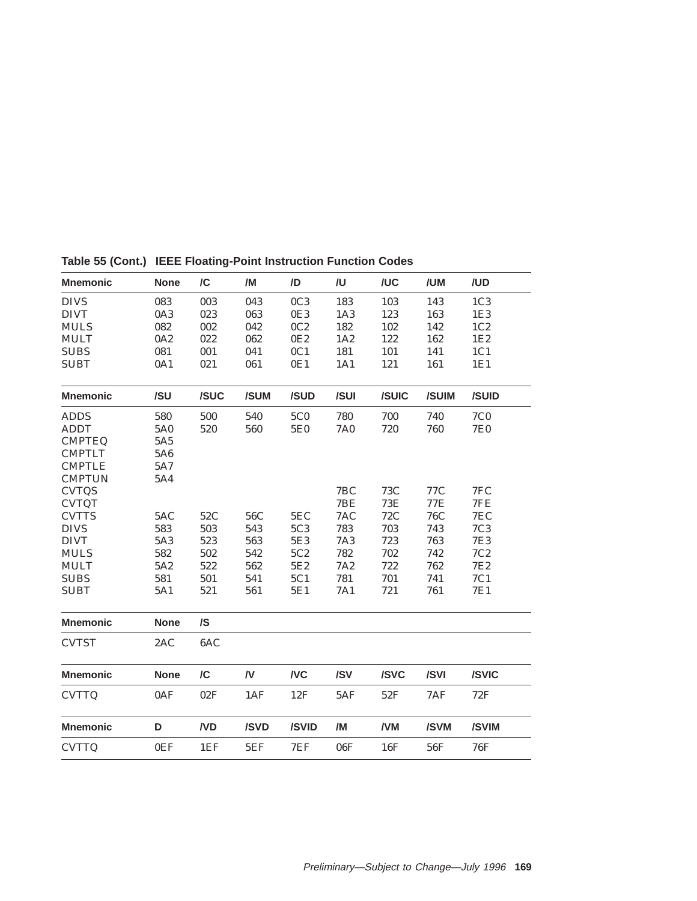| <b>Mnemonic</b> | <b>None</b> | $\overline{C}$ | /M   | /D              | /U         | /UC        | /UM        | /UD             |
|-----------------|-------------|----------------|------|-----------------|------------|------------|------------|-----------------|
| <b>DIVS</b>     | 083         | 003            | 043  | 0C3             | 183        | 103        | 143        | 1C <sub>3</sub> |
| <b>DIVT</b>     | 0A3         | 023            | 063  | 0E3             | 1A3        | 123        | 163        | 1E3             |
| <b>MULS</b>     | 082         | 002            | 042  | 0C2             | 182        | 102        | 142        | 1C <sub>2</sub> |
| <b>MULT</b>     | 0A2         | 022            | 062  | 0E <sub>2</sub> | 1A2        | 122        | 162        | 1E2             |
| <b>SUBS</b>     | 081         | 001            | 041  | 0C1             | 181        | 101        | 141        | 1C1             |
| <b>SUBT</b>     | 0A1         | 021            | 061  | 0E1             | 1A1        | 121        | 161        | 1E1             |
| <b>Mnemonic</b> | /SU         | /SUC           | /SUM | /SUD            | /SUI       | /SUIC      | /SUIM      | /SUID           |
| <b>ADDS</b>     | 580         | 500            | 540  | <b>5C0</b>      | 780        | 700        | 740        | <b>7C0</b>      |
| <b>ADDT</b>     | 5A0         | 520            | 560  | <b>5E0</b>      | 7A0        | 720        | 760        | <b>7E0</b>      |
| <b>CMPTEQ</b>   | 5A5         |                |      |                 |            |            |            |                 |
| <b>CMPTLT</b>   | 5A6         |                |      |                 |            |            |            |                 |
| <b>CMPTLE</b>   | 5A7         |                |      |                 |            |            |            |                 |
| <b>CMPTUN</b>   | 5A4         |                |      |                 |            |            |            |                 |
| <b>CVTQS</b>    |             |                |      |                 | 7BC        | 73C        | 77C        | 7FC             |
| <b>CVTQT</b>    |             |                |      |                 | 7BE        | <b>73E</b> | 77E        | 7FE             |
| <b>CVTTS</b>    | 5AC         | 52C            | 56C  | 5EC             | 7AC        | <b>72C</b> | <b>76C</b> | 7EC             |
| <b>DIVS</b>     | 583         | 503            | 543  | 5C3             | 783        | 703        | 743        | 7C3             |
| <b>DIVT</b>     | 5A3         | 523            | 563  | 5E3             | <b>7A3</b> | 723        | 763        | <b>7E3</b>      |
| <b>MULS</b>     | 582         | 502            | 542  | 5C2             | 782        | 702        | 742        | 7C2             |
| <b>MULT</b>     | 5A2         | 522            | 562  | 5E2             | <b>7A2</b> | 722        | 762        | <b>7E2</b>      |
| <b>SUBS</b>     | 581         | 501            | 541  | 5C1             | 781        | 701        | 741        | 7C1             |
| <b>SUBT</b>     | 5A1         | 521            | 561  | 5E1             | 7A1        | 721        | 761        | <b>7E1</b>      |
| <b>Mnemonic</b> | <b>None</b> | $\sqrt{S}$     |      |                 |            |            |            |                 |
| <b>CVTST</b>    | 2AC         | 6AC            |      |                 |            |            |            |                 |
| <b>Mnemonic</b> | <b>None</b> | /C             | /V   | <b>NC</b>       | /SV        | /SVC       | /SVI       | /SVIC           |
| <b>CVTTQ</b>    | 0AF         | 02F            | 1AF  | 12F             | 5AF        | 52F        | 7AF        | 72F             |
| <b>Mnemonic</b> | D           | ND             | /SVD | /SVID           | /M         | /VM        | /SVM       | /SVIM           |
| <b>CVTTQ</b>    | 0EF         | 1EF            | 5EF  | 7EF             | 06F        | 16F        | 56F        | 76F             |

**Table 55 (Cont.) IEEE Floating-Point Instruction Function Codes**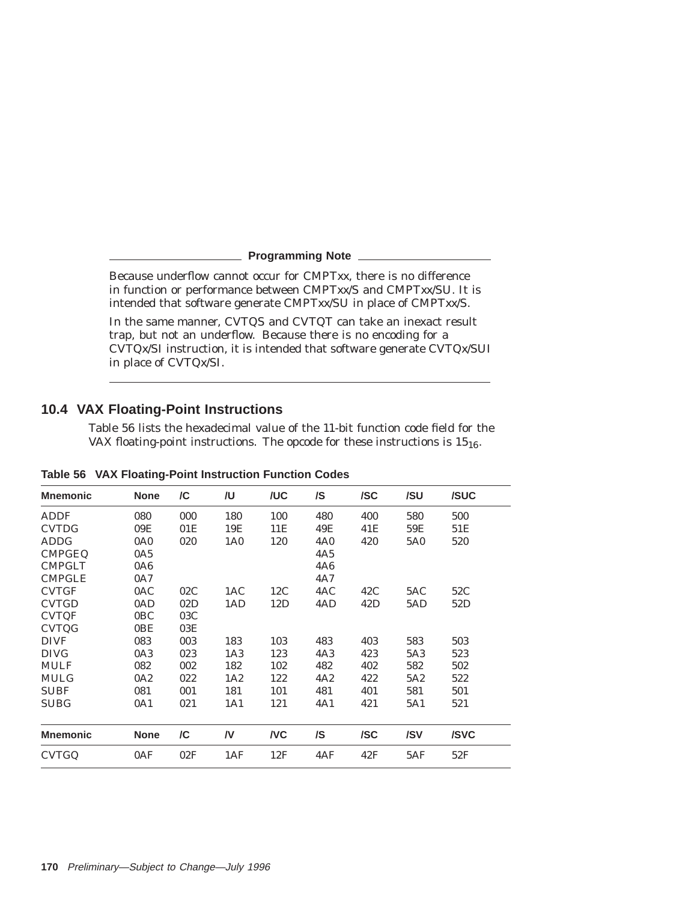**Programming Note**

Because underflow cannot occur for CMPT*xx*, there is no difference in function or performance between CMPT*xx*/S and CMPT*xx*/SU. It is intended that software generate CMPT*xx*/SU in place of CMPT*xx*/S.

In the same manner, CVTQS and CVTQT can take an inexact result trap, but not an underflow. Because there is no encoding for a CVTQ*x*/SI instruction, it is intended that software generate CVTQ*x*/SUI in place of CVTQ*x*/SI.

# **10.4 VAX Floating-Point Instructions**

Table 56 lists the hexadecimal value of the 11-bit function code field for the VAX floating-point instructions. The opcode for these instructions is  $15_{16}$ .

| <b>Mnemonic</b> | <b>None</b>     | /C  | /U              | /UC       | /S         | /SC | /SU | /SUC |
|-----------------|-----------------|-----|-----------------|-----------|------------|-----|-----|------|
| <b>ADDF</b>     | 080             | 000 | 180             | 100       | 480        | 400 | 580 | 500  |
| <b>CVTDG</b>    | 09E             | 01E | 19E             | 11E       | 49E        | 41E | 59E | 51E  |
| <b>ADDG</b>     | 0A <sub>0</sub> | 020 | 1A <sub>0</sub> | 120       | <b>4A0</b> | 420 | 5A0 | 520  |
| <b>CMPGEQ</b>   | 0A5             |     |                 |           | 4A5        |     |     |      |
| <b>CMPGLT</b>   | 0A6             |     |                 |           | <b>4A6</b> |     |     |      |
| <b>CMPGLE</b>   | 0A7             |     |                 |           | 4A7        |     |     |      |
| <b>CVTGF</b>    | 0AC             | 02C | 1AC             | 12C       | 4AC        | 42C | 5AC | 52C  |
| <b>CVTGD</b>    | 0AD             | 02D | 1AD             | 12D       | 4AD        | 42D | 5AD | 52D  |
| <b>CVTQF</b>    | 0BC             | 03C |                 |           |            |     |     |      |
| <b>CVTQG</b>    | 0BE             | 03E |                 |           |            |     |     |      |
| <b>DIVF</b>     | 083             | 003 | 183             | 103       | 483        | 403 | 583 | 503  |
| <b>DIVG</b>     | 0A3             | 023 | 1A3             | 123       | 4A3        | 423 | 5A3 | 523  |
| <b>MULF</b>     | 082             | 002 | 182             | 102       | 482        | 402 | 582 | 502  |
| <b>MULG</b>     | 0A2             | 022 | 1A2             | 122       | 4A2        | 422 | 5A2 | 522  |
| <b>SUBF</b>     | 081             | 001 | 181             | 101       | 481        | 401 | 581 | 501  |
| <b>SUBG</b>     | 0A1             | 021 | 1A1             | 121       | 4A1        | 421 | 5A1 | 521  |
|                 |                 |     |                 |           |            |     |     |      |
| <b>Mnemonic</b> | <b>None</b>     | /C  | /V              | <b>NC</b> | /S         | /SC | /SV | /SVC |
| <b>CVTGQ</b>    | 0AF             | 02F | 1AF             | 12F       | 4AF        | 42F | 5AF | 52F  |

**Table 56 VAX Floating-Point Instruction Function Codes**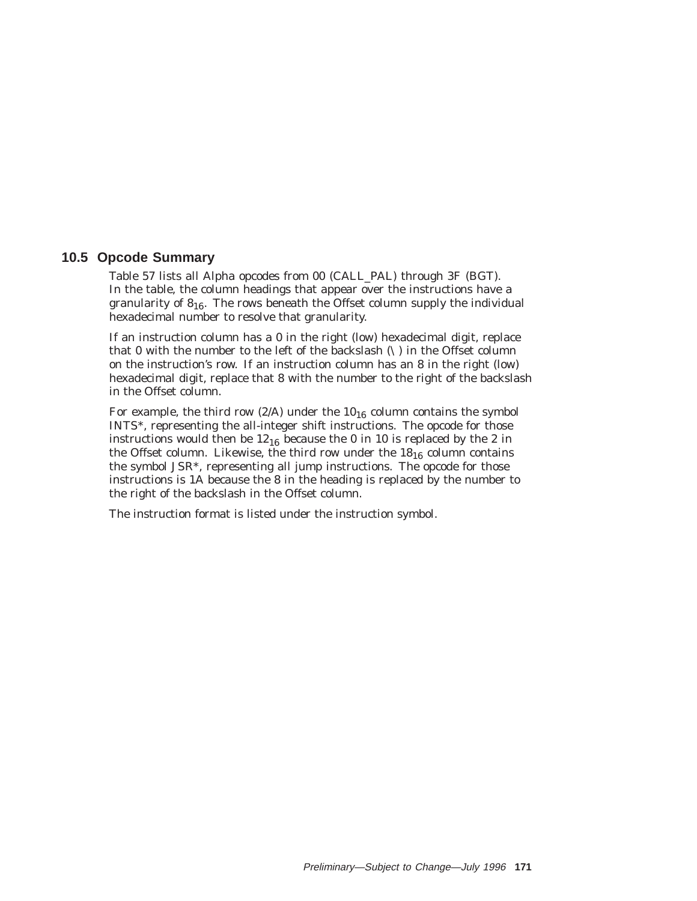# **10.5 Opcode Summary**

Table 57 lists all Alpha opcodes from 00 (CALL\_PAL) through 3F (BGT). In the table, the column headings that appear over the instructions have a granularity of  $8_{16}$ . The rows beneath the Offset column supply the individual hexadecimal number to resolve that granularity.

If an instruction column has a 0 in the right (low) hexadecimal digit, replace that 0 with the number to the left of the backslash  $(\cdot)$  in the Offset column on the instruction's row. If an instruction column has an 8 in the right (low) hexadecimal digit, replace that 8 with the number to the right of the backslash in the Offset column.

For example, the third row (2/A) under the  $10_{16}$  column contains the symbol INTS\*, representing the all-integer shift instructions. The opcode for those instructions would then be  $12_{16}$  because the 0 in 10 is replaced by the 2 in the Offset column. Likewise, the third row under the  $18_{16}$  column contains the symbol JSR\*, representing all jump instructions. The opcode for those instructions is 1A because the 8 in the heading is replaced by the number to the right of the backslash in the Offset column.

The instruction format is listed under the instruction symbol.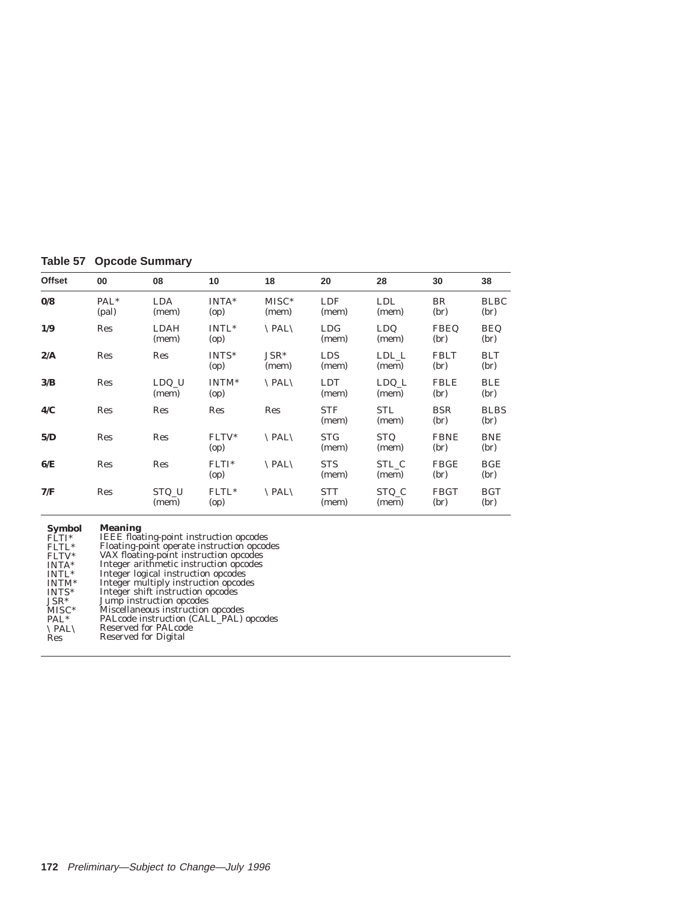# **Table 57 Opcode Summary**

| <b>Offset</b>           | 00                        | 08                   | 10                        | 18                    | 20                  | 28                  | 30                  | 38                  |
|-------------------------|---------------------------|----------------------|---------------------------|-----------------------|---------------------|---------------------|---------------------|---------------------|
| $\mathbf{0}/\mathbf{8}$ | PAL <sup>*</sup><br>(pal) | <b>LDA</b><br>(mem)  | INTA*<br>(op)             | $MISC*$<br>(mem)      | LDF<br>(mem)        | <b>LDL</b><br>(mem) | BR<br>(br)          | <b>BLBC</b><br>(br) |
| 1/9                     | Res                       | <b>LDAH</b><br>(mem) | $INTL*$<br>(op)           | $\Delta$ PAL $\Delta$ | <b>LDG</b><br>(mem) | <b>LDQ</b><br>(mem) | <b>FBEQ</b><br>(br) | <b>BEQ</b><br>(br)  |
| 2/A                     | Res                       | <b>Res</b>           | INTS*<br>(op)             | $JSR*$<br>(mem)       | <b>LDS</b><br>(mem) | LDL L<br>(mem)      | <b>FBLT</b><br>(br) | <b>BLT</b><br>(br)  |
| 3/B                     | Res                       | LDQ U<br>(mem)       | INTM <sup>*</sup><br>(op) | $\Delta$ PAL $\Delta$ | <b>LDT</b><br>(mem) | LDQ L<br>(mem)      | <b>FBLE</b><br>(br) | <b>BLE</b><br>(br)  |
| 4/C                     | Res                       | <b>Res</b>           | <b>Res</b>                | Res                   | <b>STF</b><br>(mem) | STL<br>(mem)        | <b>BSR</b><br>(br)  | <b>BLBS</b><br>(br) |
| 5/D                     | Res                       | Res                  | FLTV*<br>(op)             | $\Delta$ PAL $\Delta$ | <b>STG</b><br>(mem) | <b>STQ</b><br>(mem) | <b>FBNE</b><br>(br) | <b>BNE</b><br>(br)  |
| 6/E                     | Res                       | Res                  | $FLTI*$<br>(op)           | $\Delta$ PAL $\Delta$ | <b>STS</b><br>(mem) | STL C<br>(mem)      | <b>FBGE</b><br>(br) | <b>BGE</b><br>(br)  |
| 7/F                     | Res                       | STQ U<br>(mem)       | FLTL*<br>(op)             | $\Delta$ PAL $\Delta$ | STT<br>(mem)        | STQ_C<br>(mem)      | <b>FBGT</b><br>(br) | <b>BGT</b><br>(br)  |

## **Meaning**

| Symbol                | <b>Meaning</b>                                 |
|-----------------------|------------------------------------------------|
| $FLTI*$               | <b>IEEE</b> floating-point instruction opcodes |
| FLTL*                 | Floating-point operate instruction opcodes     |
| $FLTV*$               | VAX floating-point instruction opcodes         |
| $INTA*$               | Integer arithmetic instruction opcodes         |
| INTL*                 | Integer logical instruction opcodes            |
| INTM*                 | Integer multiply instruction opcodes           |
| $INTS^*$              | Integer shift instruction opcodes              |
| $JSR*$                | Jump instruction opcodes                       |
| $MISC*$               | Miscellaneous instruction opcodes              |
| $PAL^*$               | PALcode instruction (CALL_PAL) opcodes         |
| $\Delta$ PAL $\Delta$ | Reserved for PALcode                           |
| Res                   | Reserved for Digital                           |
|                       |                                                |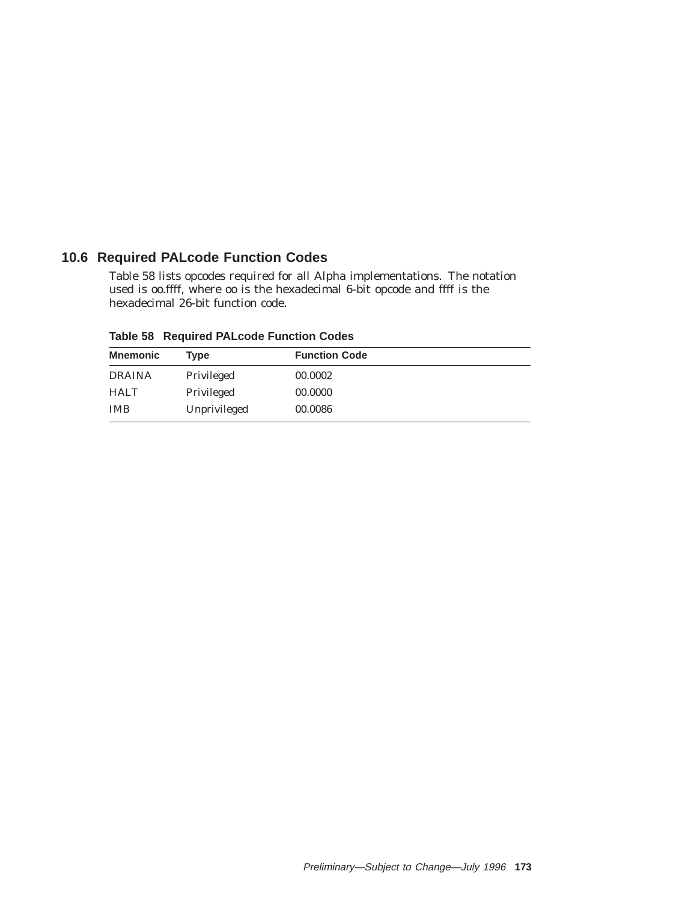# **10.6 Required PALcode Function Codes**

Table 58 lists opcodes required for all Alpha implementations. The notation used is *oo.ffff*, where *oo* is the hexadecimal 6-bit opcode and *ffff* is the hexadecimal 26-bit function code.

| <b>Mnemonic</b> | Tvpe         | <b>Function Code</b> |  |
|-----------------|--------------|----------------------|--|
| <b>DRAINA</b>   | Privileged   | 00.0002              |  |
| <b>HALT</b>     | Privileged   | 00.0000              |  |
| <b>IMB</b>      | Unprivileged | 00.0086              |  |

**Table 58 Required PALcode Function Codes**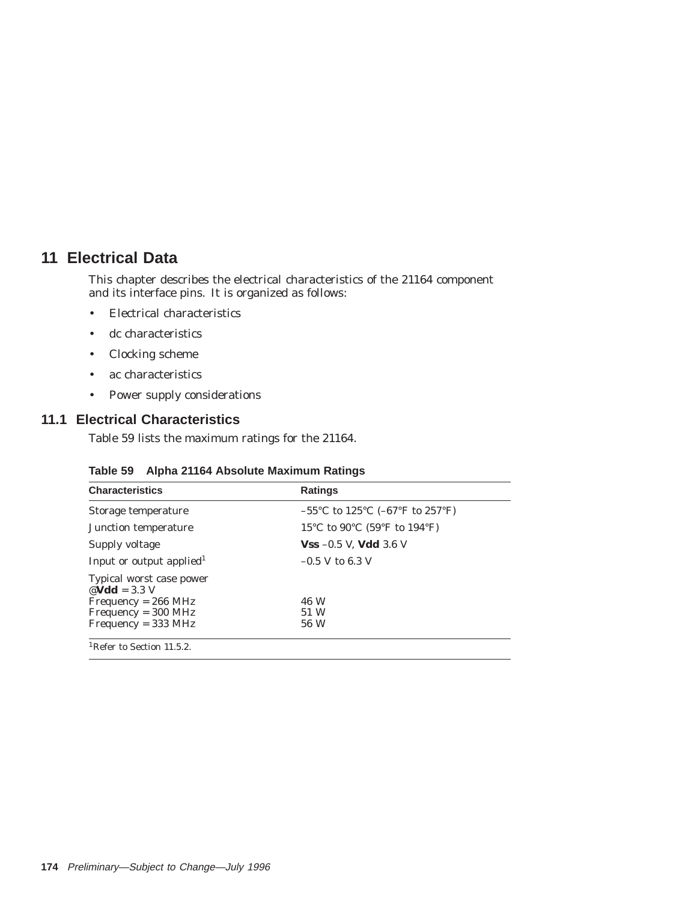# **11 Electrical Data**

This chapter describes the electrical characteristics of the 21164 component and its interface pins. It is organized as follows:

- Electrical characteristics
- dc characteristics
- Clocking scheme
- ac characteristics
- Power supply considerations

# **11.1 Electrical Characteristics**

Table 59 lists the maximum ratings for the 21164.

| <b>Characteristics</b>                                | <b>Ratings</b>                                                                   |
|-------------------------------------------------------|----------------------------------------------------------------------------------|
| Storage temperature                                   | $-55^{\circ}$ C to 125 <sup>°</sup> C (-67 <sup>°</sup> F to 257 <sup>°</sup> F) |
| Junction temperature                                  | 15°C to 90°C (59°F to 194°F)                                                     |
| Supply voltage                                        | <b>Vss</b> $-0.5$ V, <b>Vdd</b> 3.6 V                                            |
| Input or output applied <sup>1</sup>                  | $-0.5$ V to 6.3 V                                                                |
| Typical worst case power<br>$\mathcal{Q}$ Vdd = 3.3 V |                                                                                  |
| $Frequency = 266 MHz$                                 | 46 W                                                                             |
| $Frequency = 300 MHz$                                 | 51 W                                                                             |
| $Frequency = 333 MHz$                                 | 56 W                                                                             |

## **Table 59 Alpha 21164 Absolute Maximum Ratings**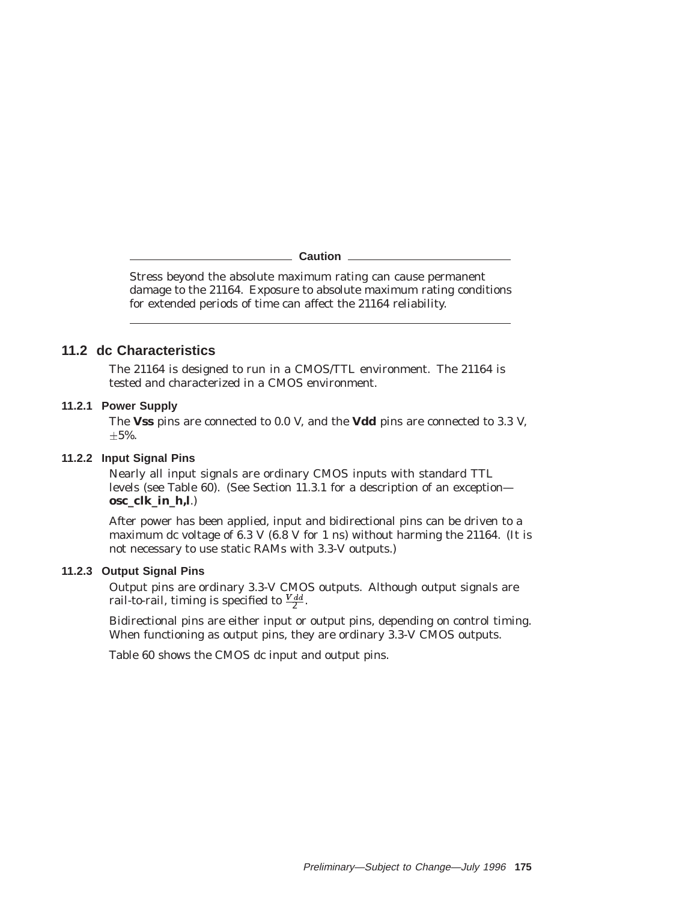#### **Caution**

Stress beyond the absolute maximum rating can cause permanent damage to the 21164. Exposure to absolute maximum rating conditions for extended periods of time can affect the 21164 reliability.

# **11.2 dc Characteristics**

The 21164 is designed to run in a CMOS/TTL environment. The 21164 is tested and characterized in a CMOS environment.

## **11.2.1 Power Supply**

The **Vss** pins are connected to 0.0 V, and the **Vdd** pins are connected to 3.3 V,  $\pm 5\%$ .

## **11.2.2 Input Signal Pins**

Nearly all input signals are ordinary CMOS inputs with standard TTL levels (see Table 60). (See Section 11.3.1 for a description of an exception **osc\_clk\_in\_h,l**.)

After power has been applied, input and bidirectional pins can be driven to a maximum dc voltage of 6.3 V (6.8 V for 1 ns) without harming the 21164. (It is not necessary to use static RAMs with 3.3-V outputs.)

## **11.2.3 Output Signal Pins**

Output pins are ordinary 3.3-V CMOS outputs. Although output signals are rail-to-rail, timing is specified to  $\frac{Vdd}{2}$ .

Bidirectional pins are either input or output pins, depending on control timing. When functioning as output pins, they are ordinary 3.3-V CMOS outputs.

Table 60 shows the CMOS dc input and output pins.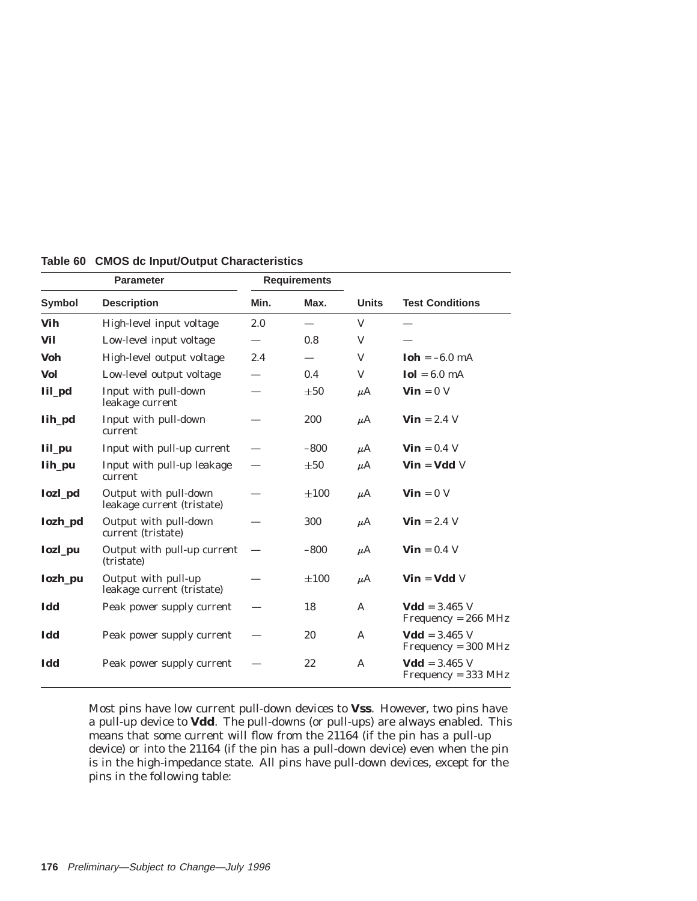|                | <b>Parameter</b>                                    |      | <b>Requirements</b> |              |                                                 |
|----------------|-----------------------------------------------------|------|---------------------|--------------|-------------------------------------------------|
| <b>Symbol</b>  | <b>Description</b>                                  | Min. | Max.                | <b>Units</b> | <b>Test Conditions</b>                          |
| Vih            | High-level input voltage                            | 2.0  |                     | V            |                                                 |
| Vil            | Low-level input voltage                             |      | 0.8                 | V            |                                                 |
| <b>Voh</b>     | High-level output voltage                           | 2.4  |                     | V            | $\text{Ioh} = -6.0 \text{ mA}$                  |
| <b>Vol</b>     | Low-level output voltage                            |      | 0.4                 | V            | $Iol = 6.0 mA$                                  |
| Iil_pd         | Input with pull-down<br>leakage current             |      | $\pm 50$            | $\mu$ A      | $\mathbf{Vin} = 0 \text{ V}$                    |
| Iih_pd         | Input with pull-down<br>current                     |      | 200                 | $\mu$ A      | $\mathbf{ Vin} = 2.4 \text{ V}$                 |
| Iil_pu         | Input with pull-up current                          |      | $-800$              | $\mu$ A      | $\mathbf{ Vin} = 0.4 \text{ V}$                 |
| Iih_pu         | Input with pull-up leakage<br>current               |      | $\pm 50$            | $\mu$ A      | $\mathbf{Vin} = \mathbf{Vdd} \ \mathbf{V}$      |
| <b>Iozl_pd</b> | Output with pull-down<br>leakage current (tristate) |      | $\pm 100$           | $\mu$ A      | $\mathbf{Vin} = 0$ V                            |
| Iozh_pd        | Output with pull-down<br>current (tristate)         |      | 300                 | $\mu$ A      | $\mathbf{ Vin} = 2.4 \text{ V}$                 |
| <b>Iozl_pu</b> | Output with pull-up current<br>(tristate)           |      | $-800$              | $\mu$ A      | $\textbf{ Vin} = 0.4 \text{ V}$                 |
| Iozh_pu        | Output with pull-up<br>leakage current (tristate)   |      | $\pm 100$           | $\mu$ A      | $\mathbf{Vin} = \mathbf{Vdd} \mathbf{V}$        |
| Idd            | Peak power supply current                           |      | 18                  | A            | $Vdd = 3.465 V$<br>$Frequency = 266 MHz$        |
| Idd            | Peak power supply current                           |      | 20                  | $\mathsf{A}$ | <b>Vdd</b> = $3.465$ V<br>$Frequency = 300 MHz$ |
| Idd            | Peak power supply current                           |      | 22                  | A            | $Vdd = 3.465$ V<br>$Frequency = 333 MHz$        |

**Table 60 CMOS dc Input/Output Characteristics**

Most pins have low current pull-down devices to **Vss**. However, two pins have a pull-up device to **Vdd**. The pull-downs (or pull-ups) are always enabled. This means that some current will flow from the 21164 (if the pin has a pull-up device) or into the 21164 (if the pin has a pull-down device) even when the pin is in the high-impedance state. All pins have pull-down devices, except for the pins in the following table: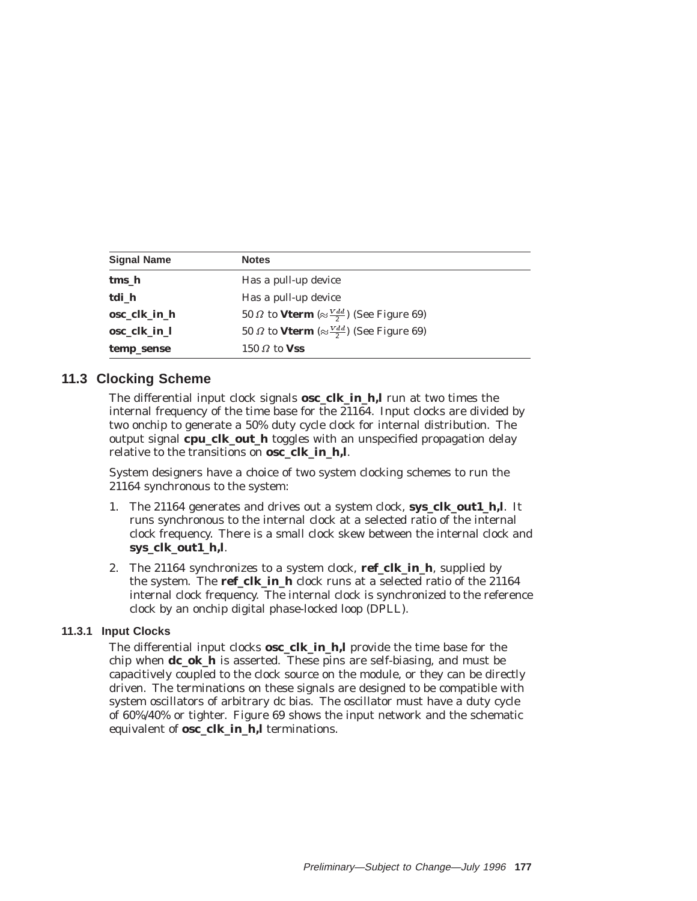| <b>Signal Name</b> | <b>Notes</b>                                                         |
|--------------------|----------------------------------------------------------------------|
| tms_h              | Has a pull-up device                                                 |
| tdi_h              | Has a pull-up device                                                 |
| osc clk in h       | 50 $\Omega$ to Vterm ( $\approx \frac{V \, dd}{2}$ ) (See Figure 69) |
| osc clk in 1       | 50 $\Omega$ to Vterm ( $\approx \frac{V d d}{2}$ ) (See Figure 69)   |
| temp_sense         | 150 $\Omega$ to Vss                                                  |

# **11.3 Clocking Scheme**

The differential input clock signals **osc\_clk\_in\_h,l** run at two times the internal frequency of the time base for the 21164. Input clocks are divided by two onchip to generate a 50% duty cycle clock for internal distribution. The output signal **cpu\_clk\_out\_h** toggles with an unspecified propagation delay relative to the transitions on **osc\_clk\_in\_h,l**.

System designers have a choice of two system clocking schemes to run the 21164 synchronous to the system:

- 1. The 21164 generates and drives out a system clock, **sys\_clk\_out1\_h,l**. It runs synchronous to the internal clock at a selected ratio of the internal clock frequency. There is a small clock skew between the internal clock and **sys\_clk\_out1\_h,l**.
- 2. The 21164 synchronizes to a system clock, **ref\_clk\_in\_h**, supplied by the system. The **ref\_clk\_in\_h** clock runs at a selected ratio of the 21164 internal clock frequency. The internal clock is synchronized to the reference clock by an onchip digital phase-locked loop (DPLL).

# **11.3.1 Input Clocks**

The differential input clocks **osc\_clk\_in\_h,l** provide the time base for the chip when **dc\_ok\_h** is asserted. These pins are self-biasing, and must be capacitively coupled to the clock source on the module, or they can be directly driven. The terminations on these signals are designed to be compatible with system oscillators of arbitrary dc bias. The oscillator must have a duty cycle of 60%/40% or tighter. Figure 69 shows the input network and the schematic equivalent of **osc\_clk\_in\_h,l** terminations.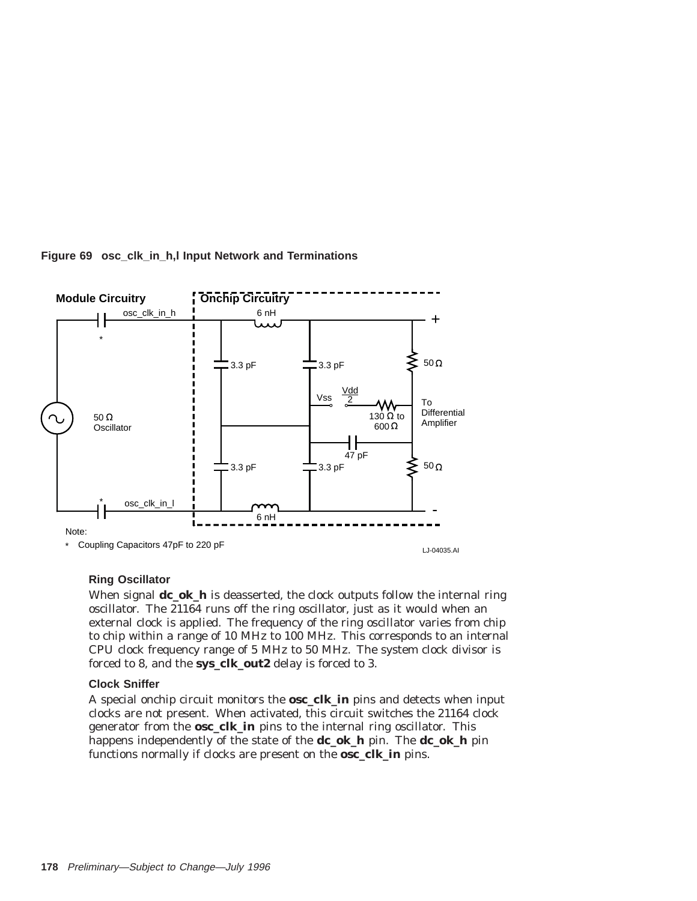

## **Figure 69 osc\_clk\_in\_h,l Input Network and Terminations**

## **Ring Oscillator**

When signal **dc\_ok\_h** is deasserted, the clock outputs follow the internal ring oscillator. The 21164 runs off the ring oscillator, just as it would when an external clock is applied. The frequency of the ring oscillator varies from chip to chip within a range of 10 MHz to 100 MHz. This corresponds to an internal CPU clock frequency range of 5 MHz to 50 MHz. The system clock divisor is forced to 8, and the **sys\_clk\_out2** delay is forced to 3.

## **Clock Sniffer**

A special onchip circuit monitors the **osc\_clk\_in** pins and detects when input clocks are not present. When activated, this circuit switches the 21164 clock generator from the **osc\_clk\_in** pins to the internal ring oscillator. This happens independently of the state of the **dc\_ok\_h** pin. The **dc\_ok\_h** pin functions normally if clocks are present on the **osc\_clk\_in** pins.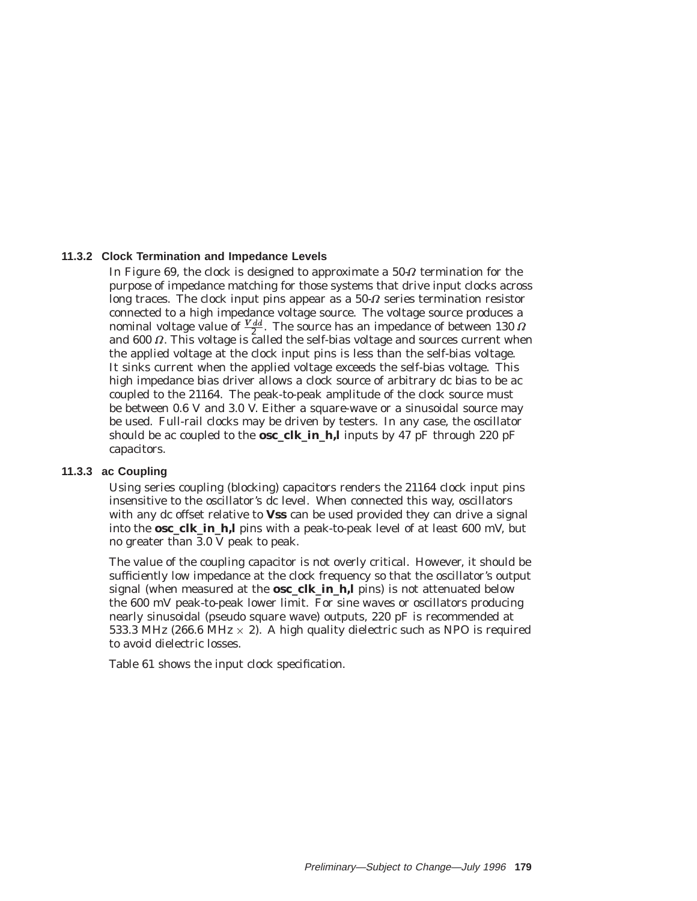## **11.3.2 Clock Termination and Impedance Levels**

In Figure 69, the clock is designed to approximate a 50- $\varOmega$  termination for the purpose of impedance matching for those systems that drive input clocks across long traces. The clock input pins appear as a  $50-\Omega$  series termination resistor connected to a high impedance voltage source. The voltage source produces a nominal voltage value of  $\frac{V_{dd}}{2}$ . The source has an impedance of between 130  $\Omega$ and  $600 \Omega$ . This voltage is called the self-bias voltage and sources current when the applied voltage at the clock input pins is less than the self-bias voltage. It sinks current when the applied voltage exceeds the self-bias voltage. This high impedance bias driver allows a clock source of arbitrary dc bias to be ac coupled to the 21164. The peak-to-peak amplitude of the clock source must be between 0.6 V and 3.0 V. Either a square-wave or a sinusoidal source may be used. Full-rail clocks may be driven by testers. In any case, the oscillator should be ac coupled to the **osc\_clk\_in\_h,l** inputs by 47 pF through 220 pF capacitors.

#### **11.3.3 ac Coupling**

Using series coupling (blocking) capacitors renders the 21164 clock input pins insensitive to the oscillator's dc level. When connected this way, oscillators with any dc offset relative to **Vss** can be used provided they can drive a signal into the **osc\_clk\_in\_h,l** pins with a peak-to-peak level of at least 600 mV, but no greater than 3.0 V peak to peak.

The value of the coupling capacitor is not overly critical. However, it should be sufficiently low impedance at the clock frequency so that the oscillator's output signal (when measured at the **osc\_clk\_in\_h,l** pins) is not attenuated below the 600 mV peak-to-peak lower limit. For sine waves or oscillators producing nearly sinusoidal (pseudo square wave) outputs, 220 pF is recommended at 533.3 MHz (266.6 MHz  $\times$  2). A high quality dielectric such as NPO is required to avoid dielectric losses.

Table 61 shows the input clock specification.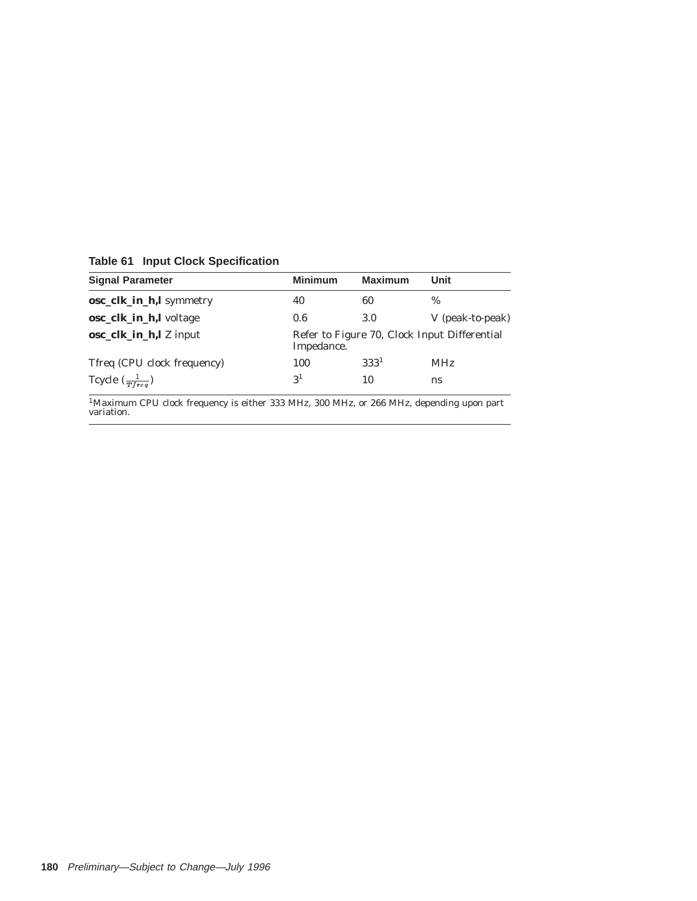**Table 61 Input Clock Specification**

| <b>Signal Parameter</b>     | <b>Minimum</b> | <b>Maximum</b>                                             | Unit             |
|-----------------------------|----------------|------------------------------------------------------------|------------------|
| osc_clk_in_h,l symmetry     | 40             | 60                                                         | $\%$             |
| osc_clk_in_h,l voltage      | 0.6            | 3.0                                                        | V (peak-to-peak) |
| osc_clk_in_h,l Z input      |                | Refer to Figure 70, Clock Input Differential<br>Impedance. |                  |
| Tfreq (CPU clock frequency) | 100            | $333^{1}$                                                  | <b>MHz</b>       |
| Tcycle $(\frac{1}{T}$       | 3 <sup>1</sup> | 10                                                         | ns               |

 $^1$ Maximum CPU clock frequency is either 333 MHz, 300 MHz, or 266 MHz, depending upon part<br>variation.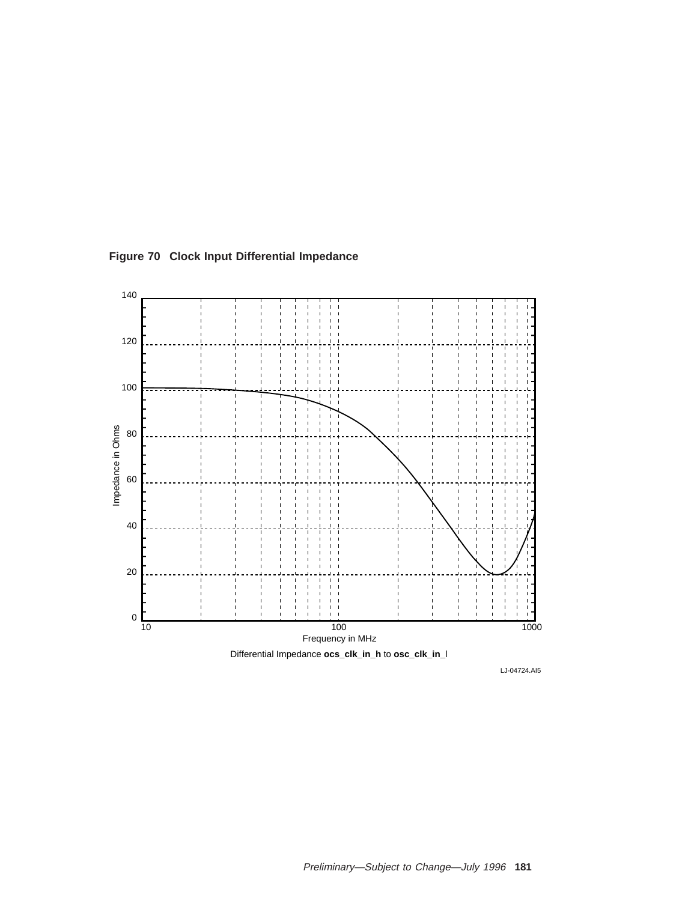

**Figure 70 Clock Input Differential Impedance**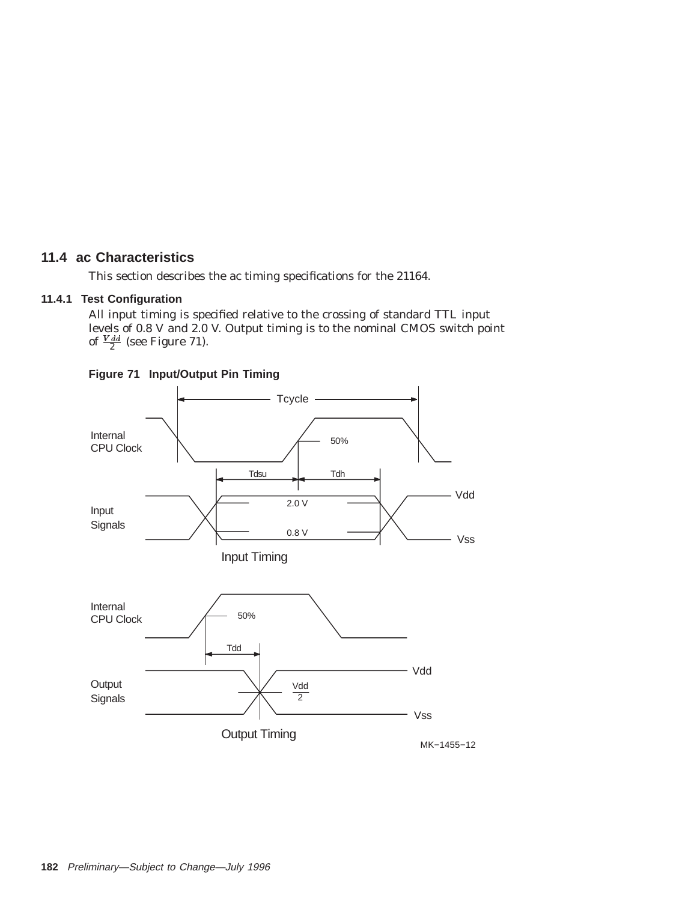# **11.4 ac Characteristics**

This section describes the ac timing specifications for the 21164.

# **11.4.1 Test Configuration**

All input timing is specified relative to the crossing of standard TTL input levels of 0.8 V and 2.0 V. Output timing is to the nominal CMOS switch point of  $\frac{V \, dd}{2}$  (see Figure 71).



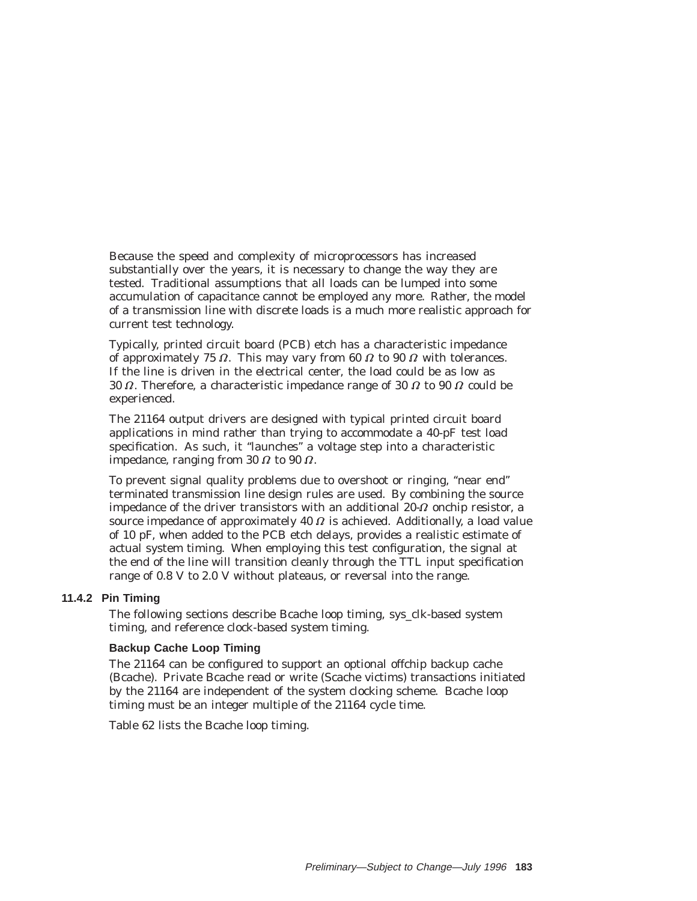Because the speed and complexity of microprocessors has increased substantially over the years, it is necessary to change the way they are tested. Traditional assumptions that all loads can be lumped into some accumulation of capacitance cannot be employed any more. Rather, the model of a transmission line with discrete loads is a much more realistic approach for current test technology.

Typically, printed circuit board (PCB) etch has a characteristic impedance of approximately 75  $\Omega$ . This may vary from 60  $\Omega$  to 90  $\Omega$  with tolerances. If the line is driven in the electrical center, the load could be as low as 30  $\Omega$ . Therefore, a characteristic impedance range of 30  $\Omega$  to 90  $\Omega$  could be experienced.

The 21164 output drivers are designed with typical printed circuit board applications in mind rather than trying to accommodate a 40-pF test load specification. As such, it ''launches'' a voltage step into a characteristic impedance, ranging from 30  $\Omega$  to 90  $\Omega$ .

To prevent signal quality problems due to overshoot or ringing, ''near end'' terminated transmission line design rules are used. By combining the source impedance of the driver transistors with an additional 20- $\Omega$  onchip resistor, a source impedance of approximately 40  $\varOmega$  is achieved. Additionally, a load value of 10 pF, when added to the PCB etch delays, provides a realistic estimate of actual system timing. When employing this test configuration, the signal at the end of the line will transition cleanly through the TTL input specification range of 0.8 V to 2.0 V without plateaus, or reversal into the range.

## **11.4.2 Pin Timing**

The following sections describe Bcache loop timing, sys\_clk-based system timing, and reference clock-based system timing.

#### **Backup Cache Loop Timing**

The 21164 can be configured to support an optional offchip backup cache (Bcache). Private Bcache read or write (Scache victims) transactions initiated by the 21164 are independent of the system clocking scheme. Bcache loop timing must be an integer multiple of the 21164 cycle time.

Table 62 lists the Bcache loop timing.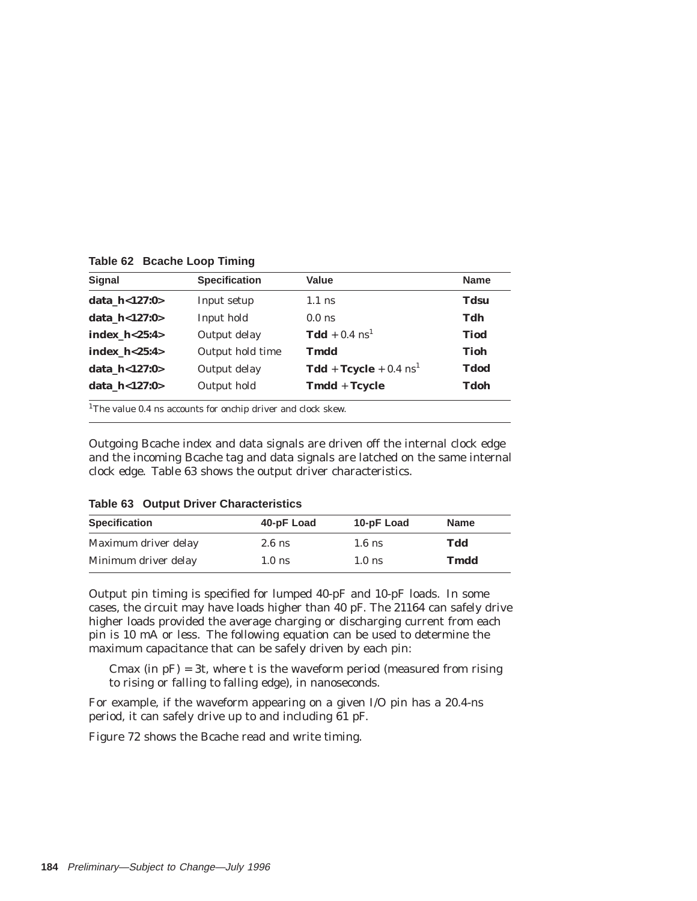**Table 62 Bcache Loop Timing**

| <b>Signal</b>     | <b>Specification</b> | Value                                           | <b>Name</b> |
|-------------------|----------------------|-------------------------------------------------|-------------|
| data $h < 127:0>$ | Input setup          | $1.1$ ns                                        | <b>Tdsu</b> |
| data $h < 127:0>$ | Input hold           | $0.0$ ns                                        | Tdh         |
| index $h < 25:4>$ | Output delay         | $\textbf{Tdd} + 0.4 \text{ ns}^1$               | <b>Tiod</b> |
| index $h < 25:4>$ | Output hold time     | Tmdd                                            | Tioh        |
| data $h < 127:0>$ | Output delay         | $\text{Tdd} + \text{Tcycle} + 0.4 \text{ ns}^1$ | Tdod        |
| data $h < 127:0>$ | Output hold          | Tmdd + Tcycle                                   | Tdoh        |

<sup>1</sup>The value 0.4 ns accounts for onchip driver and clock skew.

Outgoing Bcache index and data signals are driven off the internal clock edge and the incoming Bcache tag and data signals are latched on the same internal clock edge. Table 63 shows the output driver characteristics.

| Table 63 Output Driver Characteristics |            |            |             |  |  |  |
|----------------------------------------|------------|------------|-------------|--|--|--|
| <b>Specification</b>                   | 40-pF Load | 10-pF Load | <b>Name</b> |  |  |  |
| Maximum driver delay                   | $2.6$ ns   | $1.6$ ns   | Tdd         |  |  |  |
| Minimum driver delay                   | $1.0$ ns   | $1.0$ ns   | Tmdd        |  |  |  |

**Table 63 Output Driver Characteristics**

Output pin timing is specified for lumped 40-pF and 10-pF loads. In some cases, the circuit may have loads higher than 40 pF. The 21164 can safely drive higher loads provided the average charging or discharging current from each pin is 10 mA or less. The following equation can be used to determine the maximum capacitance that can be safely driven by each pin:

Cmax (in  $pF$ ) = 3t, where t is the waveform period (measured from rising to rising or falling to falling edge), in nanoseconds.

For example, if the waveform appearing on a given I/O pin has a 20.4-ns period, it can safely drive up to and including 61 pF.

Figure 72 shows the Bcache read and write timing.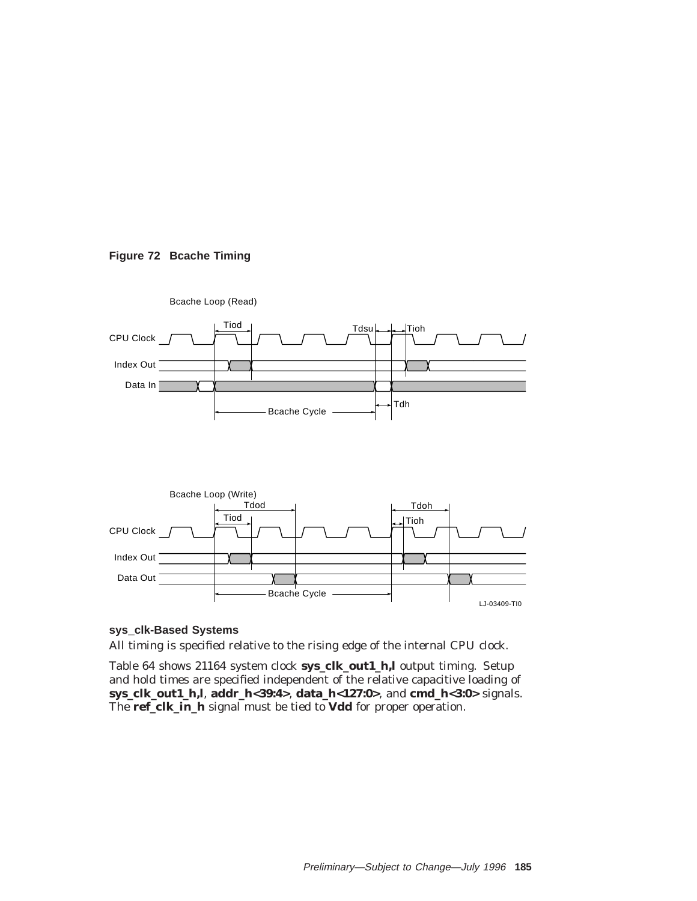



### **sys\_clk-Based Systems**

All timing is specified relative to the rising edge of the internal CPU clock.

Table 64 shows 21164 system clock **sys\_clk\_out1\_h,l** output timing. Setup and hold times are specified independent of the relative capacitive loading of **sys\_clk\_out1\_h,l**, **addr\_h<39:4>**, **data\_h<127:0>**, and **cmd\_h<3:0>** signals. The **ref\_clk\_in\_h** signal must be tied to **Vdd** for proper operation.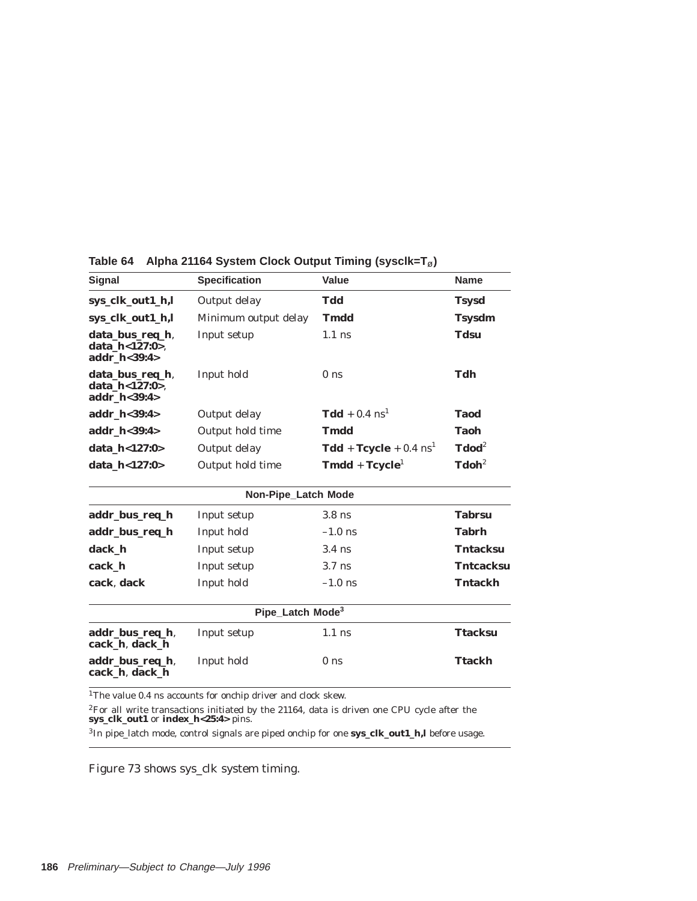| <b>Signal</b>                                         | <b>Specification</b>                                                  | Value                                           | <b>Name</b>       |
|-------------------------------------------------------|-----------------------------------------------------------------------|-------------------------------------------------|-------------------|
| sys_clk_out1_h,l                                      | Output delay                                                          | <b>Tdd</b>                                      | <b>Tsysd</b>      |
| sys_clk_out1_h,l                                      | Minimum output delay                                                  | <b>Tmdd</b>                                     | <b>Tsysdm</b>     |
| data_bus_req_h,<br>data h<127:0>.<br>addr h<39:4>     | Input setup                                                           | $1.1$ ns                                        | <b>Tdsu</b>       |
| data_bus_req_h,<br>data h<127:0>.<br>addr $h < 39:4>$ | Input hold                                                            | 0 <sub>ns</sub>                                 | Tdh               |
| addr $h < 39:4>$                                      | Output delay                                                          | $Tdd + 0.4$ ns <sup>1</sup>                     | <b>Taod</b>       |
| addr_h<39:4>                                          | Output hold time                                                      | <b>Tmdd</b>                                     | <b>Taoh</b>       |
| data h<127:0>                                         | Output delay                                                          | $\text{Tdd} + \text{Tcycle} + 0.4 \text{ ns}^1$ | $\textbf{Tdod}^2$ |
| data_h<127:0>                                         | Output hold time                                                      | $Tmdd + Tcycle1$                                | $\textbf{Tdoh}^2$ |
|                                                       | Non-Pipe_Latch Mode                                                   |                                                 |                   |
| addr_bus_req_h                                        | Input setup                                                           | $3.8$ ns                                        | <b>Tabrsu</b>     |
| addr_bus_req_h                                        | Input hold                                                            | $-1.0$ ns                                       | <b>Tabrh</b>      |
| dack_h                                                | Input setup                                                           | $3.4$ ns                                        | <b>Tntacksu</b>   |
| cack_h                                                | Input setup                                                           | $3.7$ ns                                        | <b>Tntcacksu</b>  |
| cack, dack                                            | Input hold                                                            | $-1.0$ ns                                       | <b>Tntackh</b>    |
|                                                       | Pipe_Latch Mode <sup>3</sup>                                          |                                                 |                   |
| addr_bus_req_h,<br>cack_h, dack_h                     | Input setup                                                           | $1.1$ ns                                        | <b>Ttacksu</b>    |
| addr_bus_req_h,<br>cack h, dack h                     | Input hold                                                            | 0 <sub>ns</sub>                                 | <b>Ttackh</b>     |
|                                                       | <sup>1</sup> The value 0.4 as accounts for each driver and elect stow |                                                 |                   |

**Table 64 Alpha 21164 System Clock Output Timing (sysclk=T**ø**)**

1The value 0.4 ns accounts for onchip driver and clock skew.

2For all write transactions initiated by the 21164, data is driven one CPU cycle after the **sys\_clk\_out1** or **index\_h<25:4>** pins.

3In pipe\_latch mode, control signals are piped onchip for one **sys\_clk\_out1\_h,l** before usage.

Figure 73 shows sys\_clk system timing.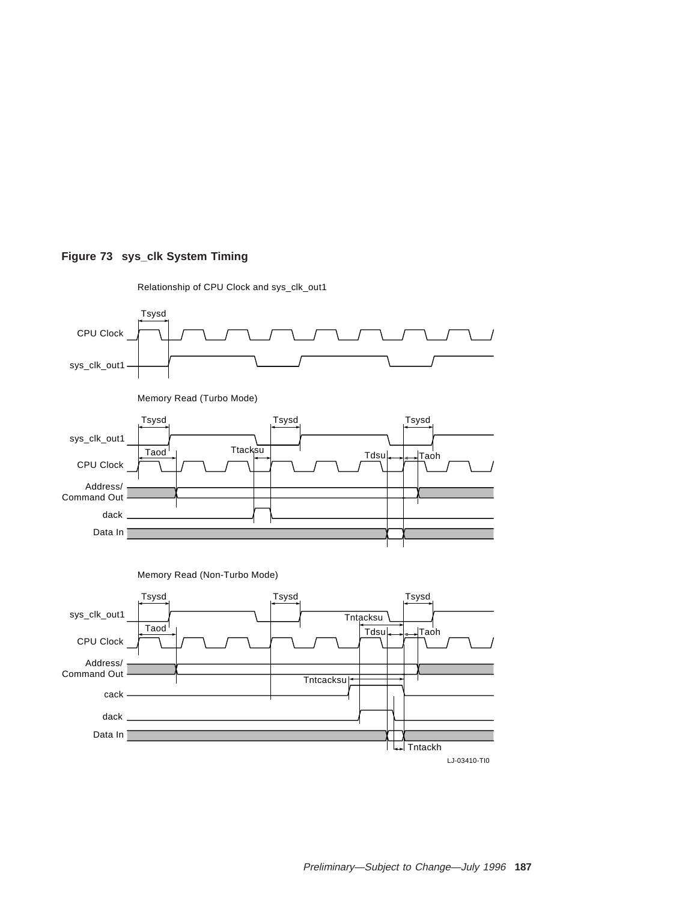## **Figure 73 sys\_clk System Timing**



Relationship of CPU Clock and sys\_clk\_out1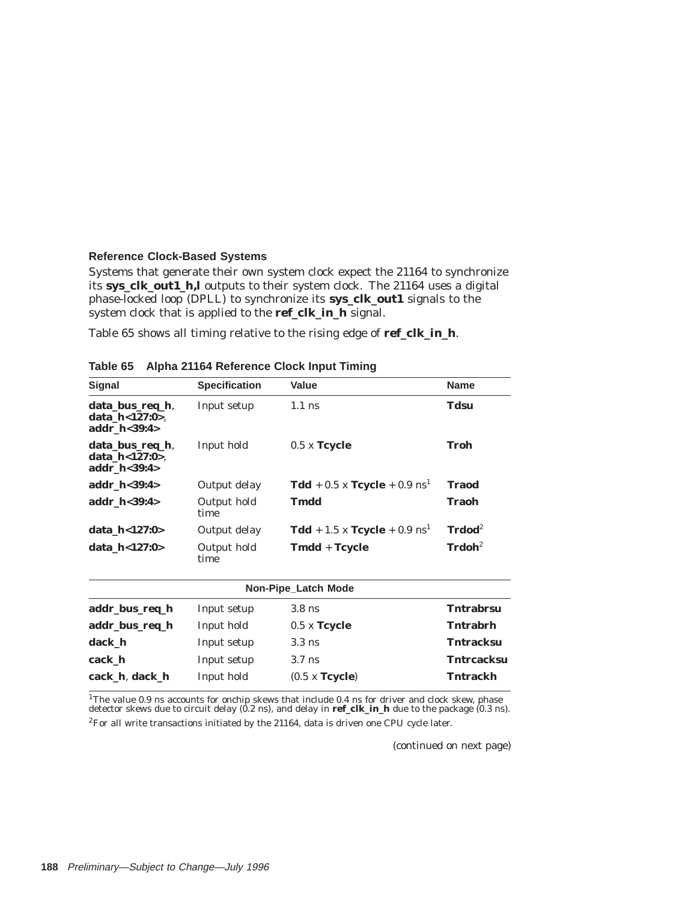### **Reference Clock-Based Systems**

Systems that generate their own system clock expect the 21164 to synchronize its **sys\_clk\_out1\_h,l** outputs to their system clock. The 21164 uses a digital phase-locked loop (DPLL) to synchronize its **sys\_clk\_out1** signals to the system clock that is applied to the **ref\_clk\_in\_h** signal.

Table 65 shows all timing relative to the rising edge of **ref\_clk\_in\_h**.

| <b>Signal</b>                                                   | <b>Specification</b> | Value                                        | <b>Name</b>        |
|-----------------------------------------------------------------|----------------------|----------------------------------------------|--------------------|
| data_bus_req_h,<br>data h<127:0>.<br>addr h<39:4>               | Input setup          | $1.1$ ns                                     | <b>Tdsu</b>        |
| data_bus_req_h,<br>Input hold<br>data_h<127:0>,<br>addr h<39:4> |                      | $0.5$ x Tcycle                               | Troh               |
| addr_h<39:4>                                                    | Output delay         | <b>Tdd</b> + 0.5 x <b>Tcycle</b> + 0.9 $ns1$ | <b>Traod</b>       |
| addr h<39:4>                                                    | Output hold<br>time  | <b>Tmdd</b>                                  | <b>Traoh</b>       |
| data h<127:0>                                                   | Output delay         | <b>Tdd</b> + 1.5 x <b>Tcycle</b> + 0.9 $ns1$ | $Trdod2$           |
| data_h<127:0>                                                   | Output hold<br>time  | Tmdd + Tcycle                                | $\mathbf{Trdoh}^2$ |
|                                                                 |                      | Non-Pipe_Latch Mode                          |                    |
| addr_bus_req_h                                                  | Input setup          | $3.8$ ns                                     | <b>Tntrabrsu</b>   |
| addr_bus_req_h                                                  | Input hold           | $0.5 \times$ Tcycle                          | <b>Tntrabrh</b>    |
| dack h                                                          | Input setup          | $3.3$ ns                                     | <b>Tntracksu</b>   |
| cack h                                                          | Input setup          | $3.7$ ns                                     | <b>Tntrcacksu</b>  |
| cack h, dack h                                                  | Input hold           | (0.5 x <b>Tcycle</b> )                       | <b>Tntrackh</b>    |

**Table 65 Alpha 21164 Reference Clock Input Timing**

<sup>1</sup>The value 0.9 ns accounts for onchip skews that include 0.4 ns for driver and clock skew, phase detector skews due to circuit delay (0.2 ns), and delay in **ref\_clk\_in\_h** due to the package (0.3 ns).

 ${}^{2}$ For all write transactions initiated by the 21164, data is driven one CPU cycle later.

(continued on next page)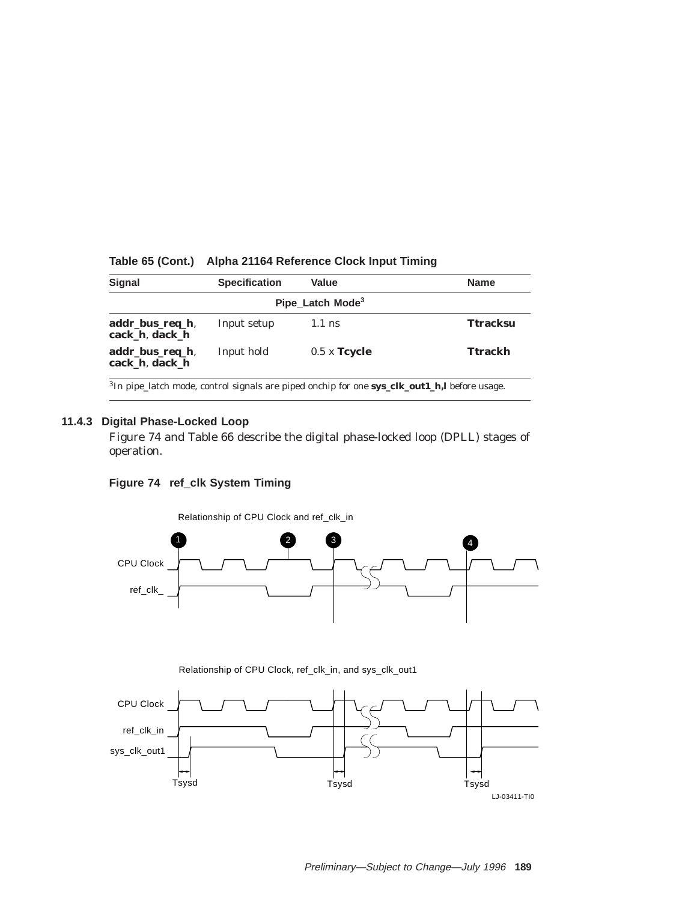| <b>Specification</b> | <b>Value</b>   | <b>Name</b>                  |
|----------------------|----------------|------------------------------|
|                      |                |                              |
| Input setup          | $1.1$ ns       | <b>Ttracksu</b>              |
| Input hold           | $0.5$ x Tcycle | Ttrackh                      |
|                      |                | Pipe_Latch Mode <sup>3</sup> |

## **Table 65 (Cont.) Alpha 21164 Reference Clock Input Timing**

3In pipe\_latch mode, control signals are piped onchip for one **sys\_clk\_out1\_h,l** before usage.

## **11.4.3 Digital Phase-Locked Loop**

Figure 74 and Table 66 describe the digital phase-locked loop (DPLL) stages of operation.

# **Figure 74 ref\_clk System Timing**



Relationship of CPU Clock, ref\_clk\_in, and sys\_clk\_out1

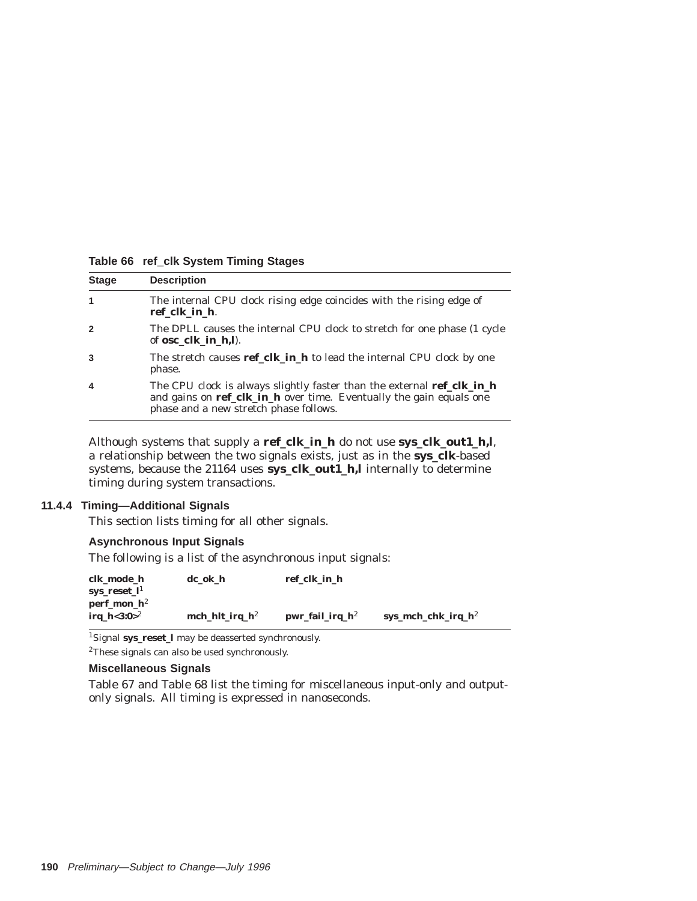| <b>Stage</b> | <b>Description</b>                                                                                                                                                                      |
|--------------|-----------------------------------------------------------------------------------------------------------------------------------------------------------------------------------------|
|              | The internal CPU clock rising edge coincides with the rising edge of<br>ref clk in h.                                                                                                   |
| $\mathbf 2$  | The DPLL causes the internal CPU clock to stretch for one phase (1 cycle<br>of <b>osc</b> clk in h.l.                                                                                   |
|              | The stretch causes ref_clk_in_h to lead the internal CPU clock by one<br>phase.                                                                                                         |
| 4            | The CPU clock is always slightly faster than the external ref_clk_in_h<br>and gains on ref_clk_in_h over time. Eventually the gain equals one<br>phase and a new stretch phase follows. |

#### **Table 66 ref\_clk System Timing Stages**

Although systems that supply a **ref\_clk\_in\_h** do not use **sys\_clk\_out1\_h,l**, a relationship between the two signals exists, just as in the **sys\_clk**-based systems, because the 21164 uses **sys\_clk\_out1\_h,l** internally to determine timing during system transactions.

## **11.4.4 Timing—Additional Signals**

This section lists timing for all other signals.

## **Asynchronous Input Signals**

The following is a list of the asynchronous input signals:

| clk_mode_h                       | $dc_ok_h$                  | ref_clk_in_h       |                        |
|----------------------------------|----------------------------|--------------------|------------------------|
| sys_reset_l <sup>1</sup>         |                            |                    |                        |
| $perf_{\rm{mon}}$ h <sup>2</sup> |                            |                    |                        |
| irg $h < 3:0>^2$                 | mch_hlt_irq_h <sup>2</sup> | $pwr_fail_irq_h^2$ | sys_mch_chk_irq_ $h^2$ |

1Signal **sys\_reset\_l** may be deasserted synchronously.

2These signals can also be used synchronously.

## **Miscellaneous Signals**

Table 67 and Table 68 list the timing for miscellaneous input-only and outputonly signals. All timing is expressed in nanoseconds.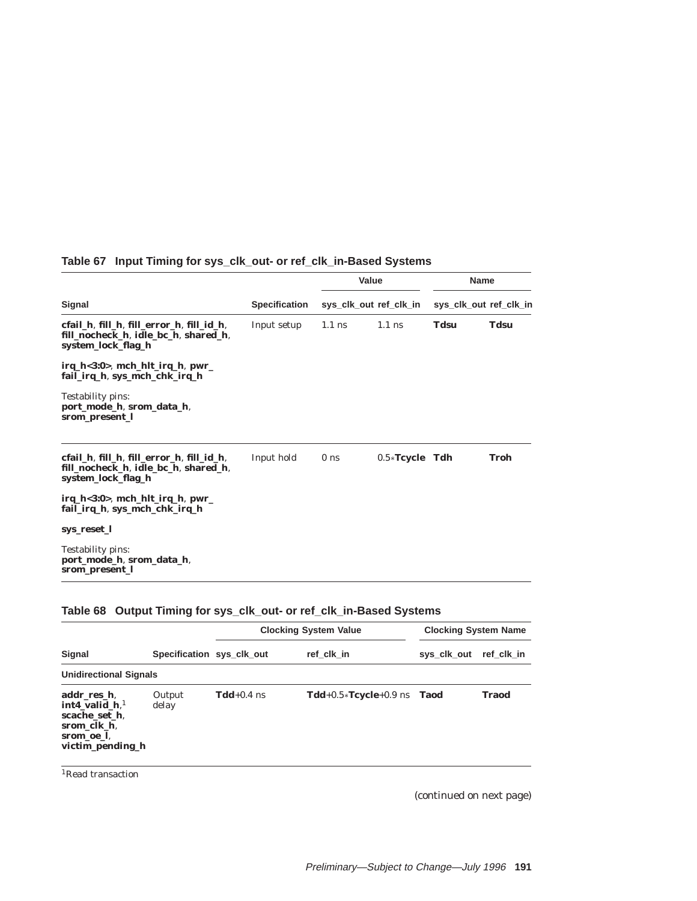|                                                                                                         |                      | Value           |                        | <b>Name</b> |                        |
|---------------------------------------------------------------------------------------------------------|----------------------|-----------------|------------------------|-------------|------------------------|
| Signal                                                                                                  | <b>Specification</b> |                 | sys_clk_out_ref_clk_in |             | sys_clk_out ref_clk_in |
| cfail_h, fill_h, fill_error_h, fill_id_h,<br>fill_nocheck_h, idle_bc_h, shared_h,<br>system_lock_flag_h | Input setup          | $1.1$ ns        | $1.1$ ns               | Tdsu        | <b>Tdsu</b>            |
| $irq_h < 3:0$ , mch_hlt_irq_h, pwr_<br>fail_irq_h, sys_mch_chk_irq_h                                    |                      |                 |                        |             |                        |
| Testability pins:<br>port_mode_h, srom_data_h,<br>srom_present_l                                        |                      |                 |                        |             |                        |
| cfail_h, fill_h, fill_error_h, fill_id_h,<br>fill_nocheck_h, idle_bc_h, shared_h,<br>system_lock_flag_h | Input hold           | 0 <sub>ns</sub> | $0.5*$ Tcycle Tdh      |             | Troh                   |
| $irq_h < 3:0$ , mch_hlt_irq_h, pwr_<br>fail_irq_h, sys_mch_chk_irq_h                                    |                      |                 |                        |             |                        |
| sys_reset_l                                                                                             |                      |                 |                        |             |                        |
| Testability pins:<br>port_mode_h, srom_data_h,<br>srom present l                                        |                      |                 |                        |             |                        |

# **Table 67 Input Timing for sys\_clk\_out- or ref\_clk\_in-Based Systems**

# **Table 68 Output Timing for sys\_clk\_out- or ref\_clk\_in-Based Systems**

|                                                                                                  | Specification sys_clk_out |              | <b>Clocking System Value</b>   | <b>Clocking System Name</b> |            |
|--------------------------------------------------------------------------------------------------|---------------------------|--------------|--------------------------------|-----------------------------|------------|
| Signal                                                                                           |                           |              | ref clk in                     | sys_clk_out                 | ref clk in |
| <b>Unidirectional Signals</b>                                                                    |                           |              |                                |                             |            |
| addr res h.<br>int4 valid $h1$<br>scache set h.<br>srom_clk_h,<br>srom oe l.<br>victim_pending_h | Output<br>delay           | $Tdd+0.4$ ns | $Tdd+0.5*Tcycle+0.9$ ns $Taod$ |                             | Traod      |

<sup>1</sup>Read transaction

(continued on next page)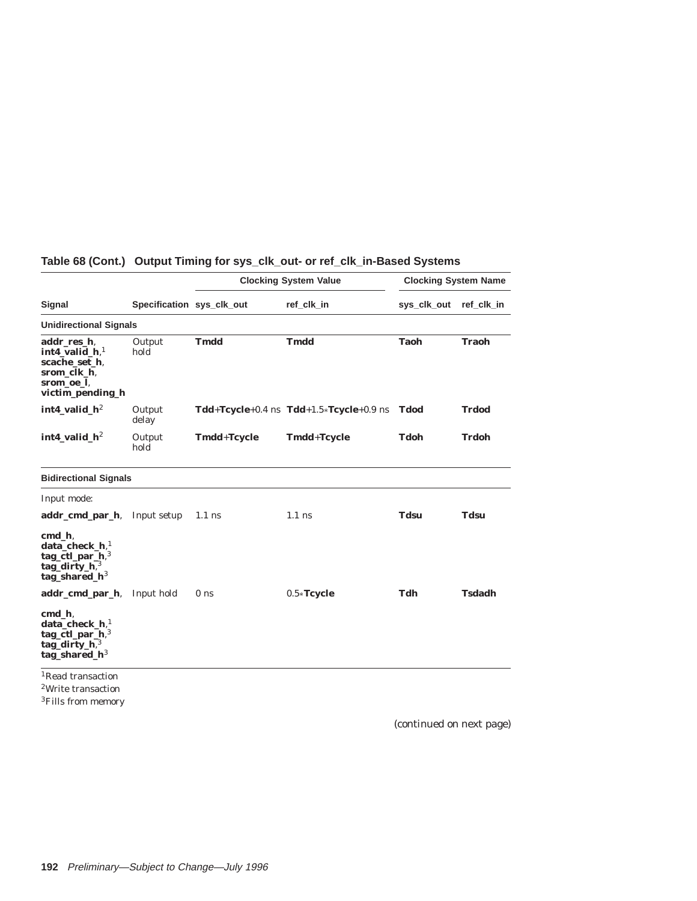|                                                                                                                                                                                                           |                           | <b>Clocking System Value</b> |                                                    | <b>Clocking System Name</b> |               |
|-----------------------------------------------------------------------------------------------------------------------------------------------------------------------------------------------------------|---------------------------|------------------------------|----------------------------------------------------|-----------------------------|---------------|
| Signal                                                                                                                                                                                                    | Specification sys_clk_out |                              | ref clk in                                         | sys_clk_out                 | ref clk in    |
| <b>Unidirectional Signals</b>                                                                                                                                                                             |                           |                              |                                                    |                             |               |
| addr_res_h,<br>$int4$ valid $h$ <sup>1</sup><br>scache set h.<br>srom_clk_h,<br>srom_oe_l,<br>victim_pending_h                                                                                            | Output<br>hold            | <b>Tmdd</b>                  | <b>Tmdd</b>                                        | Taoh                        | <b>Traoh</b>  |
| $int4$ valid $h^2$                                                                                                                                                                                        | Output<br>delay           |                              | $Tdd+Tcycle+0.4$ ns $Tdd+1.5 \times Tcycle+0.9$ ns | Tdod                        | <b>Trdod</b>  |
| $int4$ valid $h2$                                                                                                                                                                                         | Output<br>hold            | <b>Tmdd+Tcycle</b>           | <b>Tmdd+Tcycle</b>                                 | <b>Tdoh</b>                 | <b>Trdoh</b>  |
| <b>Bidirectional Signals</b>                                                                                                                                                                              |                           |                              |                                                    |                             |               |
| Input mode:                                                                                                                                                                                               |                           |                              |                                                    |                             |               |
| addr_cmd_par_h,                                                                                                                                                                                           | Input setup               | $1.1$ ns                     | $1.1$ ns                                           | <b>Tdsu</b>                 | <b>Tdsu</b>   |
| cmd h.<br>$data_{\text{check}}$ <sub>h,<sup>1</sup></sub><br>tag_ctl_par_h,3<br>tag_dirty_ $h$ , $3$<br>tag_shared_ $h^3$<br>addr_cmd_par_h,<br>cmd h.<br>$data_{\text{check}}$ <sub>h,<sup>1</sup></sub> | Input hold                | 0 <sub>ns</sub>              | $0.5*$ Tcycle                                      | Tdh                         | <b>Tsdadh</b> |
| $tag_ctl\_par_h$ , <sup>3</sup><br>tag_dirty_h,3<br>tag_shared_ $h^3$<br><sup>1</sup> Read transaction                                                                                                    |                           |                              |                                                    |                             |               |

# **Table 68 (Cont.) Output Timing for sys\_clk\_out- or ref\_clk\_in-Based Systems**

2Write transaction <sup>3</sup>Fills from memory

(continued on next page)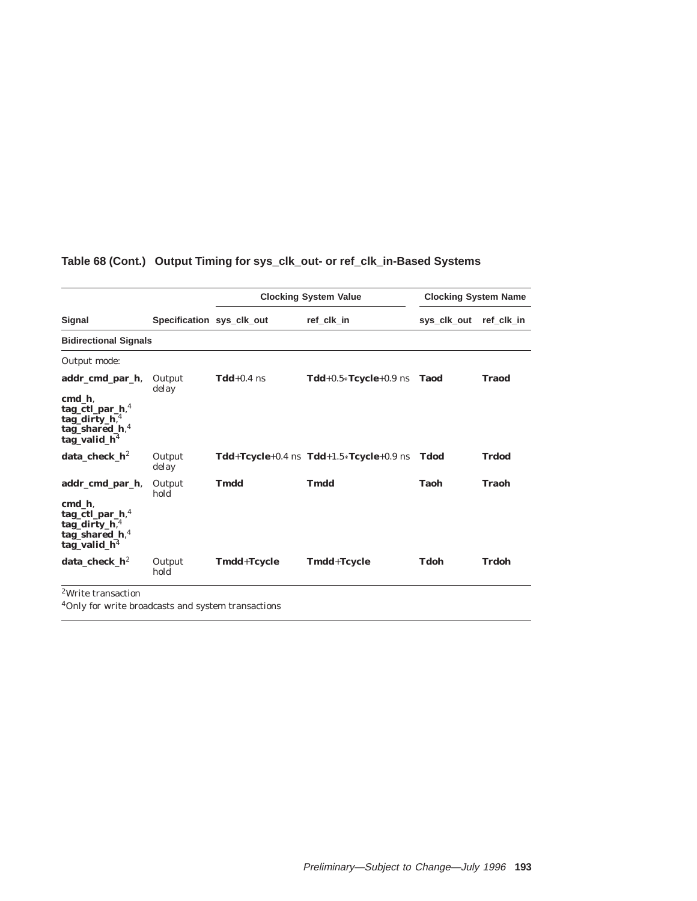|                                                                                                                     |                           |              | <b>Clocking System Value</b>                | <b>Clocking System Name</b> |              |  |  |
|---------------------------------------------------------------------------------------------------------------------|---------------------------|--------------|---------------------------------------------|-----------------------------|--------------|--|--|
| Signal                                                                                                              | Specification sys_clk_out |              | ref clk in                                  | sys clk out                 | ref clk in   |  |  |
| <b>Bidirectional Signals</b>                                                                                        |                           |              |                                             |                             |              |  |  |
| Output mode:                                                                                                        |                           |              |                                             |                             |              |  |  |
| addr_cmd_par_h,<br>cmd h,<br>$tag_ctl\_par_h$ <sup>4</sup><br>tag_dirty_h,4<br>tag_shared_h,4<br>tag_valid_ $h4$    | Output<br>delay           | $Tdd+0.4$ ns | Tdd+0.5*Tcycle+0.9 ns Taod                  |                             | <b>Traod</b> |  |  |
| $data_{\text{check}_h}$                                                                                             | Output<br>delay           |              | $Tdd+Tcycle+0.4$ ns $Tdd+1.5*Tcycle+0.9$ ns | <b>Tdod</b>                 | <b>Trdod</b> |  |  |
| addr_cmd_par_h,<br>cmd h.<br>$tag_ctl\_par_h$ <sup>4</sup><br>tag_dirty_h,4<br>tag_shared_h, $4$<br>tag_valid_ $h4$ | Output<br>hold            | <b>Tmdd</b>  | <b>Tmdd</b>                                 | <b>Taoh</b>                 | Traoh        |  |  |
| $data_{\text{check}_h}$                                                                                             | Output<br>hold            | Tmdd+Tcycle  | Tmdd+Tcycle                                 | <b>Tdoh</b>                 | Trdoh        |  |  |
| <sup>2</sup> Write transaction                                                                                      |                           |              |                                             |                             |              |  |  |

# **Table 68 (Cont.) Output Timing for sys\_clk\_out- or ref\_clk\_in-Based Systems**

4Only for write broadcasts and system transactions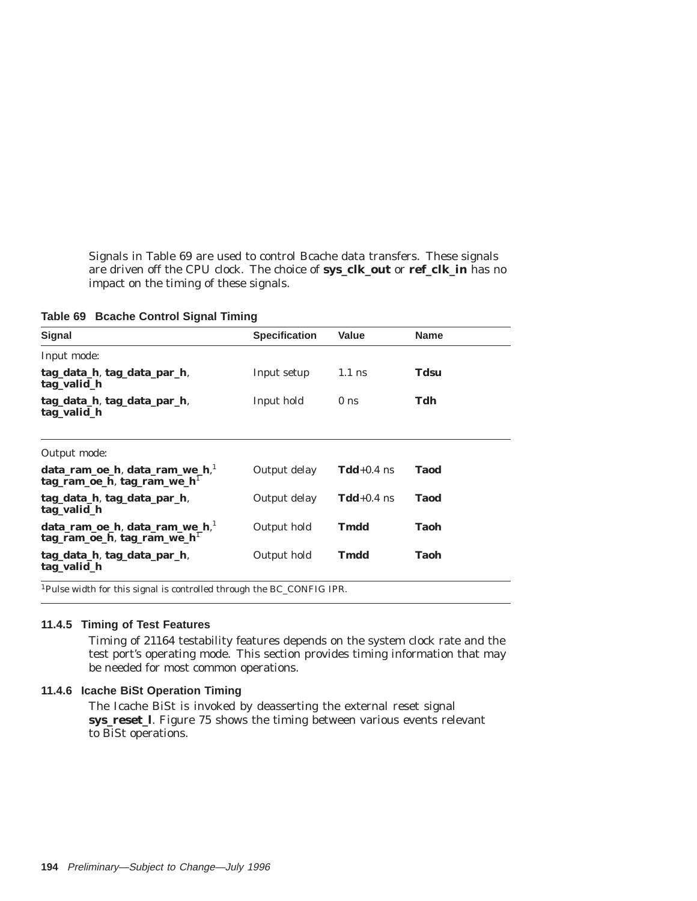Signals in Table 69 are used to control Bcache data transfers. These signals are driven off the CPU clock. The choice of **sys\_clk\_out** or **ref\_clk\_in** has no impact on the timing of these signals.

**Table 69 Bcache Control Signal Timing**

| <b>Signal</b>                                                              | <b>Specification</b> | <b>Value</b>    | <b>Name</b> |
|----------------------------------------------------------------------------|----------------------|-----------------|-------------|
| Input mode:                                                                |                      |                 |             |
| tag data h, tag data par h,<br>tag_valid_h                                 | Input setup          | $1.1$ ns        | Tdsu        |
| tag data h, tag data par h,<br>tag_valid_h                                 | Input hold           | 0 <sub>ns</sub> | Tdh         |
| Output mode:                                                               |                      |                 |             |
| $data$ _ram_oe_h, data_ram_we_h, $^1$<br>$tag$ ram_oe_h, tag_ram_we_h $^1$ | Output delay         | $Tdd+0.4$ ns    | <b>Taod</b> |
| tag data h, tag data par h,<br>tag_valid_h                                 | Output delay         | $Tdd+0.4$ ns    | <b>Taod</b> |
| data_ram_oe_h, data_ram_we_h,<br>$tag$ ram_oe_h, tag_ram_we_h <sup>1</sup> | Output hold          | Tmdd            | Taoh        |
| tag data h, tag data par h,<br>tag_valid_h                                 | Output hold          | Tmdd            | Taoh        |

1Pulse width for this signal is controlled through the BC\_CONFIG IPR.

#### **11.4.5 Timing of Test Features**

Timing of 21164 testability features depends on the system clock rate and the test port's operating mode. This section provides timing information that may be needed for most common operations.

### **11.4.6 Icache BiSt Operation Timing**

The Icache BiSt is invoked by deasserting the external reset signal **sys\_reset\_l**. Figure 75 shows the timing between various events relevant to BiSt operations.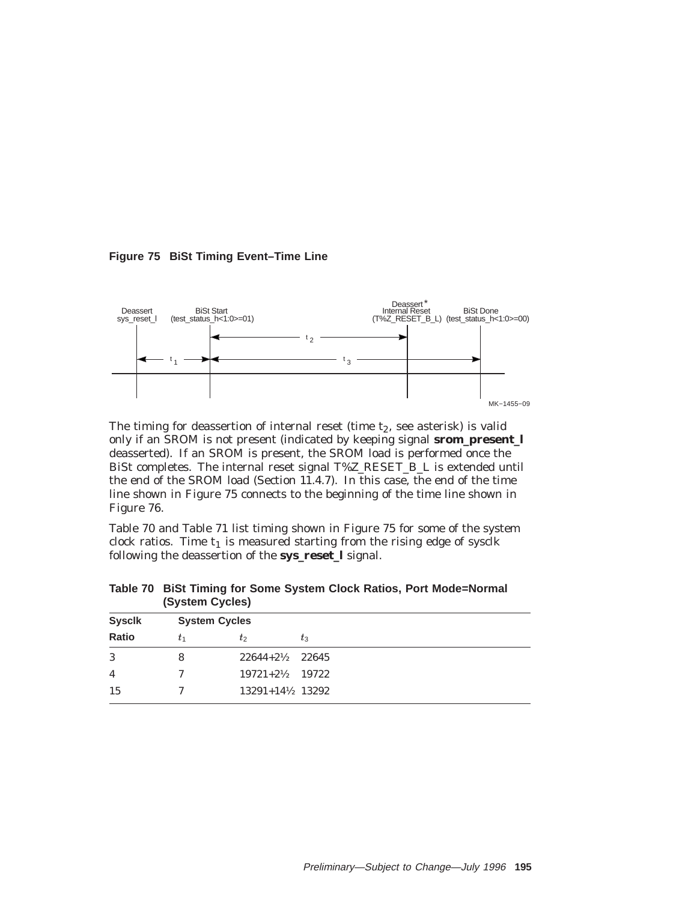**Figure 75 BiSt Timing Event–Time Line**



The timing for deassertion of internal reset (time  $t_2$ , see asterisk) is valid only if an SROM is not present (indicated by keeping signal **srom\_present\_l** deasserted). If an SROM is present, the SROM load is performed once the BiSt completes. The internal reset signal T%Z\_RESET\_B\_L is extended until the end of the SROM load (Section 11.4.7). In this case, the end of the time line shown in Figure 75 connects to the beginning of the time line shown in Figure 76.

Table 70 and Table 71 list timing shown in Figure 75 for some of the system clock ratios. Time  $t_1$  is measured starting from the rising edge of sysclk following the deassertion of the **sys\_reset\_l** signal.

| <b>Sysclk</b>  |    | <b>System Cycles</b>       |       |
|----------------|----|----------------------------|-------|
| Ratio          | t1 | $t_2$                      | $t_3$ |
| 3              | 8  | $22644 + 2\frac{1}{2}$     | 22645 |
| $\overline{4}$ |    | $19721+2\frac{1}{2}$ 19722 |       |
| 15             |    | 13291+14½ 13292            |       |

**Table 70 BiSt Timing for Some System Clock Ratios, Port Mode=Normal (System Cycles)**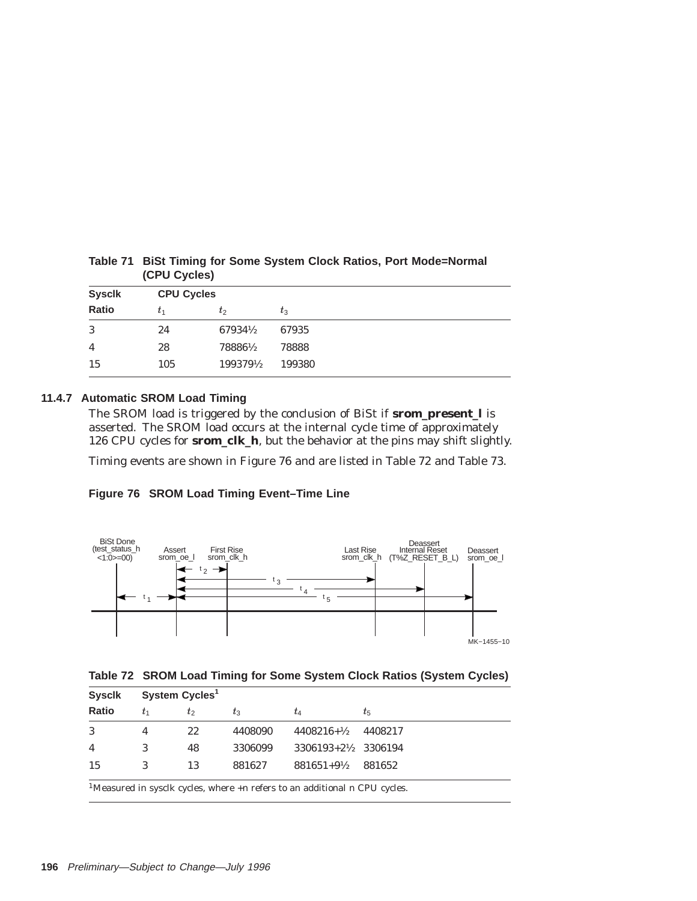|               | (0.000)           |           |        |  |  |
|---------------|-------------------|-----------|--------|--|--|
| <b>Sysclk</b> | <b>CPU Cycles</b> |           |        |  |  |
| Ratio         | t1                | $t_2$     | $t_3$  |  |  |
| 3             | 24                | 67934½    | 67935  |  |  |
| 4             | 28                | 78886½    | 78888  |  |  |
| 15            | 105               | 1993791/2 | 199380 |  |  |

**Table 71 BiSt Timing for Some System Clock Ratios, Port Mode=Normal (CPU Cycles)**

# **11.4.7 Automatic SROM Load Timing**

The SROM load is triggered by the conclusion of BiSt if **srom\_present\_l** is asserted. The SROM load occurs at the internal cycle time of approximately 126 CPU cycles for **srom\_clk\_h**, but the behavior at the pins may shift slightly.

Timing events are shown in Figure 76 and are listed in Table 72 and Table 73.

### **Figure 76 SROM Load Timing Event–Time Line**





| <b>Syscik</b>  |                                                                                                 | System Cycles <sup>1</sup> |         |                                  |         |  |  |
|----------------|-------------------------------------------------------------------------------------------------|----------------------------|---------|----------------------------------|---------|--|--|
| Ratio          | t1                                                                                              | $t_2$                      | $t_3$   | tΔ                               | $t_{5}$ |  |  |
| 3              |                                                                                                 | 22                         | 4408090 | $4408216 + \frac{1}{2}$          | 4408217 |  |  |
| $\overline{4}$ | 3                                                                                               | 48                         | 3306099 | $3306193 + 2\frac{1}{2}$ 3306194 |         |  |  |
| 15             | 3                                                                                               | 13                         | 881627  | $881651 + 9\frac{1}{2}$          | 881652  |  |  |
|                | <sup>1</sup> Measured in sysclk cycles, where $+n$ refers to an additional <i>n</i> CPU cycles. |                            |         |                                  |         |  |  |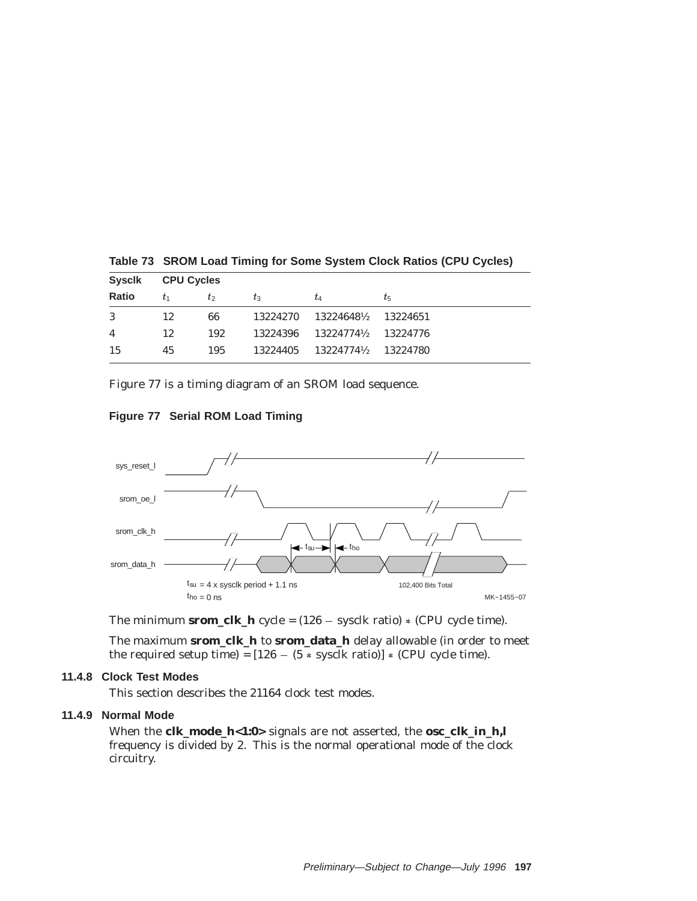| <b>Syscik</b> |    | <b>CPU Cycles</b> |          |             |          |  |
|---------------|----|-------------------|----------|-------------|----------|--|
| <b>Ratio</b>  | t1 | $t_2$             | $t_3$    | t4          | $t_{5}$  |  |
| 3             | 12 | 66                | 13224270 | 13224648½   | 13224651 |  |
| 4             | 12 | 192               | 13224396 | 132247741/2 | 13224776 |  |
| 15            | 45 | 195               | 13224405 | 132247741/2 | 13224780 |  |

**Table 73 SROM Load Timing for Some System Clock Ratios (CPU Cycles)**

Figure 77 is a timing diagram of an SROM load sequence.





The minimum **srom\_clk\_h** cycle =  $(126 -$  sysclk ratio)  $*$  (CPU cycle time).

The maximum **srom\_clk\_h** to **srom\_data\_h** delay allowable (in order to meet the required setup time) =  $[126 - (5 * \text{sysclk ratio})] * (CPU cycle time).$ 

# **11.4.8 Clock Test Modes**

This section describes the 21164 clock test modes.

### **11.4.9 Normal Mode**

When the **clk\_mode\_h<1:0>** signals are not asserted, the **osc\_clk\_in\_h,l** frequency is divided by 2. This is the normal operational mode of the clock circuitry.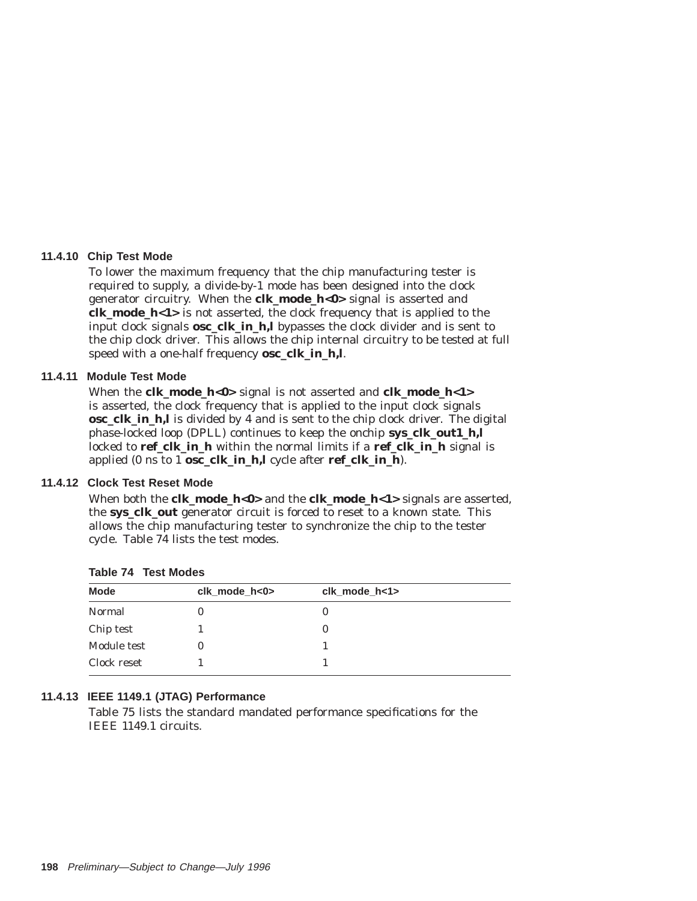### **11.4.10 Chip Test Mode**

To lower the maximum frequency that the chip manufacturing tester is required to supply, a divide-by-1 mode has been designed into the clock generator circuitry. When the **clk\_mode\_h<0>** signal is asserted and **clk\_mode\_h<1>** is not asserted, the clock frequency that is applied to the input clock signals **osc\_clk\_in\_h,l** bypasses the clock divider and is sent to the chip clock driver. This allows the chip internal circuitry to be tested at full speed with a one-half frequency **osc\_clk\_in\_h,l**.

### **11.4.11 Module Test Mode**

When the **clk\_mode\_h<0>** signal is not asserted and **clk\_mode\_h<1>** is asserted, the clock frequency that is applied to the input clock signals **osc\_clk\_in\_h,l** is divided by 4 and is sent to the chip clock driver. The digital phase-locked loop (DPLL) continues to keep the onchip **sys\_clk\_out1\_h,l** locked to **ref\_clk\_in\_h** within the normal limits if a **ref\_clk\_in\_h** signal is applied (0 ns to 1 **osc\_clk\_in\_h,l** cycle after **ref\_clk\_in\_h**).

### **11.4.12 Clock Test Reset Mode**

When both the **clk\_mode\_h**<0> and the **clk\_mode\_h**<1> signals are asserted, the **sys\_clk\_out** generator circuit is forced to reset to a known state. This allows the chip manufacturing tester to synchronize the chip to the tester cycle. Table 74 lists the test modes.

| <b>Mode</b> | $clk$ mode $h<0>$ | clk mode h<1> |
|-------------|-------------------|---------------|
| Normal      |                   |               |
| Chip test   |                   |               |
| Module test |                   |               |
| Clock reset |                   |               |
|             |                   |               |

**Table 74 Test Modes**

## **11.4.13 IEEE 1149.1 (JTAG) Performance**

Table 75 lists the standard mandated performance specifications for the IEEE 1149.1 circuits.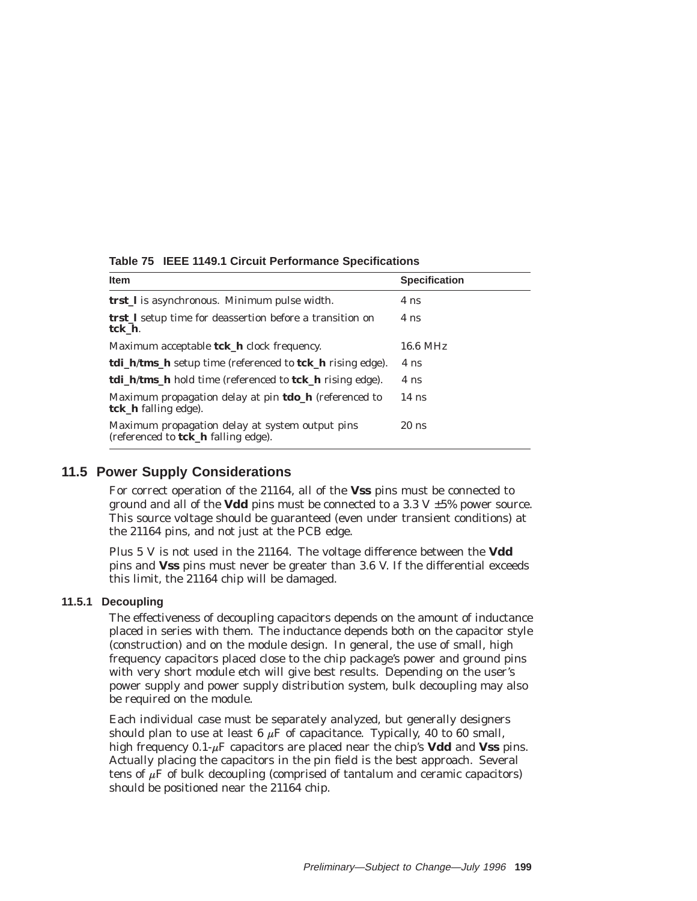| <b>Item</b>                                                                            | <b>Specification</b> |
|----------------------------------------------------------------------------------------|----------------------|
| <b>trst_l</b> is asynchronous. Minimum pulse width.                                    | 4 ns                 |
| <b>trst</b> I setup time for deassertion before a transition on<br>tck h.              | 4 ns                 |
| Maximum acceptable <b>tck_h</b> clock frequency.                                       | $16.6$ MHz           |
| <b>tdi_h/tms_h</b> setup time (referenced to <b>tck_h</b> rising edge).                | 4 ns                 |
| tdi_h/tms_h hold time (referenced to tck_h rising edge).                               | 4 ns                 |
| Maximum propagation delay at pin <b>tdo_h</b> (referenced to<br>tck_h falling edge).   | $14$ ns              |
| Maximum propagation delay at system output pins<br>(referenced to tck_h falling edge). | $20$ ns              |

**Table 75 IEEE 1149.1 Circuit Performance Specifications**

# **11.5 Power Supply Considerations**

For correct operation of the 21164, all of the **Vss** pins must be connected to ground and all of the **Vdd** pins must be connected to a 3.3 V  $\pm$ 5% power source. This source voltage should be guaranteed (even under transient conditions) at the 21164 pins, and not just at the PCB edge.

Plus 5 V is not used in the 21164. The voltage difference between the **Vdd** pins and **Vss** pins must never be greater than 3.6 V. If the differential exceeds this limit, the 21164 chip will be damaged.

# **11.5.1 Decoupling**

The effectiveness of decoupling capacitors depends on the amount of inductance placed in series with them. The inductance depends both on the capacitor style (construction) and on the module design. In general, the use of small, high frequency capacitors placed close to the chip package's power and ground pins with very short module etch will give best results. Depending on the user's power supply and power supply distribution system, bulk decoupling may also be required on the module.

Each individual case must be separately analyzed, but generally designers should plan to use at least 6  $\mu$ F of capacitance. Typically, 40 to 60 small, high frequency  $0.1-\mu$ F capacitors are placed near the chip's **Vdd** and **Vss** pins. Actually placing the capacitors in the pin field is the best approach. Several tens of  $\mu$ F of bulk decoupling (comprised of tantalum and ceramic capacitors) should be positioned near the 21164 chip.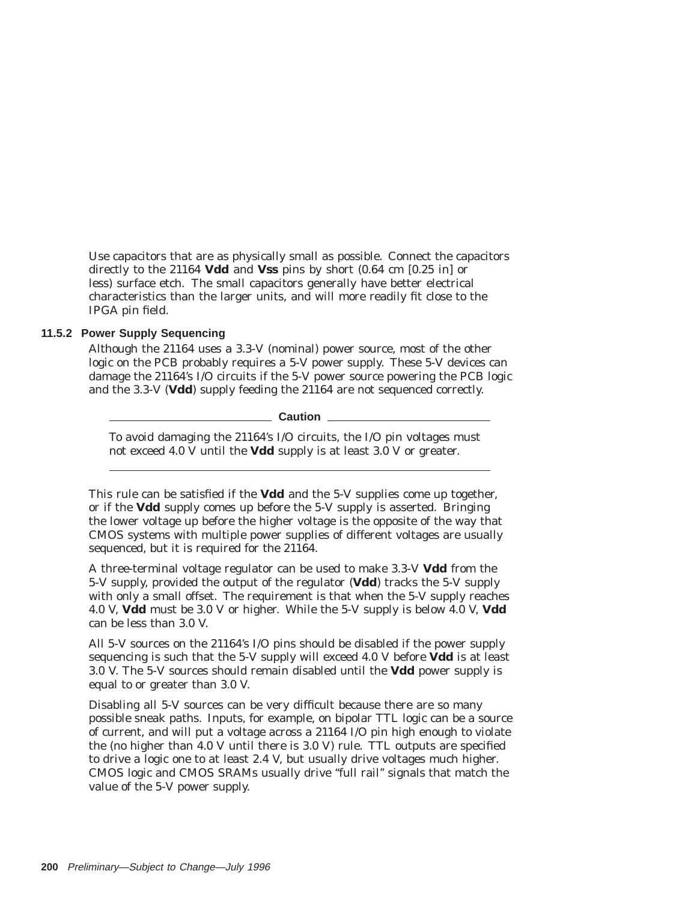Use capacitors that are as physically small as possible. Connect the capacitors directly to the 21164 **Vdd** and **Vss** pins by short (0.64 cm [0.25 in] or less) surface etch. The small capacitors generally have better electrical characteristics than the larger units, and will more readily fit close to the IPGA pin field.

### **11.5.2 Power Supply Sequencing**

Although the 21164 uses a 3.3-V (nominal) power source, most of the other logic on the PCB probably requires a 5-V power supply. These 5-V devices can damage the 21164's I/O circuits if the 5-V power source powering the PCB logic and the 3.3-V (**Vdd**) supply feeding the 21164 are not sequenced correctly.

**Caution**

To avoid damaging the 21164's I/O circuits, the I/O pin voltages must not exceed 4.0 V until the **Vdd** supply is at least 3.0 V or greater.

This rule can be satisfied if the **Vdd** and the 5-V supplies come up together, or if the **Vdd** supply comes up before the 5-V supply is asserted. Bringing the lower voltage up before the higher voltage is the opposite of the way that CMOS systems with multiple power supplies of different voltages are usually sequenced, but it is required for the 21164.

A three-terminal voltage regulator can be used to make 3.3-V **Vdd** from the 5-V supply, provided the output of the regulator (**Vdd**) tracks the 5-V supply with only a small offset. The requirement is that when the 5-V supply reaches 4.0 V, **Vdd** must be 3.0 V or higher. While the 5-V supply is below 4.0 V, **Vdd** can be less than 3.0 V.

All 5-V sources on the 21164's I/O pins should be disabled if the power supply sequencing is such that the 5-V supply will exceed 4.0 V before **Vdd** is at least 3.0 V. The 5-V sources should remain disabled until the **Vdd** power supply is equal to or greater than 3.0 V.

Disabling all 5-V sources can be very difficult because there are so many possible sneak paths. Inputs, for example, on bipolar TTL logic can be a source of current, and will put a voltage across a 21164 I/O pin high enough to violate the (no higher than 4.0 V until there is 3.0 V) rule. TTL outputs are specified to drive a logic one to at least 2.4 V, but usually drive voltages much higher. CMOS logic and CMOS SRAMs usually drive ''full rail'' signals that match the value of the 5-V power supply.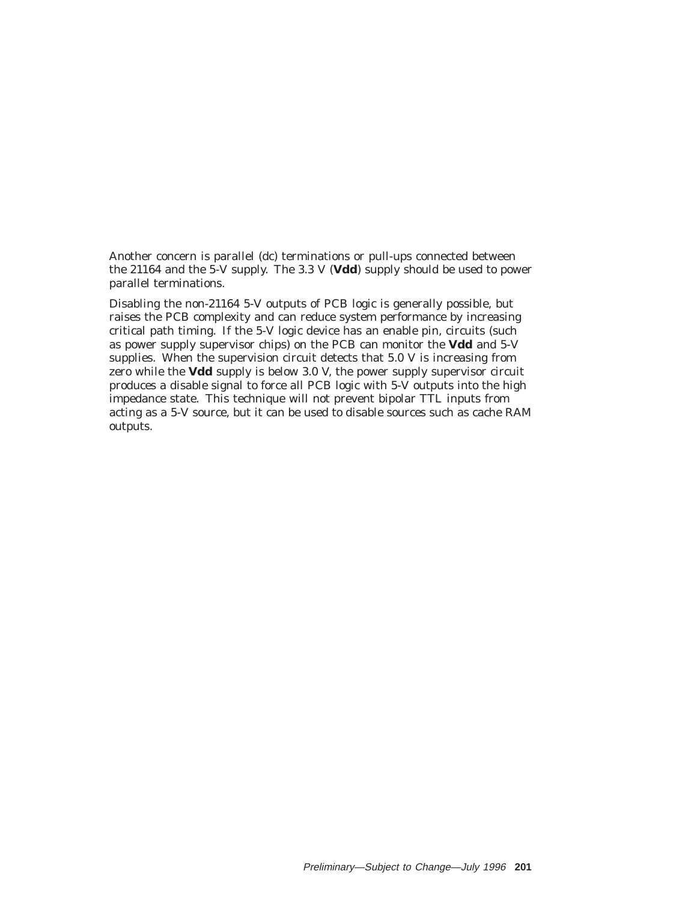Another concern is parallel (dc) terminations or pull-ups connected between the 21164 and the 5-V supply. The 3.3 V (**Vdd**) supply should be used to power parallel terminations.

Disabling the non-21164 5-V outputs of PCB logic is generally possible, but raises the PCB complexity and can reduce system performance by increasing critical path timing. If the 5-V logic device has an enable pin, circuits (such as power supply supervisor chips) on the PCB can monitor the **Vdd** and 5-V supplies. When the supervision circuit detects that 5.0 V is increasing from zero while the **Vdd** supply is below 3.0 V, the power supply supervisor circuit produces a disable signal to force all PCB logic with 5-V outputs into the high impedance state. This technique will not prevent bipolar TTL inputs from acting as a 5-V source, but it can be used to disable sources such as cache RAM outputs.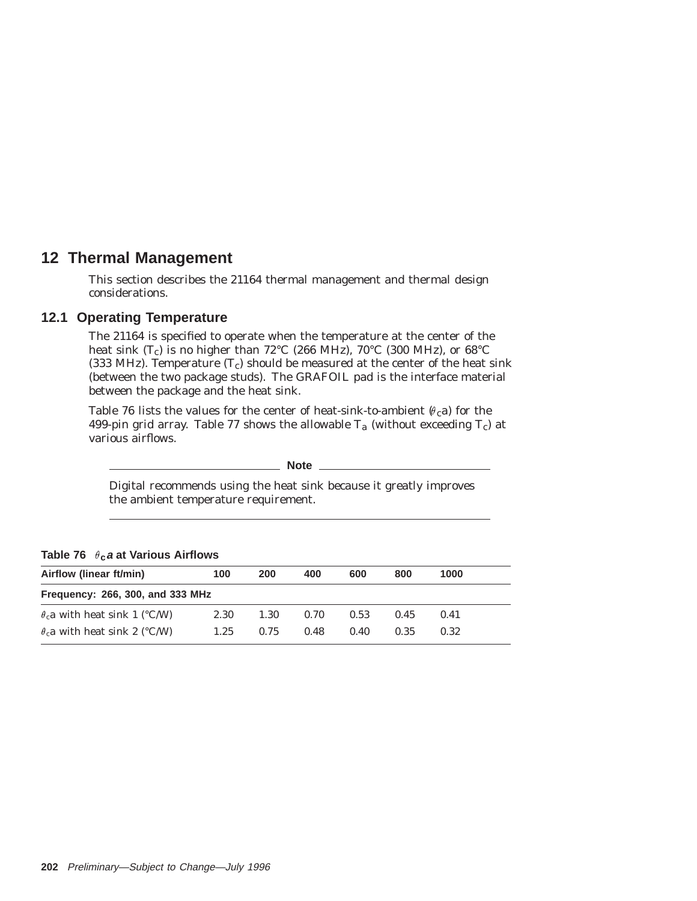# **12 Thermal Management**

This section describes the 21164 thermal management and thermal design considerations.

# **12.1 Operating Temperature**

The 21164 is specified to operate when the temperature at the center of the heat sink  $(T_c)$  is no higher than 72°C (266 MHz), 70°C (300 MHz), or 68°C (333 MHz). Temperature  $(T_c)$  should be measured at the center of the heat sink (between the two package studs). The GRAFOIL pad is the interface material between the package and the heat sink.

Table 76 lists the values for the center of heat-sink-to-ambient  $(\theta_c a)$  for the 499-pin grid array. Table 77 shows the allowable  $T_a$  (without exceeding  $T_c$ ) at various airflows.

**Note**

Digital recommends using the heat sink because it greatly improves the ambient temperature requirement.

| $19.010 + 0.010$ at vallence $1.0110$ at $1.0010$ |      |      |      |      |      |      |  |  |  |
|---------------------------------------------------|------|------|------|------|------|------|--|--|--|
| Airflow (linear ft/min)                           | 100  | 200  | 400  | 600  | 800  | 1000 |  |  |  |
| Frequency: 266, 300, and 333 MHz                  |      |      |      |      |      |      |  |  |  |
| $\theta$ <sub>c</sub> a with heat sink 1 (°C/W)   | 2.30 | 1.30 | 0.70 | 0.53 | 0.45 | 0.41 |  |  |  |
| $\theta_c a$ with heat sink 2 (°C/W)              | 1.25 | 0.75 | 0.48 | 0.40 | 0.35 | 0.32 |  |  |  |

**Table 76 c<sup>a</sup> at Various Airflows**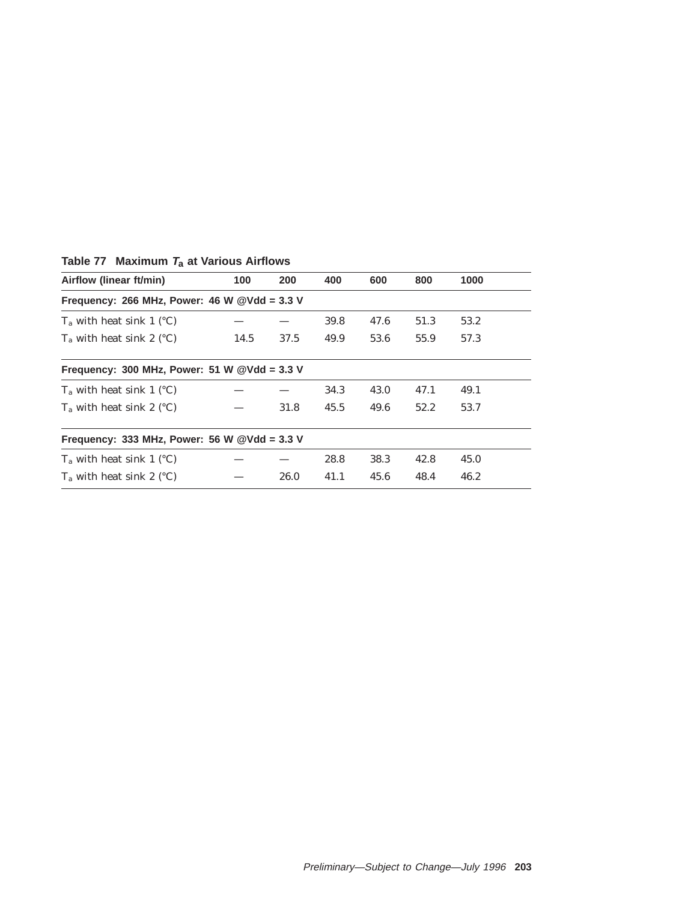| Airflow (linear ft/min)                        | 100  | 200  | 400  | 600  | 800  | 1000 |  |
|------------------------------------------------|------|------|------|------|------|------|--|
| Frequency: 266 MHz, Power: 46 W $@Vdd = 3.3$ V |      |      |      |      |      |      |  |
| $T_a$ with heat sink 1 (°C)                    |      |      | 39.8 | 47.6 | 51.3 | 53.2 |  |
| $T_a$ with heat sink 2 (°C)                    | 14.5 | 37.5 | 49.9 | 53.6 | 55.9 | 57.3 |  |
| Frequency: 300 MHz, Power: 51 W $@Vdd = 3.3$ V |      |      |      |      |      |      |  |
| $T_a$ with heat sink 1 (°C)                    |      |      | 34.3 | 43.0 | 47.1 | 49.1 |  |
| $T_a$ with heat sink 2 (°C)                    |      | 31.8 | 45.5 | 49.6 | 52.2 | 53.7 |  |
| Frequency: 333 MHz, Power: 56 W $@Vdd = 3.3$ V |      |      |      |      |      |      |  |
| $T_a$ with heat sink 1 (°C)                    |      |      | 28.8 | 38.3 | 42.8 | 45.0 |  |
| $T_a$ with heat sink 2 (°C)                    |      | 26.0 | 41.1 | 45.6 | 48.4 | 46.2 |  |

# **Table 77 Maximum <sup>T</sup>a at Various Airflows**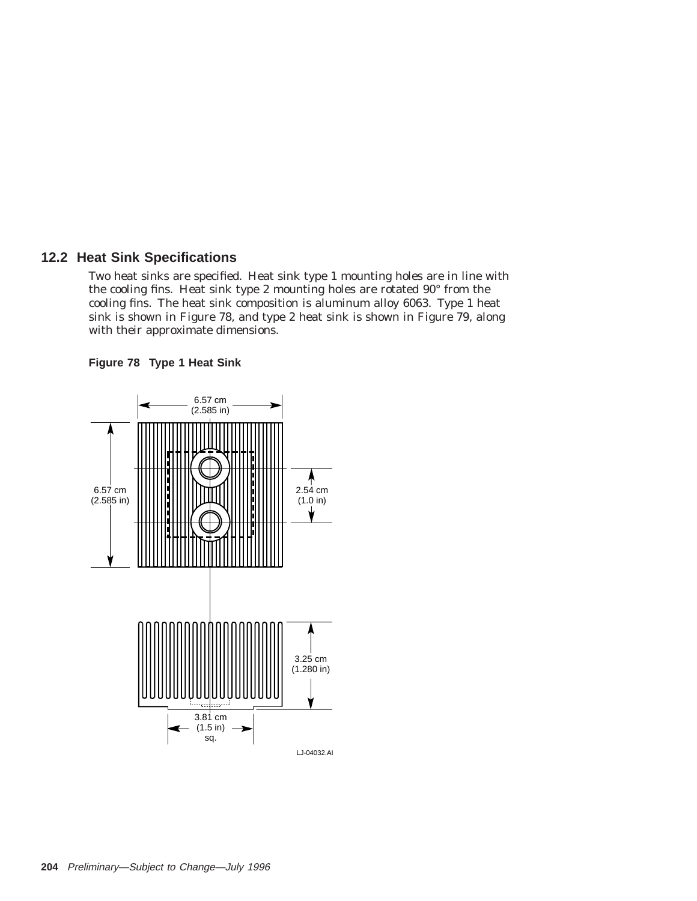# **12.2 Heat Sink Specifications**

Two heat sinks are specified. Heat sink type 1 mounting holes are in line with the cooling fins. Heat sink type 2 mounting holes are rotated 90° from the cooling fins. The heat sink composition is aluminum alloy 6063. Type 1 heat sink is shown in Figure 78, and type 2 heat sink is shown in Figure 79, along with their approximate dimensions.



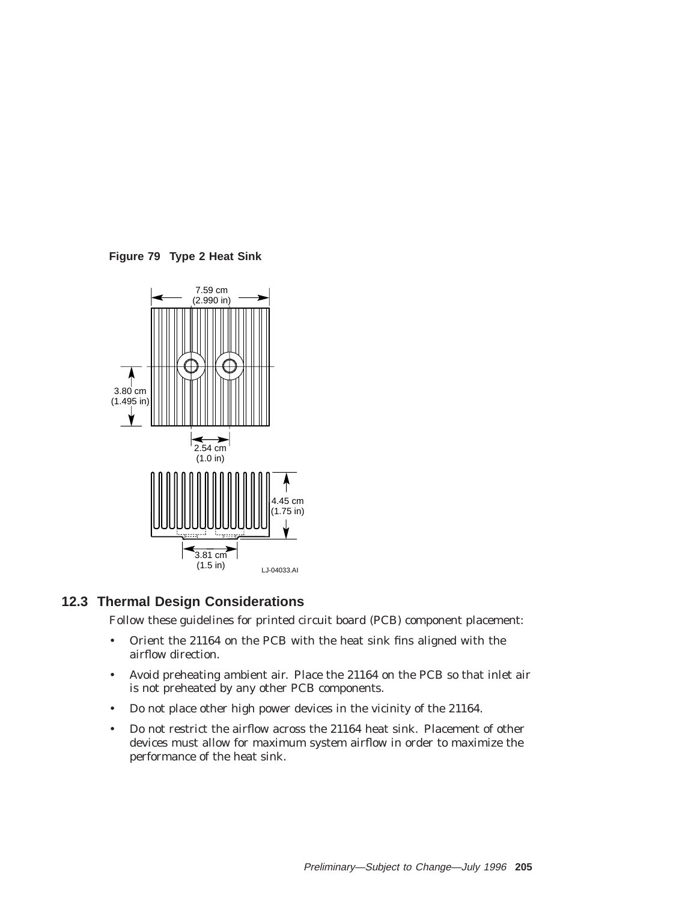**Figure 79 Type 2 Heat Sink**



## **12.3 Thermal Design Considerations**

Follow these guidelines for printed circuit board (PCB) component placement:

- Orient the 21164 on the PCB with the heat sink fins aligned with the airflow direction.
- Avoid preheating ambient air. Place the 21164 on the PCB so that inlet air is not preheated by any other PCB components.
- Do not place other high power devices in the vicinity of the 21164.
- Do not restrict the airflow across the 21164 heat sink. Placement of other devices must allow for maximum system airflow in order to maximize the performance of the heat sink.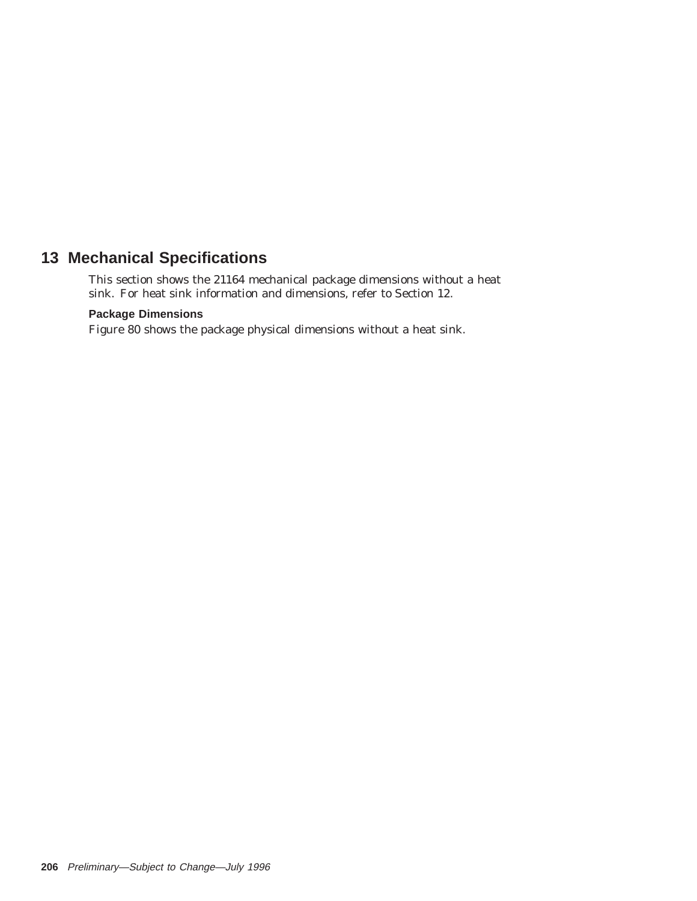# **13 Mechanical Specifications**

This section shows the 21164 mechanical package dimensions without a heat sink. For heat sink information and dimensions, refer to Section 12.

## **Package Dimensions**

Figure 80 shows the package physical dimensions without a heat sink.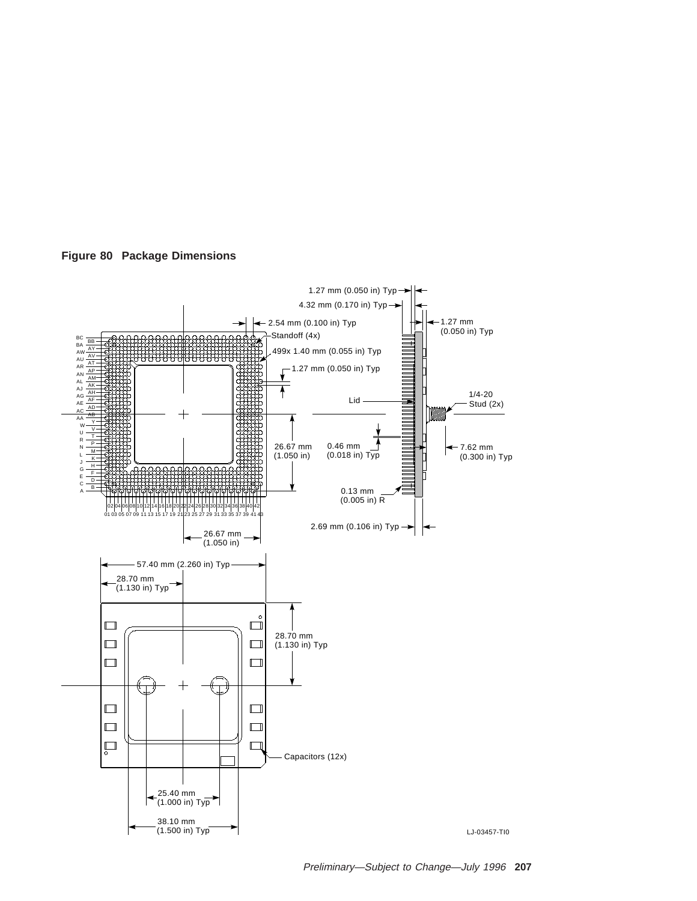



Preliminary—Subject to Change—July 1996 **207**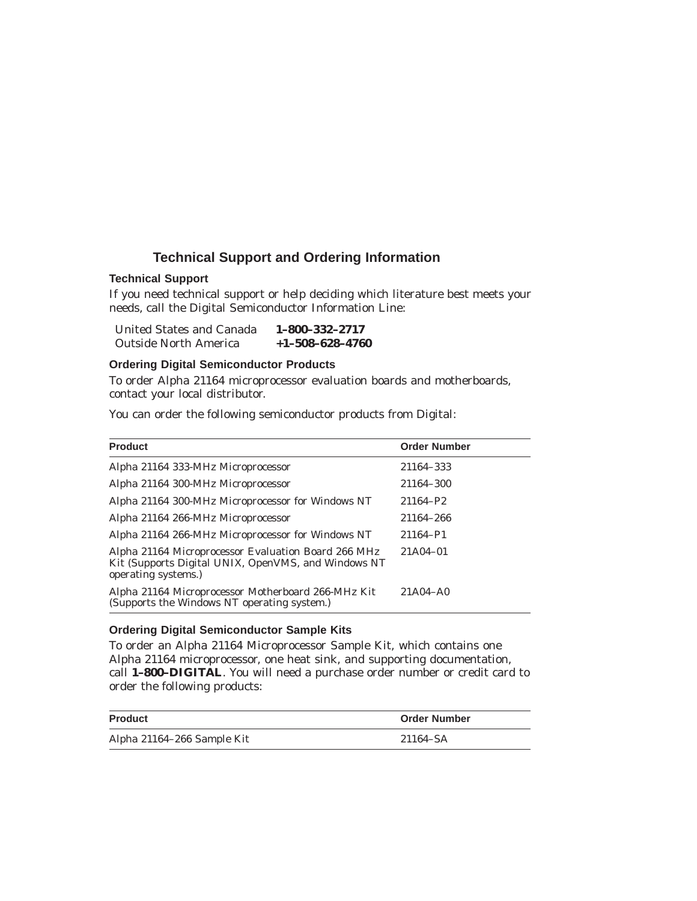# **Technical Support and Ordering Information**

#### **Technical Support**

If you need technical support or help deciding which literature best meets your needs, call the Digital Semiconductor Information Line:

| United States and Canada     | $1 - 800 - 332 - 2717$  |
|------------------------------|-------------------------|
| <b>Outside North America</b> | $+1 - 508 - 628 - 4760$ |

#### **Ordering Digital Semiconductor Products**

To order Alpha 21164 microprocessor evaluation boards and motherboards, contact your local distributor.

You can order the following semiconductor products from Digital:

| <b>Product</b>                                                                                                                    | <b>Order Number</b> |
|-----------------------------------------------------------------------------------------------------------------------------------|---------------------|
| Alpha 21164 333-MHz Microprocessor                                                                                                | 21164-333           |
| Alpha 21164 300-MHz Microprocessor                                                                                                | 21164-300           |
| Alpha 21164 300-MHz Microprocessor for Windows NT                                                                                 | 21164-P2            |
| Alpha 21164 266-MHz Microprocessor                                                                                                | 21164-266           |
| Alpha 21164 266-MHz Microprocessor for Windows NT                                                                                 | 21164-P1            |
| Alpha 21164 Microprocessor Evaluation Board 266 MHz<br>Kit (Supports Digital UNIX, OpenVMS, and Windows NT<br>operating systems.) | $21A04-01$          |
| Alpha 21164 Microprocessor Motherboard 266-MHz Kit<br>(Supports the Windows NT operating system.)                                 | 21A04-A0            |

#### **Ordering Digital Semiconductor Sample Kits**

To order an Alpha 21164 Microprocessor Sample Kit, which contains one Alpha 21164 microprocessor, one heat sink, and supporting documentation, call **1–800–DIGITAL**. You will need a purchase order number or credit card to order the following products:

| <b>Product</b>             | <b>Order Number</b> |
|----------------------------|---------------------|
| Alpha 21164-266 Sample Kit | 21164–SA            |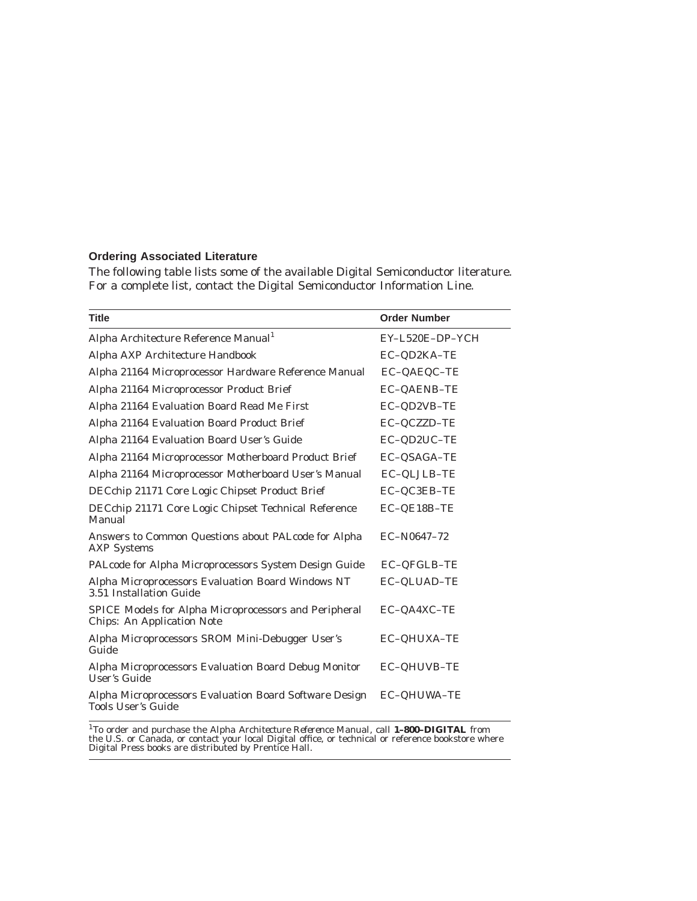### **Ordering Associated Literature**

The following table lists some of the available Digital Semiconductor literature. For a complete list, contact the Digital Semiconductor Information Line.

| <b>Title</b>                                                                               | <b>Order Number</b> |
|--------------------------------------------------------------------------------------------|---------------------|
| Alpha Architecture Reference Manual <sup>1</sup>                                           | EY-L520E-DP-YCH     |
| Alpha AXP Architecture Handbook                                                            | EC-QD2KA-TE         |
| Alpha 21164 Microprocessor Hardware Reference Manual                                       | EC-QAEQC-TE         |
| Alpha 21164 Microprocessor Product Brief                                                   | EC-QAENB-TE         |
| Alpha 21164 Evaluation Board Read Me First                                                 | EC-QD2VB-TE         |
| Alpha 21164 Evaluation Board Product Brief                                                 | EC-QCZZD-TE         |
| Alpha 21164 Evaluation Board User's Guide                                                  | EC-QD2UC-TE         |
| Alpha 21164 Microprocessor Motherboard Product Brief                                       | EC-QSAGA-TE         |
| Alpha 21164 Microprocessor Motherboard User's Manual                                       | EC-QLJLB-TE         |
| DECchip 21171 Core Logic Chipset Product Brief                                             | EC-QC3EB-TE         |
| DECchip 21171 Core Logic Chipset Technical Reference<br>Manual                             | EC-QE18B-TE         |
| Answers to Common Questions about PALcode for Alpha<br><b>AXP</b> Systems                  | EC-N0647-72         |
| PALcode for Alpha Microprocessors System Design Guide                                      | EC-QFGLB-TE         |
| Alpha Microprocessors Evaluation Board Windows NT<br>3.51 Installation Guide               | EC-QLUAD-TE         |
| SPICE Models for Alpha Microprocessors and Peripheral<br><b>Chips: An Application Note</b> | EC-QA4XC-TE         |
| Alpha Microprocessors SROM Mini-Debugger User's<br>Guide                                   | EC-QHUXA-TE         |
| Alpha Microprocessors Evaluation Board Debug Monitor<br>User's Guide                       | EC-QHUVB-TE         |
| Alpha Microprocessors Evaluation Board Software Design<br><b>Tools User's Guide</b>        | EC-QHUWA-TE         |

<sup>1</sup>To order and purchase the *Alpha Architecture Reference Manual*, call **1–800–DIGITAL** from<br>the U.S. or Canada, or contact your local Digital office, or technical or reference bookstore where<br>Digital Press books are dis